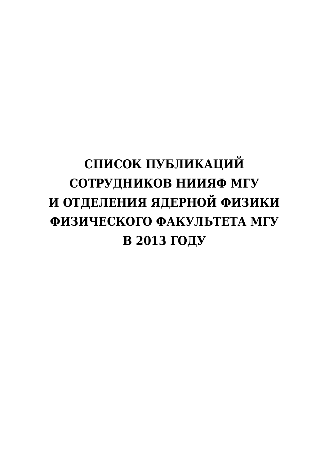# **СПИСОК ПУБЛИКАЦИЙ СОТРУДНИКОВ НИИЯФ МГУ И ОТДЕЛЕНИЯ ЯДЕРНОЙ ФИЗИКИ ФИЗИЧЕСКОГО ФАКУЛЬТЕТА МГУ В 2013 ГОДУ**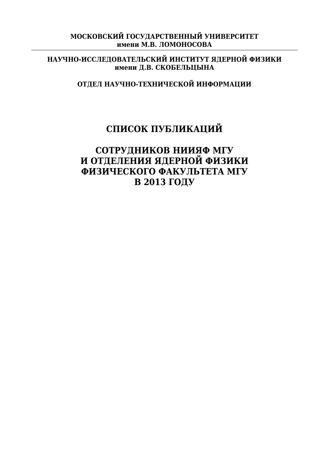#### **МОСКОВСКИЙ ГОСУДАРСТВЕННЫЙ УНИВЕРCИТЕТ имени М.В. ЛОМОНОСОВА**

#### **НАУЧНО-ИССЛЕДОВАТЕЛЬСКИЙ ИНСТИТУТ ЯДЕРНОЙ ФИЗИКИ имени Д.В. СКОБЕЛЬЦЫНА**

## **ОТДЕЛ НАУЧНО-ТЕХНИЧЕСКОЙ ИНФОРМАЦИИ**

## **СПИСОК ПУБЛИКАЦИЙ**

#### **СОТРУДНИКОВ НИИЯФ МГУ И ОТДЕЛЕНИЯ ЯДЕРНОЙ ФИЗИКИ ФИЗИЧЕСКОГО ФАКУЛЬТЕТА МГУ В 2013 ГОДУ**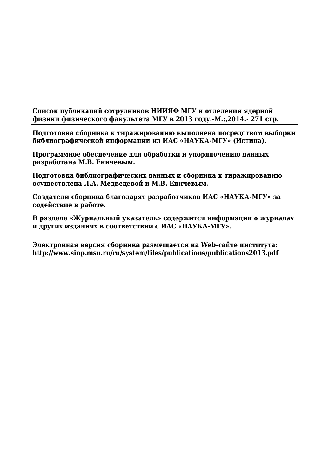**Список публикаций сотрудников НИИЯФ МГУ и отделения ядерной физики физического факультета МГУ в 2013 году.-М.:,2014.- 271 стр.**

**Подготовка сборника к тиражированию выполнена посредством выборки библиографической информации из ИАС «НАУКА-МГУ» (Истина).**

**Программное обеспечение для обработки и упорядочению данных разработана М.В. Еничевым.**

**Подготовка библиографических данных и сборника к тиражированию осуществлена Л.А. Медведевой и М.В. Еничевым.**

**Создатели сборника благодарят разработчиков ИАС «НАУКА-МГУ» за содействие в работе.**

**В разделе «Журнальный указатель» содержится информация о журналах и других изданиях в соответствии с ИАС «НАУКА-МГУ».**

**Электронная версия сборника размещается на Web-сайте института: http://www.sinp.msu.ru/ru/system/files/publications/publications2013.pdf**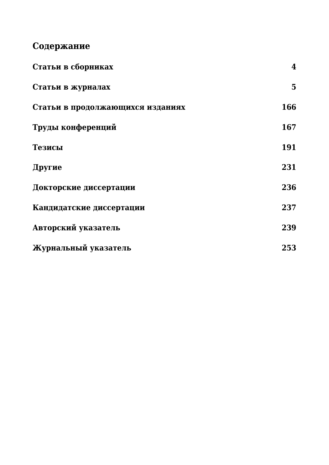## **Содержание**

| Статьи в сборниках               | $\bf{4}$       |
|----------------------------------|----------------|
| Статьи в журналах                | 5 <sup>5</sup> |
| Статьи в продолжающихся изданиях | 166            |
| Труды конференций                | 167            |
| Тезисы                           | 191            |
| Другие                           | 231            |
| Докторские диссертации           | 236            |
| Кандидатские диссертации         | 237            |
| Авторский указатель              | 239            |
| Журнальный указатель             | 253            |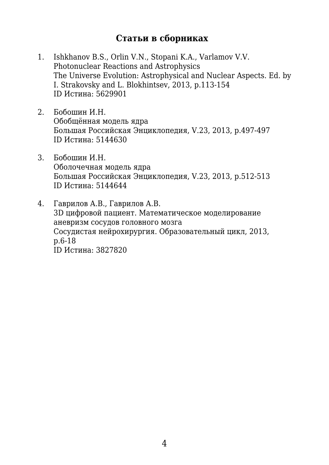### **Статьи в сборниках**

- 1. Ishkhanov B.S., Orlin V.N., Stopani K.A., Varlamov V.V. Photonuclear Reactions and Astrophysics The Universe Evolution: Astrophysical and Nuclear Aspects. Ed. by I. Strakovsky and L. Blokhintsev, 2013, p.113-154 ID Истина: 5629901
- 2. Бобошин И.Н. Обобщённая модель ядра Большая Российская Энциклопедия, V.23, 2013, p.497-497 ID Истина: 5144630
- 3. Бобошин И.Н. Оболочечная модель ядра Большая Российская Энциклопедия, V.23, 2013, p.512-513 ID Истина: 5144644
- 4. Гаврилов А.В., Гаврилов А.В. 3D цифровой пациент. Математическое моделирование аневризм сосудов головного мозга Сосудистая нейрохирургия. Образовательный цикл, 2013, p.6-18

ID Истина: 3827820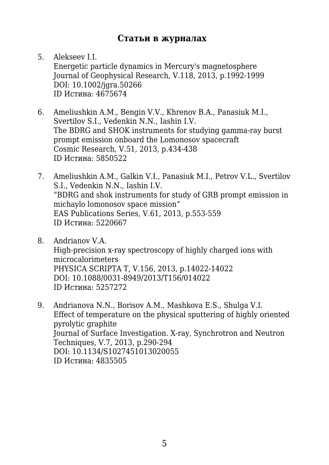#### **Статьи в журналах**

5. Alekseev I.I. Energetic particle dynamics in Mercury's magnetosphere Journal of Geophysical Research, V.118, 2013, p.1992-1999 DOI: 10.1002/jgra.50266 ID Истина: 4675674

- 6. Ameliushkin A.M., Bengin V.V., Khrenov B.A., Panasiuk M.I., Svertilov S.I., Vedenkin N.N., Iashin I.V. The BDRG and SHOK instruments for studying gamma-ray burst prompt emission onboard the Lomonosov spacecraft Cosmic Research, V.51, 2013, p.434-438 ID Истина: 5850522
- 7. Ameliushkin A.M., Galkin V.I., Panasiuk M.I., Petrov V.L., Svertilov S.I., Vedenkin N.N., Iashin I.V. "BDRG and shok instruments for study of GRB prompt emission in michaylo lomonosov space mission" EAS Publications Series, V.61, 2013, p.553-559 ID Истина: 5220667
- 8. Andrianov V.A. High-precision x-ray spectroscopy of highly charged ions with microcalorimeters PHYSICA SCRIPTA T, V.156, 2013, p.14022-14022 DOI: 10.1088/0031-8949/2013/T156/014022 ID Истина: 5257272
- 9. Andrianova N.N., Borisov A.M., Mashkova E.S., Shulga V.I. Effect of temperature on the physical sputtering of highly oriented pyrolytic graphite Journal of Surface Investigation. X-ray, Synchrotron and Neutron Techniques, V.7, 2013, p.290-294 DOI: 10.1134/S1027451013020055 ID Истина: 4835505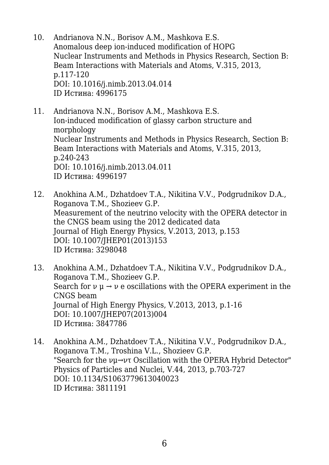- 10. Andrianova N.N., Borisov A.M., Mashkova E.S. Anomalous deep ion-induced modification of HOPG Nuclear Instruments and Methods in Physics Research, Section B: Beam Interactions with Materials and Atoms, V.315, 2013, p.117-120 DOI: 10.1016/j.nimb.2013.04.014 ID Истина: 4996175
- 11. Andrianova N.N., Borisov A.M., Mashkova E.S. Ion-induced modification of glassy carbon structure and morphology Nuclear Instruments and Methods in Physics Research, Section B: Beam Interactions with Materials and Atoms, V.315, 2013, p.240-243 DOI: 10.1016/j.nimb.2013.04.011 ID Истина: 4996197
- 12. Anokhina A.M., Dzhatdoev T.A., Nikitina V.V., Podgrudnikov D.A., Roganova T.M., Shozieev G.P. Measurement of the neutrino velocity with the OPERA detector in the CNGS beam using the 2012 dedicated data Journal of High Energy Physics, V.2013, 2013, p.153 DOI: 10.1007/JHEP01(2013)153 ID Истина: 3298048
- 13. Anokhina A.M., Dzhatdoev T.A., Nikitina V.V., Podgrudnikov D.A., Roganova T.M., Shozieev G.P. Search for  $\nu \mu \rightarrow \nu$  e oscillations with the OPERA experiment in the CNGS beam Journal of High Energy Physics, V.2013, 2013, p.1-16 DOI: 10.1007/JHEP07(2013)004 ID Истина: 3847786
- 14. Anokhina A.M., Dzhatdoev T.A., Nikitina V.V., Podgrudnikov D.A., Roganova T.M., Troshina V.L., Shozieev G.P. "Search for the νμ→ντ Oscillation with the OPERA Hybrid Detector" Physics of Particles and Nuclei, V.44, 2013, p.703-727 DOI: 10.1134/S1063779613040023 ID Истина: 3811191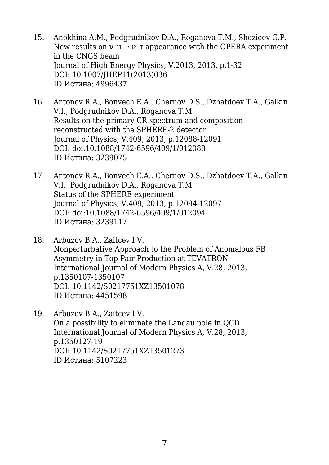- 15. Anokhina A.M., Podgrudnikov D.A., Roganova T.M., Shozieev G.P. New results on  $\nu$   $\mu \rightarrow \nu$  τ appearance with the OPERA experiment in the CNGS beam Journal of High Energy Physics, V.2013, 2013, p.1-32 DOI: 10.1007/JHEP11(2013)036 ID Истина: 4996437
- 16. Antonov R.A., Bonvech E.A., Chernov D.S., Dzhatdoev T.A., Galkin V.I., Podgrudnikov D.A., Roganova T.M. Results on the primary CR spectrum and composition reconstructed with the SPHERE-2 detector Journal of Physics, V.409, 2013, p.12088-12091 DOI: doi:10.1088/1742-6596/409/1/012088 ID Истина: 3239075
- 17. Antonov R.A., Bonvech E.A., Chernov D.S., Dzhatdoev T.A., Galkin V.I., Podgrudnikov D.A., Roganova T.M. Status of the SPHERE experiment Journal of Physics, V.409, 2013, p.12094-12097 DOI: doi:10.1088/1742-6596/409/1/012094 ID Истина: 3239117
- 18. Arbuzov B.A., Zaitcev I.V. Nonperturbative Approach to the Problem of Anomalous FB Asymmetry in Top Pair Production at TEVATRON International Journal of Modern Physics A, V.28, 2013, p.1350107-1350107 DOI: 10.1142/S0217751XZ13501078 ID Истина: 4451598
- 19. Arbuzov B.A., Zaitcev I.V. On a possibility to eliminate the Landau pole in QCD International Journal of Modern Physics A, V.28, 2013, p.1350127-19 DOI: 10.1142/S0217751XZ13501273 ID Истина: 5107223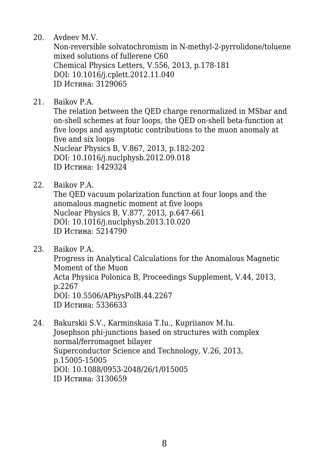20. Avdeev M.V.

Non-reversible solvatochromism in N-methyl-2-pyrrolidone/toluene mixed solutions of fullerene C60 Chemical Physics Letters, V.556, 2013, p.178-181 DOI: 10.1016/j.cplett.2012.11.040 ID Истина: 3129065

21. Baikov P.A.

The relation between the QED charge renormalized in MSbar and on-shell schemes at four loops, the QED on-shell beta-function at five loops and asymptotic contributions to the muon anomaly at five and six loops Nuclear Physics B, V.867, 2013, p.182-202 DOI: 10.1016/j.nuclphysb.2012.09.018 ID Истина: 1429324

22. Baikov P.A.

The QED vacuum polarization function at four loops and the anomalous magnetic moment at five loops Nuclear Physics B, V.877, 2013, p.647-661 DOI: 10.1016/j.nuclphysb.2013.10.020 ID Истина: 5214790

23. Baikov P.A.

Progress in Analytical Calculations for the Anomalous Magnetic Moment of the Muon Acta Physica Polonica B, Proceedings Supplement, V.44, 2013, p.2267 DOI: 10.5506/APhysPolB.44.2267 ID Истина: 5336633

24. Bakurskii S.V., Karminskaia T.Iu., Kupriianov M.Iu. Josephson phi-junctions based on structures with complex normal/ferromagnet bilayer Superconductor Science and Technology, V.26, 2013, p.15005-15005 DOI: 10.1088/0953-2048/26/1/015005 ID Истина: 3130659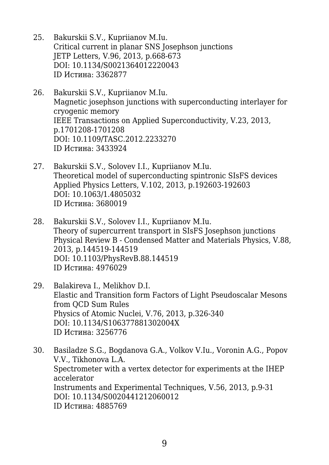- 25. Bakurskii S.V., Kupriianov M.Iu. Critical current in planar SNS Josephson junctions JETP Letters, V.96, 2013, p.668-673 DOI: 10.1134/S0021364012220043 ID Истина: 3362877
- 26. Bakurskii S.V., Kupriianov M.Iu. Magnetic josephson junctions with superconducting interlayer for cryogenic memory IEEE Transactions on Applied Superconductivity, V.23, 2013, p.1701208-1701208 DOI: 10.1109/TASC.2012.2233270 ID Истина: 3433924
- 27. Bakurskii S.V., Solovev I.I., Kupriianov M.Iu. Theoretical model of superconducting spintronic SIsFS devices Applied Physics Letters, V.102, 2013, p.192603-192603 DOI: 10.1063/1.4805032 ID Истина: 3680019
- 28. Bakurskii S.V., Solovev I.I., Kupriianov M.Iu. Theory of supercurrent transport in SIsFS Josephson junctions Physical Review B - Condensed Matter and Materials Physics, V.88, 2013, p.144519-144519 DOI: 10.1103/PhysRevB.88.144519 ID Истина: 4976029
- 29. Balakireva I., Melikhov D.I. Elastic and Transition form Factors of Light Pseudoscalar Mesons from QCD Sum Rules Physics of Atomic Nuclei, V.76, 2013, p.326-340 DOI: 10.1134/S106377881302004X ID Истина: 3256776
- 30. Basiladze S.G., Bogdanova G.A., Volkov V.Iu., Voronin A.G., Popov V.V., Tikhonova L.A. Spectrometer with a vertex detector for experiments at the IHEP accelerator Instruments and Experimental Techniques, V.56, 2013, p.9-31 DOI: 10.1134/S0020441212060012 ID Истина: 4885769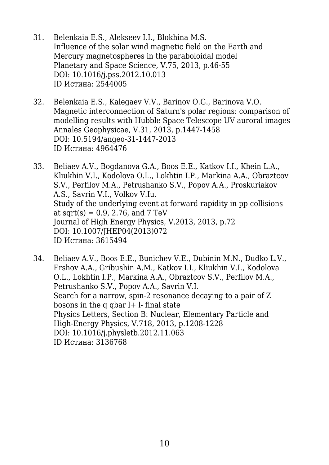- 31. Belenkaia E.S., Alekseev I.I., Blokhina M.S. Influence of the solar wind magnetic field on the Earth and Mercury magnetospheres in the paraboloidal model Planetary and Space Science, V.75, 2013, p.46-55 DOI: 10.1016/j.pss.2012.10.013 ID Истина: 2544005
- 32. Belenkaia E.S., Kalegaev V.V., Barinov O.G., Barinova V.O. Magnetic interconnection of Saturn's polar regions: comparison of modelling results with Hubble Space Telescope UV auroral images Annales Geophysicae, V.31, 2013, p.1447-1458 DOI: 10.5194/angeo-31-1447-2013 ID Истина: 4964476
- 33. Beliaev A.V., Bogdanova G.A., Boos E.E., Katkov I.I., Khein L.A., Kliukhin V.I., Kodolova O.L., Lokhtin I.P., Markina A.A., Obraztcov S.V., Perfilov M.A., Petrushanko S.V., Popov A.A., Proskuriakov A.S., Savrin V.I., Volkov V.Iu. Study of the underlying event at forward rapidity in pp collisions at sqrt $(s) = 0.9, 2.76,$  and  $7 \text{ TeV}$ Journal of High Energy Physics, V.2013, 2013, p.72 DOI: 10.1007/JHEP04(2013)072 ID Истина: 3615494
- 34. Beliaev A.V., Boos E.E., Bunichev V.E., Dubinin M.N., Dudko L.V., Ershov A.A., Gribushin A.M., Katkov I.I., Kliukhin V.I., Kodolova O.L., Lokhtin I.P., Markina A.A., Obraztcov S.V., Perfilov M.A., Petrushanko S.V., Popov A.A., Savrin V.I. Search for a narrow, spin-2 resonance decaying to a pair of Z bosons in the q qbar  $l+$  l- final state Physics Letters, Section B: Nuclear, Elementary Particle and High-Energy Physics, V.718, 2013, p.1208-1228 DOI: 10.1016/j.physletb.2012.11.063 ID Истина: 3136768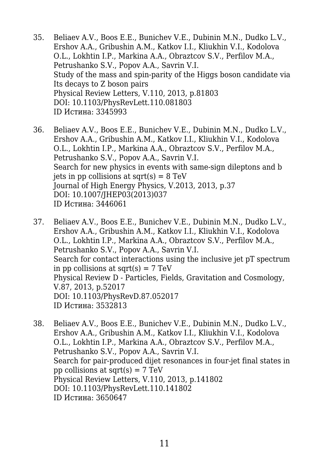- 35. Beliaev A.V., Boos E.E., Bunichev V.E., Dubinin M.N., Dudko L.V., Ershov A.A., Gribushin A.M., Katkov I.I., Kliukhin V.I., Kodolova O.L., Lokhtin I.P., Markina A.A., Obraztcov S.V., Perfilov M.A., Petrushanko S.V., Popov A.A., Savrin V.I. Study of the mass and spin-parity of the Higgs boson candidate via Its decays to Z boson pairs Physical Review Letters, V.110, 2013, p.81803 DOI: 10.1103/PhysRevLett.110.081803 ID Истина: 3345993
- 36. Beliaev A.V., Boos E.E., Bunichev V.E., Dubinin M.N., Dudko L.V., Ershov A.A., Gribushin A.M., Katkov I.I., Kliukhin V.I., Kodolova O.L., Lokhtin I.P., Markina A.A., Obraztcov S.V., Perfilov M.A., Petrushanko S.V., Popov A.A., Savrin V.I. Search for new physics in events with same-sign dileptons and b jets in pp collisions at sqrt $(s) = 8$  TeV Journal of High Energy Physics, V.2013, 2013, p.37 DOI: 10.1007/JHEP03(2013)037 ID Истина: 3446061
- 37. Beliaev A.V., Boos E.E., Bunichev V.E., Dubinin M.N., Dudko L.V., Ershov A.A., Gribushin A.M., Katkov I.I., Kliukhin V.I., Kodolova O.L., Lokhtin I.P., Markina A.A., Obraztcov S.V., Perfilov M.A., Petrushanko S.V., Popov A.A., Savrin V.I. Search for contact interactions using the inclusive jet pT spectrum in pp collisions at sqrt $(s) = 7$  TeV Physical Review D - Particles, Fields, Gravitation and Cosmology, V.87, 2013, p.52017 DOI: 10.1103/PhysRevD.87.052017 ID Истина: 3532813
- 38. Beliaev A.V., Boos E.E., Bunichev V.E., Dubinin M.N., Dudko L.V., Ershov A.A., Gribushin A.M., Katkov I.I., Kliukhin V.I., Kodolova O.L., Lokhtin I.P., Markina A.A., Obraztcov S.V., Perfilov M.A., Petrushanko S.V., Popov A.A., Savrin V.I. Search for pair-produced dijet resonances in four-jet final states in pp collisions at sqrt $(s) = 7$  TeV Physical Review Letters, V.110, 2013, p.141802 DOI: 10.1103/PhysRevLett.110.141802 ID Истина: 3650647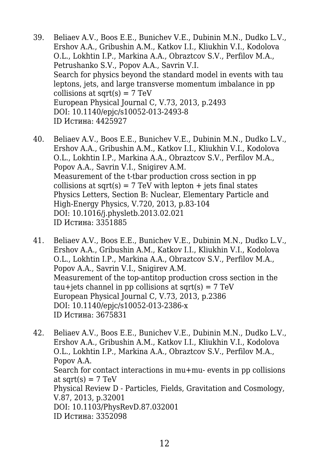- 39. Beliaev A.V., Boos E.E., Bunichev V.E., Dubinin M.N., Dudko L.V., Ershov A.A., Gribushin A.M., Katkov I.I., Kliukhin V.I., Kodolova O.L., Lokhtin I.P., Markina A.A., Obraztcov S.V., Perfilov M.A., Petrushanko S.V., Popov A.A., Savrin V.I. Search for physics beyond the standard model in events with tau leptons, jets, and large transverse momentum imbalance in pp collisions at sqrt $(s) = 7$  TeV European Physical Journal C, V.73, 2013, p.2493 DOI: 10.1140/epjc/s10052-013-2493-8 ID Истина: 4425927
- 40. Beliaev A.V., Boos E.E., Bunichev V.E., Dubinin M.N., Dudko L.V., Ershov A.A., Gribushin A.M., Katkov I.I., Kliukhin V.I., Kodolova O.L., Lokhtin I.P., Markina A.A., Obraztcov S.V., Perfilov M.A., Popov A.A., Savrin V.I., Snigirev A.M. Measurement of the t-tbar production cross section in pp collisions at sqrt(s) =  $7 \text{ TeV}$  with lepton + jets final states Physics Letters, Section B: Nuclear, Elementary Particle and High-Energy Physics, V.720, 2013, p.83-104 DOI: 10.1016/j.physletb.2013.02.021 ID Истина: 3351885
- 41. Beliaev A.V., Boos E.E., Bunichev V.E., Dubinin M.N., Dudko L.V., Ershov A.A., Gribushin A.M., Katkov I.I., Kliukhin V.I., Kodolova O.L., Lokhtin I.P., Markina A.A., Obraztcov S.V., Perfilov M.A., Popov A.A., Savrin V.I., Snigirev A.M. Measurement of the top-antitop production cross section in the tau+jets channel in pp collisions at sqrt(s) =  $7 \text{ TeV}$ European Physical Journal C, V.73, 2013, p.2386 DOI: 10.1140/epjc/s10052-013-2386-x ID Истина: 3675831
- 42. Beliaev A.V., Boos E.E., Bunichev V.E., Dubinin M.N., Dudko L.V., Ershov A.A., Gribushin A.M., Katkov I.I., Kliukhin V.I., Kodolova O.L., Lokhtin I.P., Markina A.A., Obraztcov S.V., Perfilov M.A., Popov A.A. Search for contact interactions in mu+mu- events in pp collisions at sqrt $(s) = 7$  TeV Physical Review D - Particles, Fields, Gravitation and Cosmology, V.87, 2013, p.32001 DOI: 10.1103/PhysRevD.87.032001 ID Истина: 3352098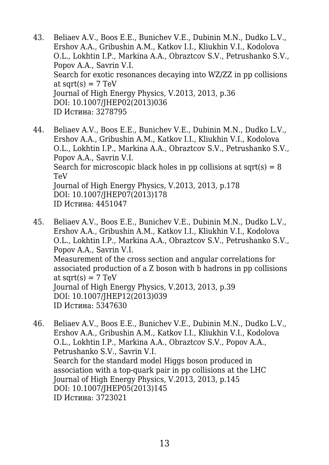- 43. Beliaev A.V., Boos E.E., Bunichev V.E., Dubinin M.N., Dudko L.V., Ershov A.A., Gribushin A.M., Katkov I.I., Kliukhin V.I., Kodolova O.L., Lokhtin I.P., Markina A.A., Obraztcov S.V., Petrushanko S.V., Popov A.A., Savrin V.I. Search for exotic resonances decaying into WZ/ZZ in pp collisions at sqrt $(s) = 7$  TeV Journal of High Energy Physics, V.2013, 2013, p.36 DOI: 10.1007/JHEP02(2013)036 ID Истина: 3278795
- 44. Beliaev A.V., Boos E.E., Bunichev V.E., Dubinin M.N., Dudko L.V., Ershov A.A., Gribushin A.M., Katkov I.I., Kliukhin V.I., Kodolova O.L., Lokhtin I.P., Markina A.A., Obraztcov S.V., Petrushanko S.V., Popov A.A., Savrin V.I. Search for microscopic black holes in pp collisions at sqrt(s)  $= 8$ TeV Journal of High Energy Physics, V.2013, 2013, p.178 DOI: 10.1007/JHEP07(2013)178 ID Истина: 4451047
- 45. Beliaev A.V., Boos E.E., Bunichev V.E., Dubinin M.N., Dudko L.V., Ershov A.A., Gribushin A.M., Katkov I.I., Kliukhin V.I., Kodolova O.L., Lokhtin I.P., Markina A.A., Obraztcov S.V., Petrushanko S.V., Popov A.A., Savrin V.I. Measurement of the cross section and angular correlations for associated production of a Z boson with b hadrons in pp collisions at sqrt $(s) = 7$  TeV Journal of High Energy Physics, V.2013, 2013, p.39 DOI: 10.1007/JHEP12(2013)039 ID Истина: 5347630
- 46. Beliaev A.V., Boos E.E., Bunichev V.E., Dubinin M.N., Dudko L.V., Ershov A.A., Gribushin A.M., Katkov I.I., Kliukhin V.I., Kodolova O.L., Lokhtin I.P., Markina A.A., Obraztcov S.V., Popov A.A., Petrushanko S.V., Savrin V.I. Search for the standard model Higgs boson produced in association with a top-quark pair in pp collisions at the LHC Journal of High Energy Physics, V.2013, 2013, p.145 DOI: 10.1007/JHEP05(2013)145 ID Истина: 3723021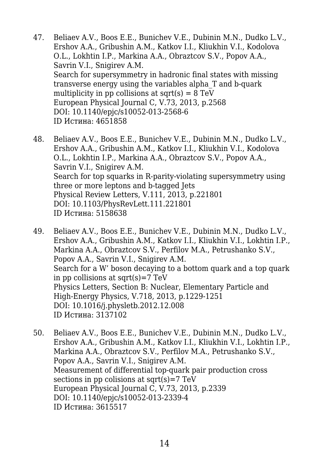- 47. Beliaev A.V., Boos E.E., Bunichev V.E., Dubinin M.N., Dudko L.V., Ershov A.A., Gribushin A.M., Katkov I.I., Kliukhin V.I., Kodolova O.L., Lokhtin I.P., Markina A.A., Obraztcov S.V., Popov A.A., Savrin V.I., Snigirev A.M. Search for supersymmetry in hadronic final states with missing transverse energy using the variables alpha\_T and b-quark multiplicity in pp collisions at  $sqrt(s) = 8 \text{ TeV}$ European Physical Journal C, V.73, 2013, p.2568 DOI: 10.1140/epjc/s10052-013-2568-6 ID Истина: 4651858
- 48. Beliaev A.V., Boos E.E., Bunichev V.E., Dubinin M.N., Dudko L.V., Ershov A.A., Gribushin A.M., Katkov I.I., Kliukhin V.I., Kodolova O.L., Lokhtin I.P., Markina A.A., Obraztcov S.V., Popov A.A., Savrin V.I., Snigirev A.M. Search for top squarks in R-parity-violating supersymmetry using three or more leptons and b-tagged Jets Physical Review Letters, V.111, 2013, p.221801 DOI: 10.1103/PhysRevLett.111.221801 ID Истина: 5158638
- 49. Beliaev A.V., Boos E.E., Bunichev V.E., Dubinin M.N., Dudko L.V., Ershov A.A., Gribushin A.M., Katkov I.I., Kliukhin V.I., Lokhtin I.P., Markina A.A., Obraztcov S.V., Perfilov M.A., Petrushanko S.V., Popov A.A., Savrin V.I., Snigirev A.M. Search for a W' boson decaying to a bottom quark and a top quark in pp collisions at sqrt $(s)$ =7 TeV Physics Letters, Section B: Nuclear, Elementary Particle and High-Energy Physics, V.718, 2013, p.1229-1251 DOI: 10.1016/j.physletb.2012.12.008 ID Истина: 3137102
- 50. Beliaev A.V., Boos E.E., Bunichev V.E., Dubinin M.N., Dudko L.V., Ershov A.A., Gribushin A.M., Katkov I.I., Kliukhin V.I., Lokhtin I.P., Markina A.A., Obraztcov S.V., Perfilov M.A., Petrushanko S.V., Popov A.A., Savrin V.I., Snigirev A.M. Measurement of differential top-quark pair production cross sections in pp colisions at sqrt $(s)$ =7 TeV European Physical Journal C, V.73, 2013, p.2339 DOI: 10.1140/epjc/s10052-013-2339-4 ID Истина: 3615517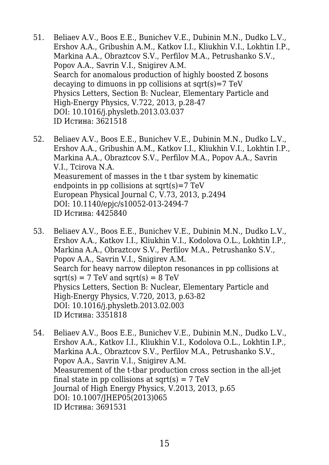- 51. Beliaev A.V., Boos E.E., Bunichev V.E., Dubinin M.N., Dudko L.V., Ershov A.A., Gribushin A.M., Katkov I.I., Kliukhin V.I., Lokhtin I.P., Markina A.A., Obraztcov S.V., Perfilov M.A., Petrushanko S.V., Popov A.A., Savrin V.I., Snigirev A.M. Search for anomalous production of highly boosted Z bosons decaying to dimuons in pp collisions at  $sqrt(s)=7 TeV$ Physics Letters, Section B: Nuclear, Elementary Particle and High-Energy Physics, V.722, 2013, p.28-47 DOI: 10.1016/j.physletb.2013.03.037 ID Истина: 3621518
- 52. Beliaev A.V., Boos E.E., Bunichev V.E., Dubinin M.N., Dudko L.V., Ershov A.A., Gribushin A.M., Katkov I.I., Kliukhin V.I., Lokhtin I.P., Markina A.A., Obraztcov S.V., Perfilov M.A., Popov A.A., Savrin V.I., Tcirova N.A. Measurement of masses in the t tbar system by kinematic endpoints in pp collisions at sqrt $(s)$ =7 TeV European Physical Journal C, V.73, 2013, p.2494 DOI: 10.1140/epjc/s10052-013-2494-7 ID Истина: 4425840
- 53. Beliaev A.V., Boos E.E., Bunichev V.E., Dubinin M.N., Dudko L.V., Ershov A.A., Katkov I.I., Kliukhin V.I., Kodolova O.L., Lokhtin I.P., Markina A.A., Obraztcov S.V., Perfilov M.A., Petrushanko S.V., Popov A.A., Savrin V.I., Snigirev A.M. Search for heavy narrow dilepton resonances in pp collisions at  $sqrt(s) = 7$  TeV and  $sqrt(s) = 8$  TeV Physics Letters, Section B: Nuclear, Elementary Particle and High-Energy Physics, V.720, 2013, p.63-82 DOI: 10.1016/j.physletb.2013.02.003 ID Истина: 3351818
- 54. Beliaev A.V., Boos E.E., Bunichev V.E., Dubinin M.N., Dudko L.V., Ershov A.A., Katkov I.I., Kliukhin V.I., Kodolova O.L., Lokhtin I.P., Markina A.A., Obraztcov S.V., Perfilov M.A., Petrushanko S.V., Popov A.A., Savrin V.I., Snigirev A.M. Measurement of the t-tbar production cross section in the all-jet final state in pp collisions at sqrt(s) =  $7 \text{ TeV}$ Journal of High Energy Physics, V.2013, 2013, p.65 DOI: 10.1007/JHEP05(2013)065 ID Истина: 3691531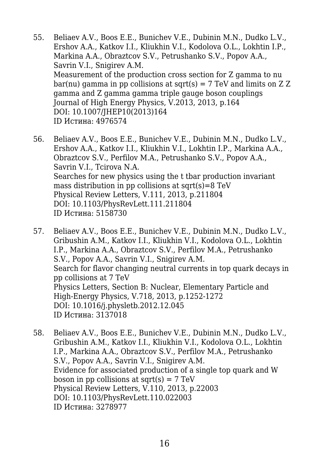- 55. Beliaev A.V., Boos E.E., Bunichev V.E., Dubinin M.N., Dudko L.V., Ershov A.A., Katkov I.I., Kliukhin V.I., Kodolova O.L., Lokhtin I.P., Markina A.A., Obraztcov S.V., Petrushanko S.V., Popov A.A., Savrin V.I., Snigirev A.M. Measurement of the production cross section for Z gamma to nu bar(nu) gamma in pp collisions at sqrt(s) =  $7 \text{ TeV}$  and limits on Z Z gamma and Z gamma gamma triple gauge boson couplings Journal of High Energy Physics, V.2013, 2013, p.164 DOI: 10.1007/JHEP10(2013)164 ID Истина: 4976574
- 56. Beliaev A.V., Boos E.E., Bunichev V.E., Dubinin M.N., Dudko L.V., Ershov A.A., Katkov I.I., Kliukhin V.I., Lokhtin I.P., Markina A.A., Obraztcov S.V., Perfilov M.A., Petrushanko S.V., Popov A.A., Savrin V.I., Tcirova N.A. Searches for new physics using the t tbar production invariant mass distribution in pp collisions at sqrt $(s)=8$  TeV Physical Review Letters, V.111, 2013, p.211804 DOI: 10.1103/PhysRevLett.111.211804 ID Истина: 5158730
- 57. Beliaev A.V., Boos E.E., Bunichev V.E., Dubinin M.N., Dudko L.V., Gribushin A.M., Katkov I.I., Kliukhin V.I., Kodolova O.L., Lokhtin I.P., Markina A.A., Obraztcov S.V., Perfilov M.A., Petrushanko S.V., Popov A.A., Savrin V.I., Snigirev A.M. Search for flavor changing neutral currents in top quark decays in pp collisions at 7 TeV Physics Letters, Section B: Nuclear, Elementary Particle and High-Energy Physics, V.718, 2013, p.1252-1272 DOI: 10.1016/j.physletb.2012.12.045 ID Истина: 3137018
- 58. Beliaev A.V., Boos E.E., Bunichev V.E., Dubinin M.N., Dudko L.V., Gribushin A.M., Katkov I.I., Kliukhin V.I., Kodolova O.L., Lokhtin I.P., Markina A.A., Obraztcov S.V., Perfilov M.A., Petrushanko S.V., Popov A.A., Savrin V.I., Snigirev A.M. Evidence for associated production of a single top quark and W boson in pp collisions at sqrt $(s) = 7 \text{ TeV}$ Physical Review Letters, V.110, 2013, p.22003 DOI: 10.1103/PhysRevLett.110.022003 ID Истина: 3278977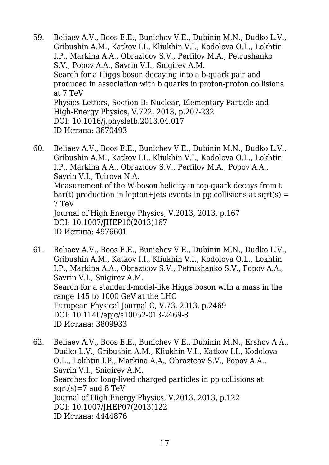- 59. Beliaev A.V., Boos E.E., Bunichev V.E., Dubinin M.N., Dudko L.V., Gribushin A.M., Katkov I.I., Kliukhin V.I., Kodolova O.L., Lokhtin I.P., Markina A.A., Obraztcov S.V., Perfilov M.A., Petrushanko S.V., Popov A.A., Savrin V.I., Snigirev A.M. Search for a Higgs boson decaying into a b-quark pair and produced in association with b quarks in proton-proton collisions at 7 TeV Physics Letters, Section B: Nuclear, Elementary Particle and High-Energy Physics, V.722, 2013, p.207-232 DOI: 10.1016/j.physletb.2013.04.017 ID Истина: 3670493
- 60. Beliaev A.V., Boos E.E., Bunichev V.E., Dubinin M.N., Dudko L.V., Gribushin A.M., Katkov I.I., Kliukhin V.I., Kodolova O.L., Lokhtin I.P., Markina A.A., Obraztcov S.V., Perfilov M.A., Popov A.A., Savrin V.I., Tcirova N.A. Measurement of the W-boson helicity in top-quark decays from t bar(t) production in lepton+jets events in pp collisions at sqrt(s)  $=$ 7 TeV Journal of High Energy Physics, V.2013, 2013, p.167 DOI: 10.1007/JHEP10(2013)167 ID Истина: 4976601
- 61. Beliaev A.V., Boos E.E., Bunichev V.E., Dubinin M.N., Dudko L.V., Gribushin A.M., Katkov I.I., Kliukhin V.I., Kodolova O.L., Lokhtin I.P., Markina A.A., Obraztcov S.V., Petrushanko S.V., Popov A.A., Savrin V.I., Snigirev A.M. Search for a standard-model-like Higgs boson with a mass in the range 145 to 1000 GeV at the LHC European Physical Journal C, V.73, 2013, p.2469 DOI: 10.1140/epjc/s10052-013-2469-8 ID Истина: 3809933
- 62. Beliaev A.V., Boos E.E., Bunichev V.E., Dubinin M.N., Ershov A.A., Dudko L.V., Gribushin A.M., Kliukhin V.I., Katkov I.I., Kodolova O.L., Lokhtin I.P., Markina A.A., Obraztcov S.V., Popov A.A., Savrin V.I., Snigirev A.M. Searches for long-lived charged particles in pp collisions at sqrt $(s)$ =7 and 8 TeV Journal of High Energy Physics, V.2013, 2013, p.122 DOI: 10.1007/JHEP07(2013)122 ID Истина: 4444876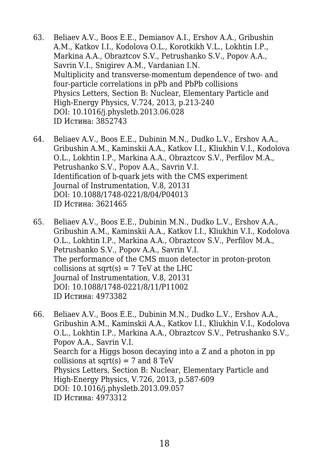- 63. Beliaev A.V., Boos E.E., Demianov A.I., Ershov A.A., Gribushin A.M., Katkov I.I., Kodolova O.L., Korotkikh V.L., Lokhtin I.P., Markina A.A., Obraztcov S.V., Petrushanko S.V., Popov A.A., Savrin V.I., Snigirev A.M., Vardanian I.N. Multiplicity and transverse-momentum dependence of two- and four-particle correlations in pPb and PbPb collisions Physics Letters, Section B: Nuclear, Elementary Particle and High-Energy Physics, V.724, 2013, p.213-240 DOI: 10.1016/j.physletb.2013.06.028 ID Истина: 3852743
- 64. Beliaev A.V., Boos E.E., Dubinin M.N., Dudko L.V., Ershov A.A., Gribushin A.M., Kaminskii A.A., Katkov I.I., Kliukhin V.I., Kodolova O.L., Lokhtin I.P., Markina A.A., Obraztcov S.V., Perfilov M.A., Petrushanko S.V., Popov A.A., Savrin V.I. Identification of b-quark jets with the CMS experiment Journal of Instrumentation, V.8, 20131 DOI: 10.1088/1748-0221/8/04/P04013 ID Истина: 3621465
- 65. Beliaev A.V., Boos E.E., Dubinin M.N., Dudko L.V., Ershov A.A., Gribushin A.M., Kaminskii A.A., Katkov I.I., Kliukhin V.I., Kodolova O.L., Lokhtin I.P., Markina A.A., Obraztcov S.V., Perfilov M.A., Petrushanko S.V., Popov A.A., Savrin V.I. The performance of the CMS muon detector in proton-proton collisions at sqrt $(s) = 7$  TeV at the LHC Journal of Instrumentation, V.8, 20131 DOI: 10.1088/1748-0221/8/11/P11002 ID Истина: 4973382
- 66. Beliaev A.V., Boos E.E., Dubinin M.N., Dudko L.V., Ershov A.A., Gribushin A.M., Kaminskii A.A., Katkov I.I., Kliukhin V.I., Kodolova O.L., Lokhtin I.P., Markina A.A., Obraztcov S.V., Petrushanko S.V., Popov A.A., Savrin V.I. Search for a Higgs boson decaying into a Z and a photon in pp collisions at sqrt $(s) = 7$  and 8 TeV Physics Letters, Section B: Nuclear, Elementary Particle and High-Energy Physics, V.726, 2013, p.587-609 DOI: 10.1016/j.physletb.2013.09.057 ID Истина: 4973312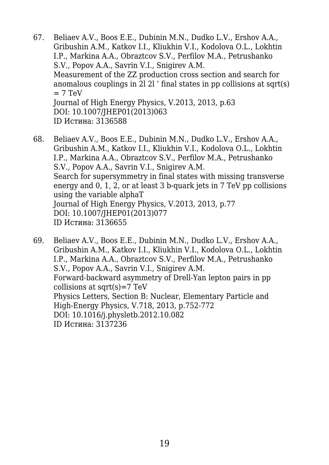- 67. Beliaev A.V., Boos E.E., Dubinin M.N., Dudko L.V., Ershov A.A., Gribushin A.M., Katkov I.I., Kliukhin V.I., Kodolova O.L., Lokhtin I.P., Markina A.A., Obraztcov S.V., Perfilov M.A., Petrushanko S.V., Popov A.A., Savrin V.I., Snigirev A.M. Measurement of the ZZ production cross section and search for anomalous couplings in 2l 2l ' final states in pp collisions at sqrt(s)  $= 7 TeV$ Journal of High Energy Physics, V.2013, 2013, p.63 DOI: 10.1007/JHEP01(2013)063 ID Истина: 3136588
- 68. Beliaev A.V., Boos E.E., Dubinin M.N., Dudko L.V., Ershov A.A., Gribushin A.M., Katkov I.I., Kliukhin V.I., Kodolova O.L., Lokhtin I.P., Markina A.A., Obraztcov S.V., Perfilov M.A., Petrushanko S.V., Popov A.A., Savrin V.I., Snigirev A.M. Search for supersymmetry in final states with missing transverse energy and 0, 1, 2, or at least 3 b-quark jets in 7 TeV pp collisions using the variable alphaT Journal of High Energy Physics, V.2013, 2013, p.77 DOI: 10.1007/JHEP01(2013)077 ID Истина: 3136655
- 69. Beliaev A.V., Boos E.E., Dubinin M.N., Dudko L.V., Ershov A.A., Gribushin A.M., Katkov I.I., Kliukhin V.I., Kodolova O.L., Lokhtin I.P., Markina A.A., Obraztcov S.V., Perfilov M.A., Petrushanko S.V., Popov A.A., Savrin V.I., Snigirev A.M. Forward-backward asymmetry of Drell-Yan lepton pairs in pp collisions at sqrt $(s)$ =7 TeV Physics Letters, Section B: Nuclear, Elementary Particle and High-Energy Physics, V.718, 2013, p.752-772 DOI: 10.1016/j.physletb.2012.10.082 ID Истина: 3137236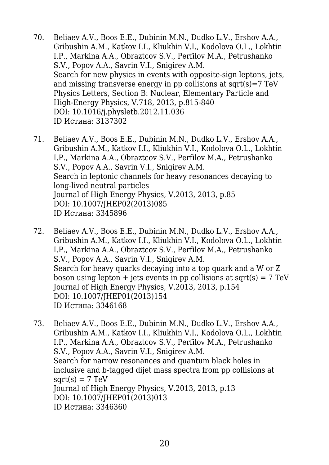- 70. Beliaev A.V., Boos E.E., Dubinin M.N., Dudko L.V., Ershov A.A., Gribushin A.M., Katkov I.I., Kliukhin V.I., Kodolova O.L., Lokhtin I.P., Markina A.A., Obraztcov S.V., Perfilov M.A., Petrushanko S.V., Popov A.A., Savrin V.I., Snigirev A.M. Search for new physics in events with opposite-sign leptons, jets, and missing transverse energy in pp collisions at  $sqrt(s)=7 TeV$ Physics Letters, Section B: Nuclear, Elementary Particle and High-Energy Physics, V.718, 2013, p.815-840 DOI: 10.1016/j.physletb.2012.11.036 ID Истина: 3137302
- 71. Beliaev A.V., Boos E.E., Dubinin M.N., Dudko L.V., Ershov A.A., Gribushin A.M., Katkov I.I., Kliukhin V.I., Kodolova O.L., Lokhtin I.P., Markina A.A., Obraztcov S.V., Perfilov M.A., Petrushanko S.V., Popov A.A., Savrin V.I., Snigirev A.M. Search in leptonic channels for heavy resonances decaying to long-lived neutral particles Journal of High Energy Physics, V.2013, 2013, p.85 DOI: 10.1007/JHEP02(2013)085 ID Истина: 3345896
- 72. Beliaev A.V., Boos E.E., Dubinin M.N., Dudko L.V., Ershov A.A., Gribushin A.M., Katkov I.I., Kliukhin V.I., Kodolova O.L., Lokhtin I.P., Markina A.A., Obraztcov S.V., Perfilov M.A., Petrushanko S.V., Popov A.A., Savrin V.I., Snigirev A.M. Search for heavy quarks decaying into a top quark and a W or Z boson using lepton  $+$  jets events in pp collisions at sqrt(s) = 7 TeV Journal of High Energy Physics, V.2013, 2013, p.154 DOI: 10.1007/JHEP01(2013)154 ID Истина: 3346168
- 73. Beliaev A.V., Boos E.E., Dubinin M.N., Dudko L.V., Ershov A.A., Gribushin A.M., Katkov I.I., Kliukhin V.I., Kodolova O.L., Lokhtin I.P., Markina A.A., Obraztcov S.V., Perfilov M.A., Petrushanko S.V., Popov A.A., Savrin V.I., Snigirev A.M. Search for narrow resonances and quantum black holes in inclusive and b-tagged dijet mass spectra from pp collisions at  $sart(s) = 7 TeV$ Journal of High Energy Physics, V.2013, 2013, p.13 DOI: 10.1007/JHEP01(2013)013 ID Истина: 3346360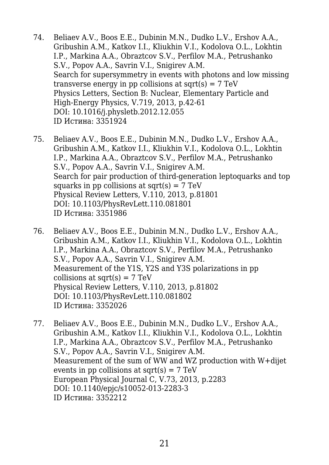- 74. Beliaev A.V., Boos E.E., Dubinin M.N., Dudko L.V., Ershov A.A., Gribushin A.M., Katkov I.I., Kliukhin V.I., Kodolova O.L., Lokhtin I.P., Markina A.A., Obraztcov S.V., Perfilov M.A., Petrushanko S.V., Popov A.A., Savrin V.I., Snigirev A.M. Search for supersymmetry in events with photons and low missing transverse energy in pp collisions at sqrt $(s) = 7$  TeV Physics Letters, Section B: Nuclear, Elementary Particle and High-Energy Physics, V.719, 2013, p.42-61 DOI: 10.1016/j.physletb.2012.12.055 ID Истина: 3351924
- 75. Beliaev A.V., Boos E.E., Dubinin M.N., Dudko L.V., Ershov A.A., Gribushin A.M., Katkov I.I., Kliukhin V.I., Kodolova O.L., Lokhtin I.P., Markina A.A., Obraztcov S.V., Perfilov M.A., Petrushanko S.V., Popov A.A., Savrin V.I., Snigirev A.M. Search for pair production of third-generation leptoquarks and top squarks in pp collisions at sqrt $(s) = 7$  TeV Physical Review Letters, V.110, 2013, p.81801 DOI: 10.1103/PhysRevLett.110.081801 ID Истина: 3351986
- 76. Beliaev A.V., Boos E.E., Dubinin M.N., Dudko L.V., Ershov A.A., Gribushin A.M., Katkov I.I., Kliukhin V.I., Kodolova O.L., Lokhtin I.P., Markina A.A., Obraztcov S.V., Perfilov M.A., Petrushanko S.V., Popov A.A., Savrin V.I., Snigirev A.M. Measurement of the Y1S, Y2S and Y3S polarizations in pp collisions at sqrt $(s) = 7$  TeV Physical Review Letters, V.110, 2013, p.81802 DOI: 10.1103/PhysRevLett.110.081802 ID Истина: 3352026
- 77. Beliaev A.V., Boos E.E., Dubinin M.N., Dudko L.V., Ershov A.A., Gribushin A.M., Katkov I.I., Kliukhin V.I., Kodolova O.L., Lokhtin I.P., Markina A.A., Obraztcov S.V., Perfilov M.A., Petrushanko S.V., Popov A.A., Savrin V.I., Snigirev A.M. Measurement of the sum of WW and WZ production with W+dijet events in pp collisions at sqrt $(s) = 7$  TeV European Physical Journal C, V.73, 2013, p.2283 DOI: 10.1140/epjc/s10052-013-2283-3 ID Истина: 3352212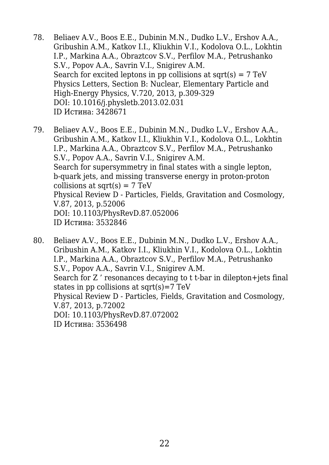- 78. Beliaev A.V., Boos E.E., Dubinin M.N., Dudko L.V., Ershov A.A., Gribushin A.M., Katkov I.I., Kliukhin V.I., Kodolova O.L., Lokhtin I.P., Markina A.A., Obraztcov S.V., Perfilov M.A., Petrushanko S.V., Popov A.A., Savrin V.I., Snigirev A.M. Search for excited leptons in pp collisions at  $sqrt(s) = 7 \text{ TeV}$ Physics Letters, Section B: Nuclear, Elementary Particle and High-Energy Physics, V.720, 2013, p.309-329 DOI: 10.1016/j.physletb.2013.02.031 ID Истина: 3428671
- 79. Beliaev A.V., Boos E.E., Dubinin M.N., Dudko L.V., Ershov A.A., Gribushin A.M., Katkov I.I., Kliukhin V.I., Kodolova O.L., Lokhtin I.P., Markina A.A., Obraztcov S.V., Perfilov M.A., Petrushanko S.V., Popov A.A., Savrin V.I., Snigirev A.M. Search for supersymmetry in final states with a single lepton, b-quark jets, and missing transverse energy in proton-proton collisions at sqrt $(s) = 7$  TeV Physical Review D - Particles, Fields, Gravitation and Cosmology, V.87, 2013, p.52006 DOI: 10.1103/PhysRevD.87.052006 ID Истина: 3532846
- 80. Beliaev A.V., Boos E.E., Dubinin M.N., Dudko L.V., Ershov A.A., Gribushin A.M., Katkov I.I., Kliukhin V.I., Kodolova O.L., Lokhtin I.P., Markina A.A., Obraztcov S.V., Perfilov M.A., Petrushanko S.V., Popov A.A., Savrin V.I., Snigirev A.M. Search for Z ' resonances decaying to t t-bar in dilepton+jets final states in pp collisions at sqrt $(s)$ =7 TeV Physical Review D - Particles, Fields, Gravitation and Cosmology, V.87, 2013, p.72002 DOI: 10.1103/PhysRevD.87.072002 ID Истина: 3536498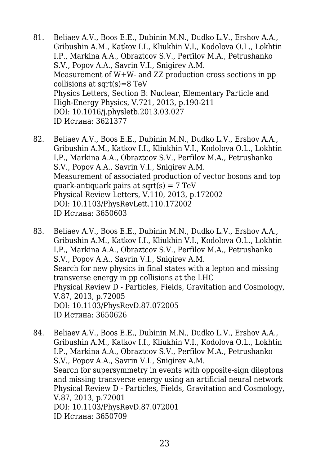- 81. Beliaev A.V., Boos E.E., Dubinin M.N., Dudko L.V., Ershov A.A., Gribushin A.M., Katkov I.I., Kliukhin V.I., Kodolova O.L., Lokhtin I.P., Markina A.A., Obraztcov S.V., Perfilov M.A., Petrushanko S.V., Popov A.A., Savrin V.I., Snigirev A.M. Measurement of W+W- and ZZ production cross sections in pp collisions at sqrt $(s)=8$  TeV Physics Letters, Section B: Nuclear, Elementary Particle and High-Energy Physics, V.721, 2013, p.190-211 DOI: 10.1016/j.physletb.2013.03.027 ID Истина: 3621377
- 82. Beliaev A.V., Boos E.E., Dubinin M.N., Dudko L.V., Ershov A.A., Gribushin A.M., Katkov I.I., Kliukhin V.I., Kodolova O.L., Lokhtin I.P., Markina A.A., Obraztcov S.V., Perfilov M.A., Petrushanko S.V., Popov A.A., Savrin V.I., Snigirev A.M. Measurement of associated production of vector bosons and top quark-antiquark pairs at  $sqrt(s) = 7 TeV$ Physical Review Letters, V.110, 2013, p.172002 DOI: 10.1103/PhysRevLett.110.172002 ID Истина: 3650603
- 83. Beliaev A.V., Boos E.E., Dubinin M.N., Dudko L.V., Ershov A.A., Gribushin A.M., Katkov I.I., Kliukhin V.I., Kodolova O.L., Lokhtin I.P., Markina A.A., Obraztcov S.V., Perfilov M.A., Petrushanko S.V., Popov A.A., Savrin V.I., Snigirev A.M. Search for new physics in final states with a lepton and missing transverse energy in pp collisions at the LHC Physical Review D - Particles, Fields, Gravitation and Cosmology, V.87, 2013, p.72005 DOI: 10.1103/PhysRevD.87.072005 ID Истина: 3650626
- 84. Beliaev A.V., Boos E.E., Dubinin M.N., Dudko L.V., Ershov A.A., Gribushin A.M., Katkov I.I., Kliukhin V.I., Kodolova O.L., Lokhtin I.P., Markina A.A., Obraztcov S.V., Perfilov M.A., Petrushanko S.V., Popov A.A., Savrin V.I., Snigirev A.M. Search for supersymmetry in events with opposite-sign dileptons and missing transverse energy using an artificial neural network Physical Review D - Particles, Fields, Gravitation and Cosmology, V.87, 2013, p.72001 DOI: 10.1103/PhysRevD.87.072001 ID Истина: 3650709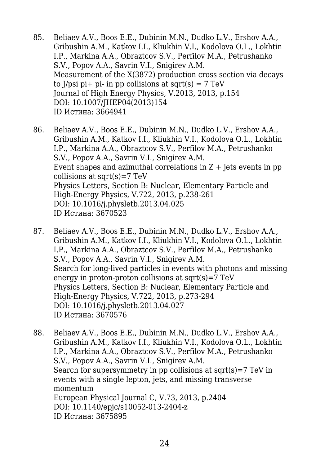- 85. Beliaev A.V., Boos E.E., Dubinin M.N., Dudko L.V., Ershov A.A., Gribushin A.M., Katkov I.I., Kliukhin V.I., Kodolova O.L., Lokhtin I.P., Markina A.A., Obraztcov S.V., Perfilov M.A., Petrushanko S.V., Popov A.A., Savrin V.I., Snigirev A.M. Measurement of the X(3872) production cross section via decays to  $1/psi$  pi- in pp collisions at sqrt(s) = 7 TeV Journal of High Energy Physics, V.2013, 2013, p.154 DOI: 10.1007/JHEP04(2013)154 ID Истина: 3664941
- 86. Beliaev A.V., Boos E.E., Dubinin M.N., Dudko L.V., Ershov A.A., Gribushin A.M., Katkov I.I., Kliukhin V.I., Kodolova O.L., Lokhtin I.P., Markina A.A., Obraztcov S.V., Perfilov M.A., Petrushanko S.V., Popov A.A., Savrin V.I., Snigirev A.M. Event shapes and azimuthal correlations in  $Z +$  jets events in pp collisions at sqrt(s)=7 TeV Physics Letters, Section B: Nuclear, Elementary Particle and High-Energy Physics, V.722, 2013, p.238-261 DOI: 10.1016/j.physletb.2013.04.025 ID Истина: 3670523
- 87. Beliaev A.V., Boos E.E., Dubinin M.N., Dudko L.V., Ershov A.A., Gribushin A.M., Katkov I.I., Kliukhin V.I., Kodolova O.L., Lokhtin I.P., Markina A.A., Obraztcov S.V., Perfilov M.A., Petrushanko S.V., Popov A.A., Savrin V.I., Snigirev A.M. Search for long-lived particles in events with photons and missing energy in proton-proton collisions at  $sqrt(s)=7 TeV$ Physics Letters, Section B: Nuclear, Elementary Particle and High-Energy Physics, V.722, 2013, p.273-294 DOI: 10.1016/j.physletb.2013.04.027 ID Истина: 3670576
- 88. Beliaev A.V., Boos E.E., Dubinin M.N., Dudko L.V., Ershov A.A., Gribushin A.M., Katkov I.I., Kliukhin V.I., Kodolova O.L., Lokhtin I.P., Markina A.A., Obraztcov S.V., Perfilov M.A., Petrushanko S.V., Popov A.A., Savrin V.I., Snigirev A.M. Search for supersymmetry in pp collisions at sqrt(s)=7 TeV in events with a single lepton, jets, and missing transverse momentum European Physical Journal C, V.73, 2013, p.2404 DOI: 10.1140/epjc/s10052-013-2404-z ID Истина: 3675895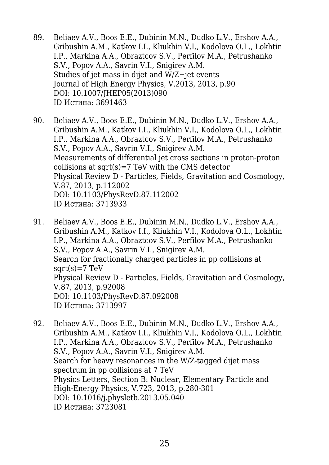- 89. Beliaev A.V., Boos E.E., Dubinin M.N., Dudko L.V., Ershov A.A., Gribushin A.M., Katkov I.I., Kliukhin V.I., Kodolova O.L., Lokhtin I.P., Markina A.A., Obraztcov S.V., Perfilov M.A., Petrushanko S.V., Popov A.A., Savrin V.I., Snigirev A.M. Studies of jet mass in dijet and W/Z+jet events Journal of High Energy Physics, V.2013, 2013, p.90 DOI: 10.1007/JHEP05(2013)090 ID Истина: 3691463
- 90. Beliaev A.V., Boos E.E., Dubinin M.N., Dudko L.V., Ershov A.A., Gribushin A.M., Katkov I.I., Kliukhin V.I., Kodolova O.L., Lokhtin I.P., Markina A.A., Obraztcov S.V., Perfilov M.A., Petrushanko S.V., Popov A.A., Savrin V.I., Snigirev A.M. Measurements of differential jet cross sections in proton-proton collisions at  $sqrt(s)=7$  TeV with the CMS detector Physical Review D - Particles, Fields, Gravitation and Cosmology, V.87, 2013, p.112002 DOI: 10.1103/PhysRevD.87.112002 ID Истина: 3713933
- 91. Beliaev A.V., Boos E.E., Dubinin M.N., Dudko L.V., Ershov A.A., Gribushin A.M., Katkov I.I., Kliukhin V.I., Kodolova O.L., Lokhtin I.P., Markina A.A., Obraztcov S.V., Perfilov M.A., Petrushanko S.V., Popov A.A., Savrin V.I., Snigirev A.M. Search for fractionally charged particles in pp collisions at  $sqrt(s)=7 TeV$ Physical Review D - Particles, Fields, Gravitation and Cosmology, V.87, 2013, p.92008 DOI: 10.1103/PhysRevD.87.092008 ID Истина: 3713997
- 92. Beliaev A.V., Boos E.E., Dubinin M.N., Dudko L.V., Ershov A.A., Gribushin A.M., Katkov I.I., Kliukhin V.I., Kodolova O.L., Lokhtin I.P., Markina A.A., Obraztcov S.V., Perfilov M.A., Petrushanko S.V., Popov A.A., Savrin V.I., Snigirev A.M. Search for heavy resonances in the W/Z-tagged dijet mass spectrum in pp collisions at 7 TeV Physics Letters, Section B: Nuclear, Elementary Particle and High-Energy Physics, V.723, 2013, p.280-301 DOI: 10.1016/j.physletb.2013.05.040 ID Истина: 3723081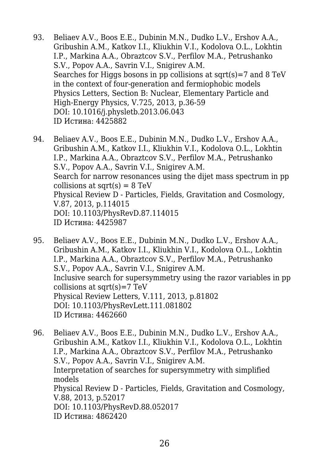- 93. Beliaev A.V., Boos E.E., Dubinin M.N., Dudko L.V., Ershov A.A., Gribushin A.M., Katkov I.I., Kliukhin V.I., Kodolova O.L., Lokhtin I.P., Markina A.A., Obraztcov S.V., Perfilov M.A., Petrushanko S.V., Popov A.A., Savrin V.I., Snigirev A.M. Searches for Higgs bosons in pp collisions at sqrt(s)=7 and 8 TeV in the context of four-generation and fermiophobic models Physics Letters, Section B: Nuclear, Elementary Particle and High-Energy Physics, V.725, 2013, p.36-59 DOI: 10.1016/j.physletb.2013.06.043 ID Истина: 4425882
- 94. Beliaev A.V., Boos E.E., Dubinin M.N., Dudko L.V., Ershov A.A., Gribushin A.M., Katkov I.I., Kliukhin V.I., Kodolova O.L., Lokhtin I.P., Markina A.A., Obraztcov S.V., Perfilov M.A., Petrushanko S.V., Popov A.A., Savrin V.I., Snigirev A.M. Search for narrow resonances using the dijet mass spectrum in pp collisions at sqrt $(s) = 8$  TeV Physical Review D - Particles, Fields, Gravitation and Cosmology, V.87, 2013, p.114015 DOI: 10.1103/PhysRevD.87.114015 ID Истина: 4425987
- 95. Beliaev A.V., Boos E.E., Dubinin M.N., Dudko L.V., Ershov A.A., Gribushin A.M., Katkov I.I., Kliukhin V.I., Kodolova O.L., Lokhtin I.P., Markina A.A., Obraztcov S.V., Perfilov M.A., Petrushanko S.V., Popov A.A., Savrin V.I., Snigirev A.M. Inclusive search for supersymmetry using the razor variables in pp collisions at  $sqrt(s)=7 TeV$ Physical Review Letters, V.111, 2013, p.81802 DOI: 10.1103/PhysRevLett.111.081802 ID Истина: 4462660
- 96. Beliaev A.V., Boos E.E., Dubinin M.N., Dudko L.V., Ershov A.A., Gribushin A.M., Katkov I.I., Kliukhin V.I., Kodolova O.L., Lokhtin I.P., Markina A.A., Obraztcov S.V., Perfilov M.A., Petrushanko S.V., Popov A.A., Savrin V.I., Snigirev A.M. Interpretation of searches for supersymmetry with simplified models Physical Review D - Particles, Fields, Gravitation and Cosmology, V.88, 2013, p.52017 DOI: 10.1103/PhysRevD.88.052017 ID Истина: 4862420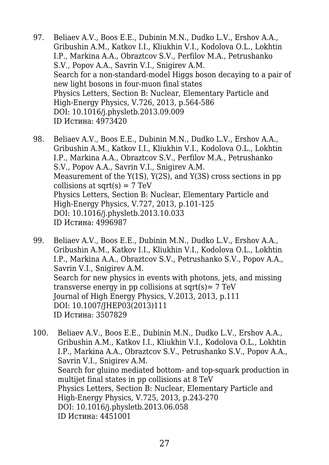- 97. Beliaev A.V., Boos E.E., Dubinin M.N., Dudko L.V., Ershov A.A., Gribushin A.M., Katkov I.I., Kliukhin V.I., Kodolova O.L., Lokhtin I.P., Markina A.A., Obraztcov S.V., Perfilov M.A., Petrushanko S.V., Popov A.A., Savrin V.I., Snigirev A.M. Search for a non-standard-model Higgs boson decaying to a pair of new light bosons in four-muon final states Physics Letters, Section B: Nuclear, Elementary Particle and High-Energy Physics, V.726, 2013, p.564-586 DOI: 10.1016/j.physletb.2013.09.009 ID Истина: 4973420
- 98. Beliaev A.V., Boos E.E., Dubinin M.N., Dudko L.V., Ershov A.A., Gribushin A.M., Katkov I.I., Kliukhin V.I., Kodolova O.L., Lokhtin I.P., Markina A.A., Obraztcov S.V., Perfilov M.A., Petrushanko S.V., Popov A.A., Savrin V.I., Snigirev A.M. Measurement of the Y(1S), Y(2S), and Y(3S) cross sections in pp collisions at  $sqrt(s) = 7 TeV$ Physics Letters, Section B: Nuclear, Elementary Particle and High-Energy Physics, V.727, 2013, p.101-125 DOI: 10.1016/j.physletb.2013.10.033 ID Истина: 4996987
- 99. Beliaev A.V., Boos E.E., Dubinin M.N., Dudko L.V., Ershov A.A., Gribushin A.M., Katkov I.I., Kliukhin V.I., Kodolova O.L., Lokhtin I.P., Markina A.A., Obraztcov S.V., Petrushanko S.V., Popov A.A., Savrin V.I., Snigirev A.M. Search for new physics in events with photons, jets, and missing transverse energy in pp collisions at sqrt $(s)$ = 7 TeV Journal of High Energy Physics, V.2013, 2013, p.111 DOI: 10.1007/JHEP03(2013)111 ID Истина: 3507829
- 100. Beliaev A.V., Boos E.E., Dubinin M.N., Dudko L.V., Ershov A.A., Gribushin A.M., Katkov I.I., Kliukhin V.I., Kodolova O.L., Lokhtin I.P., Markina A.A., Obraztcov S.V., Petrushanko S.V., Popov A.A., Savrin V.I., Snigirev A.M. Search for gluino mediated bottom- and top-squark production in multijet final states in pp collisions at 8 TeV Physics Letters, Section B: Nuclear, Elementary Particle and High-Energy Physics, V.725, 2013, p.243-270 DOI: 10.1016/j.physletb.2013.06.058 ID Истина: 4451001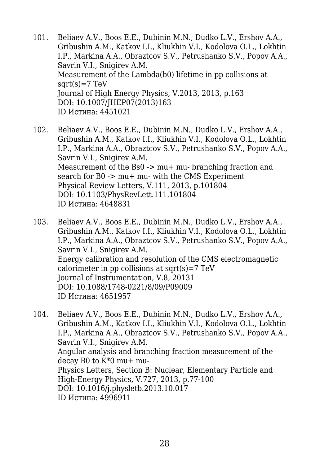- 101. Beliaev A.V., Boos E.E., Dubinin M.N., Dudko L.V., Ershov A.A., Gribushin A.M., Katkov I.I., Kliukhin V.I., Kodolova O.L., Lokhtin I.P., Markina A.A., Obraztcov S.V., Petrushanko S.V., Popov A.A., Savrin V.I., Snigirev A.M. Measurement of the Lambda(b0) lifetime in pp collisions at  $sqrt(s)=7 TeV$ Journal of High Energy Physics, V.2013, 2013, p.163 DOI: 10.1007/JHEP07(2013)163 ID Истина: 4451021
- 102. Beliaev A.V., Boos E.E., Dubinin M.N., Dudko L.V., Ershov A.A., Gribushin A.M., Katkov I.I., Kliukhin V.I., Kodolova O.L., Lokhtin I.P., Markina A.A., Obraztcov S.V., Petrushanko S.V., Popov A.A., Savrin V.I., Snigirev A.M. Measurement of the Bs0 -> mu+ mu- branching fraction and search for B0 -> mu+ mu- with the CMS Experiment Physical Review Letters, V.111, 2013, p.101804 DOI: 10.1103/PhysRevLett.111.101804 ID Истина: 4648831
- 103. Beliaev A.V., Boos E.E., Dubinin M.N., Dudko L.V., Ershov A.A., Gribushin A.M., Katkov I.I., Kliukhin V.I., Kodolova O.L., Lokhtin I.P., Markina A.A., Obraztcov S.V., Petrushanko S.V., Popov A.A., Savrin V.I., Snigirev A.M. Energy calibration and resolution of the CMS electromagnetic calorimeter in pp collisions at sqrt $(s)$ =7 TeV Journal of Instrumentation, V.8, 20131 DOI: 10.1088/1748-0221/8/09/P09009 ID Истина: 4651957
- 104. Beliaev A.V., Boos E.E., Dubinin M.N., Dudko L.V., Ershov A.A., Gribushin A.M., Katkov I.I., Kliukhin V.I., Kodolova O.L., Lokhtin I.P., Markina A.A., Obraztcov S.V., Petrushanko S.V., Popov A.A., Savrin V.I., Snigirev A.M. Angular analysis and branching fraction measurement of the decay B0 to  $K*0$  mu+ mu-Physics Letters, Section B: Nuclear, Elementary Particle and High-Energy Physics, V.727, 2013, p.77-100 DOI: 10.1016/j.physletb.2013.10.017 ID Истина: 4996911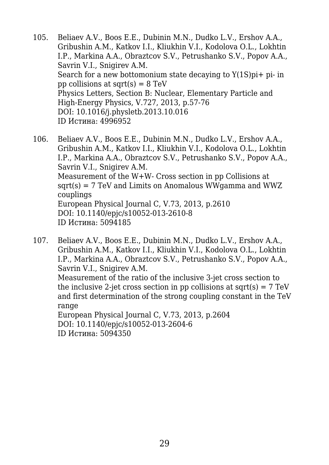- 105. Beliaev A.V., Boos E.E., Dubinin M.N., Dudko L.V., Ershov A.A., Gribushin A.M., Katkov I.I., Kliukhin V.I., Kodolova O.L., Lokhtin I.P., Markina A.A., Obraztcov S.V., Petrushanko S.V., Popov A.A., Savrin V.I., Snigirev A.M. Search for a new bottomonium state decaying to  $Y(1S)p_i + p_i$ - in pp collisions at sqrt $(s) = 8$  TeV Physics Letters, Section B: Nuclear, Elementary Particle and High-Energy Physics, V.727, 2013, p.57-76 DOI: 10.1016/j.physletb.2013.10.016 ID Истина: 4996952
- 106. Beliaev A.V., Boos E.E., Dubinin M.N., Dudko L.V., Ershov A.A., Gribushin A.M., Katkov I.I., Kliukhin V.I., Kodolova O.L., Lokhtin I.P., Markina A.A., Obraztcov S.V., Petrushanko S.V., Popov A.A., Savrin V.I., Snigirev A.M. Measurement of the W+W- Cross section in pp Collisions at  $sqrt(s) = 7 TeV$  and Limits on Anomalous WWgamma and WWZ couplings European Physical Journal C, V.73, 2013, p.2610 DOI: 10.1140/epjc/s10052-013-2610-8 ID Истина: 5094185
- 107. Beliaev A.V., Boos E.E., Dubinin M.N., Dudko L.V., Ershov A.A., Gribushin A.M., Katkov I.I., Kliukhin V.I., Kodolova O.L., Lokhtin I.P., Markina A.A., Obraztcov S.V., Petrushanko S.V., Popov A.A., Savrin V.I., Snigirev A.M. Measurement of the ratio of the inclusive 3-jet cross section to the inclusive 2-jet cross section in pp collisions at sqrt(s)  $= 7 \text{ TeV}$ and first determination of the strong coupling constant in the TeV range European Physical Journal C, V.73, 2013, p.2604 DOI: 10.1140/epjc/s10052-013-2604-6

ID Истина: 5094350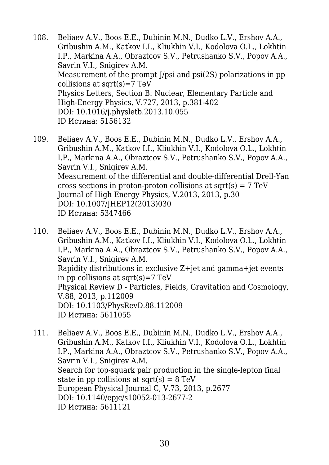- 108. Beliaev A.V., Boos E.E., Dubinin M.N., Dudko L.V., Ershov A.A., Gribushin A.M., Katkov I.I., Kliukhin V.I., Kodolova O.L., Lokhtin I.P., Markina A.A., Obraztcov S.V., Petrushanko S.V., Popov A.A., Savrin V.I., Snigirev A.M. Measurement of the prompt J/psi and psi(2S) polarizations in pp collisions at sqrt $(s)$ =7 TeV Physics Letters, Section B: Nuclear, Elementary Particle and High-Energy Physics, V.727, 2013, p.381-402 DOI: 10.1016/j.physletb.2013.10.055 ID Истина: 5156132
- 109. Beliaev A.V., Boos E.E., Dubinin M.N., Dudko L.V., Ershov A.A., Gribushin A.M., Katkov I.I., Kliukhin V.I., Kodolova O.L., Lokhtin I.P., Markina A.A., Obraztcov S.V., Petrushanko S.V., Popov A.A., Savrin V.I., Snigirev A.M. Measurement of the differential and double-differential Drell-Yan cross sections in proton-proton collisions at sqrt(s) =  $7 \text{ TeV}$ Journal of High Energy Physics, V.2013, 2013, p.30 DOI: 10.1007/JHEP12(2013)030 ID Истина: 5347466
- 110. Beliaev A.V., Boos E.E., Dubinin M.N., Dudko L.V., Ershov A.A., Gribushin A.M., Katkov I.I., Kliukhin V.I., Kodolova O.L., Lokhtin I.P., Markina A.A., Obraztcov S.V., Petrushanko S.V., Popov A.A., Savrin V.I., Snigirev A.M. Rapidity distributions in exclusive Z+jet and gamma+jet events in pp collisions at sqrt $(s)=7$  TeV Physical Review D - Particles, Fields, Gravitation and Cosmology, V.88, 2013, p.112009 DOI: 10.1103/PhysRevD.88.112009 ID Истина: 5611055
- 111. Beliaev A.V., Boos E.E., Dubinin M.N., Dudko L.V., Ershov A.A., Gribushin A.M., Katkov I.I., Kliukhin V.I., Kodolova O.L., Lokhtin I.P., Markina A.A., Obraztcov S.V., Petrushanko S.V., Popov A.A., Savrin V.I., Snigirev A.M. Search for top-squark pair production in the single-lepton final state in pp collisions at  $sqrt(s) = 8$  TeV European Physical Journal C, V.73, 2013, p.2677 DOI: 10.1140/epjc/s10052-013-2677-2 ID Истина: 5611121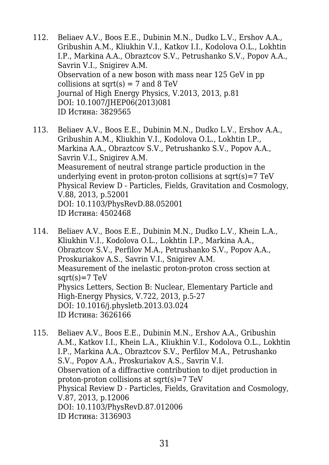- 112. Beliaev A.V., Boos E.E., Dubinin M.N., Dudko L.V., Ershov A.A., Gribushin A.M., Kliukhin V.I., Katkov I.I., Kodolova O.L., Lokhtin I.P., Markina A.A., Obraztcov S.V., Petrushanko S.V., Popov A.A., Savrin V.I., Snigirev A.M. Observation of a new boson with mass near 125 GeV in pp collisions at sqrt $(s) = 7$  and 8 TeV Journal of High Energy Physics, V.2013, 2013, p.81 DOI: 10.1007/JHEP06(2013)081 ID Истина: 3829565
- 113. Beliaev A.V., Boos E.E., Dubinin M.N., Dudko L.V., Ershov A.A., Gribushin A.M., Kliukhin V.I., Kodolova O.L., Lokhtin I.P., Markina A.A., Obraztcov S.V., Petrushanko S.V., Popov A.A., Savrin V.I., Snigirev A.M. Measurement of neutral strange particle production in the underlying event in proton-proton collisions at  $sqrt(s)=7 TeV$ Physical Review D - Particles, Fields, Gravitation and Cosmology, V.88, 2013, p.52001 DOI: 10.1103/PhysRevD.88.052001 ID Истина: 4502468
- 114. Beliaev A.V., Boos E.E., Dubinin M.N., Dudko L.V., Khein L.A., Kliukhin V.I., Kodolova O.L., Lokhtin I.P., Markina A.A., Obraztcov S.V., Perfilov M.A., Petrushanko S.V., Popov A.A., Proskuriakov A.S., Savrin V.I., Snigirev A.M. Measurement of the inelastic proton-proton cross section at  $sqrt(s)=7 TeV$ Physics Letters, Section B: Nuclear, Elementary Particle and High-Energy Physics, V.722, 2013, p.5-27 DOI: 10.1016/j.physletb.2013.03.024 ID Истина: 3626166
- 115. Beliaev A.V., Boos E.E., Dubinin M.N., Ershov A.A., Gribushin A.M., Katkov I.I., Khein L.A., Kliukhin V.I., Kodolova O.L., Lokhtin I.P., Markina A.A., Obraztcov S.V., Perfilov M.A., Petrushanko S.V., Popov A.A., Proskuriakov A.S., Savrin V.I. Observation of a diffractive contribution to dijet production in proton-proton collisions at sqrt(s)=7 TeV Physical Review D - Particles, Fields, Gravitation and Cosmology, V.87, 2013, p.12006 DOI: 10.1103/PhysRevD.87.012006 ID Истина: 3136903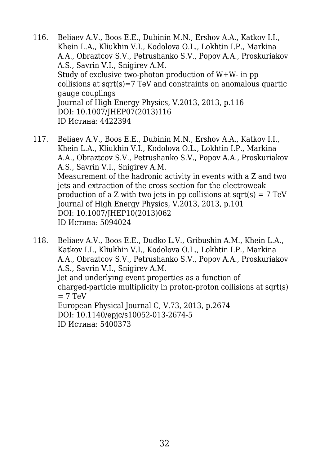- 116. Beliaev A.V., Boos E.E., Dubinin M.N., Ershov A.A., Katkov I.I., Khein L.A., Kliukhin V.I., Kodolova O.L., Lokhtin I.P., Markina A.A., Obraztcov S.V., Petrushanko S.V., Popov A.A., Proskuriakov A.S., Savrin V.I., Snigirev A.M. Study of exclusive two-photon production of W+W- in pp collisions at sqrt(s)=7 TeV and constraints on anomalous quartic gauge couplings Journal of High Energy Physics, V.2013, 2013, p.116 DOI: 10.1007/JHEP07(2013)116 ID Истина: 4422394
- 117. Beliaev A.V., Boos E.E., Dubinin M.N., Ershov A.A., Katkov I.I., Khein L.A., Kliukhin V.I., Kodolova O.L., Lokhtin I.P., Markina A.A., Obraztcov S.V., Petrushanko S.V., Popov A.A., Proskuriakov A.S., Savrin V.I., Snigirev A.M. Measurement of the hadronic activity in events with a Z and two jets and extraction of the cross section for the electroweak production of a Z with two jets in pp collisions at sqrt(s)  $= 7 \text{ TeV}$ Journal of High Energy Physics, V.2013, 2013, p.101 DOI: 10.1007/JHEP10(2013)062 ID Истина: 5094024
- 118. Beliaev A.V., Boos E.E., Dudko L.V., Gribushin A.M., Khein L.A., Katkov I.I., Kliukhin V.I., Kodolova O.L., Lokhtin I.P., Markina A.A., Obraztcov S.V., Petrushanko S.V., Popov A.A., Proskuriakov A.S., Savrin V.I., Snigirev A.M. Jet and underlying event properties as a function of charged-particle multiplicity in proton-proton collisions at sqrt(s)  $= 7$  TeV European Physical Journal C, V.73, 2013, p.2674 DOI: 10.1140/epjc/s10052-013-2674-5 ID Истина: 5400373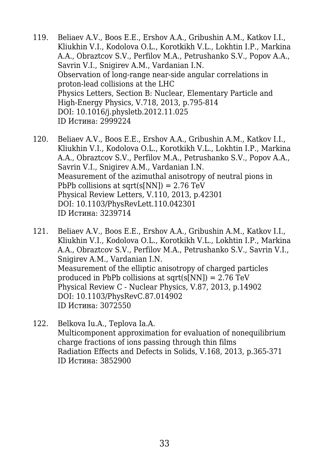- 119. Beliaev A.V., Boos E.E., Ershov A.A., Gribushin A.M., Katkov I.I., Kliukhin V.I., Kodolova O.L., Korotkikh V.L., Lokhtin I.P., Markina A.A., Obraztcov S.V., Perfilov M.A., Petrushanko S.V., Popov A.A., Savrin V.I., Snigirev A.M., Vardanian I.N. Observation of long-range near-side angular correlations in proton-lead collisions at the LHC Physics Letters, Section B: Nuclear, Elementary Particle and High-Energy Physics, V.718, 2013, p.795-814 DOI: 10.1016/j.physletb.2012.11.025 ID Истина: 2999224
- 120. Beliaev A.V., Boos E.E., Ershov A.A., Gribushin A.M., Katkov I.I., Kliukhin V.I., Kodolova O.L., Korotkikh V.L., Lokhtin I.P., Markina A.A., Obraztcov S.V., Perfilov M.A., Petrushanko S.V., Popov A.A., Savrin V.I., Snigirev A.M., Vardanian I.N. Measurement of the azimuthal anisotropy of neutral pions in PbPb collisions at sqrt(s[NN]) =  $2.76$  TeV Physical Review Letters, V.110, 2013, p.42301 DOI: 10.1103/PhysRevLett.110.042301 ID Истина: 3239714
- 121. Beliaev A.V., Boos E.E., Ershov A.A., Gribushin A.M., Katkov I.I., Kliukhin V.I., Kodolova O.L., Korotkikh V.L., Lokhtin I.P., Markina A.A., Obraztcov S.V., Perfilov M.A., Petrushanko S.V., Savrin V.I., Snigirev A.M., Vardanian I.N. Measurement of the elliptic anisotropy of charged particles produced in PbPb collisions at sqrt(s[NN]) =  $2.76$  TeV Physical Review C - Nuclear Physics, V.87, 2013, p.14902 DOI: 10.1103/PhysRevC.87.014902 ID Истина: 3072550
- 122. Belkova Iu.A., Teplova Ia.A. Multicomponent approximation for evaluation of nonequilibrium charge fractions of ions passing through thin films Radiation Effects and Defects in Solids, V.168, 2013, p.365-371 ID Истина: 3852900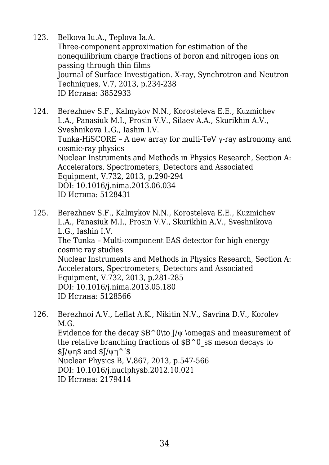- 123. Belkova Iu.A., Teplova Ia.A. Three-component approximation for estimation of the nonequilibrium charge fractions of boron and nitrogen ions on passing through thin films Journal of Surface Investigation. X-ray, Synchrotron and Neutron Techniques, V.7, 2013, p.234-238 ID Истина: 3852933
- 124. Berezhnev S.F., Kalmykov N.N., Korosteleva E.E., Kuzmichev L.A., Panasiuk M.I., Prosin V.V., Silaev A.A., Skurikhin A.V., Sveshnikova L.G., Iashin I.V. Tunka-HiSCORE – A new array for multi-TeV γ-ray astronomy and cosmic-ray physics Nuclear Instruments and Methods in Physics Research, Section A: Accelerators, Spectrometers, Detectors and Associated Equipment, V.732, 2013, p.290-294 DOI: 10.1016/j.nima.2013.06.034 ID Истина: 5128431
- 125. Berezhnev S.F., Kalmykov N.N., Korosteleva E.E., Kuzmichev L.A., Panasiuk M.I., Prosin V.V., Skurikhin A.V., Sveshnikova L.G., Iashin I.V. The Tunka – Multi-component EAS detector for high energy cosmic ray studies Nuclear Instruments and Methods in Physics Research, Section A: Accelerators, Spectrometers, Detectors and Associated Equipment, V.732, 2013, p.281-285 DOI: 10.1016/j.nima.2013.05.180 ID Истина: 5128566
- 126. Berezhnoi A.V., Leflat A.K., Nikitin N.V., Savrina D.V., Korolev M.G. Evidence for the decay  $B^0\to J/\psi \omega$  and measurement of the relative branching fractions of  $\$B^0$  s\$ meson decays to  $\frac{1}{\sqrt{2}}$  strips and  $\frac{1}{\sqrt{2}}$  strips strips 3. Nuclear Physics B, V.867, 2013, p.547-566 DOI: 10.1016/j.nuclphysb.2012.10.021 ID Истина: 2179414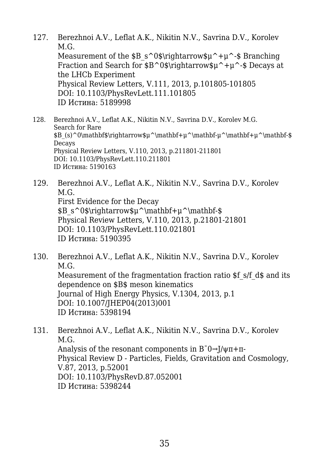- 127. Berezhnoi A.V., Leflat A.K., Nikitin N.V., Savrina D.V., Korolev M.G. Measurement of the  $\$B\ s^0\theta\tau_0\$ +μ^-\$ Branching Fraction and Search for \$B^0\$\rightarrow\$μ^+μ^-\$ Decays at the LHCb Experiment Physical Review Letters, V.111, 2013, p.101805-101805 DOI: 10.1103/PhysRevLett.111.101805 ID Истина: 5189998
- 128. Berezhnoi A.V., Leflat A.K., Nikitin N.V., Savrina D.V., Korolev M.G. Search for Rare  $B(s)^0\mathbf{\prime}\right\in\mathbb{L}^\mathbb{+}\mathbb{+}\mathbb{+}u^\mathbf{\mathbb{+}}u^\mathbf{\mathbb{+}}u^\mathbf{\mathbb{+}}u^\mathbf{\mathbb{+}}u^\mathbf{\mathbb{+}}u^\mathbf{\mathbb{+}}u^\mathbf{\mathbb{+}}u^\mathbf{\mathbb{+}}u^\mathbf{\mathbb{+}}u^\mathbf{\mathbb{+}}u^\mathbf{\mathbb{+}}u^\mathbf{\mathbb{+}}u^\mathbf{\mathbb{+}}u^\mathbf{\mathbb{+}}u^\mathbf{\mathbb{+}}u^\mathbf{\mathbb{+}}u^\mathbf{\mathbb{+}}u^\mathbf{\mathbb{+}}u^\mathbf$ **Decays** Physical Review Letters, V.110, 2013, p.211801-211801 DOI: 10.1103/PhysRevLett.110.211801 ID Истина: 5190163
- 129. Berezhnoi A.V., Leflat A.K., Nikitin N.V., Savrina D.V., Korolev M.G. First Evidence for the Decay \$B\_s^0\$\rightarrow\$μ^\mathbf+μ^\mathbf-\$ Physical Review Letters, V.110, 2013, p.21801-21801 DOI: 10.1103/PhysRevLett.110.021801 ID Истина: 5190395
- 130. Berezhnoi A.V., Leflat A.K., Nikitin N.V., Savrina D.V., Korolev M.G. Measurement of the fragmentation fraction ratio \$f s/f d\$ and its dependence on \$B\$ meson kinematics Journal of High Energy Physics, V.1304, 2013, p.1 DOI: 10.1007/JHEP04(2013)001 ID Истина: 5398194
- 131. Berezhnoi A.V., Leflat A.K., Nikitin N.V., Savrina D.V., Korolev M.G. Analysis of the resonant components in  $B^-0\rightarrow J/\psi\pi+\pi$ -Physical Review D - Particles, Fields, Gravitation and Cosmology, V.87, 2013, p.52001 DOI: 10.1103/PhysRevD.87.052001 ID Истина: 5398244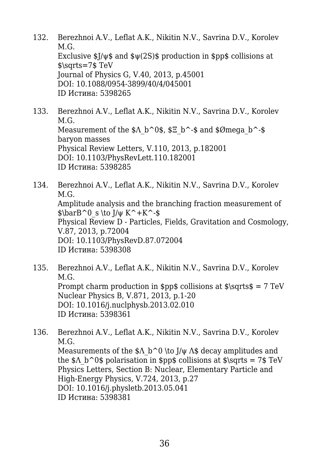- 132. Berezhnoi A.V., Leflat A.K., Nikitin N.V., Savrina D.V., Korolev M.G. Exclusive  $\frac{1}{9}$ / $\psi$ \$ and  $\psi$ (2S)\$ production in \$pp\$ collisions at \$\sqrts=7\$ TeV Journal of Physics G, V.40, 2013, p.45001 DOI: 10.1088/0954-3899/40/4/045001 ID Истина: 5398265
- 133. Berezhnoi A.V., Leflat A.K., Nikitin N.V., Savrina D.V., Korolev M.G. Measurement of the  $\angle A$  b^0\$,  $\angle E$  b^-\$ and  $\angle$ Ømega b^-\$ baryon masses Physical Review Letters, V.110, 2013, p.182001 DOI: 10.1103/PhysRevLett.110.182001 ID Истина: 5398285
- 134. Berezhnoi A.V., Leflat A.K., Nikitin N.V., Savrina D.V., Korolev M.G. Amplitude analysis and the branching fraction measurement of  $\bar{B}^0 \ s \to J/\psi K^+K^-$ \$ Physical Review D - Particles, Fields, Gravitation and Cosmology, V.87, 2013, p.72004 DOI: 10.1103/PhysRevD.87.072004 ID Истина: 5398308
- 135. Berezhnoi A.V., Leflat A.K., Nikitin N.V., Savrina D.V., Korolev M.G. Prompt charm production in  $p\$ ispos collisions at  $\sqrt{s} = 7 TeV$ Nuclear Physics B, V.871, 2013, p.1-20 DOI: 10.1016/j.nuclphysb.2013.02.010 ID Истина: 5398361
- 136. Berezhnoi A.V., Leflat A.K., Nikitin N.V., Savrina D.V., Korolev M.G. Measurements of the  $\Lambda$  b<sup> $\sim$ </sup>0 \to J/ $\psi$   $\Lambda$ \$ decay amplitudes and the  $\Lambda$  b^0\$ polarisation in \$pp\$ collisions at \$\sqrts = 7\$ TeV Physics Letters, Section B: Nuclear, Elementary Particle and High-Energy Physics, V.724, 2013, p.27 DOI: 10.1016/j.physletb.2013.05.041 ID Истина: 5398381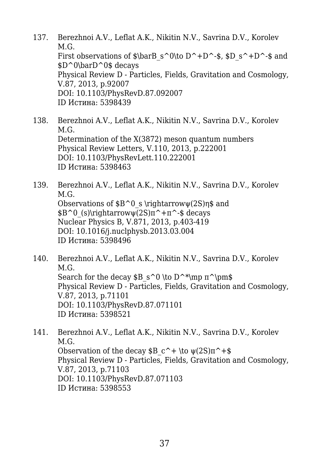- 137. Berezhnoi A.V., Leflat A.K., Nikitin N.V., Savrina D.V., Korolev M.G. First observations of  $\bar{\text{S}}$  and  $S^0\to D^+D^-$ ,  $D_S^+D^-$  and \$D^0\barD^0\$ decays Physical Review D - Particles, Fields, Gravitation and Cosmology, V.87, 2013, p.92007 DOI: 10.1103/PhysRevD.87.092007 ID Истина: 5398439
- 138. Berezhnoi A.V., Leflat A.K., Nikitin N.V., Savrina D.V., Korolev M.G. Determination of the X(3872) meson quantum numbers Physical Review Letters, V.110, 2013, p.222001 DOI: 10.1103/PhysRevLett.110.222001 ID Истина: 5398463
- 139. Berezhnoi A.V., Leflat A.K., Nikitin N.V., Savrina D.V., Korolev M.G. Observations of  $B^0$  s \rightarrow $\psi(2S)$ η\$ and  $$B^0(S)\rightleftharpoondown(2S)\pi^+ \pi^-\$ \$ decays Nuclear Physics B, V.871, 2013, p.403-419 DOI: 10.1016/j.nuclphysb.2013.03.004 ID Истина: 5398496
- 140. Berezhnoi A.V., Leflat A.K., Nikitin N.V., Savrina D.V., Korolev M.G. Search for the decay  $\$B\ s^0 \to D^*\mp m \pi^\pm\$ Physical Review D - Particles, Fields, Gravitation and Cosmology, V.87, 2013, p.71101 DOI: 10.1103/PhysRevD.87.071101 ID Истина: 5398521
- 141. Berezhnoi A.V., Leflat A.K., Nikitin N.V., Savrina D.V., Korolev M.G. Observation of the decay  $\$B\ c^+ \to \psi(2S)\pi^+$ \$ Physical Review D - Particles, Fields, Gravitation and Cosmology, V.87, 2013, p.71103 DOI: 10.1103/PhysRevD.87.071103 ID Истина: 5398553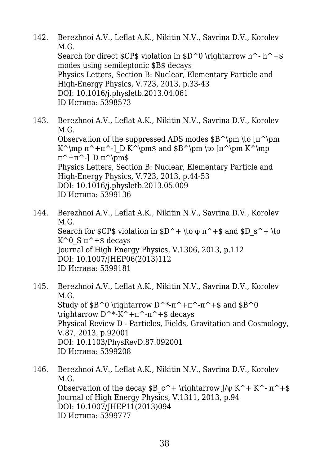- 142. Berezhnoi A.V., Leflat A.K., Nikitin N.V., Savrina D.V., Korolev M.G. Search for direct  $CPS$  violation in  $D^0 \rightarrow h^+$ \$ modes using semileptonic \$B\$ decays Physics Letters, Section B: Nuclear, Elementary Particle and High-Energy Physics, V.723, 2013, p.33-43 DOI: 10.1016/j.physletb.2013.04.061 ID Истина: 5398573
- 143. Berezhnoi A.V., Leflat A.K., Nikitin N.V., Savrina D.V., Korolev M.G. Observation of the suppressed ADS modes  $B^{\pm \tmtext{pm}}$ K^\mp  $\pi^+ \pi^-$ ] D K^\pm\$ and \$B^\pm \to  $\pi^{\pm K^{\mp}}$  $\pi^+ \pi^-$ ] D  $\pi^{\pm}$ \$ Physics Letters, Section B: Nuclear, Elementary Particle and High-Energy Physics, V.723, 2013, p.44-53 DOI: 10.1016/j.physletb.2013.05.009 ID Истина: 5399136
- 144. Berezhnoi A.V., Leflat A.K., Nikitin N.V., Savrina D.V., Korolev M.G. Search for  $CPS$  violation in  $D^+ \to \pi^+ \$  and  $D_S^+ \to$ K<sup> $\circ$ </sup> 0 S π<sup> $\sim$ </sup> + \$ decays Journal of High Energy Physics, V.1306, 2013, p.112 DOI: 10.1007/JHEP06(2013)112 ID Истина: 5399181
- 145. Berezhnoi A.V., Leflat A.K., Nikitin N.V., Savrina D.V., Korolev M.G. Study of  $B^0 \rightarrow D^*-\pi^+\pi^-\pi^+$ \$ and  $B^0$  $\rightarrow D^*K^+ \pi^- \pi^+ \$  decays Physical Review D - Particles, Fields, Gravitation and Cosmology, V.87, 2013, p.92001 DOI: 10.1103/PhysRevD.87.092001 ID Истина: 5399208
- 146. Berezhnoi A.V., Leflat A.K., Nikitin N.V., Savrina D.V., Korolev M.G. Observation of the decay \$B c<sup> $\rightarrow$ </sup> \rightarrow J/ψ K<sup> $\rightarrow$ </sup> K<sup> $\rightarrow$ </sup> π<sup> $\rightarrow$ </sup> +\$ Journal of High Energy Physics, V.1311, 2013, p.94 DOI: 10.1007/JHEP11(2013)094 ID Истина: 5399777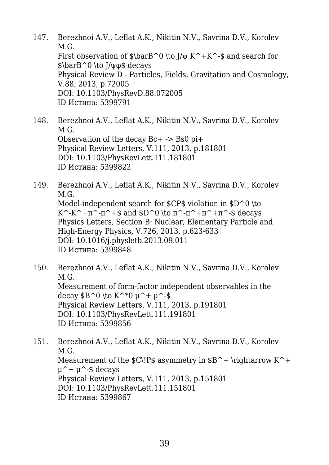- 147. Berezhnoi A.V., Leflat A.K., Nikitin N.V., Savrina D.V., Korolev M.G. First observation of  $\bar{S}$  har  $\bar{S}$  \to J/ $\psi$  K<sup>^</sup>+K^-\$ and search for \$\barB^0 \to J/ψφ\$ decays Physical Review D - Particles, Fields, Gravitation and Cosmology, V.88, 2013, p.72005 DOI: 10.1103/PhysRevD.88.072005 ID Истина: 5399791
- 148. Berezhnoi A.V., Leflat A.K., Nikitin N.V., Savrina D.V., Korolev M.G. Observation of the decay Bc+ -> Bs0 pi+ Physical Review Letters, V.111, 2013, p.181801 DOI: 10.1103/PhysRevLett.111.181801 ID Истина: 5399822
- 149. Berezhnoi A.V., Leflat A.K., Nikitin N.V., Savrina D.V., Korolev M.G. Model-independent search for  $CPS$  violation in  $D^0 \to$ K<sup> $\sim$ -K<sup> $\sim$ </sup>+π $\sim$ -π $\sim$ +\$ and \$D $\sim$ 0 \to π $\sim$ -π $\sim$ +π $\sim$ - $\sim$ +π $\sim$ -\$ decays</sup> Physics Letters, Section B: Nuclear, Elementary Particle and High-Energy Physics, V.726, 2013, p.623-633 DOI: 10.1016/j.physletb.2013.09.011 ID Истина: 5399848
- 150. Berezhnoi A.V., Leflat A.K., Nikitin N.V., Savrina D.V., Korolev M.G. Measurement of form-factor independent observables in the decay  $$B^0 \to K^*0 \mu^+ \mu^-$ Physical Review Letters, V.111, 2013, p.191801 DOI: 10.1103/PhysRevLett.111.191801 ID Истина: 5399856
- 151. Berezhnoi A.V., Leflat A.K., Nikitin N.V., Savrina D.V., Korolev M.G. Measurement of the  $C\IP\$  asymmetry in  $B^+ \rightarrows$   $K^+$  $\mu^+ + \mu^-$ -\$ decays Physical Review Letters, V.111, 2013, p.151801 DOI: 10.1103/PhysRevLett.111.151801 ID Истина: 5399867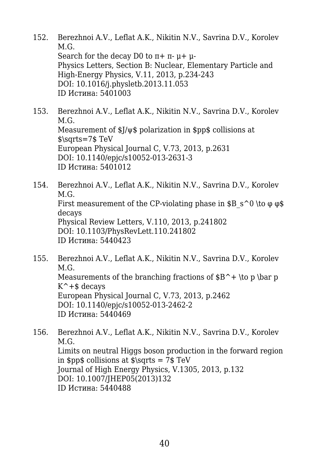- 152. Berezhnoi A.V., Leflat A.K., Nikitin N.V., Savrina D.V., Korolev M.G. Search for the decay D0 to  $\pi$ +  $\pi$ -  $\mu$ +  $\mu$ -Physics Letters, Section B: Nuclear, Elementary Particle and High-Energy Physics, V.11, 2013, p.234-243 DOI: 10.1016/j.physletb.2013.11.053 ID Истина: 5401003
- 153. Berezhnoi A.V., Leflat A.K., Nikitin N.V., Savrina D.V., Korolev M.G. Measurement of \$J/ψ\$ polarization in \$pp\$ collisions at \$\sqrts=7\$ TeV European Physical Journal C, V.73, 2013, p.2631 DOI: 10.1140/epjc/s10052-013-2631-3 ID Истина: 5401012
- 154. Berezhnoi A.V., Leflat A.K., Nikitin N.V., Savrina D.V., Korolev M.G. First measurement of the CP-violating phase in  $\$B\ s^0 \to \phi \$ decays Physical Review Letters, V.110, 2013, p.241802 DOI: 10.1103/PhysRevLett.110.241802 ID Истина: 5440423
- 155. Berezhnoi A.V., Leflat A.K., Nikitin N.V., Savrina D.V., Korolev M.G. Measurements of the branching fractions of  $B^+ \to p$  \bar p  $K^+$  +\$ decays European Physical Journal C, V.73, 2013, p.2462 DOI: 10.1140/epjc/s10052-013-2462-2 ID Истина: 5440469
- 156. Berezhnoi A.V., Leflat A.K., Nikitin N.V., Savrina D.V., Korolev M.G. Limits on neutral Higgs boson production in the forward region in  $spp\$  collisions at  $\sqrt{s}$  corts = 7\$ TeV Journal of High Energy Physics, V.1305, 2013, p.132 DOI: 10.1007/JHEP05(2013)132 ID Истина: 5440488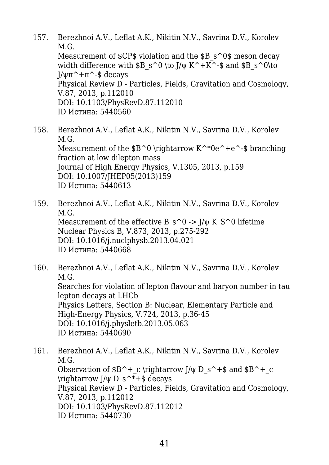- 157. Berezhnoi A.V., Leflat A.K., Nikitin N.V., Savrina D.V., Korolev M.G. Measurement of \$CP\$ violation and the \$B s^0\$ meson decay width difference with  $\$B\ s^0 \to K^+K^-$ -\$ and  $\$B\ s^0\to 0$ J/ψπ^+π^-\$ decays Physical Review D - Particles, Fields, Gravitation and Cosmology, V.87, 2013, p.112010 DOI: 10.1103/PhysRevD.87.112010 ID Истина: 5440560
- 158. Berezhnoi A.V., Leflat A.K., Nikitin N.V., Savrina D.V., Korolev M.G. Measurement of the  $$B^0 \right\in K^*0e^+e^-$  branching fraction at low dilepton mass Journal of High Energy Physics, V.1305, 2013, p.159 DOI: 10.1007/JHEP05(2013)159 ID Истина: 5440613
- 159. Berezhnoi A.V., Leflat A.K., Nikitin N.V., Savrina D.V., Korolev M.G. Measurement of the effective B  $s^0 \rightarrow I/\psi K S^0$  lifetime Nuclear Physics B, V.873, 2013, p.275-292 DOI: 10.1016/j.nuclphysb.2013.04.021 ID Истина: 5440668
- 160. Berezhnoi A.V., Leflat A.K., Nikitin N.V., Savrina D.V., Korolev M.G. Searches for violation of lepton flavour and baryon number in tau lepton decays at LHCb Physics Letters, Section B: Nuclear, Elementary Particle and High-Energy Physics, V.724, 2013, p.36-45 DOI: 10.1016/j.physletb.2013.05.063 ID Истина: 5440690
- 161. Berezhnoi A.V., Leflat A.K., Nikitin N.V., Savrina D.V., Korolev M.G. Observation of  $B^+c \rightarrow J/\psi D$  s<sup> $\rightarrow$ </sup>\$ and \$B<sup> $\rightarrow$ </sup> c \rightarrow  $J/\psi D$  s<sup> $\star$ +\$ decays</sup> Physical Review  $\overline{D}$  - Particles, Fields, Gravitation and Cosmology, V.87, 2013, p.112012 DOI: 10.1103/PhysRevD.87.112012 ID Истина: 5440730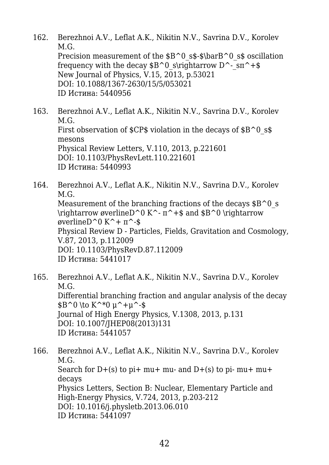- 162. Berezhnoi A.V., Leflat A.K., Nikitin N.V., Savrina D.V., Korolev M.G. Precision measurement of the  $$B^0$$  s\$-\$\barB^0\_s\$ oscillation frequency with the decay  $$B^0\$  s\rightarrow D^-  $\text{sn}^+$ \$ New Journal of Physics, V.15, 2013, p.53021 DOI: 10.1088/1367-2630/15/5/053021 ID Истина: 5440956
- 163. Berezhnoi A.V., Leflat A.K., Nikitin N.V., Savrina D.V., Korolev M.G. First observation of  $CPS$  violation in the decays of  $B^0$  s\$ mesons Physical Review Letters, V.110, 2013, p.221601 DOI: 10.1103/PhysRevLett.110.221601 ID Истина: 5440993
- 164. Berezhnoi A.V., Leflat A.K., Nikitin N.V., Savrina D.V., Korolev M.G. Measurement of the branching fractions of the decays  $\$B^0$  s  $\rightarrow$  werlineD<sup> $\circ$ </sup> K<sup> $\sim$ </sup> =  $\pi$ <sup> $\rightarrow$ </sup>  $\$  and \$B<sup> $\circ$ </sup>0  $\rightarrow$  Yrightarrow øverlineD^0 K^+ π^-\$ Physical Review D - Particles, Fields, Gravitation and Cosmology, V.87, 2013, p.112009 DOI: 10.1103/PhysRevD.87.112009 ID Истина: 5441017
- 165. Berezhnoi A.V., Leflat A.K., Nikitin N.V., Savrina D.V., Korolev M.G. Differential branching fraction and angular analysis of the decay  $$B^0 \to K^*0 \, u^+u^-s$ Journal of High Energy Physics, V.1308, 2013, p.131 DOI: 10.1007/JHEP08(2013)131 ID Истина: 5441057
- 166. Berezhnoi A.V., Leflat A.K., Nikitin N.V., Savrina D.V., Korolev M.G. Search for  $D+(s)$  to pi+ mu+ mu- and  $D+(s)$  to pi- mu+ mu+ decays Physics Letters, Section B: Nuclear, Elementary Particle and High-Energy Physics, V.724, 2013, p.203-212 DOI: 10.1016/j.physletb.2013.06.010 ID Истина: 5441097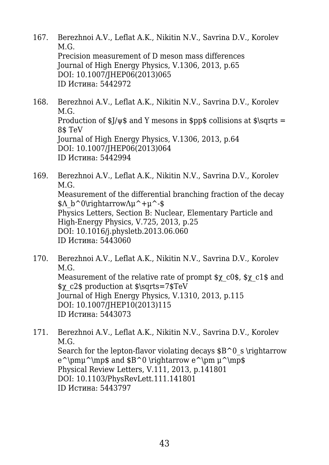- 167. Berezhnoi A.V., Leflat A.K., Nikitin N.V., Savrina D.V., Korolev M.G. Precision measurement of D meson mass differences Journal of High Energy Physics, V.1306, 2013, p.65 DOI: 10.1007/JHEP06(2013)065 ID Истина: 5442972
- 168. Berezhnoi A.V., Leflat A.K., Nikitin N.V., Savrina D.V., Korolev M.G. Production of  $\frac{1}{\psi}$  and Y mesons in \$pp\$ collisions at \$\sqrts = 8\$ TeV Journal of High Energy Physics, V.1306, 2013, p.64 DOI: 10.1007/JHEP06(2013)064 ID Истина: 5442994
- 169. Berezhnoi A.V., Leflat A.K., Nikitin N.V., Savrina D.V., Korolev M.G. Measurement of the differential branching fraction of the decay  $\Lambda b^0\rightarrow\Lambda u^+u^-\$ Physics Letters, Section B: Nuclear, Elementary Particle and High-Energy Physics, V.725, 2013, p.25 DOI: 10.1016/j.physletb.2013.06.060 ID Истина: 5443060
- 170. Berezhnoi A.V., Leflat A.K., Nikitin N.V., Savrina D.V., Korolev M.G. Measurement of the relative rate of prompt \$χ\_c0\$, \$χ\_c1\$ and \$χ\_c2\$ production at \$\sqrts=7\$TeV Journal of High Energy Physics, V.1310, 2013, p.115 DOI: 10.1007/JHEP10(2013)115 ID Истина: 5443073
- 171. Berezhnoi A.V., Leflat A.K., Nikitin N.V., Savrina D.V., Korolev M.G. Search for the lepton-flavor violating decays  $$B^0\ s\right\rangle$  inductions  $e^{\pm\omega^{\mskip-10.4mu\mskip-10.4mu\mskip-10.4mu\mskip-10.4mu\mskip-10.4mu\mskip-10.4mu\mskip-10.4mu\mskip-10.4mu\mskip-10.4mu\mskip-10.4mu\mskip-10.4mu\mskip-10.4mu\mskip-10.4mu\mskip-10.4mu\mskip-10.4mu\mskip-10.4mu\mskip-10.4mu\mskip-10.4mu\mskip-10.4mu\mskip-10.4mu\mskip-10.4mu\mskip-10.4mu\mskip-10.4mu\mskip-10$ Physical Review Letters, V.111, 2013, p.141801 DOI: 10.1103/PhysRevLett.111.141801 ID Истина: 5443797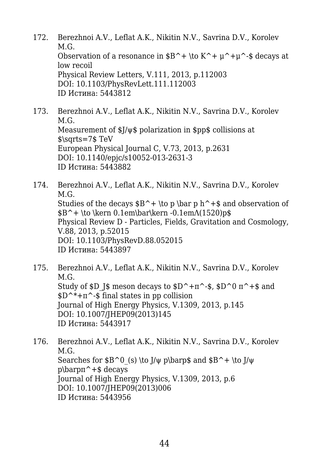- 172. Berezhnoi A.V., Leflat A.K., Nikitin N.V., Savrina D.V., Korolev M.G. Observation of a resonance in  $B^+ \to K^+ \mu^+ \mu^-$  decays at low recoil Physical Review Letters, V.111, 2013, p.112003 DOI: 10.1103/PhysRevLett.111.112003 ID Истина: 5443812
- 173. Berezhnoi A.V., Leflat A.K., Nikitin N.V., Savrina D.V., Korolev M.G. Measurement of \$J/ψ\$ polarization in \$pp\$ collisions at \$\sqrts=7\$ TeV European Physical Journal C, V.73, 2013, p.2631 DOI: 10.1140/epjc/s10052-013-2631-3 ID Истина: 5443882
- 174. Berezhnoi A.V., Leflat A.K., Nikitin N.V., Savrina D.V., Korolev M.G. Studies of the decays  $B^+ \to p \bar{r} + s$  and observation of  $B^+ \to \kern 0.1em\bar\ker 0.1em\Lambda(1520)p$ \$ Physical Review D - Particles, Fields, Gravitation and Cosmology, V.88, 2013, p.52015 DOI: 10.1103/PhysRevD.88.052015 ID Истина: 5443897
- 175. Berezhnoi A.V., Leflat A.K., Nikitin N.V., Savrina D.V., Korolev M.G. Study of \$D J\$ meson decays to  $D^+$ π<sup> $\sim$ </sup>-\$, \$D $^{\sim}$ 0 π $^{\sim}$  +\$ and  $D^*+\pi^*$ -\$ final states in pp collision Journal of High Energy Physics, V.1309, 2013, p.145 DOI: 10.1007/JHEP09(2013)145 ID Истина: 5443917
- 176. Berezhnoi A.V., Leflat A.K., Nikitin N.V., Savrina D.V., Korolev M.G. Searches for  $B^0$  (s) \to J/ $\psi$  p\barp\$ and  $B^+ \to J/\psi$  $p\bar{p}$  arpn<sup> $\sim$ </sup> +  $\frac{1}{2}$  decays Journal of High Energy Physics, V.1309, 2013, p.6 DOI: 10.1007/JHEP09(2013)006 ID Истина: 5443956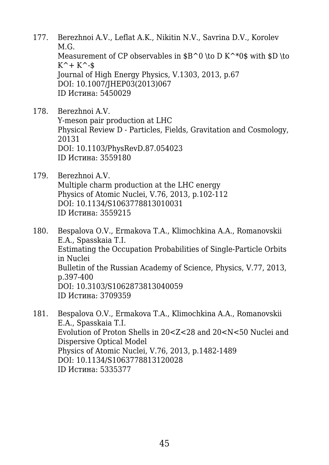- 177. Berezhnoi A.V., Leflat A.K., Nikitin N.V., Savrina D.V., Korolev M.G. Measurement of CP observables in  $B^0 \to B^*0$  \to D K<sup>^\*</sup>0\$ with \$D \to  $K^+ + K^-$ -\$ Journal of High Energy Physics, V.1303, 2013, p.67 DOI: 10.1007/JHEP03(2013)067 ID Истина: 5450029
- 178. Berezhnoi A.V. Υ-meson pair production at LHC Physical Review D - Particles, Fields, Gravitation and Cosmology, 20131 DOI: 10.1103/PhysRevD.87.054023 ID Истина: 3559180
- 179. Berezhnoi A.V. Multiple charm production at the LHC energy Physics of Atomic Nuclei, V.76, 2013, p.102-112 DOI: 10.1134/S1063778813010031 ID Истина: 3559215
- 180. Bespalova O.V., Ermakova T.A., Klimochkina A.A., Romanovskii E.A., Spasskaia T.I. Estimating the Occupation Probabilities of Single-Particle Orbits in Nuclei Bulletin of the Russian Academy of Science, Physics, V.77, 2013, p.397-400 DOI: 10.3103/S1062873813040059 ID Истина: 3709359
- 181. Bespalova O.V., Ermakova T.A., Klimochkina A.A., Romanovskii E.A., Spasskaia T.I. Evolution of Proton Shells in 20<Z<28 and 20<N<50 Nuclei and Dispersive Optical Model Physics of Atomic Nuclei, V.76, 2013, p.1482-1489 DOI: 10.1134/S1063778813120028 ID Истина: 5335377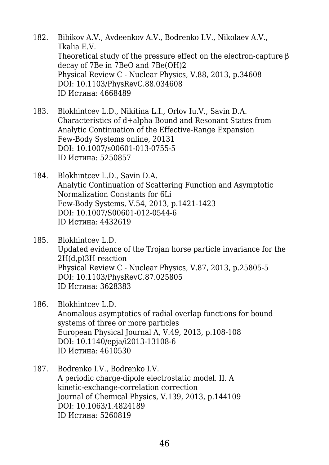- 182. Bibikov A.V., Avdeenkov A.V., Bodrenko I.V., Nikolaev A.V., Tkalia E.V. Theoretical study of the pressure effect on the electron-capture β decay of 7Be in 7BeO and 7Be(OH)2 Physical Review C - Nuclear Physics, V.88, 2013, p.34608 DOI: 10.1103/PhysRevC.88.034608 ID Истина: 4668489
- 183. Blokhintcev L.D., Nikitina L.I., Orlov Iu.V., Savin D.A. Characteristics of d+alpha Bound and Resonant States from Analytic Continuation of the Effective-Range Expansion Few-Body Systems online, 20131 DOI: 10.1007/s00601-013-0755-5 ID Истина: 5250857
- 184. Blokhintcev L.D., Savin D.A. Analytic Continuation of Scattering Function and Asymptotic Normalization Constants for 6Li Few-Body Systems, V.54, 2013, p.1421-1423 DOI: 10.1007/S00601-012-0544-6 ID Истина: 4432619
- 185. Blokhintcev L.D. Updated evidence of the Trojan horse particle invariance for the 2H(d,p)3H reaction Physical Review C - Nuclear Physics, V.87, 2013, p.25805-5 DOI: 10.1103/PhysRevC.87.025805 ID Истина: 3628383
- 186. Blokhintcev L.D. Anomalous asymptotics of radial overlap functions for bound systems of three or more particles European Physical Journal A, V.49, 2013, p.108-108 DOI: 10.1140/epja/i2013-13108-6 ID Истина: 4610530
- 187. Bodrenko I.V., Bodrenko I.V. A periodic charge-dipole electrostatic model. II. A kinetic-exchange-correlation correction Journal of Chemical Physics, V.139, 2013, p.144109 DOI: 10.1063/1.4824189 ID Истина: 5260819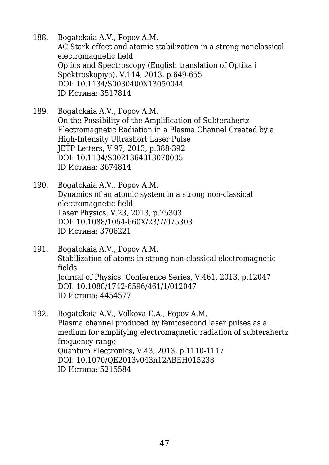- 188. Bogatckaia A.V., Popov A.M. AC Stark effect and atomic stabilization in a strong nonclassical electromagnetic field Optics and Spectroscopy (English translation of Optika i Spektroskopiya), V.114, 2013, p.649-655 DOI: 10.1134/S0030400X13050044 ID Истина: 3517814
- 189. Bogatckaia A.V., Popov A.M. On the Possibility of the Amplification of Subterahertz Electromagnetic Radiation in a Plasma Channel Created by a High-Intensity Ultrashort Laser Pulse JETP Letters, V.97, 2013, p.388-392 DOI: 10.1134/S0021364013070035 ID Истина: 3674814
- 190. Bogatckaia A.V., Popov A.M. Dynamics of an atomic system in a strong non-classical electromagnetic field Laser Physics, V.23, 2013, p.75303 DOI: 10.1088/1054-660X/23/7/075303 ID Истина: 3706221
- 191. Bogatckaia A.V., Popov A.M. Stabilization of atoms in strong non-classical electromagnetic fields Journal of Physics: Conference Series, V.461, 2013, p.12047 DOI: 10.1088/1742-6596/461/1/012047 ID Истина: 4454577
- 192. Bogatckaia A.V., Volkova E.A., Popov A.M. Plasma channel produced by femtosecond laser pulses as a medium for amplifying electromagnetic radiation of subterahertz frequency range Quantum Electronics, V.43, 2013, p.1110-1117 DOI: 10.1070/QE2013v043n12ABEH015238 ID Истина: 5215584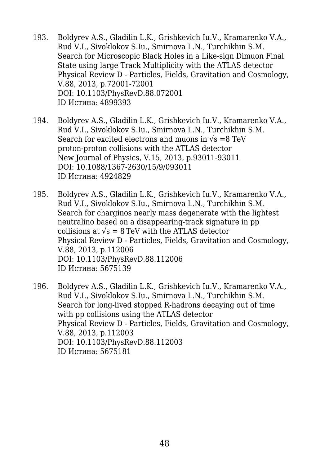- 193. Boldyrev A.S., Gladilin L.K., Grishkevich Iu.V., Kramarenko V.A., Rud V.I., Sivoklokov S.Iu., Smirnova L.N., Turchikhin S.M. Search for Microscopic Black Holes in a Like-sign Dimuon Final State using large Track Multiplicity with the ATLAS detector Physical Review D - Particles, Fields, Gravitation and Cosmology, V.88, 2013, p.72001-72001 DOI: 10.1103/PhysRevD.88.072001 ID Истина: 4899393
- 194. Boldyrev A.S., Gladilin L.K., Grishkevich Iu.V., Kramarenko V.A., Rud V.I., Sivoklokov S.Iu., Smirnova L.N., Turchikhin S.M. Search for excited electrons and muons in  $\sqrt{s} = 8 \text{ TeV}$ proton-proton collisions with the ATLAS detector New Journal of Physics, V.15, 2013, p.93011-93011 DOI: 10.1088/1367-2630/15/9/093011 ID Истина: 4924829
- 195. Boldyrev A.S., Gladilin L.K., Grishkevich Iu.V., Kramarenko V.A., Rud V.I., Sivoklokov S.Iu., Smirnova L.N., Turchikhin S.M. Search for charginos nearly mass degenerate with the lightest neutralino based on a disappearing-track signature in pp collisions at  $\sqrt{s}$  = 8 TeV with the ATLAS detector Physical Review D - Particles, Fields, Gravitation and Cosmology, V.88, 2013, p.112006 DOI: 10.1103/PhysRevD.88.112006 ID Истина: 5675139
- 196. Boldyrev A.S., Gladilin L.K., Grishkevich Iu.V., Kramarenko V.A., Rud V.I., Sivoklokov S.Iu., Smirnova L.N., Turchikhin S.M. Search for long-lived stopped R-hadrons decaying out of time with pp collisions using the ATLAS detector Physical Review D - Particles, Fields, Gravitation and Cosmology, V.88, 2013, p.112003 DOI: 10.1103/PhysRevD.88.112003 ID Истина: 5675181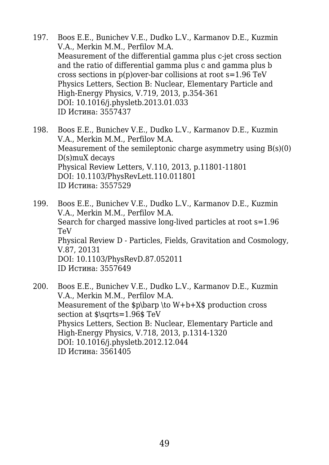- 197. Boos E.E., Bunichev V.E., Dudko L.V., Karmanov D.E., Kuzmin V.A., Merkin M.M., Perfilov M.A. Measurement of the differential gamma plus c-jet cross section and the ratio of differential gamma plus c and gamma plus b cross sections in p(p)over-bar collisions at root s=1.96 TeV Physics Letters, Section B: Nuclear, Elementary Particle and High-Energy Physics, V.719, 2013, p.354-361 DOI: 10.1016/j.physletb.2013.01.033 ID Истина: 3557437
- 198. Boos E.E., Bunichev V.E., Dudko L.V., Karmanov D.E., Kuzmin V.A., Merkin M.M., Perfilov M.A. Measurement of the semileptonic charge asymmetry using B(s)(0) D(s)muX decays Physical Review Letters, V.110, 2013, p.11801-11801 DOI: 10.1103/PhysRevLett.110.011801 ID Истина: 3557529
- 199. Boos E.E., Bunichev V.E., Dudko L.V., Karmanov D.E., Kuzmin V.A., Merkin M.M., Perfilov M.A. Search for charged massive long-lived particles at root s=1.96 TeV Physical Review D - Particles, Fields, Gravitation and Cosmology, V.87, 20131 DOI: 10.1103/PhysRevD.87.052011 ID Истина: 3557649
- 200. Boos E.E., Bunichev V.E., Dudko L.V., Karmanov D.E., Kuzmin V.A., Merkin M.M., Perfilov M.A. Measurement of the \$p\barp \to W+b+X\$ production cross section at  $\sqrt{s} = 1.96$ \$ TeV Physics Letters, Section B: Nuclear, Elementary Particle and High-Energy Physics, V.718, 2013, p.1314-1320 DOI: 10.1016/j.physletb.2012.12.044 ID Истина: 3561405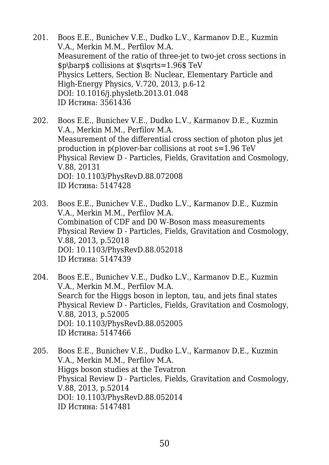- 201. Boos E.E., Bunichev V.E., Dudko L.V., Karmanov D.E., Kuzmin V.A., Merkin M.M., Perfilov M.A. Measurement of the ratio of three-jet to two-jet cross sections in \$p\barp\$ collisions at \$\sqrts=1.96\$ TeV Physics Letters, Section B: Nuclear, Elementary Particle and High-Energy Physics, V.720, 2013, p.6-12 DOI: 10.1016/j.physletb.2013.01.048 ID Истина: 3561436
- 202. Boos E.E., Bunichev V.E., Dudko L.V., Karmanov D.E., Kuzmin V.A., Merkin M.M., Perfilov M.A. Measurement of the differential cross section of photon plus jet production in p(p)over-bar collisions at root s=1.96 TeV Physical Review D - Particles, Fields, Gravitation and Cosmology, V.88, 20131 DOI: 10.1103/PhysRevD.88.072008 ID Истина: 5147428
- 203. Boos E.E., Bunichev V.E., Dudko L.V., Karmanov D.E., Kuzmin V.A., Merkin M.M., Perfilov M.A. Combination of CDF and D0 W-Boson mass measurements Physical Review D - Particles, Fields, Gravitation and Cosmology, V.88, 2013, p.52018 DOI: 10.1103/PhysRevD.88.052018 ID Истина: 5147439
- 204. Boos E.E., Bunichev V.E., Dudko L.V., Karmanov D.E., Kuzmin V.A., Merkin M.M., Perfilov M.A. Search for the Higgs boson in lepton, tau, and jets final states Physical Review D - Particles, Fields, Gravitation and Cosmology, V.88, 2013, p.52005 DOI: 10.1103/PhysRevD.88.052005 ID Истина: 5147466
- 205. Boos E.E., Bunichev V.E., Dudko L.V., Karmanov D.E., Kuzmin V.A., Merkin M.M., Perfilov M.A. Higgs boson studies at the Tevatron Physical Review D - Particles, Fields, Gravitation and Cosmology, V.88, 2013, p.52014 DOI: 10.1103/PhysRevD.88.052014 ID Истина: 5147481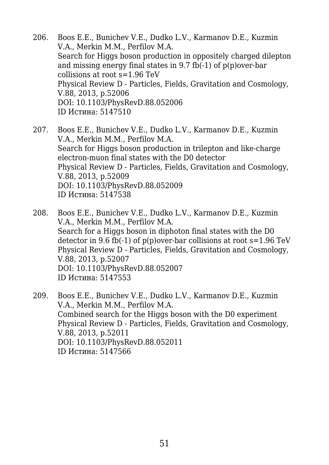- 206. Boos E.E., Bunichev V.E., Dudko L.V., Karmanov D.E., Kuzmin V.A., Merkin M.M., Perfilov M.A. Search for Higgs boson production in oppositely charged dilepton and missing energy final states in 9.7 fb(-1) of p(p)over-bar collisions at root s=1.96 TeV Physical Review D - Particles, Fields, Gravitation and Cosmology, V.88, 2013, p.52006 DOI: 10.1103/PhysRevD.88.052006 ID Истина: 5147510
- 207. Boos E.E., Bunichev V.E., Dudko L.V., Karmanov D.E., Kuzmin V.A., Merkin M.M., Perfilov M.A. Search for Higgs boson production in trilepton and like-charge electron-muon final states with the D0 detector Physical Review D - Particles, Fields, Gravitation and Cosmology, V.88, 2013, p.52009 DOI: 10.1103/PhysRevD.88.052009 ID Истина: 5147538
- 208. Boos E.E., Bunichev V.E., Dudko L.V., Karmanov D.E., Kuzmin V.A., Merkin M.M., Perfilov M.A. Search for a Higgs boson in diphoton final states with the D0 detector in 9.6 fb(-1) of  $p(p)$  over-bar collisions at root  $s=1.96$  TeV Physical Review D - Particles, Fields, Gravitation and Cosmology, V.88, 2013, p.52007 DOI: 10.1103/PhysRevD.88.052007 ID Истина: 5147553
- 209. Boos E.E., Bunichev V.E., Dudko L.V., Karmanov D.E., Kuzmin V.A., Merkin M.M., Perfilov M.A. Combined search for the Higgs boson with the D0 experiment Physical Review D - Particles, Fields, Gravitation and Cosmology, V.88, 2013, p.52011 DOI: 10.1103/PhysRevD.88.052011 ID Истина: 5147566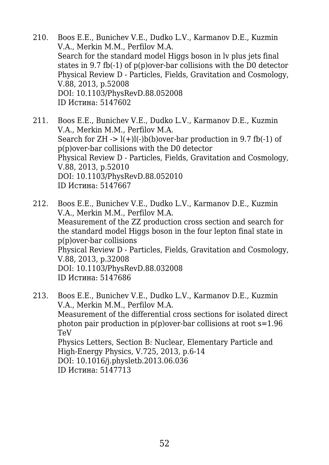- 210. Boos E.E., Bunichev V.E., Dudko L.V., Karmanov D.E., Kuzmin V.A., Merkin M.M., Perfilov M.A. Search for the standard model Higgs boson in lv plus jets final states in 9.7 fb(-1) of p(p)over-bar collisions with the D0 detector Physical Review D - Particles, Fields, Gravitation and Cosmology, V.88, 2013, p.52008 DOI: 10.1103/PhysRevD.88.052008 ID Истина: 5147602
- 211. Boos E.E., Bunichev V.E., Dudko L.V., Karmanov D.E., Kuzmin V.A., Merkin M.M., Perfilov M.A. Search for  $ZH \rightarrow l(+)l(-)b(b)$  over-bar production in 9.7 fb(-1) of p(p)over-bar collisions with the D0 detector Physical Review D - Particles, Fields, Gravitation and Cosmology, V.88, 2013, p.52010 DOI: 10.1103/PhysRevD.88.052010 ID Истина: 5147667
- 212. Boos E.E., Bunichev V.E., Dudko L.V., Karmanov D.E., Kuzmin V.A., Merkin M.M., Perfilov M.A. Measurement of the ZZ production cross section and search for the standard model Higgs boson in the four lepton final state in p(p)over-bar collisions Physical Review D - Particles, Fields, Gravitation and Cosmology, V.88, 2013, p.32008 DOI: 10.1103/PhysRevD.88.032008 ID Истина: 5147686
- 213. Boos E.E., Bunichev V.E., Dudko L.V., Karmanov D.E., Kuzmin V.A., Merkin M.M., Perfilov M.A. Measurement of the differential cross sections for isolated direct photon pair production in  $p(p)$  over-bar collisions at root  $s=1.96$ TeV Physics Letters, Section B: Nuclear, Elementary Particle and High-Energy Physics, V.725, 2013, p.6-14 DOI: 10.1016/j.physletb.2013.06.036 ID Истина: 5147713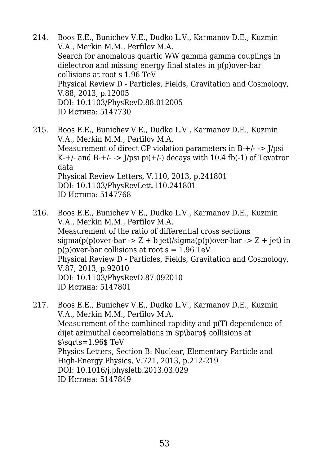- 214. Boos E.E., Bunichev V.E., Dudko L.V., Karmanov D.E., Kuzmin V.A., Merkin M.M., Perfilov M.A. Search for anomalous quartic WW gamma gamma couplings in dielectron and missing energy final states in p(p)over-bar collisions at root s 1.96 TeV Physical Review D - Particles, Fields, Gravitation and Cosmology, V.88, 2013, p.12005 DOI: 10.1103/PhysRevD.88.012005 ID Истина: 5147730
- 215. Boos E.E., Bunichev V.E., Dudko L.V., Karmanov D.E., Kuzmin V.A., Merkin M.M., Perfilov M.A. Measurement of direct CP violation parameters in B-+/- -> J/psi K-+/- and B-+/-  $\rightarrow$  J/psi pi(+/-) decays with 10.4 fb(-1) of Tevatron data Physical Review Letters, V.110, 2013, p.241801 DOI: 10.1103/PhysRevLett.110.241801 ID Истина: 5147768
- 216. Boos E.E., Bunichev V.E., Dudko L.V., Karmanov D.E., Kuzmin V.A., Merkin M.M., Perfilov M.A. Measurement of the ratio of differential cross sections  $sigma(p(p)$ over-bar -> Z + b jet)/sigma(p(p)over-bar -> Z + jet) in  $p(p)$ over-bar collisions at root s = 1.96 TeV Physical Review D - Particles, Fields, Gravitation and Cosmology, V.87, 2013, p.92010 DOI: 10.1103/PhysRevD.87.092010 ID Истина: 5147801
- 217. Boos E.E., Bunichev V.E., Dudko L.V., Karmanov D.E., Kuzmin V.A., Merkin M.M., Perfilov M.A. Measurement of the combined rapidity and p(T) dependence of dijet azimuthal decorrelations in \$p\barp\$ collisions at  $\text{S}\sqrt{\text{S} - 1.96$ \$ TeV Physics Letters, Section B: Nuclear, Elementary Particle and High-Energy Physics, V.721, 2013, p.212-219 DOI: 10.1016/j.physletb.2013.03.029 ID Истина: 5147849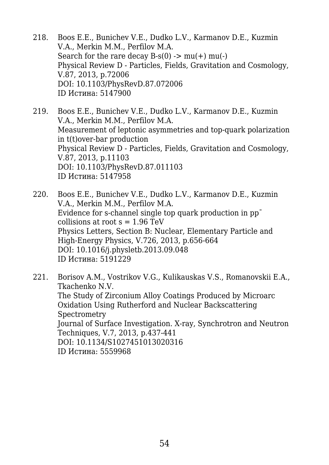- 218. Boos E.E., Bunichev V.E., Dudko L.V., Karmanov D.E., Kuzmin V.A., Merkin M.M., Perfilov M.A. Search for the rare decay  $B-s(0) \rightarrow mu(+) \mu(+)$ Physical Review D - Particles, Fields, Gravitation and Cosmology, V.87, 2013, p.72006 DOI: 10.1103/PhysRevD.87.072006 ID Истина: 5147900
- 219. Boos E.E., Bunichev V.E., Dudko L.V., Karmanov D.E., Kuzmin V.A., Merkin M.M., Perfilov M.A. Measurement of leptonic asymmetries and top-quark polarization in t(t)over-bar production Physical Review D - Particles, Fields, Gravitation and Cosmology, V.87, 2013, p.11103 DOI: 10.1103/PhysRevD.87.011103 ID Истина: 5147958
- 220. Boos E.E., Bunichev V.E., Dudko L.V., Karmanov D.E., Kuzmin V.A., Merkin M.M., Perfilov M.A. Evidence for s-channel single top quark production in ppˉ collisions at root  $s = 1.96$  TeV Physics Letters, Section B: Nuclear, Elementary Particle and High-Energy Physics, V.726, 2013, p.656-664 DOI: 10.1016/j.physletb.2013.09.048 ID Истина: 5191229
- 221. Borisov A.M., Vostrikov V.G., Kulikauskas V.S., Romanovskii E.A., Tkachenko N.V. The Study of Zirconium Alloy Coatings Produced by Microarc Oxidation Using Rutherford and Nuclear Backscattering **Spectrometry** Journal of Surface Investigation. X-ray, Synchrotron and Neutron Techniques, V.7, 2013, p.437-441 DOI: 10.1134/S1027451013020316 ID Истина: 5559968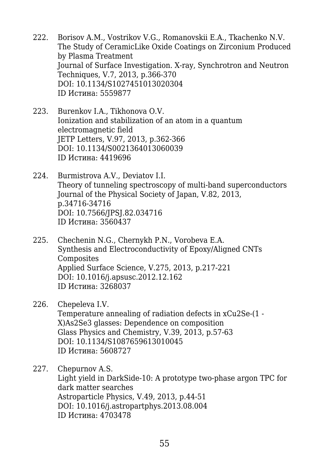- 222. Borisov A.M., Vostrikov V.G., Romanovskii E.A., Tkachenko N.V. The Study of CeramicLike Oxide Coatings on Zirconium Produced by Plasma Treatment Journal of Surface Investigation. X-ray, Synchrotron and Neutron Techniques, V.7, 2013, p.366-370 DOI: 10.1134/S1027451013020304 ID Истина: 5559877
- 223. Burenkov I.A., Tikhonova O.V. Ionization and stabilization of an atom in a quantum electromagnetic field JETP Letters, V.97, 2013, p.362-366 DOI: 10.1134/S0021364013060039 ID Истина: 4419696
- 224. Burmistrova A.V., Deviatov I.I. Theory of tunneling spectroscopy of multi-band superconductors Journal of the Physical Society of Japan, V.82, 2013, p.34716-34716 DOI: 10.7566/JPSJ.82.034716 ID Истина: 3560437
- 225. Chechenin N.G., Chernykh P.N., Vorobeva E.A. Synthesis and Electroconductivity of Epoxy/Aligned CNTs Composites Applied Surface Science, V.275, 2013, p.217-221 DOI: 10.1016/j.apsusc.2012.12.162 ID Истина: 3268037
- 226. Chepeleva I.V. Temperature annealing of radiation defects in xCu2Se-(1 - X)As2Se3 glasses: Dependence on composition Glass Physics and Chemistry, V.39, 2013, p.57-63 DOI: 10.1134/S1087659613010045 ID Истина: 5608727

227. Chepurnov A.S. Light yield in DarkSide-10: A prototype two-phase argon TPC for dark matter searches Astroparticle Physics, V.49, 2013, p.44-51 DOI: 10.1016/j.astropartphys.2013.08.004 ID Истина: 4703478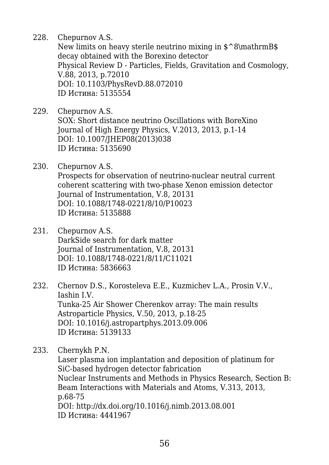228. Chepurnov A.S.

New limits on heavy sterile neutrino mixing in  $\degree$ 8\mathrmB\$ decay obtained with the Borexino detector Physical Review D - Particles, Fields, Gravitation and Cosmology, V.88, 2013, p.72010 DOI: 10.1103/PhysRevD.88.072010 ID Истина: 5135554

- 229. Chepurnov A.S. SOX: Short distance neutrino Oscillations with BoreXino Journal of High Energy Physics, V.2013, 2013, p.1-14 DOI: 10.1007/JHEP08(2013)038 ID Истина: 5135690
- 230. Chepurnov A.S. Prospects for observation of neutrino-nuclear neutral current coherent scattering with two-phase Xenon emission detector Journal of Instrumentation, V.8, 20131 DOI: 10.1088/1748-0221/8/10/P10023 ID Истина: 5135888
- 231. Chepurnov A.S. DarkSide search for dark matter Journal of Instrumentation, V.8, 20131 DOI: 10.1088/1748-0221/8/11/C11021 ID Истина: 5836663
- 232. Chernov D.S., Korosteleva E.E., Kuzmichev L.A., Prosin V.V., Iashin I.V. Tunka-25 Air Shower Cherenkov array: The main results Astroparticle Physics, V.50, 2013, p.18-25 DOI: 10.1016/j.astropartphys.2013.09.006 ID Истина: 5139133
- 233. Chernykh P.N.

Laser plasma ion implantation and deposition of platinum for SiC-based hydrogen detector fabrication Nuclear Instruments and Methods in Physics Research, Section B: Beam Interactions with Materials and Atoms, V.313, 2013, p.68-75 DOI: http://dx.doi.org/10.1016/j.nimb.2013.08.001 ID Истина: 4441967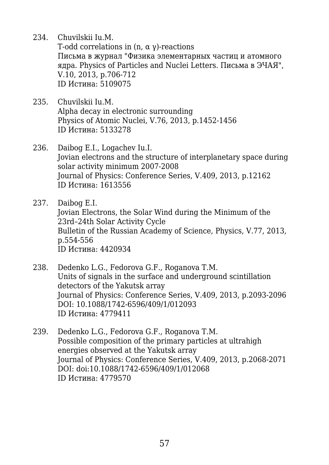234. Chuvilskii Iu.M.

T-odd correlations in (n,  $\alpha$   $\gamma$ )-reactions Письма в журнал "Физика элементарных частиц и атомного ядра. Physics of Particles and Nuclei Letters. Письма в ЭЧАЯ", V.10, 2013, p.706-712 ID Истина: 5109075

- 235. Chuvilskii Iu.M. Alpha decay in electronic surrounding Physics of Atomic Nuclei, V.76, 2013, p.1452-1456 ID Истина: 5133278
- 236. Daibog E.I., Logachev Iu.I. Jovian electrons and the structure of interplanetary space during solar activity minimum 2007-2008 Journal of Physics: Conference Series, V.409, 2013, p.12162 ID Истина: 1613556
- 237. Daibog E.I. Jovian Electrons, the Solar Wind during the Minimum of the 23rd–24th Solar Activity Cycle Bulletin of the Russian Academy of Science, Physics, V.77, 2013, p.554-556 ID Истина: 4420934
- 238. Dedenko L.G., Fedorova G.F., Roganova T.M. Units of signals in the surface and underground scintillation detectors of the Yakutsk array Journal of Physics: Conference Series, V.409, 2013, p.2093-2096 DOI: 10.1088/1742-6596/409/1/012093 ID Истина: 4779411
- 239. Dedenko L.G., Fedorova G.F., Roganova T.M. Possible composition of the primary particles at ultrahigh energies observed at the Yakutsk array Journal of Physics: Conference Series, V.409, 2013, p.2068-2071 DOI: doi:10.1088/1742-6596/409/1/012068 ID Истина: 4779570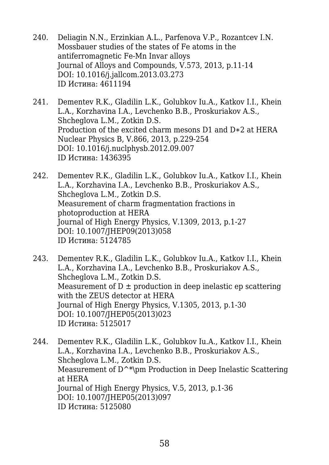- 240. Deliagin N.N., Erzinkian A.L., Parfenova V.P., Rozantcev I.N. Mossbauer studies of the states of Fe atoms in the antiferromagnetic Fe-Mn Invar alloys Journal of Alloys and Compounds, V.573, 2013, p.11-14 DOI: 10.1016/j.jallcom.2013.03.273 ID Истина: 4611194
- 241. Dementev R.K., Gladilin L.K., Golubkov Iu.A., Katkov I.I., Khein L.A., Korzhavina I.A., Levchenko B.B., Proskuriakov A.S., Shcheglova L.M., Zotkin D.S. Production of the excited charm mesons D1 and D∗2 at HERA Nuclear Physics B, V.866, 2013, p.229-254 DOI: 10.1016/j.nuclphysb.2012.09.007 ID Истина: 1436395
- 242. Dementev R.K., Gladilin L.K., Golubkov Iu.A., Katkov I.I., Khein L.A., Korzhavina I.A., Levchenko B.B., Proskuriakov A.S., Shcheglova L.M., Zotkin D.S. Measurement of charm fragmentation fractions in photoproduction at HERA Journal of High Energy Physics, V.1309, 2013, p.1-27 DOI: 10.1007/JHEP09(2013)058 ID Истина: 5124785
- 243. Dementev R.K., Gladilin L.K., Golubkov Iu.A., Katkov I.I., Khein L.A., Korzhavina I.A., Levchenko B.B., Proskuriakov A.S., Shcheglova L.M., Zotkin D.S. Measurement of  $D \pm$  production in deep inelastic ep scattering with the ZEUS detector at HERA Journal of High Energy Physics, V.1305, 2013, p.1-30 DOI: 10.1007/JHEP05(2013)023 ID Истина: 5125017
- 244. Dementev R.K., Gladilin L.K., Golubkov Iu.A., Katkov I.I., Khein L.A., Korzhavina I.A., Levchenko B.B., Proskuriakov A.S., Shcheglova L.M., Zotkin D.S. Measurement of D<sup> $\sim$ </sup>\pm Production in Deep Inelastic Scattering at HERA Journal of High Energy Physics, V.5, 2013, p.1-36 DOI: 10.1007/JHEP05(2013)097 ID Истина: 5125080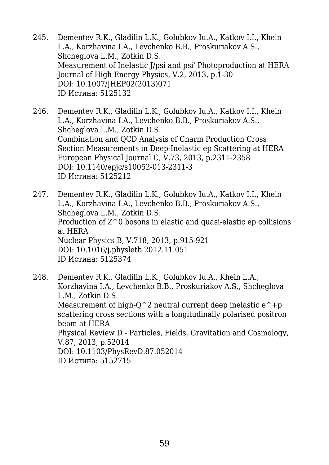- 245. Dementev R.K., Gladilin L.K., Golubkov Iu.A., Katkov I.I., Khein L.A., Korzhavina I.A., Levchenko B.B., Proskuriakov A.S., Shcheglova L.M., Zotkin D.S. Measurement of Inelastic J/psi and psi' Photoproduction at HERA Journal of High Energy Physics, V.2, 2013, p.1-30 DOI: 10.1007/JHEP02(2013)071 ID Истина: 5125132
- 246. Dementev R.K., Gladilin L.K., Golubkov Iu.A., Katkov I.I., Khein L.A., Korzhavina I.A., Levchenko B.B., Proskuriakov A.S., Shcheglova L.M., Zotkin D.S. Combination and QCD Analysis of Charm Production Cross Section Measurements in Deep-Inelastic ep Scattering at HERA European Physical Journal C, V.73, 2013, p.2311-2358 DOI: 10.1140/epjc/s10052-013-2311-3 ID Истина: 5125212
- 247. Dementev R.K., Gladilin L.K., Golubkov Iu.A., Katkov I.I., Khein L.A., Korzhavina I.A., Levchenko B.B., Proskuriakov A.S., Shcheglova L.M., Zotkin D.S. Production of Z^0 bosons in elastic and quasi-elastic ep collisions at HERA Nuclear Physics B, V.718, 2013, p.915-921 DOI: 10.1016/j.physletb.2012.11.051 ID Истина: 5125374
- 248. Dementev R.K., Gladilin L.K., Golubkov Iu.A., Khein L.A., Korzhavina I.A., Levchenko B.B., Proskuriakov A.S., Shcheglova L.M., Zotkin D.S. Measurement of high- $O^2$  neutral current deep inelastic  $e^+$ +p scattering cross sections with a longitudinally polarised positron beam at HERA Physical Review D - Particles, Fields, Gravitation and Cosmology, V.87, 2013, p.52014 DOI: 10.1103/PhysRevD.87.052014 ID Истина: 5152715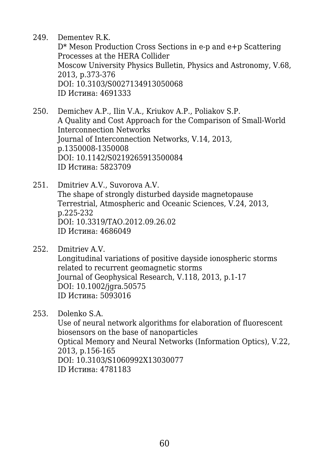249. Dementev R.K.

D\* Meson Production Cross Sections in e-p and e+p Scattering Processes at the HERA Collider Moscow University Physics Bulletin, Physics and Astronomy, V.68, 2013, p.373-376 DOI: 10.3103/S0027134913050068 ID Истина: 4691333

- 250. Demichev A.P., Ilin V.A., Kriukov A.P., Poliakov S.P. A Quality and Cost Approach for the Comparison of Small-World Interconnection Networks Journal of Interconnection Networks, V.14, 2013, p.1350008-1350008 DOI: 10.1142/S0219265913500084 ID Истина: 5823709
- 251. Dmitriev A.V., Suvorova A.V. The shape of strongly disturbed dayside magnetopause Terrestrial, Atmospheric and Oceanic Sciences, V.24, 2013, p.225-232 DOI: 10.3319/TAO.2012.09.26.02 ID Истина: 4686049
- 252. Dmitriev A.V. Longitudinal variations of positive dayside ionospheric storms related to recurrent geomagnetic storms Journal of Geophysical Research, V.118, 2013, p.1-17 DOI: 10.1002/jgra.50575 ID Истина: 5093016
- 253. Dolenko S.A.

Use of neural network algorithms for elaboration of fluorescent biosensors on the base of nanoparticles Optical Memory and Neural Networks (Information Optics), V.22, 2013, p.156-165 DOI: 10.3103/S1060992X13030077 ID Истина: 4781183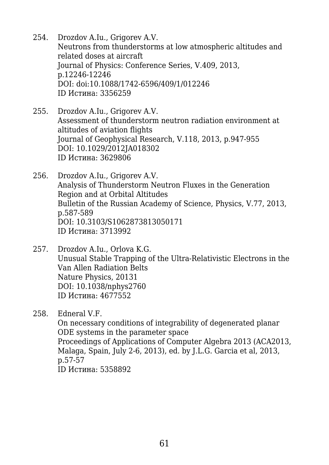- 254. Drozdov A.Iu., Grigorev A.V. Neutrons from thunderstorms at low atmospheric altitudes and related doses at aircraft Journal of Physics: Conference Series, V.409, 2013, p.12246-12246 DOI: doi:10.1088/1742-6596/409/1/012246 ID Истина: 3356259
- 255. Drozdov A.Iu., Grigorev A.V. Assessment of thunderstorm neutron radiation environment at altitudes of aviation flights Journal of Geophysical Research, V.118, 2013, p.947-955 DOI: 10.1029/2012JA018302 ID Истина: 3629806
- 256. Drozdov A.Iu., Grigorev A.V. Analysis of Thunderstorm Neutron Fluxes in the Generation Region and at Orbital Altitudes Bulletin of the Russian Academy of Science, Physics, V.77, 2013, p.587-589 DOI: 10.3103/S1062873813050171 ID Истина: 3713992
- 257. Drozdov A.Iu., Orlova K.G. Unusual Stable Trapping of the Ultra-Relativistic Electrons in the Van Allen Radiation Belts Nature Physics, 20131 DOI: 10.1038/nphys2760 ID Истина: 4677552

258. Edneral V.F.

On necessary conditions of integrability of degenerated planar ODE systems in the parameter space Proceedings of Applications of Computer Algebra 2013 (ACA2013, Malaga, Spain, July 2-6, 2013), ed. by J.L.G. Garcia et al, 2013, p.57-57 ID Истина: 5358892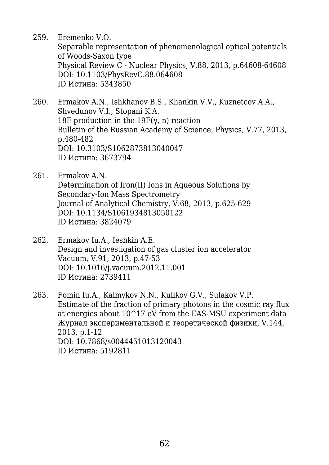259. Eremenko V.O.

Separable representation of phenomenological optical potentials of Woods-Saxon type Physical Review C - Nuclear Physics, V.88, 2013, p.64608-64608 DOI: 10.1103/PhysRevC.88.064608 ID Истина: 5343850

- 260. Ermakov A.N., Ishkhanov B.S., Khankin V.V., Kuznetcov A.A., Shvedunov V.I., Stopani K.A. 18F production in the 19F(γ, n) reaction Bulletin of the Russian Academy of Science, Physics, V.77, 2013, p.480-482 DOI: 10.3103/S1062873813040047 ID Истина: 3673794
- 261. Ermakov A.N. Determination of Iron(II) Ions in Aqueous Solutions by Secondary-Ion Mass Spectrometry Journal of Analytical Chemistry, V.68, 2013, p.625-629 DOI: 10.1134/S1061934813050122 ID Истина: 3824079
- 262. Ermakov Iu.A., Ieshkin A.E. Design and investigation of gas cluster ion accelerator Vacuum, V.91, 2013, p.47-53 DOI: 10.1016/j.vacuum.2012.11.001 ID Истина: 2739411
- 263. Fomin Iu.A., Kalmykov N.N., Kulikov G.V., Sulakov V.P. Estimate of the fraction of primary photons in the cosmic ray flux at energies about  $10^{\sim}17$  eV from the EAS-MSU experiment data Журнал экспериментальной и теоретической физики, V.144, 2013, p.1-12 DOI: 10.7868/s0044451013120043 ID Истина: 5192811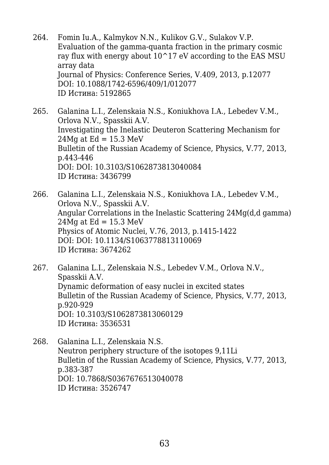- 264. Fomin Iu.A., Kalmykov N.N., Kulikov G.V., Sulakov V.P. Evaluation of the gamma-quanta fraction in the primary cosmic ray flux with energy about  $10^{\circ}17$  eV according to the EAS MSU array data Journal of Physics: Conference Series, V.409, 2013, p.12077 DOI: 10.1088/1742-6596/409/1/012077 ID Истина: 5192865
- 265. Galanina L.I., Zelenskaia N.S., Koniukhova I.A., Lebedev V.M., Orlova N.V., Spasskii A.V. Investigating the Inelastic Deuteron Scattering Mechanism for  $24Mg$  at Ed = 15.3 MeV Bulletin of the Russian Academy of Science, Physics, V.77, 2013, p.443-446 DOI: DOI: 10.3103/S1062873813040084 ID Истина: 3436799
- 266. Galanina L.I., Zelenskaia N.S., Koniukhova I.A., Lebedev V.M., Orlova N.V., Spasskii A.V. Angular Correlations in the Inelastic Scattering 24Mg(d,d gamma)  $24Mq$  at Ed = 15.3 MeV Physics of Atomic Nuclei, V.76, 2013, p.1415-1422 DOI: DOI: 10.1134/S1063778813110069 ID Истина: 3674262
- 267. Galanina L.I., Zelenskaia N.S., Lebedev V.M., Orlova N.V., Spasskii A.V. Dynamic deformation of easy nuclei in excited states Bulletin of the Russian Academy of Science, Physics, V.77, 2013, p.920-929 DOI: 10.3103/S1062873813060129 ID Истина: 3536531
- 268. Galanina L.I., Zelenskaia N.S. Neutron periphery structure of the isotopes 9,11Li Bulletin of the Russian Academy of Science, Physics, V.77, 2013, p.383-387 DOI: 10.7868/S0367676513040078 ID Истина: 3526747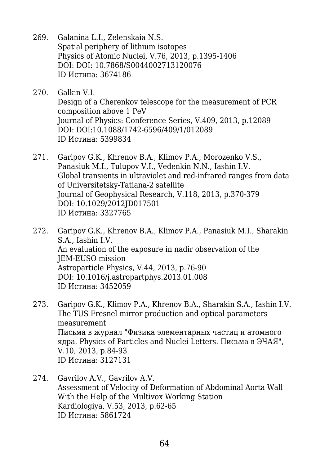- 269. Galanina L.I., Zelenskaia N.S. Spatial periphery of lithium isotopes Physics of Atomic Nuclei, V.76, 2013, p.1395-1406 DOI: DOI: 10.7868/S0044002713120076 ID Истина: 3674186
- 270. Galkin V.I. Design of a Cherenkov telescope for the measurement of PCR composition above 1 PeV Journal of Physics: Conference Series, V.409, 2013, p.12089 DOI: DOI:10.1088/1742-6596/409/1/012089 ID Истина: 5399834
- 271. Garipov G.K., Khrenov B.A., Klimov P.A., Morozenko V.S., Panasiuk M.I., Tulupov V.I., Vedenkin N.N., Iashin I.V. Global transients in ultraviolet and red-infrared ranges from data of Universitetsky-Tatiana-2 satellite Journal of Geophysical Research, V.118, 2013, p.370-379 DOI: 10.1029/2012JD017501 ID Истина: 3327765
- 272. Garipov G.K., Khrenov B.A., Klimov P.A., Panasiuk M.I., Sharakin S.A., Iashin I.V. An evaluation of the exposure in nadir observation of the JEM-EUSO mission Astroparticle Physics, V.44, 2013, p.76-90 DOI: 10.1016/j.astropartphys.2013.01.008 ID Истина: 3452059
- 273. Garipov G.K., Klimov P.A., Khrenov B.A., Sharakin S.A., Iashin I.V. The TUS Fresnel mirror production and optical parameters measurement Письма в журнал "Физика элементарных частиц и атомного ядра. Physics of Particles and Nuclei Letters. Письма в ЭЧАЯ", V.10, 2013, p.84-93 ID Истина: 3127131
- 274. Gavrilov A.V., Gavrilov A.V. Assessment of Velocity of Deformation of Abdominal Aorta Wall With the Help of the Multivox Working Station Kardiologiya, V.53, 2013, p.62-65 ID Истина: 5861724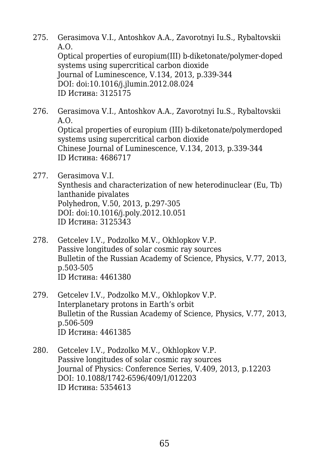275. Gerasimova V.I., Antoshkov A.A., Zavorotnyi Iu.S., Rybaltovskii A.O. Optical properties of europium(III) b-diketonate/polymer-doped systems using supercritical carbon dioxide Journal of Luminescence, V.134, 2013, p.339-344 DOI: doi:10.1016/j.jlumin.2012.08.024

ID Истина: 3125175

- 276. Gerasimova V.I., Antoshkov A.A., Zavorotnyi Iu.S., Rybaltovskii A.O. Optical properties of europium (III) b-diketonate/polymerdoped systems using supercritical carbon dioxide Chinese Journal of Luminescence, V.134, 2013, p.339-344 ID Истина: 4686717
- 277. Gerasimova V.I. Synthesis and characterization of new heterodinuclear (Eu, Tb) lanthanide pivalates Polyhedron, V.50, 2013, p.297-305 DOI: doi:10.1016/j.poly.2012.10.051 ID Истина: 3125343
- 278. Getcelev I.V., Podzolko M.V., Okhlopkov V.P. Passive longitudes of solar cosmic ray sources Bulletin of the Russian Academy of Science, Physics, V.77, 2013, p.503-505 ID Истина: 4461380
- 279. Getcelev I.V., Podzolko M.V., Okhlopkov V.P. Interplanetary protons in Earth's orbit Bulletin of the Russian Academy of Science, Physics, V.77, 2013, p.506-509 ID Истина: 4461385
- 280. Getcelev I.V., Podzolko M.V., Okhlopkov V.P. Passive longitudes of solar cosmic ray sources Journal of Physics: Conference Series, V.409, 2013, p.12203 DOI: 10.1088/1742-6596/409/1/012203 ID Истина: 5354613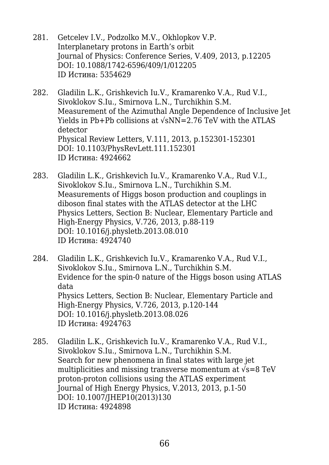- 281. Getcelev I.V., Podzolko M.V., Okhlopkov V.P. Interplanetary protons in Earth's orbit Journal of Physics: Conference Series, V.409, 2013, p.12205 DOI: 10.1088/1742-6596/409/1/012205 ID Истина: 5354629
- 282. Gladilin L.K., Grishkevich Iu.V., Kramarenko V.A., Rud V.I., Sivoklokov S.Iu., Smirnova L.N., Turchikhin S.M. Measurement of the Azimuthal Angle Dependence of Inclusive Jet Yields in Pb+Pb collisions at √sNN=2.76 TeV with the ATLAS detector Physical Review Letters, V.111, 2013, p.152301-152301 DOI: 10.1103/PhysRevLett.111.152301 ID Истина: 4924662
- 283. Gladilin L.K., Grishkevich Iu.V., Kramarenko V.A., Rud V.I., Sivoklokov S.Iu., Smirnova L.N., Turchikhin S.M. Measurements of Higgs boson production and couplings in diboson final states with the ATLAS detector at the LHC Physics Letters, Section B: Nuclear, Elementary Particle and High-Energy Physics, V.726, 2013, p.88-119 DOI: 10.1016/j.physletb.2013.08.010 ID Истина: 4924740
- 284. Gladilin L.K., Grishkevich Iu.V., Kramarenko V.A., Rud V.I., Sivoklokov S.Iu., Smirnova L.N., Turchikhin S.M. Evidence for the spin-0 nature of the Higgs boson using ATLAS data Physics Letters, Section B: Nuclear, Elementary Particle and High-Energy Physics, V.726, 2013, p.120-144 DOI: 10.1016/j.physletb.2013.08.026 ID Истина: 4924763
- 285. Gladilin L.K., Grishkevich Iu.V., Kramarenko V.A., Rud V.I., Sivoklokov S.Iu., Smirnova L.N., Turchikhin S.M. Search for new phenomena in final states with large jet multiplicities and missing transverse momentum at  $\sqrt{s}$ =8 TeV proton-proton collisions using the ATLAS experiment Journal of High Energy Physics, V.2013, 2013, p.1-50 DOI: 10.1007/JHEP10(2013)130 ID Истина: 4924898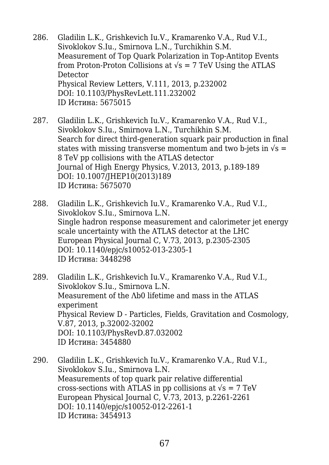- 286. Gladilin L.K., Grishkevich Iu.V., Kramarenko V.A., Rud V.I., Sivoklokov S.Iu., Smirnova L.N., Turchikhin S.M. Measurement of Top Quark Polarization in Top-Antitop Events from Proton-Proton Collisions at  $\sqrt{s}$  = 7 TeV Using the ATLAS Detector Physical Review Letters, V.111, 2013, p.232002 DOI: 10.1103/PhysRevLett.111.232002 ID Истина: 5675015
- 287. Gladilin L.K., Grishkevich Iu.V., Kramarenko V.A., Rud V.I., Sivoklokov S.Iu., Smirnova L.N., Turchikhin S.M. Search for direct third-generation squark pair production in final states with missing transverse momentum and two b-jets in  $\sqrt{s}$  = 8 TeV pp collisions with the ATLAS detector Journal of High Energy Physics, V.2013, 2013, p.189-189 DOI: 10.1007/JHEP10(2013)189 ID Истина: 5675070
- 288. Gladilin L.K., Grishkevich Iu.V., Kramarenko V.A., Rud V.I., Sivoklokov S.Iu., Smirnova L.N. Single hadron response measurement and calorimeter jet energy scale uncertainty with the ATLAS detector at the LHC European Physical Journal C, V.73, 2013, p.2305-2305 DOI: 10.1140/epjc/s10052-013-2305-1 ID Истина: 3448298
- 289. Gladilin L.K., Grishkevich Iu.V., Kramarenko V.A., Rud V.I., Sivoklokov S.Iu., Smirnova L.N. Measurement of the Λb0 lifetime and mass in the ATLAS experiment Physical Review D - Particles, Fields, Gravitation and Cosmology, V.87, 2013, p.32002-32002 DOI: 10.1103/PhysRevD.87.032002 ID Истина: 3454880
- 290. Gladilin L.K., Grishkevich Iu.V., Kramarenko V.A., Rud V.I., Sivoklokov S.Iu., Smirnova L.N. Measurements of top quark pair relative differential cross-sections with ATLAS in pp collisions at  $\sqrt{s} = 7$  TeV European Physical Journal C, V.73, 2013, p.2261-2261 DOI: 10.1140/epjc/s10052-012-2261-1 ID Истина: 3454913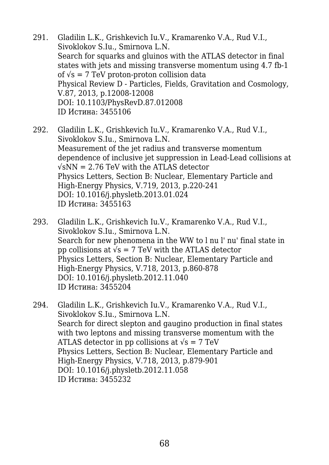- 291. Gladilin L.K., Grishkevich Iu.V., Kramarenko V.A., Rud V.I., Sivoklokov S.Iu., Smirnova L.N. Search for squarks and gluinos with the ATLAS detector in final states with jets and missing transverse momentum using 4.7 fb-1 of  $\sqrt{s}$  = 7 TeV proton-proton collision data Physical Review D - Particles, Fields, Gravitation and Cosmology, V.87, 2013, p.12008-12008 DOI: 10.1103/PhysRevD.87.012008 ID Истина: 3455106
- 292. Gladilin L.K., Grishkevich Iu.V., Kramarenko V.A., Rud V.I., Sivoklokov S.Iu., Smirnova L.N. Measurement of the jet radius and transverse momentum dependence of inclusive jet suppression in Lead-Lead collisions at  $\sqrt{s}$ NN = 2.76 TeV with the ATLAS detector Physics Letters, Section B: Nuclear, Elementary Particle and High-Energy Physics, V.719, 2013, p.220-241 DOI: 10.1016/j.physletb.2013.01.024 ID Истина: 3455163
- 293. Gladilin L.K., Grishkevich Iu.V., Kramarenko V.A., Rud V.I., Sivoklokov S.Iu., Smirnova L.N. Search for new phenomena in the WW to l nu l' nu' final state in pp collisions at  $\sqrt{s}$  = 7 TeV with the ATLAS detector Physics Letters, Section B: Nuclear, Elementary Particle and High-Energy Physics, V.718, 2013, p.860-878 DOI: 10.1016/j.physletb.2012.11.040 ID Истина: 3455204
- 294. Gladilin L.K., Grishkevich Iu.V., Kramarenko V.A., Rud V.I., Sivoklokov S.Iu., Smirnova L.N. Search for direct slepton and gaugino production in final states with two leptons and missing transverse momentum with the ATLAS detector in pp collisions at  $\sqrt{s}$  = 7 TeV Physics Letters, Section B: Nuclear, Elementary Particle and High-Energy Physics, V.718, 2013, p.879-901 DOI: 10.1016/j.physletb.2012.11.058 ID Истина: 3455232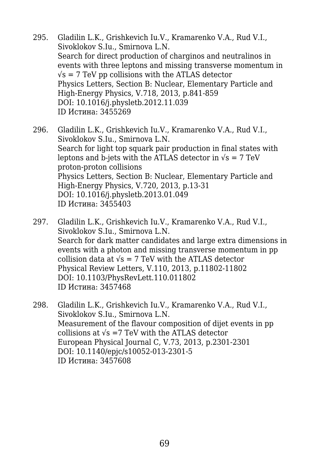- 295. Gladilin L.K., Grishkevich Iu.V., Kramarenko V.A., Rud V.I., Sivoklokov S.Iu., Smirnova L.N. Search for direct production of charginos and neutralinos in events with three leptons and missing transverse momentum in  $\sqrt{s}$  = 7 TeV pp collisions with the ATLAS detector Physics Letters, Section B: Nuclear, Elementary Particle and High-Energy Physics, V.718, 2013, p.841-859 DOI: 10.1016/j.physletb.2012.11.039 ID Истина: 3455269
- 296. Gladilin L.K., Grishkevich Iu.V., Kramarenko V.A., Rud V.I., Sivoklokov S.Iu., Smirnova L.N. Search for light top squark pair production in final states with leptons and b-jets with the ATLAS detector in  $\sqrt{s} = 7$  TeV proton-proton collisions Physics Letters, Section B: Nuclear, Elementary Particle and High-Energy Physics, V.720, 2013, p.13-31 DOI: 10.1016/j.physletb.2013.01.049 ID Истина: 3455403
- 297. Gladilin L.K., Grishkevich Iu.V., Kramarenko V.A., Rud V.I., Sivoklokov S.Iu., Smirnova L.N. Search for dark matter candidates and large extra dimensions in events with a photon and missing transverse momentum in pp collision data at  $\sqrt{s}$  = 7 TeV with the ATLAS detector Physical Review Letters, V.110, 2013, p.11802-11802 DOI: 10.1103/PhysRevLett.110.011802 ID Истина: 3457468
- 298. Gladilin L.K., Grishkevich Iu.V., Kramarenko V.A., Rud V.I., Sivoklokov S.Iu., Smirnova L.N. Measurement of the flavour composition of dijet events in pp collisions at  $\sqrt{s}$  =7 TeV with the ATLAS detector European Physical Journal C, V.73, 2013, p.2301-2301 DOI: 10.1140/epjc/s10052-013-2301-5 ID Истина: 3457608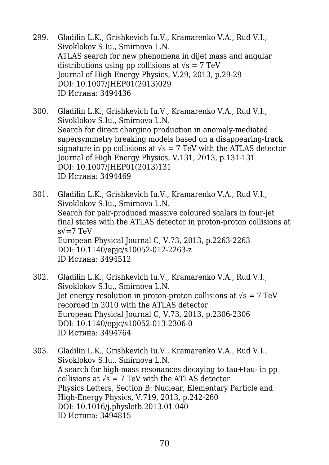- 299. Gladilin L.K., Grishkevich Iu.V., Kramarenko V.A., Rud V.I., Sivoklokov S.Iu., Smirnova L.N. ATLAS search for new phenomena in dijet mass and angular distributions using pp collisions at  $\sqrt{s} = 7 \text{ TeV}$ Journal of High Energy Physics, V.29, 2013, p.29-29 DOI: 10.1007/JHEP01(2013)029 ID Истина: 3494436
- 300. Gladilin L.K., Grishkevich Iu.V., Kramarenko V.A., Rud V.I., Sivoklokov S.Iu., Smirnova L.N. Search for direct chargino production in anomaly-mediated supersymmetry breaking models based on a disappearing-track signature in pp collisions at  $\sqrt{s}$  = 7 TeV with the ATLAS detector Journal of High Energy Physics, V.131, 2013, p.131-131 DOI: 10.1007/JHEP01(2013)131 ID Истина: 3494469
- 301. Gladilin L.K., Grishkevich Iu.V., Kramarenko V.A., Rud V.I., Sivoklokov S.Iu., Smirnova L.N. Search for pair-produced massive coloured scalars in four-jet final states with the ATLAS detector in proton-proton collisions at  $s\sqrt{=}7$  TeV European Physical Journal C, V.73, 2013, p.2263-2263 DOI: 10.1140/epjc/s10052-012-2263-z ID Истина: 3494512
- 302. Gladilin L.K., Grishkevich Iu.V., Kramarenko V.A., Rud V.I., Sivoklokov S.Iu., Smirnova L.N. Jet energy resolution in proton-proton collisions at  $\sqrt{s} = 7$  TeV recorded in 2010 with the ATLAS detector European Physical Journal C, V.73, 2013, p.2306-2306 DOI: 10.1140/epjc/s10052-013-2306-0 ID Истина: 3494764
- 303. Gladilin L.K., Grishkevich Iu.V., Kramarenko V.A., Rud V.I., Sivoklokov S.Iu., Smirnova L.N. A search for high-mass resonances decaying to tau+tau- in pp collisions at  $\sqrt{s}$  = 7 TeV with the ATLAS detector Physics Letters, Section B: Nuclear, Elementary Particle and High-Energy Physics, V.719, 2013, p.242-260 DOI: 10.1016/j.physletb.2013.01.040 ID Истина: 3494815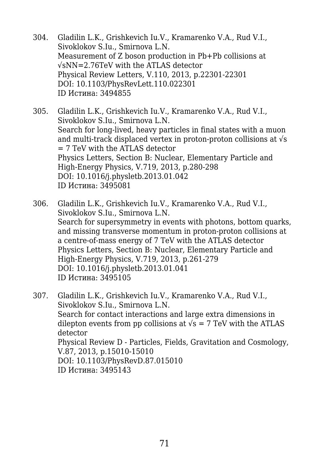- 304. Gladilin L.K., Grishkevich Iu.V., Kramarenko V.A., Rud V.I., Sivoklokov S.Iu., Smirnova L.N. Measurement of Z boson production in Pb+Pb collisions at √sNN=2.76TeV with the ATLAS detector Physical Review Letters, V.110, 2013, p.22301-22301 DOI: 10.1103/PhysRevLett.110.022301 ID Истина: 3494855
- 305. Gladilin L.K., Grishkevich Iu.V., Kramarenko V.A., Rud V.I., Sivoklokov S.Iu., Smirnova L.N. Search for long-lived, heavy particles in final states with a muon and multi-track displaced vertex in proton-proton collisions at √s  $= 7$  TeV with the ATLAS detector Physics Letters, Section B: Nuclear, Elementary Particle and High-Energy Physics, V.719, 2013, p.280-298 DOI: 10.1016/j.physletb.2013.01.042 ID Истина: 3495081
- 306. Gladilin L.K., Grishkevich Iu.V., Kramarenko V.A., Rud V.I., Sivoklokov S.Iu., Smirnova L.N. Search for supersymmetry in events with photons, bottom quarks, and missing transverse momentum in proton-proton collisions at a centre-of-mass energy of 7 TeV with the ATLAS detector Physics Letters, Section B: Nuclear, Elementary Particle and High-Energy Physics, V.719, 2013, p.261-279 DOI: 10.1016/j.physletb.2013.01.041 ID Истина: 3495105
- 307. Gladilin L.K., Grishkevich Iu.V., Kramarenko V.A., Rud V.I., Sivoklokov S.Iu., Smirnova L.N. Search for contact interactions and large extra dimensions in dilepton events from pp collisions at  $\sqrt{s}$  = 7 TeV with the ATLAS detector Physical Review D - Particles, Fields, Gravitation and Cosmology, V.87, 2013, p.15010-15010 DOI: 10.1103/PhysRevD.87.015010 ID Истина: 3495143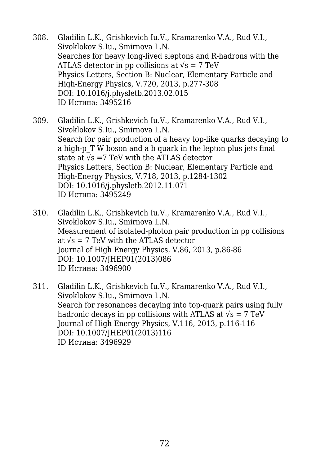- 308. Gladilin L.K., Grishkevich Iu.V., Kramarenko V.A., Rud V.I., Sivoklokov S.Iu., Smirnova L.N. Searches for heavy long-lived sleptons and R-hadrons with the ATLAS detector in pp collisions at  $\sqrt{s}$  = 7 TeV Physics Letters, Section B: Nuclear, Elementary Particle and High-Energy Physics, V.720, 2013, p.277-308 DOI: 10.1016/j.physletb.2013.02.015 ID Истина: 3495216
- 309. Gladilin L.K., Grishkevich Iu.V., Kramarenko V.A., Rud V.I., Sivoklokov S.Iu., Smirnova L.N. Search for pair production of a heavy top-like quarks decaying to a high-p T W boson and a b quark in the lepton plus jets final state at  $\sqrt{s}$  =7 TeV with the ATLAS detector Physics Letters, Section B: Nuclear, Elementary Particle and High-Energy Physics, V.718, 2013, p.1284-1302 DOI: 10.1016/j.physletb.2012.11.071 ID Истина: 3495249
- 310. Gladilin L.K., Grishkevich Iu.V., Kramarenko V.A., Rud V.I., Sivoklokov S.Iu., Smirnova L.N. Measurement of isolated-photon pair production in pp collisions at  $\sqrt{s}$  = 7 TeV with the ATLAS detector Journal of High Energy Physics, V.86, 2013, p.86-86 DOI: 10.1007/JHEP01(2013)086 ID Истина: 3496900
- 311. Gladilin L.K., Grishkevich Iu.V., Kramarenko V.A., Rud V.I., Sivoklokov S.Iu., Smirnova L.N. Search for resonances decaying into top-quark pairs using fully hadronic decays in pp collisions with ATLAS at  $\sqrt{s}$  = 7 TeV Journal of High Energy Physics, V.116, 2013, p.116-116 DOI: 10.1007/JHEP01(2013)116 ID Истина: 3496929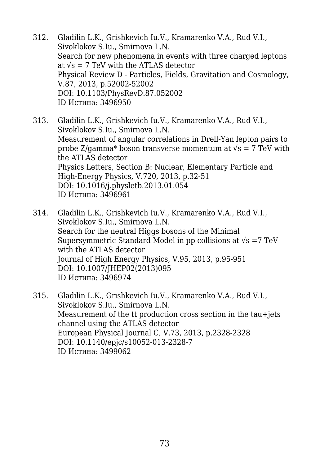- 312. Gladilin L.K., Grishkevich Iu.V., Kramarenko V.A., Rud V.I., Sivoklokov S.Iu., Smirnova L.N. Search for new phenomena in events with three charged leptons at  $\sqrt{s}$  = 7 TeV with the ATLAS detector Physical Review D - Particles, Fields, Gravitation and Cosmology, V.87, 2013, p.52002-52002 DOI: 10.1103/PhysRevD.87.052002 ID Истина: 3496950
- 313. Gladilin L.K., Grishkevich Iu.V., Kramarenko V.A., Rud V.I., Sivoklokov S.Iu., Smirnova L.N. Measurement of angular correlations in Drell-Yan lepton pairs to probe Z/gamma\* boson transverse momentum at  $\sqrt{s} = 7$  TeV with the ATLAS detector Physics Letters, Section B: Nuclear, Elementary Particle and High-Energy Physics, V.720, 2013, p.32-51 DOI: 10.1016/j.physletb.2013.01.054 ID Истина: 3496961
- 314. Gladilin L.K., Grishkevich Iu.V., Kramarenko V.A., Rud V.I., Sivoklokov S.Iu., Smirnova L.N. Search for the neutral Higgs bosons of the Minimal Supersymmetric Standard Model in pp collisions at  $\sqrt{s}$  =7 TeV with the ATLAS detector Journal of High Energy Physics, V.95, 2013, p.95-951 DOI: 10.1007/JHEP02(2013)095 ID Истина: 3496974
- 315. Gladilin L.K., Grishkevich Iu.V., Kramarenko V.A., Rud V.I., Sivoklokov S.Iu., Smirnova L.N. Measurement of the tt production cross section in the tau+jets channel using the ATLAS detector European Physical Journal C, V.73, 2013, p.2328-2328 DOI: 10.1140/epjc/s10052-013-2328-7 ID Истина: 3499062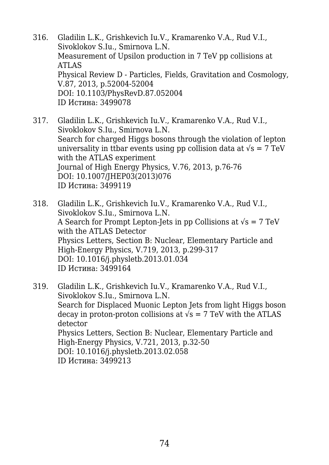- 316. Gladilin L.K., Grishkevich Iu.V., Kramarenko V.A., Rud V.I., Sivoklokov S.Iu., Smirnova L.N. Measurement of Upsilon production in 7 TeV pp collisions at ATLAS Physical Review D - Particles, Fields, Gravitation and Cosmology, V.87, 2013, p.52004-52004 DOI: 10.1103/PhysRevD.87.052004 ID Истина: 3499078
- 317. Gladilin L.K., Grishkevich Iu.V., Kramarenko V.A., Rud V.I., Sivoklokov S.Iu., Smirnova L.N. Search for charged Higgs bosons through the violation of lepton universality in ttbar events using pp collision data at  $\sqrt{s} = 7 \text{ TeV}$ with the ATLAS experiment Journal of High Energy Physics, V.76, 2013, p.76-76 DOI: 10.1007/JHEP03(2013)076 ID Истина: 3499119
- 318. Gladilin L.K., Grishkevich Iu.V., Kramarenko V.A., Rud V.I., Sivoklokov S.Iu., Smirnova L.N. A Search for Prompt Lepton-Jets in pp Collisions at  $\sqrt{s} = 7$  TeV with the ATLAS Detector Physics Letters, Section B: Nuclear, Elementary Particle and High-Energy Physics, V.719, 2013, p.299-317 DOI: 10.1016/j.physletb.2013.01.034 ID Истина: 3499164
- 319. Gladilin L.K., Grishkevich Iu.V., Kramarenko V.A., Rud V.I., Sivoklokov S.Iu., Smirnova L.N. Search for Displaced Muonic Lepton Jets from light Higgs boson decay in proton-proton collisions at  $\sqrt{s}$  = 7 TeV with the ATLAS detector Physics Letters, Section B: Nuclear, Elementary Particle and High-Energy Physics, V.721, 2013, p.32-50 DOI: 10.1016/j.physletb.2013.02.058 ID Истина: 3499213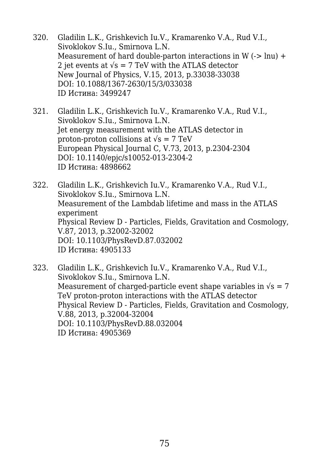- 320. Gladilin L.K., Grishkevich Iu.V., Kramarenko V.A., Rud V.I., Sivoklokov S.Iu., Smirnova L.N. Measurement of hard double-parton interactions in W  $(-)$  lnu) + 2 jet events at  $\sqrt{s}$  = 7 TeV with the ATLAS detector New Journal of Physics, V.15, 2013, p.33038-33038 DOI: 10.1088/1367-2630/15/3/033038 ID Истина: 3499247
- 321. Gladilin L.K., Grishkevich Iu.V., Kramarenko V.A., Rud V.I., Sivoklokov S.Iu., Smirnova L.N. Jet energy measurement with the ATLAS detector in proton-proton collisions at  $\sqrt{s}$  = 7 TeV European Physical Journal C, V.73, 2013, p.2304-2304 DOI: 10.1140/epjc/s10052-013-2304-2 ID Истина: 4898662

322. Gladilin L.K., Grishkevich Iu.V., Kramarenko V.A., Rud V.I., Sivoklokov S.Iu., Smirnova L.N. Measurement of the Lambdab lifetime and mass in the ATLAS experiment Physical Review D - Particles, Fields, Gravitation and Cosmology, V.87, 2013, p.32002-32002 DOI: 10.1103/PhysRevD.87.032002 ID Истина: 4905133

323. Gladilin L.K., Grishkevich Iu.V., Kramarenko V.A., Rud V.I., Sivoklokov S.Iu., Smirnova L.N. Measurement of charged-particle event shape variables in  $\sqrt{s} = 7$ TeV proton-proton interactions with the ATLAS detector Physical Review D - Particles, Fields, Gravitation and Cosmology, V.88, 2013, p.32004-32004 DOI: 10.1103/PhysRevD.88.032004 ID Истина: 4905369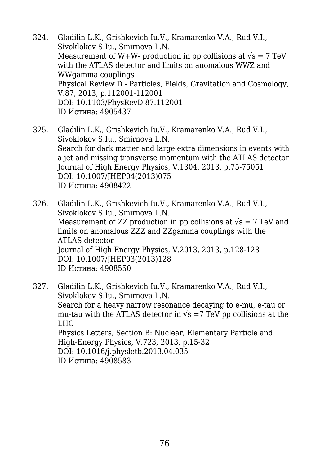- 324. Gladilin L.K., Grishkevich Iu.V., Kramarenko V.A., Rud V.I., Sivoklokov S.Iu., Smirnova L.N. Measurement of W+W- production in pp collisions at  $\sqrt{s} = 7$  TeV with the ATLAS detector and limits on anomalous WWZ and WWgamma couplings Physical Review D - Particles, Fields, Gravitation and Cosmology, V.87, 2013, p.112001-112001 DOI: 10.1103/PhysRevD.87.112001 ID Истина: 4905437
- 325. Gladilin L.K., Grishkevich Iu.V., Kramarenko V.A., Rud V.I., Sivoklokov S.Iu., Smirnova L.N. Search for dark matter and large extra dimensions in events with a jet and missing transverse momentum with the ATLAS detector Journal of High Energy Physics, V.1304, 2013, p.75-75051 DOI: 10.1007/JHEP04(2013)075 ID Истина: 4908422
- 326. Gladilin L.K., Grishkevich Iu.V., Kramarenko V.A., Rud V.I., Sivoklokov S.Iu., Smirnova L.N. Measurement of ZZ production in pp collisions at  $\sqrt{s}$  = 7 TeV and limits on anomalous ZZZ and ZZgamma couplings with the ATLAS detector Journal of High Energy Physics, V.2013, 2013, p.128-128 DOI: 10.1007/JHEP03(2013)128 ID Истина: 4908550
- 327. Gladilin L.K., Grishkevich Iu.V., Kramarenko V.A., Rud V.I., Sivoklokov S.Iu., Smirnova L.N. Search for a heavy narrow resonance decaying to e-mu, e-tau or mu-tau with the ATLAS detector in  $\sqrt{s}$  =7 TeV pp collisions at the LHC Physics Letters, Section B: Nuclear, Elementary Particle and High-Energy Physics, V.723, 2013, p.15-32 DOI: 10.1016/j.physletb.2013.04.035 ID Истина: 4908583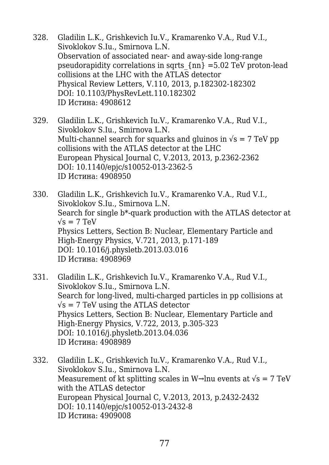- 328. Gladilin L.K., Grishkevich Iu.V., Kramarenko V.A., Rud V.I., Sivoklokov S.Iu., Smirnova L.N. Observation of associated near- and away-side long-range pseudorapidity correlations in sqrts  $\{nn\} = 5.02$  TeV proton-lead collisions at the LHC with the ATLAS detector Physical Review Letters, V.110, 2013, p.182302-182302 DOI: 10.1103/PhysRevLett.110.182302 ID Истина: 4908612
- 329. Gladilin L.K., Grishkevich Iu.V., Kramarenko V.A., Rud V.I., Sivoklokov S.Iu., Smirnova L.N. Multi-channel search for squarks and gluinos in  $\sqrt{s}$  = 7 TeV pp collisions with the ATLAS detector at the LHC European Physical Journal C, V.2013, 2013, p.2362-2362 DOI: 10.1140/epjc/s10052-013-2362-5 ID Истина: 4908950
- 330. Gladilin L.K., Grishkevich Iu.V., Kramarenko V.A., Rud V.I., Sivoklokov S.Iu., Smirnova L.N. Search for single b\*-quark production with the ATLAS detector at  $\sqrt{s}$  = 7 TeV Physics Letters, Section B: Nuclear, Elementary Particle and High-Energy Physics, V.721, 2013, p.171-189 DOI: 10.1016/j.physletb.2013.03.016 ID Истина: 4908969
- 331. Gladilin L.K., Grishkevich Iu.V., Kramarenko V.A., Rud V.I., Sivoklokov S.Iu., Smirnova L.N. Search for long-lived, multi-charged particles in pp collisions at  $\sqrt{s}$  = 7 TeV using the ATLAS detector Physics Letters, Section B: Nuclear, Elementary Particle and High-Energy Physics, V.722, 2013, p.305-323 DOI: 10.1016/j.physletb.2013.04.036 ID Истина: 4908989
- 332. Gladilin L.K., Grishkevich Iu.V., Kramarenko V.A., Rud V.I., Sivoklokov S.Iu., Smirnova L.N. Measurement of kt splitting scales in W $\rightarrow$ lnu events at  $\sqrt{s} = 7$  TeV with the ATLAS detector European Physical Journal C, V.2013, 2013, p.2432-2432 DOI: 10.1140/epjc/s10052-013-2432-8 ID Истина: 4909008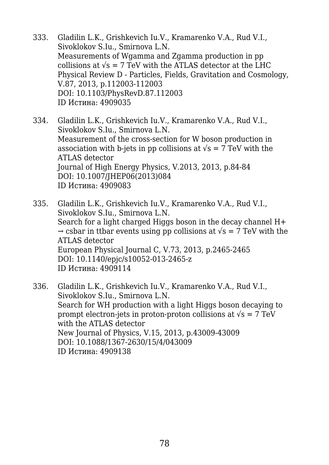- 333. Gladilin L.K., Grishkevich Iu.V., Kramarenko V.A., Rud V.I., Sivoklokov S.Iu., Smirnova L.N. Measurements of Wgamma and Zgamma production in pp collisions at  $\sqrt{s}$  = 7 TeV with the ATLAS detector at the LHC Physical Review D - Particles, Fields, Gravitation and Cosmology, V.87, 2013, p.112003-112003 DOI: 10.1103/PhysRevD.87.112003 ID Истина: 4909035
- 334. Gladilin L.K., Grishkevich Iu.V., Kramarenko V.A., Rud V.I., Sivoklokov S.Iu., Smirnova L.N. Measurement of the cross-section for W boson production in association with b-jets in pp collisions at  $\sqrt{s}$  = 7 TeV with the ATLAS detector Journal of High Energy Physics, V.2013, 2013, p.84-84 DOI: 10.1007/JHEP06(2013)084 ID Истина: 4909083
- 335. Gladilin L.K., Grishkevich Iu.V., Kramarenko V.A., Rud V.I., Sivoklokov S.Iu., Smirnova L.N. Search for a light charged Higgs boson in the decay channel H+  $\rightarrow$  csbar in ttbar events using pp collisions at  $\sqrt{s}$  = 7 TeV with the ATLAS detector European Physical Journal C, V.73, 2013, p.2465-2465 DOI: 10.1140/epjc/s10052-013-2465-z ID Истина: 4909114
- 336. Gladilin L.K., Grishkevich Iu.V., Kramarenko V.A., Rud V.I., Sivoklokov S.Iu., Smirnova L.N. Search for WH production with a light Higgs boson decaying to prompt electron-jets in proton-proton collisions at  $\sqrt{s} = 7 \text{ TeV}$ with the ATLAS detector New Journal of Physics, V.15, 2013, p.43009-43009 DOI: 10.1088/1367-2630/15/4/043009 ID Истина: 4909138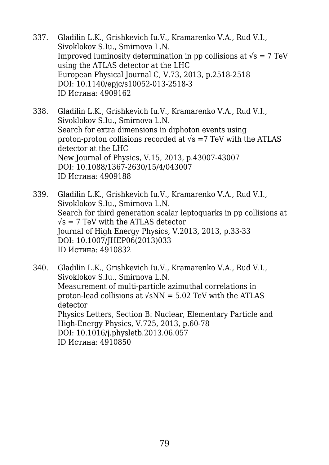- 337. Gladilin L.K., Grishkevich Iu.V., Kramarenko V.A., Rud V.I., Sivoklokov S.Iu., Smirnova L.N. Improved luminosity determination in pp collisions at  $\sqrt{s} = 7 \text{ TeV}$ using the ATLAS detector at the LHC European Physical Journal C, V.73, 2013, p.2518-2518 DOI: 10.1140/epjc/s10052-013-2518-3 ID Истина: 4909162
- 338. Gladilin L.K., Grishkevich Iu.V., Kramarenko V.A., Rud V.I., Sivoklokov S.Iu., Smirnova L.N. Search for extra dimensions in diphoton events using proton-proton collisions recorded at  $\sqrt{s}$  =7 TeV with the ATLAS detector at the LHC New Journal of Physics, V.15, 2013, p.43007-43007 DOI: 10.1088/1367-2630/15/4/043007 ID Истина: 4909188
- 339. Gladilin L.K., Grishkevich Iu.V., Kramarenko V.A., Rud V.I., Sivoklokov S.Iu., Smirnova L.N. Search for third generation scalar leptoquarks in pp collisions at  $\sqrt{s}$  = 7 TeV with the ATLAS detector Journal of High Energy Physics, V.2013, 2013, p.33-33 DOI: 10.1007/JHEP06(2013)033 ID Истина: 4910832
- 340. Gladilin L.K., Grishkevich Iu.V., Kramarenko V.A., Rud V.I., Sivoklokov S.Iu., Smirnova L.N. Measurement of multi-particle azimuthal correlations in proton-lead collisions at  $\sqrt{sNN}$  = 5.02 TeV with the ATLAS detector Physics Letters, Section B: Nuclear, Elementary Particle and High-Energy Physics, V.725, 2013, p.60-78 DOI: 10.1016/j.physletb.2013.06.057 ID Истина: 4910850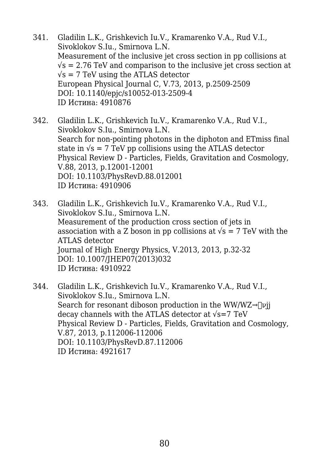- 341. Gladilin L.K., Grishkevich Iu.V., Kramarenko V.A., Rud V.I., Sivoklokov S.Iu., Smirnova L.N. Measurement of the inclusive jet cross section in pp collisions at  $\sqrt{s}$  = 2.76 TeV and comparison to the inclusive jet cross section at  $\sqrt{s}$  = 7 TeV using the ATLAS detector European Physical Journal C, V.73, 2013, p.2509-2509 DOI: 10.1140/epjc/s10052-013-2509-4 ID Истина: 4910876
- 342. Gladilin L.K., Grishkevich Iu.V., Kramarenko V.A., Rud V.I., Sivoklokov S.Iu., Smirnova L.N. Search for non-pointing photons in the diphoton and ETmiss final state in  $\sqrt{s}$  = 7 TeV pp collisions using the ATLAS detector Physical Review D - Particles, Fields, Gravitation and Cosmology, V.88, 2013, p.12001-12001 DOI: 10.1103/PhysRevD.88.012001 ID Истина: 4910906
- 343. Gladilin L.K., Grishkevich Iu.V., Kramarenko V.A., Rud V.I., Sivoklokov S.Iu., Smirnova L.N. Measurement of the production cross section of jets in association with a Z boson in pp collisions at  $\sqrt{s}$  = 7 TeV with the ATLAS detector Journal of High Energy Physics, V.2013, 2013, p.32-32 DOI: 10.1007/JHEP07(2013)032 ID Истина: 4910922
- 344. Gladilin L.K., Grishkevich Iu.V., Kramarenko V.A., Rud V.I., Sivoklokov S.Iu., Smirnova L.N. Search for resonant diboson production in the WW/WZ $\rightarrow$ [vij] decay channels with the ATLAS detector at  $\sqrt{s}$ =7 TeV Physical Review D - Particles, Fields, Gravitation and Cosmology, V.87, 2013, p.112006-112006 DOI: 10.1103/PhysRevD.87.112006 ID Истина: 4921617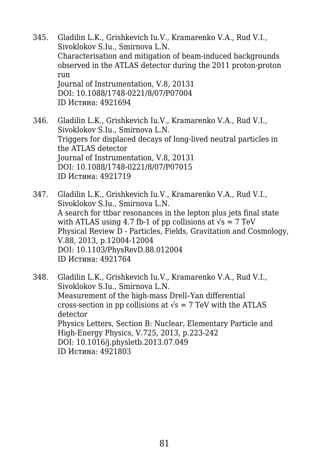- 345. Gladilin L.K., Grishkevich Iu.V., Kramarenko V.A., Rud V.I., Sivoklokov S.Iu., Smirnova L.N. Characterisation and mitigation of beam-induced backgrounds observed in the ATLAS detector during the 2011 proton-proton run Journal of Instrumentation, V.8, 20131 DOI: 10.1088/1748-0221/8/07/P07004 ID Истина: 4921694
- 346. Gladilin L.K., Grishkevich Iu.V., Kramarenko V.A., Rud V.I., Sivoklokov S.Iu., Smirnova L.N. Triggers for displaced decays of long-lived neutral particles in the ATLAS detector Journal of Instrumentation, V.8, 20131 DOI: 10.1088/1748-0221/8/07/P07015 ID Истина: 4921719
- 347. Gladilin L.K., Grishkevich Iu.V., Kramarenko V.A., Rud V.I., Sivoklokov S.Iu., Smirnova L.N. A search for ttbar resonances in the lepton plus jets final state with ATLAS using 4.7 fb-1 of pp collisions at  $\sqrt{s} = 7$  TeV Physical Review D - Particles, Fields, Gravitation and Cosmology, V.88, 2013, p.12004-12004 DOI: 10.1103/PhysRevD.88.012004 ID Истина: 4921764
- 348. Gladilin L.K., Grishkevich Iu.V., Kramarenko V.A., Rud V.I., Sivoklokov S.Iu., Smirnova L.N. Measurement of the high-mass Drell–Yan differential cross-section in pp collisions at  $\sqrt{s}$  = 7 TeV with the ATLAS detector Physics Letters, Section B: Nuclear, Elementary Particle and High-Energy Physics, V.725, 2013, p.223-242 DOI: 10.1016/j.physletb.2013.07.049 ID Истина: 4921803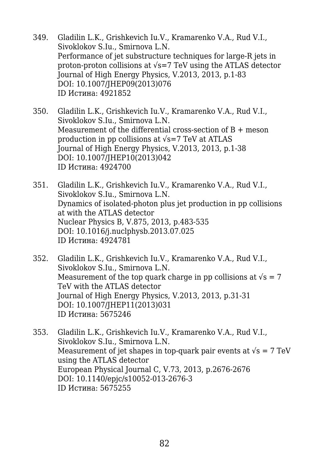- 349. Gladilin L.K., Grishkevich Iu.V., Kramarenko V.A., Rud V.I., Sivoklokov S.Iu., Smirnova L.N. Performance of jet substructure techniques for large-R jets in proton-proton collisions at √s=7 TeV using the ATLAS detector Journal of High Energy Physics, V.2013, 2013, p.1-83 DOI: 10.1007/JHEP09(2013)076 ID Истина: 4921852
- 350. Gladilin L.K., Grishkevich Iu.V., Kramarenko V.A., Rud V.I., Sivoklokov S.Iu., Smirnova L.N. Measurement of the differential cross-section of B + meson production in pp collisions at  $\sqrt{s}$ =7 TeV at ATLAS Journal of High Energy Physics, V.2013, 2013, p.1-38 DOI: 10.1007/JHEP10(2013)042 ID Истина: 4924700
- 351. Gladilin L.K., Grishkevich Iu.V., Kramarenko V.A., Rud V.I., Sivoklokov S.Iu., Smirnova L.N. Dynamics of isolated-photon plus jet production in pp collisions at with the ATLAS detector Nuclear Physics B, V.875, 2013, p.483-535 DOI: 10.1016/j.nuclphysb.2013.07.025 ID Истина: 4924781
- 352. Gladilin L.K., Grishkevich Iu.V., Kramarenko V.A., Rud V.I., Sivoklokov S.Iu., Smirnova L.N. Measurement of the top quark charge in pp collisions at  $\sqrt{s} = 7$ TeV with the ATLAS detector Journal of High Energy Physics, V.2013, 2013, p.31-31 DOI: 10.1007/JHEP11(2013)031 ID Истина: 5675246
- 353. Gladilin L.K., Grishkevich Iu.V., Kramarenko V.A., Rud V.I., Sivoklokov S.Iu., Smirnova L.N. Measurement of jet shapes in top-quark pair events at  $\sqrt{s} = 7 \text{ TeV}$ using the ATLAS detector European Physical Journal C, V.73, 2013, p.2676-2676 DOI: 10.1140/epjc/s10052-013-2676-3 ID Истина: 5675255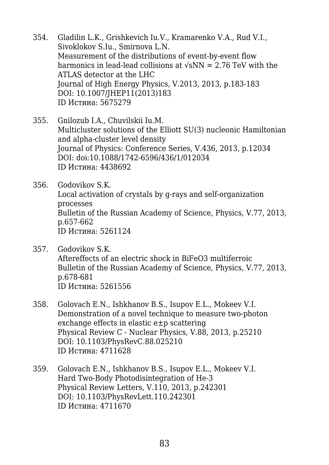- 354. Gladilin L.K., Grishkevich Iu.V., Kramarenko V.A., Rud V.I., Sivoklokov S.Iu., Smirnova L.N. Measurement of the distributions of event-by-event flow harmonics in lead-lead collisions at  $\sqrt{s}NN = 2.76$  TeV with the ATLAS detector at the LHC Journal of High Energy Physics, V.2013, 2013, p.183-183 DOI: 10.1007/JHEP11(2013)183 ID Истина: 5675279
- 355. Gnilozub I.A., Chuvilskii Iu.M. Multicluster solutions of the Elliott SU(3) nucleonic Hamiltonian and alpha-cluster level density Journal of Physics: Conference Series, V.436, 2013, p.12034 DOI: doi:10.1088/1742-6596/436/1/012034 ID Истина: 4438692
- 356. Godovikov S.K. Local activation of crystals by g-rays and self-organization processes Bulletin of the Russian Academy of Science, Physics, V.77, 2013, p.657-662 ID Истина: 5261124
- 357. Godovikov S.K. Aftereffects of an electric shock in BiFeO3 multiferroic Bulletin of the Russian Academy of Science, Physics, V.77, 2013, p.678-681 ID Истина: 5261556
- 358. Golovach E.N., Ishkhanov B.S., Isupov E.L., Mokeev V.I. Demonstration of a novel technique to measure two-photon exchange effects in elastic e±p scattering Physical Review C - Nuclear Physics, V.88, 2013, p.25210 DOI: 10.1103/PhysRevC.88.025210 ID Истина: 4711628
- 359. Golovach E.N., Ishkhanov B.S., Isupov E.L., Mokeev V.I. Hard Two-Body Photodisintegration of He-3 Physical Review Letters, V.110, 2013, p.242301 DOI: 10.1103/PhysRevLett.110.242301 ID Истина: 4711670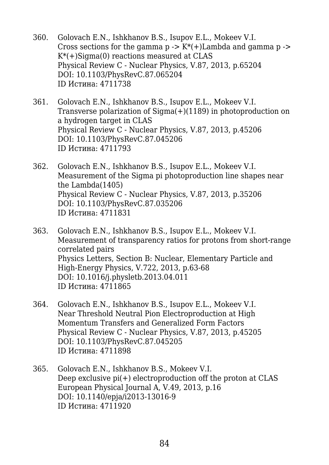- 360. Golovach E.N., Ishkhanov B.S., Isupov E.L., Mokeev V.I. Cross sections for the gamma  $p \rightarrow K^*(+)$ Lambda and gamma  $p \rightarrow$  $K^*(+)$ Sigma(0) reactions measured at CLAS Physical Review C - Nuclear Physics, V.87, 2013, p.65204 DOI: 10.1103/PhysRevC.87.065204 ID Истина: 4711738
- 361. Golovach E.N., Ishkhanov B.S., Isupov E.L., Mokeev V.I. Transverse polarization of Sigma(+)(1189) in photoproduction on a hydrogen target in CLAS Physical Review C - Nuclear Physics, V.87, 2013, p.45206 DOI: 10.1103/PhysRevC.87.045206 ID Истина: 4711793
- 362. Golovach E.N., Ishkhanov B.S., Isupov E.L., Mokeev V.I. Measurement of the Sigma pi photoproduction line shapes near the Lambda(1405) Physical Review C - Nuclear Physics, V.87, 2013, p.35206 DOI: 10.1103/PhysRevC.87.035206 ID Истина: 4711831
- 363. Golovach E.N., Ishkhanov B.S., Isupov E.L., Mokeev V.I. Measurement of transparency ratios for protons from short-range correlated pairs Physics Letters, Section B: Nuclear, Elementary Particle and High-Energy Physics, V.722, 2013, p.63-68 DOI: 10.1016/j.physletb.2013.04.011 ID Истина: 4711865
- 364. Golovach E.N., Ishkhanov B.S., Isupov E.L., Mokeev V.I. Near Threshold Neutral Pion Electroproduction at High Momentum Transfers and Generalized Form Factors Physical Review C - Nuclear Physics, V.87, 2013, p.45205 DOI: 10.1103/PhysRevC.87.045205 ID Истина: 4711898
- 365. Golovach E.N., Ishkhanov B.S., Mokeev V.I. Deep exclusive  $pi(+)$  electroproduction off the proton at CLAS European Physical Journal A, V.49, 2013, p.16 DOI: 10.1140/epja/i2013-13016-9 ID Истина: 4711920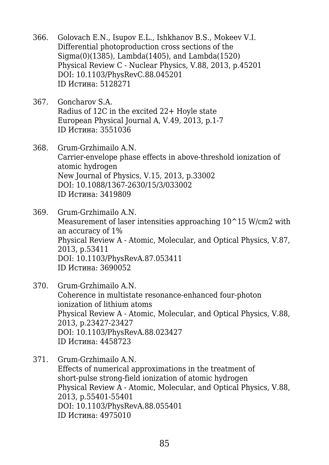- 366. Golovach E.N., Isupov E.L., Ishkhanov B.S., Mokeev V.I. Differential photoproduction cross sections of the Sigma(0)(1385), Lambda(1405), and Lambda(1520) Physical Review C - Nuclear Physics, V.88, 2013, p.45201 DOI: 10.1103/PhysRevC.88.045201 ID Истина: 5128271
- 367. Goncharov S.A. Radius of 12C in the excited 22+ Hoyle state European Physical Journal A, V.49, 2013, p.1-7 ID Истина: 3551036
- 368. Grum-Grzhimailo A.N. Carrier-envelope phase effects in above-threshold ionization of atomic hydrogen New Journal of Physics, V.15, 2013, p.33002 DOI: 10.1088/1367-2630/15/3/033002 ID Истина: 3419809
- 369. Grum-Grzhimailo A.N. Measurement of laser intensities approaching  $10^{\circ}15$  W/cm2 with an accuracy of 1% Physical Review A - Atomic, Molecular, and Optical Physics, V.87, 2013, p.53411 DOI: 10.1103/PhysRevA.87.053411 ID Истина: 3690052
- 370. Grum-Grzhimailo A.N. Coherence in multistate resonance-enhanced four-photon ionization of lithium atoms Physical Review A - Atomic, Molecular, and Optical Physics, V.88, 2013, p.23427-23427 DOI: 10.1103/PhysRevA.88.023427 ID Истина: 4458723
- 371. Grum-Grzhimailo A.N. Effects of numerical approximations in the treatment of short-pulse strong-field ionization of atomic hydrogen Physical Review A - Atomic, Molecular, and Optical Physics, V.88, 2013, p.55401-55401 DOI: 10.1103/PhysRevA.88.055401 ID Истина: 4975010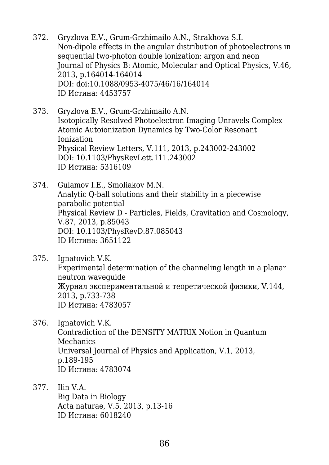- 372. Gryzlova E.V., Grum-Grzhimailo A.N., Strakhova S.I. Non-dipole effects in the angular distribution of photoelectrons in sequential two-photon double ionization: argon and neon Journal of Physics B: Atomic, Molecular and Optical Physics, V.46, 2013, p.164014-164014 DOI: doi:10.1088/0953-4075/46/16/164014 ID Истина: 4453757
- 373. Gryzlova E.V., Grum-Grzhimailo A.N. Isotopically Resolved Photoelectron Imaging Unravels Complex Atomic Autoionization Dynamics by Two-Color Resonant Ionization Physical Review Letters, V.111, 2013, p.243002-243002 DOI: 10.1103/PhysRevLett.111.243002 ID Истина: 5316109
- 374. Gulamov I.E., Smoliakov M.N. Analytic Q-ball solutions and their stability in a piecewise parabolic potential Physical Review D - Particles, Fields, Gravitation and Cosmology, V.87, 2013, p.85043 DOI: 10.1103/PhysRevD.87.085043 ID Истина: 3651122
- 375. Ignatovich V.K. Experimental determination of the channeling length in a planar neutron waveguide Журнал экспериментальной и теоретической физики, V.144, 2013, p.733-738 ID Истина: 4783057
- 376. Ignatovich V.K. Contradiction of the DENSITY MATRIX Notion in Quantum Mechanics Universal Journal of Physics and Application, V.1, 2013, p.189-195 ID Истина: 4783074
- 377. Ilin V.A. Big Data in Biology Acta naturae, V.5, 2013, p.13-16 ID Истина: 6018240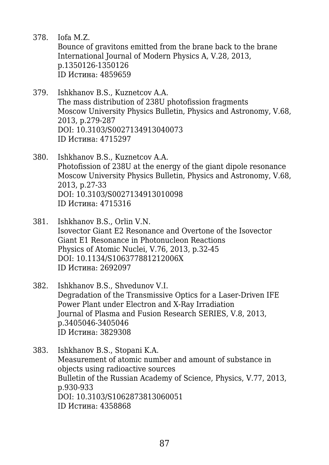- 378. Iofa M.Z. Bounce of gravitons emitted from the brane back to the brane International Journal of Modern Physics A, V.28, 2013, p.1350126-1350126 ID Истина: 4859659
- 379. Ishkhanov B.S., Kuznetcov A.A. The mass distribution of 238U photofission fragments Moscow University Physics Bulletin, Physics and Astronomy, V.68, 2013, p.279-287 DOI: 10.3103/S0027134913040073 ID Истина: 4715297
- 380. Ishkhanov B.S., Kuznetcov A.A. Photofission of 238U at the energy of the giant dipole resonance Moscow University Physics Bulletin, Physics and Astronomy, V.68, 2013, p.27-33 DOI: 10.3103/S0027134913010098 ID Истина: 4715316
- 381. Ishkhanov B.S., Orlin V.N. Isovector Giant E2 Resonance and Overtone of the Isovector Giant E1 Resonance in Photonucleon Reactions Physics of Atomic Nuclei, V.76, 2013, p.32-45 DOI: 10.1134/S106377881212006X ID Истина: 2692097
- 382. Ishkhanov B.S., Shvedunov V.I. Degradation of the Transmissive Optics for a Laser-Driven IFE Power Plant under Electron and X-Ray Irradiation Journal of Plasma and Fusion Research SERIES, V.8, 2013, p.3405046-3405046 ID Истина: 3829308
- 383. Ishkhanov B.S., Stopani K.A. Measurement of atomic number and amount of substance in objects using radioactive sources Bulletin of the Russian Academy of Science, Physics, V.77, 2013, p.930-933 DOI: 10.3103/S1062873813060051 ID Истина: 4358868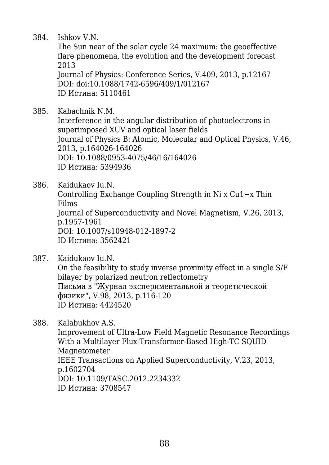384. Ishkov V.N.

The Sun near of the solar cycle 24 maximum: the geoeffective flare phenomena, the evolution and the development forecast 2013

Journal of Physics: Conference Series, V.409, 2013, p.12167 DOI: doi:10.1088/1742-6596/409/1/012167 ID Истина: 5110461

385. Kabachnik N.M.

Interference in the angular distribution of photoelectrons in superimposed XUV and optical laser fields Journal of Physics B: Atomic, Molecular and Optical Physics, V.46, 2013, p.164026-164026 DOI: 10.1088/0953-4075/46/16/164026 ID Истина: 5394936

386. Kaidukaov Iu.N. Controlling Exchange Coupling Strength in Ni x Cu1−x Thin Films Journal of Superconductivity and Novel Magnetism, V.26, 2013, p.1957-1961 DOI: 10.1007/s10948-012-1897-2 ID Истина: 3562421

387. Kaidukaov Iu.N. On the feasibility to study inverse proximity effect in a single S/F bilayer by polarized neutron reflectometry Письма в "Журнал экспериментальной и теоретической физики", V.98, 2013, p.116-120 ID Истина: 4424520

388. Kalabukhov A.S. Improvement of Ultra-Low Field Magnetic Resonance Recordings With a Multilayer Flux-Transformer-Based High-TC SOUID Magnetometer IEEE Transactions on Applied Superconductivity, V.23, 2013, p.1602704 DOI: 10.1109/TASC.2012.2234332 ID Истина: 3708547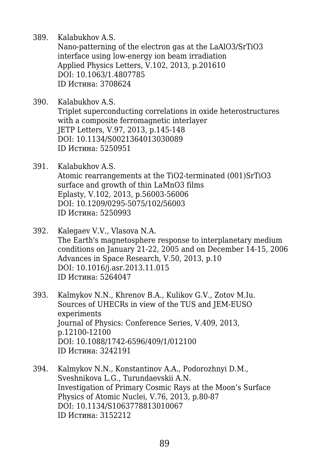389. Kalabukhov A.S.

Nano-patterning of the electron gas at the LaAlO3/SrTiO3 interface using low-energy ion beam irradiation Applied Physics Letters, V.102, 2013, p.201610 DOI: 10.1063/1.4807785 ID Истина: 3708624

- 390. Kalabukhov A.S. Triplet superconducting correlations in oxide heterostructures with a composite ferromagnetic interlayer JETP Letters, V.97, 2013, p.145-148 DOI: 10.1134/S0021364013030089 ID Истина: 5250951
- 391. Kalabukhov A.S. Atomic rearrangements at the TiO2-terminated (001)SrTiO3 surface and growth of thin LaMnO3 films Eplasty, V.102, 2013, p.56003-56006 DOI: 10.1209/0295-5075/102/56003 ID Истина: 5250993
- 392. Kalegaev V.V., Vlasova N.A. The Earth's magnetosphere response to interplanetary medium conditions on January 21-22, 2005 and on December 14-15, 2006 Advances in Space Research, V.50, 2013, p.10 DOI: 10.1016/j.asr.2013.11.015 ID Истина: 5264047
- 393. Kalmykov N.N., Khrenov B.A., Kulikov G.V., Zotov M.Iu. Sources of UHECRs in view of the TUS and JEM-EUSO experiments Journal of Physics: Conference Series, V.409, 2013, p.12100-12100 DOI: 10.1088/1742-6596/409/1/012100 ID Истина: 3242191
- 394. Kalmykov N.N., Konstantinov A.A., Podorozhnyi D.M., Sveshnikova L.G., Turundaevskii A.N. Investigation of Primary Cosmic Rays at the Moon's Surface Physics of Atomic Nuclei, V.76, 2013, p.80-87 DOI: 10.1134/S1063778813010067 ID Истина: 3152212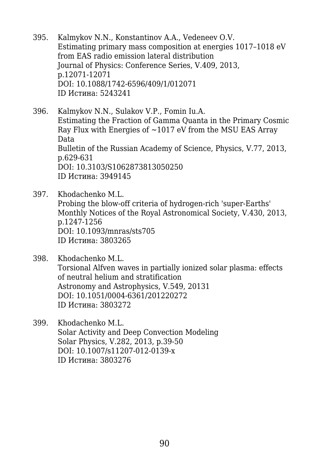- 395. Kalmykov N.N., Konstantinov A.A., Vedeneev O.V. Estimating primary mass composition at energies 1017–1018 eV from EAS radio emission lateral distribution Journal of Physics: Conference Series, V.409, 2013, p.12071-12071 DOI: 10.1088/1742-6596/409/1/012071 ID Истина: 5243241
- 396. Kalmykov N.N., Sulakov V.P., Fomin Iu.A. Estimating the Fraction of Gamma Quanta in the Primary Cosmic Ray Flux with Energies of  $\sim$ 1017 eV from the MSU EAS Array Data Bulletin of the Russian Academy of Science, Physics, V.77, 2013, p.629-631 DOI: 10.3103/S1062873813050250 ID Истина: 3949145
- 397. Khodachenko M.L. Probing the blow-off criteria of hydrogen-rich 'super-Earths' Monthly Notices of the Royal Astronomical Society, V.430, 2013, p.1247-1256 DOI: 10.1093/mnras/sts705 ID Истина: 3803265
- 398. Khodachenko M.L. Torsional Alfven waves in partially ionized solar plasma: effects of neutral helium and stratification Astronomy and Astrophysics, V.549, 20131 DOI: 10.1051/0004-6361/201220272 ID Истина: 3803272
- 399. Khodachenko M.L. Solar Activity and Deep Convection Modeling Solar Physics, V.282, 2013, p.39-50 DOI: 10.1007/s11207-012-0139-x ID Истина: 3803276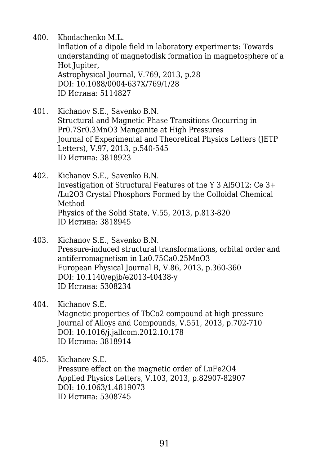400. Khodachenko M.L.

Inflation of a dipole field in laboratory experiments: Towards understanding of magnetodisk formation in magnetosphere of a Hot Jupiter, Astrophysical Journal, V.769, 2013, p.28

DOI: 10.1088/0004-637X/769/1/28 ID Истина: 5114827

- 401. Kichanov S.E., Savenko B.N. Structural and Magnetic Phase Transitions Occurring in Pr0.7Sr0.3MnO3 Manganite at High Pressures Journal of Experimental and Theoretical Physics Letters (JETP Letters), V.97, 2013, p.540-545 ID Истина: 3818923
- 402. Kichanov S.E., Savenko B.N. Investigation of Structural Features of the Y 3 Al5O12: Ce 3+ /Lu2O3 Crystal Phosphors Formed by the Colloidal Chemical Method Physics of the Solid State, V.55, 2013, p.813-820 ID Истина: 3818945
- 403. Kichanov S.E., Savenko B.N. Pressure-induced structural transformations, orbital order and antiferromagnetism in La0.75Ca0.25MnO3 European Physical Journal B, V.86, 2013, p.360-360 DOI: 10.1140/epjb/e2013-40438-y ID Истина: 5308234
- 404. Kichanov S.E.

Magnetic properties of TbCo2 compound at high pressure Journal of Alloys and Compounds, V.551, 2013, p.702-710 DOI: 10.1016/j.jallcom.2012.10.178 ID Истина: 3818914

405. Kichanov S.E.

Pressure effect on the magnetic order of LuFe2O4 Applied Physics Letters, V.103, 2013, p.82907-82907 DOI: 10.1063/1.4819073 ID Истина: 5308745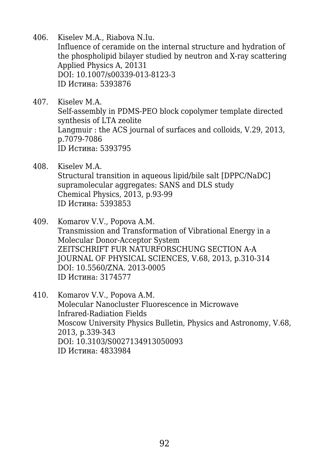- 406. Kiselev M.A., Riabova N.Iu. Influence of ceramide on the internal structure and hydration of the phospholipid bilayer studied by neutron and X-ray scattering Applied Physics A, 20131 DOI: 10.1007/s00339-013-8123-3 ID Истина: 5393876
- 407. Kiselev M.A. Self-assembly in PDMS-PEO block copolymer template directed synthesis of LTA zeolite Langmuir : the ACS journal of surfaces and colloids, V.29, 2013, p.7079-7086 ID Истина: 5393795
- 408. Kiselev M.A. Structural transition in aqueous lipid/bile salt [DPPC/NaDC] supramolecular aggregates: SANS and DLS study Chemical Physics, 2013, p.93-99 ID Истина: 5393853
- 409. Komarov V.V., Popova A.M. Transmission and Transformation of Vibrational Energy in a Molecular Donor-Acceptor System ZEITSCHRIFT FUR NATURFORSCHUNG SECTION A-A JOURNAL OF PHYSICAL SCIENCES, V.68, 2013, p.310-314 DOI: 10.5560/ZNA. 2013-0005 ID Истина: 3174577
- 410. Komarov V.V., Popova A.M. Molecular Nanocluster Fluorescence in Microwave Infrared-Radiation Fields Moscow University Physics Bulletin, Physics and Astronomy, V.68, 2013, p.339-343 DOI: 10.3103/S0027134913050093 ID Истина: 4833984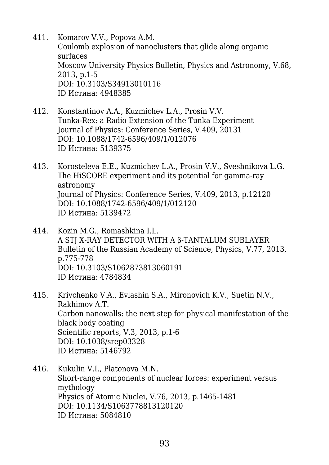- 411. Komarov V.V., Popova A.M. Coulomb explosion of nanoclusters that glide along organic surfaces Moscow University Physics Bulletin, Physics and Astronomy, V.68, 2013, p.1-5 DOI: 10.3103/S34913010116 ID Истина: 4948385
- 412. Konstantinov A.A., Kuzmichev L.A., Prosin V.V. Tunka-Rex: a Radio Extension of the Tunka Experiment Journal of Physics: Conference Series, V.409, 20131 DOI: 10.1088/1742-6596/409/1/012076 ID Истина: 5139375
- 413. Korosteleva E.E., Kuzmichev L.A., Prosin V.V., Sveshnikova L.G. The HiSCORE experiment and its potential for gamma-ray astronomy Journal of Physics: Conference Series, V.409, 2013, p.12120 DOI: 10.1088/1742-6596/409/1/012120 ID Истина: 5139472
- 414. Kozin M.G., Romashkina I.L. A STJ X-RAY DETECTOR WITH A β-TANTALUM SUBLAYER Bulletin of the Russian Academy of Science, Physics, V.77, 2013, p.775-778 DOI: 10.3103/S1062873813060191 ID Истина: 4784834
- 415. Krivchenko V.A., Evlashin S.A., Mironovich K.V., Suetin N.V., Rakhimov A.T. Carbon nanowalls: the next step for physical manifestation of the black body coating Scientific reports, V.3, 2013, p.1-6 DOI: 10.1038/srep03328 ID Истина: 5146792
- 416. Kukulin V.I., Platonova M.N. Short-range components of nuclear forces: experiment versus mythology Physics of Atomic Nuclei, V.76, 2013, p.1465-1481 DOI: 10.1134/S1063778813120120 ID Истина: 5084810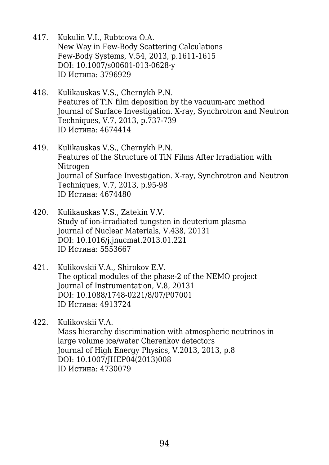- 417. Kukulin V.I., Rubtcova O.A. New Way in Few-Body Scattering Calculations Few-Body Systems, V.54, 2013, p.1611-1615 DOI: 10.1007/s00601-013-0628-y ID Истина: 3796929
- 418. Kulikauskas V.S., Chernykh P.N. Features of TiN film deposition by the vacuum-arc method Journal of Surface Investigation. X-ray, Synchrotron and Neutron Techniques, V.7, 2013, p.737-739 ID Истина: 4674414
- 419. Kulikauskas V.S., Chernykh P.N. Features of the Structure of TiN Films After Irradiation with **Nitrogen** Journal of Surface Investigation. X-ray, Synchrotron and Neutron Techniques, V.7, 2013, p.95-98 ID Истина: 4674480
- 420. Kulikauskas V.S., Zatekin V.V. Study of ion-irradiated tungsten in deuterium plasma Journal of Nuclear Materials, V.438, 20131 DOI: 10.1016/j.jnucmat.2013.01.221 ID Истина: 5553667
- 421. Kulikovskii V.A., Shirokov E.V. The optical modules of the phase-2 of the NEMO project Journal of Instrumentation, V.8, 20131 DOI: 10.1088/1748-0221/8/07/P07001 ID Истина: 4913724
- 422. Kulikovskii V.A. Mass hierarchy discrimination with atmospheric neutrinos in large volume ice/water Cherenkov detectors Journal of High Energy Physics, V.2013, 2013, p.8 DOI: 10.1007/JHEP04(2013)008 ID Истина: 4730079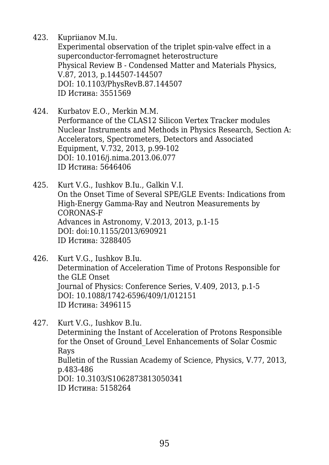423. Kupriianov M.Iu.

Experimental observation of the triplet spin-valve effect in a superconductor-ferromagnet heterostructure Physical Review B - Condensed Matter and Materials Physics, V.87, 2013, p.144507-144507 DOI: 10.1103/PhysRevB.87.144507 ID Истина: 3551569

424. Kurbatov E.O., Merkin M.M. Performance of the CLAS12 Silicon Vertex Tracker modules Nuclear Instruments and Methods in Physics Research, Section A: Accelerators, Spectrometers, Detectors and Associated Equipment, V.732, 2013, p.99-102 DOI: 10.1016/j.nima.2013.06.077 ID Истина: 5646406

425. Kurt V.G., Iushkov B.Iu., Galkin V.I. On the Onset Time of Several SPE/GLE Events: Indications from High-Energy Gamma-Ray and Neutron Measurements by CORONAS-F Advances in Astronomy, V.2013, 2013, p.1-15 DOI: doi:10.1155/2013/690921 ID Истина: 3288405

- 426. Kurt V.G., Iushkov B.Iu. Determination of Acceleration Time of Protons Responsible for the GLE Onset Journal of Physics: Conference Series, V.409, 2013, p.1-5 DOI: 10.1088/1742-6596/409/1/012151 ID Истина: 3496115
- 427. Kurt V.G., Iushkov B.Iu. Determining the Instant of Acceleration of Protons Responsible for the Onset of Ground\_Level Enhancements of Solar Cosmic Rays Bulletin of the Russian Academy of Science, Physics, V.77, 2013, p.483-486 DOI: 10.3103/S1062873813050341 ID Истина: 5158264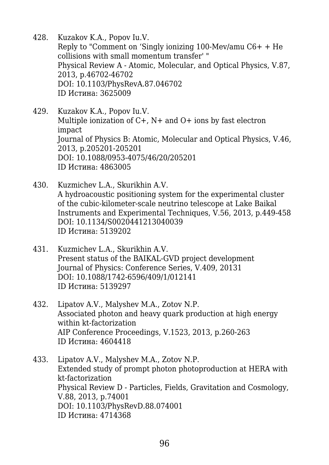- 428. Kuzakov K.A., Popov Iu.V. Reply to "Comment on 'Singly ionizing 100-Mev/amu C6+ + He collisions with small momentum transfer' " Physical Review A - Atomic, Molecular, and Optical Physics, V.87, 2013, p.46702-46702 DOI: 10.1103/PhysRevA.87.046702 ID Истина: 3625009
- 429. Kuzakov K.A., Popov Iu.V. Multiple ionization of  $C+$ ,  $N+$  and  $O+$  ions by fast electron impact Journal of Physics B: Atomic, Molecular and Optical Physics, V.46, 2013, p.205201-205201 DOI: 10.1088/0953-4075/46/20/205201 ID Истина: 4863005
- 430. Kuzmichev L.A., Skurikhin A.V. A hydroacoustic positioning system for the experimental cluster of the cubic-kilometer-scale neutrino telescope at Lake Baikal Instruments and Experimental Techniques, V.56, 2013, p.449-458 DOI: 10.1134/S0020441213040039 ID Истина: 5139202
- 431. Kuzmichev L.A., Skurikhin A.V. Present status of the BAIKAL-GVD project development Journal of Physics: Conference Series, V.409, 20131 DOI: 10.1088/1742-6596/409/1/012141 ID Истина: 5139297
- 432. Lipatov A.V., Malyshev M.A., Zotov N.P. Associated photon and heavy quark production at high energy within kt-factorization AIP Conference Proceedings, V.1523, 2013, p.260-263 ID Истина: 4604418
- 433. Lipatov A.V., Malyshev M.A., Zotov N.P. Extended study of prompt photon photoproduction at HERA with kt-factorization Physical Review D - Particles, Fields, Gravitation and Cosmology, V.88, 2013, p.74001 DOI: 10.1103/PhysRevD.88.074001 ID Истина: 4714368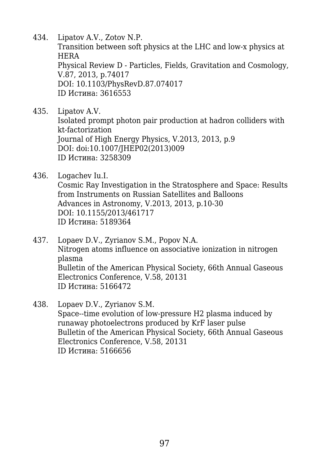434. Lipatov A.V., Zotov N.P. Transition between soft physics at the LHC and low-x physics at HERA Physical Review D - Particles, Fields, Gravitation and Cosmology, V.87, 2013, p.74017 DOI: 10.1103/PhysRevD.87.074017 ID Истина: 3616553

- 435. Lipatov A.V. Isolated prompt photon pair production at hadron colliders with kt-factorization Journal of High Energy Physics, V.2013, 2013, p.9 DOI: doi:10.1007/JHEP02(2013)009 ID Истина: 3258309
- 436. Logachev Iu.I. Cosmic Ray Investigation in the Stratosphere and Space: Results from Instruments on Russian Satellites and Balloons Advances in Astronomy, V.2013, 2013, p.10-30 DOI: 10.1155/2013/461717 ID Истина: 5189364
- 437. Lopaev D.V., Zyrianov S.M., Popov N.A. Nitrogen atoms influence on associative ionization in nitrogen plasma Bulletin of the American Physical Society, 66th Annual Gaseous Electronics Conference, V.58, 20131 ID Истина: 5166472
- 438. Lopaev D.V., Zyrianov S.M. Space--time evolution of low-pressure H2 plasma induced by runaway photoelectrons produced by KrF laser pulse Bulletin of the American Physical Society, 66th Annual Gaseous Electronics Conference, V.58, 20131 ID Истина: 5166656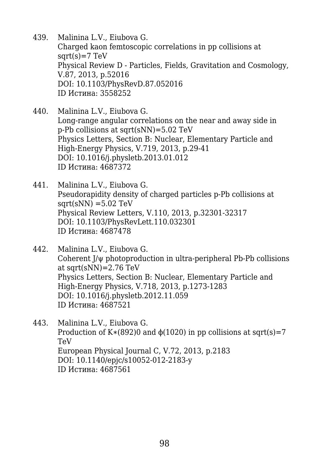- 439. Malinina L.V., Eiubova G. Charged kaon femtoscopic correlations in pp collisions at  $sqrt(s)=7 TeV$ Physical Review D - Particles, Fields, Gravitation and Cosmology, V.87, 2013, p.52016 DOI: 10.1103/PhysRevD.87.052016 ID Истина: 3558252
- 440. Malinina L.V., Eiubova G. Long-range angular correlations on the near and away side in p-Pb collisions at sqrt(sNN)=5.02 TeV Physics Letters, Section B: Nuclear, Elementary Particle and High-Energy Physics, V.719, 2013, p.29-41 DOI: 10.1016/j.physletb.2013.01.012 ID Истина: 4687372
- 441. Malinina L.V., Eiubova G. Pseudorapidity density of charged particles p-Pb collisions at  $sqrt(sNN) = 5.02$  TeV Physical Review Letters, V.110, 2013, p.32301-32317 DOI: 10.1103/PhysRevLett.110.032301 ID Истина: 4687478
- 442. Malinina L.V., Eiubova G. Coherent J/ψ photoproduction in ultra-peripheral Pb-Pb collisions at sqrt(sNN)=2.76 TeV Physics Letters, Section B: Nuclear, Elementary Particle and High-Energy Physics, V.718, 2013, p.1273-1283 DOI: 10.1016/j.physletb.2012.11.059 ID Истина: 4687521
- 443. Malinina L.V., Eiubova G. Production of K $*(892)0$  and  $\phi(1020)$  in pp collisions at sqrt(s)=7 TeV European Physical Journal C, V.72, 2013, p.2183 DOI: 10.1140/epjc/s10052-012-2183-y ID Истина: 4687561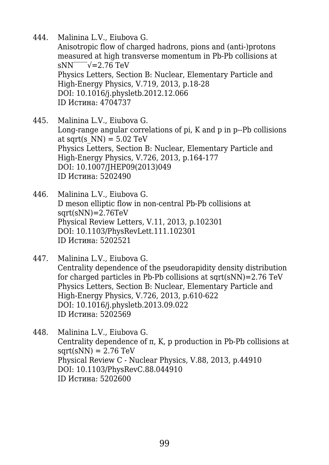444. Malinina L.V., Eiubova G.

Anisotropic flow of charged hadrons, pions and (anti-)protons measured at high transverse momentum in Pb-Pb collisions at  $sNN$ <sup> $\sqrt{}=2.76$  TeV</sup> Physics Letters, Section B: Nuclear, Elementary Particle and High-Energy Physics, V.719, 2013, p.18-28 DOI: 10.1016/j.physletb.2012.12.066 ID Истина: 4704737

- 445. Malinina L.V., Eiubova G. Long-range angular correlations of pi, K and p in p--Pb collisions at sqrt(s  $NN$ ) = 5.02 TeV Physics Letters, Section B: Nuclear, Elementary Particle and High-Energy Physics, V.726, 2013, p.164-177 DOI: 10.1007/JHEP09(2013)049 ID Истина: 5202490
- 446. Malinina L.V., Eiubova G. D meson elliptic flow in non-central Pb-Pb collisions at  $sqrt(sNN)=2.76TeV$ Physical Review Letters, V.11, 2013, p.102301 DOI: 10.1103/PhysRevLett.111.102301 ID Истина: 5202521
- 447. Malinina L.V., Eiubova G. Centrality dependence of the pseudorapidity density distribution for charged particles in Pb-Pb collisions at sqrt(sNN)=2.76 TeV Physics Letters, Section B: Nuclear, Elementary Particle and High-Energy Physics, V.726, 2013, p.610-622 DOI: 10.1016/j.physletb.2013.09.022 ID Истина: 5202569
- 448. Malinina L.V., Eiubova G. Centrality dependence of π, K, p production in Pb-Pb collisions at  $sqrt(sNN) = 2.76 \text{ TeV}$ Physical Review C - Nuclear Physics, V.88, 2013, p.44910 DOI: 10.1103/PhysRevC.88.044910 ID Истина: 5202600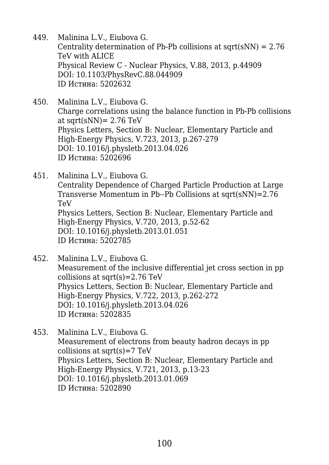- 449. Malinina L.V., Eiubova G. Centrality determination of Pb-Pb collisions at  $sqrt(sNN) = 2.76$ TeV with ALICE Physical Review C - Nuclear Physics, V.88, 2013, p.44909 DOI: 10.1103/PhysRevC.88.044909 ID Истина: 5202632
- 450. Malinina L.V., Eiubova G. Charge correlations using the balance function in Pb-Pb collisions at sqrt $(sNN)$ = 2.76 TeV Physics Letters, Section B: Nuclear, Elementary Particle and High-Energy Physics, V.723, 2013, p.267-279 DOI: 10.1016/j.physletb.2013.04.026 ID Истина: 5202696
- 451. Malinina L.V., Eiubova G. Centrality Dependence of Charged Particle Production at Large Transverse Momentum in Pb--Pb Collisions at sqrt(sNN)=2.76 TeV Physics Letters, Section B: Nuclear, Elementary Particle and High-Energy Physics, V.720, 2013, p.52-62 DOI: 10.1016/j.physletb.2013.01.051 ID Истина: 5202785
- 452. Malinina L.V., Eiubova G. Measurement of the inclusive differential jet cross section in pp collisions at sqrt(s)=2.76 TeV Physics Letters, Section B: Nuclear, Elementary Particle and High-Energy Physics, V.722, 2013, p.262-272 DOI: 10.1016/j.physletb.2013.04.026 ID Истина: 5202835
- 453. Malinina L.V., Eiubova G. Measurement of electrons from beauty hadron decays in pp collisions at sqrt $(s)$ =7 TeV Physics Letters, Section B: Nuclear, Elementary Particle and High-Energy Physics, V.721, 2013, p.13-23 DOI: 10.1016/j.physletb.2013.01.069 ID Истина: 5202890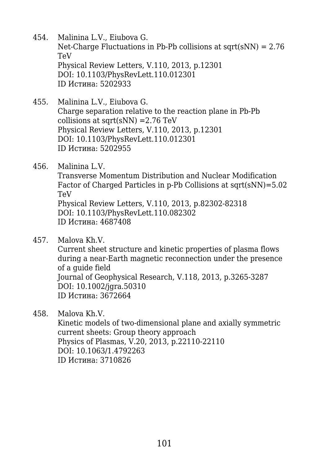- 454. Malinina L.V., Eiubova G. Net-Charge Fluctuations in Pb-Pb collisions at  $sqrt(sNN) = 2.76$ TeV Physical Review Letters, V.110, 2013, p.12301 DOI: 10.1103/PhysRevLett.110.012301 ID Истина: 5202933
- 455. Malinina L.V., Eiubova G. Charge separation relative to the reaction plane in Pb-Pb collisions at sqrt $(sNN)$  =2.76 TeV Physical Review Letters, V.110, 2013, p.12301 DOI: 10.1103/PhysRevLett.110.012301 ID Истина: 5202955
- 456. Malinina L.V.

Transverse Momentum Distribution and Nuclear Modification Factor of Charged Particles in p-Pb Collisions at sqrt(sNN)=5.02 TeV Physical Review Letters, V.110, 2013, p.82302-82318 DOI: 10.1103/PhysRevLett.110.082302 ID Истина: 4687408

457. Malova Kh.V.

Current sheet structure and kinetic properties of plasma flows during a near-Earth magnetic reconnection under the presence of a guide field Journal of Geophysical Research, V.118, 2013, p.3265-3287 DOI: 10.1002/jgra.50310 ID Истина: 3672664

458. Malova Kh.V.

Kinetic models of two-dimensional plane and axially symmetric current sheets: Group theory approach Physics of Plasmas, V.20, 2013, p.22110-22110 DOI: 10.1063/1.4792263 ID Истина: 3710826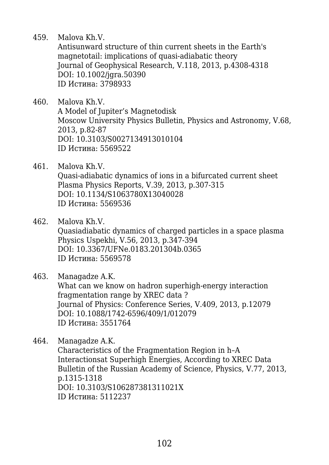459. Malova Kh.V.

Antisunward structure of thin current sheets in the Earth's magnetotail: implications of quasi-adiabatic theory Journal of Geophysical Research, V.118, 2013, p.4308-4318 DOI: 10.1002/jgra.50390 ID Истина: 3798933

460. Malova Kh.V. A Model of Jupiter's Magnetodisk Moscow University Physics Bulletin, Physics and Astronomy, V.68, 2013, p.82-87 DOI: 10.3103/S0027134913010104 ID Истина: 5569522

- 461. Malova Kh.V. Quasi-adiabatic dynamics of ions in a bifurcated current sheet Plasma Physics Reports, V.39, 2013, p.307-315 DOI: 10.1134/S1063780X13040028 ID Истина: 5569536
- 462. Malova Kh.V. Quasiadiabatic dynamics of charged particles in a space plasma Physics Uspekhi, V.56, 2013, p.347-394 DOI: 10.3367/UFNe.0183.201304b.0365 ID Истина: 5569578

463. Managadze A.K. What can we know on hadron superhigh-energy interaction fragmentation range by XREC data ? Journal of Physics: Conference Series, V.409, 2013, p.12079 DOI: 10.1088/1742-6596/409/1/012079 ID Истина: 3551764

464. Managadze A.K. Characteristics of the Fragmentation Region in h–A Interactionsat Superhigh Energies, According to XREC Data Bulletin of the Russian Academy of Science, Physics, V.77, 2013, p.1315-1318 DOI: 10.3103/S106287381311021X ID Истина: 5112237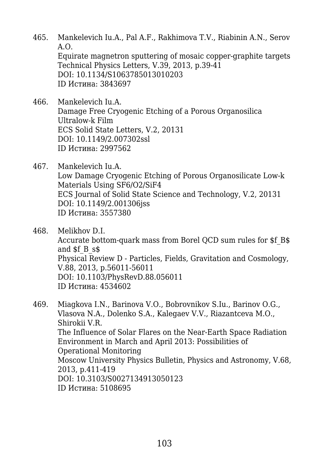- 465. Mankelevich Iu.A., Pal A.F., Rakhimova T.V., Riabinin A.N., Serov A.O. Equirate magnetron sputtering of mosaic copper-graphite targets Technical Physics Letters, V.39, 2013, p.39-41 DOI: 10.1134/S1063785013010203 ID Истина: 3843697
- 466. Mankelevich Iu.A. Damage Free Cryogenic Etching of a Porous Organosilica Ultralow-k Film ECS Solid State Letters, V.2, 20131 DOI: 10.1149/2.007302ssl ID Истина: 2997562
- 467. Mankelevich Iu.A. Low Damage Cryogenic Etching of Porous Organosilicate Low-k Materials Using SF6/O2/SiF4 ECS Journal of Solid State Science and Technology, V.2, 20131 DOI: 10.1149/2.001306jss ID Истина: 3557380
- 468. Melikhov D.I. Accurate bottom-quark mass from Borel QCD sum rules for \$f\_B\$ and \$f\_B\_s\$ Physical Review D - Particles, Fields, Gravitation and Cosmology, V.88, 2013, p.56011-56011 DOI: 10.1103/PhysRevD.88.056011 ID Истина: 4534602
- 469. Miagkova I.N., Barinova V.O., Bobrovnikov S.Iu., Barinov O.G., Vlasova N.A., Dolenko S.A., Kalegaev V.V., Riazantceva M.O., Shirokii V.R. The Influence of Solar Flares on the Near-Earth Space Radiation Environment in March and April 2013: Possibilities of Operational Monitoring Moscow University Physics Bulletin, Physics and Astronomy, V.68, 2013, p.411-419 DOI: 10.3103/S0027134913050123 ID Истина: 5108695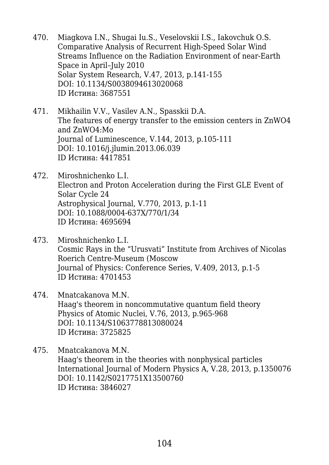- 470. Miagkova I.N., Shugai Iu.S., Veselovskii I.S., Iakovchuk O.S. Comparative Analysis of Recurrent High-Speed Solar Wind Streams Influence on the Radiation Environment of near-Earth Space in April–July 2010 Solar System Research, V.47, 2013, p.141-155 DOI: 10.1134/S0038094613020068 ID Истина: 3687551
- 471. Mikhailin V.V., Vasilev A.N., Spasskii D.A. The features of energy transfer to the emission centers in ZnWO4 and ZnWO4:Mo Journal of Luminescence, V.144, 2013, p.105-111 DOI: 10.1016/j.jlumin.2013.06.039 ID Истина: 4417851
- 472. Miroshnichenko L.I. Electron and Proton Acceleration during the First GLE Event of Solar Cycle 24 Astrophysical Journal, V.770, 2013, p.1-11 DOI: 10.1088/0004-637X/770/1/34 ID Истина: 4695694
- 473. Miroshnichenko L.I. Cosmic Rays in the "Urusvati" Institute from Archives of Nicolas Roerich Centre-Museum (Moscow Journal of Physics: Conference Series, V.409, 2013, p.1-5 ID Истина: 4701453
- 474. Mnatcakanova M.N. Haag's theorem in noncommutative quantum field theory Physics of Atomic Nuclei, V.76, 2013, p.965-968 DOI: 10.1134/S1063778813080024 ID Истина: 3725825
- 475. Mnatcakanova M.N. Haag's theorem in the theories with nonphysical particles International Journal of Modern Physics A, V.28, 2013, p.1350076 DOI: 10.1142/S0217751X13500760 ID Истина: 3846027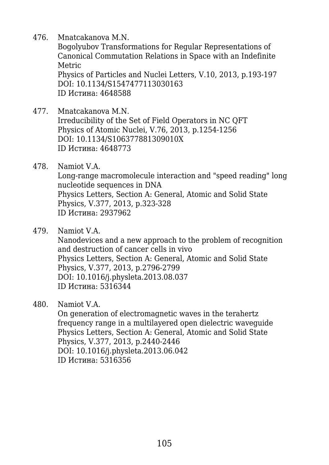476. Mnatcakanova M.N.

Bogolyubov Transformations for Regular Representations of Canonical Commutation Relations in Space with an Indefinite Metric

Physics of Particles and Nuclei Letters, V.10, 2013, p.193-197 DOI: 10.1134/S1547477113030163 ID Истина: 4648588

- 477. Mnatcakanova M.N. Irreducibility of the Set of Field Operators in NC QFT Physics of Atomic Nuclei, V.76, 2013, p.1254-1256 DOI: 10.1134/S106377881309010X ID Истина: 4648773
- 478. Namiot V.A. Long-range macromolecule interaction and "speed reading" long nucleotide sequences in DNA Physics Letters, Section A: General, Atomic and Solid State Physics, V.377, 2013, p.323-328 ID Истина: 2937962
- 479. Namiot V.A.

Nanodevices and a new approach to the problem of recognition and destruction of cancer cells in vivo Physics Letters, Section A: General, Atomic and Solid State Physics, V.377, 2013, p.2796-2799 DOI: 10.1016/j.physleta.2013.08.037 ID Истина: 5316344

480. Namiot V.A.

On generation of electromagnetic waves in the terahertz frequency range in a multilayered open dielectric waveguide Physics Letters, Section A: General, Atomic and Solid State Physics, V.377, 2013, p.2440-2446 DOI: 10.1016/j.physleta.2013.06.042 ID Истина: 5316356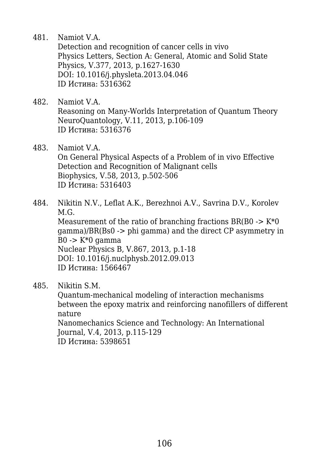481. Namiot V.A.

Detection and recognition of cancer cells in vivo Physics Letters, Section A: General, Atomic and Solid State Physics, V.377, 2013, p.1627-1630 DOI: 10.1016/j.physleta.2013.04.046 ID Истина: 5316362

- 482. Namiot V.A. Reasoning on Many-Worlds Interpretation of Quantum Theory NeuroQuantology, V.11, 2013, p.106-109 ID Истина: 5316376
- 483. Namiot V.A. On General Physical Aspects of a Problem of in vivo Effective Detection and Recognition of Malignant cells Biophysics, V.58, 2013, p.502-506 ID Истина: 5316403
- 484. Nikitin N.V., Leflat A.K., Berezhnoi A.V., Savrina D.V., Korolev M.G. Measurement of the ratio of branching fractions  $BR(BO \rightarrow K^*O)$ gamma)/BR(Bs0 -> phi gamma) and the direct CP asymmetry in  $B0 \rightarrow K^*0$  gamma Nuclear Physics B, V.867, 2013, p.1-18 DOI: 10.1016/j.nuclphysb.2012.09.013 ID Истина: 1566467
- 485. Nikitin S.M.

Quantum-mechanical modeling of interaction mechanisms between the epoxy matrix and reinforcing nanofillers of different nature Nanomechanics Science and Technology: An International Journal, V.4, 2013, p.115-129 ID Истина: 5398651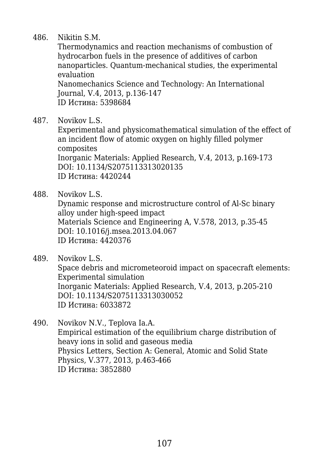## 486. Nikitin S.M.

Thermodynamics and reaction mechanisms of combustion of hydrocarbon fuels in the presence of additives of carbon nanoparticles. Quantum-mechanical studies, the experimental evaluation

Nanomechanics Science and Technology: An International Journal, V.4, 2013, p.136-147 ID Истина: 5398684

487. Novikov L.S.

Experimental and physicomathematical simulation of the effect of an incident flow of atomic oxygen on highly filled polymer composites Inorganic Materials: Applied Research, V.4, 2013, p.169-173 DOI: 10.1134/S2075113313020135 ID Истина: 4420244

488. Novikov L.S.

Dynamic response and microstructure control of Al-Sc binary alloy under high-speed impact Materials Science and Engineering A, V.578, 2013, p.35-45 DOI: 10.1016/j.msea.2013.04.067 ID Истина: 4420376

489. Novikov L.S.

Space debris and micrometeoroid impact on spacecraft elements: Experimental simulation Inorganic Materials: Applied Research, V.4, 2013, p.205-210 DOI: 10.1134/S2075113313030052 ID Истина: 6033872

490. Novikov N.V., Teplova Ia.A. Empirical estimation of the equilibrium charge distribution of heavy ions in solid and gaseous media Physics Letters, Section A: General, Atomic and Solid State Physics, V.377, 2013, p.463-466 ID Истина: 3852880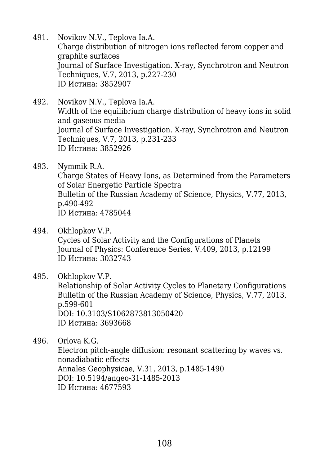- 491. Novikov N.V., Teplova Ia.A. Charge distribution of nitrogen ions reflected ferom copper and graphite surfaces Journal of Surface Investigation. X-ray, Synchrotron and Neutron Techniques, V.7, 2013, p.227-230 ID Истина: 3852907
- 492. Novikov N.V., Teplova Ia.A. Width of the equilibrium charge distribution of heavy ions in solid and gaseous media Journal of Surface Investigation. X-ray, Synchrotron and Neutron Techniques, V.7, 2013, p.231-233 ID Истина: 3852926
- 493. Nymmik R.A. Charge States of Heavy Ions, as Determined from the Parameters of Solar Energetic Particle Spectra Bulletin of the Russian Academy of Science, Physics, V.77, 2013, p.490-492 ID Истина: 4785044
- 494. Okhlopkov V.P. Cycles of Solar Activity and the Configurations of Planets Journal of Physics: Conference Series, V.409, 2013, p.12199 ID Истина: 3032743
- 495. Okhlopkov V.P. Relationship of Solar Activity Cycles to Planetary Configurations Bulletin of the Russian Academy of Science, Physics, V.77, 2013, p.599-601 DOI: 10.3103/S1062873813050420 ID Истина: 3693668

496. Orlova K.G. Electron pitch-angle diffusion: resonant scattering by waves vs. nonadiabatic effects Annales Geophysicae, V.31, 2013, p.1485-1490 DOI: 10.5194/angeo-31-1485-2013 ID Истина: 4677593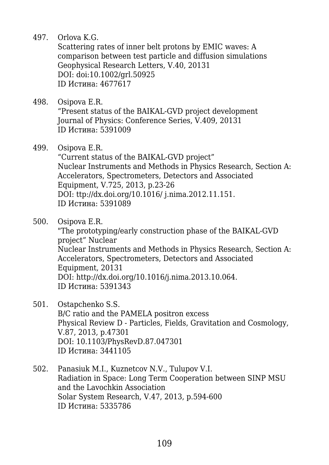497. Orlova K.G.

Scattering rates of inner belt protons by EMIC waves: A comparison between test particle and diffusion simulations Geophysical Research Letters, V.40, 20131 DOI: doi:10.1002/grl.50925 ID Истина: 4677617

- 498. Osipova E.R. "Present status of the BAIKAL-GVD project development Journal of Physics: Conference Series, V.409, 20131 ID Истина: 5391009
- 499. Osipova E.R.

"Current status of the BAIKAL-GVD project" Nuclear Instruments and Methods in Physics Research, Section A: Accelerators, Spectrometers, Detectors and Associated Equipment, V.725, 2013, p.23-26 DOI: ttp://dx.doi.org/10.1016/ j.nima.2012.11.151. ID Истина: 5391089

500. Osipova E.R.

"The prototyping/early construction phase of the BAIKAL-GVD project" Nuclear Nuclear Instruments and Methods in Physics Research, Section A: Accelerators, Spectrometers, Detectors and Associated Equipment, 20131 DOI: http://dx.doi.org/10.1016/j.nima.2013.10.064. ID Истина: 5391343

- 501. Ostapchenko S.S. B/C ratio and the PAMELA positron excess Physical Review D - Particles, Fields, Gravitation and Cosmology, V.87, 2013, p.47301 DOI: 10.1103/PhysRevD.87.047301 ID Истина: 3441105
- 502. Panasiuk M.I., Kuznetcov N.V., Tulupov V.I. Radiation in Space: Long Term Cooperation between SINP MSU and the Lavochkin Association Solar System Research, V.47, 2013, p.594-600 ID Истина: 5335786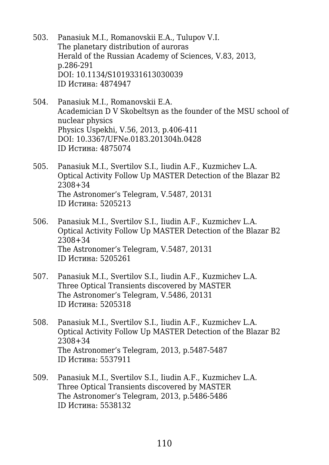- 503. Panasiuk M.I., Romanovskii E.A., Tulupov V.I. The planetary distribution of auroras Herald of the Russian Academy of Sciences, V.83, 2013, p.286-291 DOI: 10.1134/S1019331613030039 ID Истина: 4874947
- 504. Panasiuk M.I., Romanovskii E.A. Academician D V Skobeltsyn as the founder of the MSU school of nuclear physics Physics Uspekhi, V.56, 2013, p.406-411 DOI: 10.3367/UFNe.0183.201304h.0428 ID Истина: 4875074
- 505. Panasiuk M.I., Svertilov S.I., Iiudin A.F., Kuzmichev L.A. Optical Activity Follow Up MASTER Detection of the Blazar B2 2308+34 The Astronomer's Telegram, V.5487, 20131 ID Истина: 5205213
- 506. Panasiuk M.I., Svertilov S.I., Iiudin A.F., Kuzmichev L.A. Optical Activity Follow Up MASTER Detection of the Blazar B2 2308+34 The Astronomer's Telegram, V.5487, 20131 ID Истина: 5205261
- 507. Panasiuk M.I., Svertilov S.I., Iiudin A.F., Kuzmichev L.A. Three Optical Transients discovered by MASTER The Astronomer's Telegram, V.5486, 20131 ID Истина: 5205318
- 508. Panasiuk M.I., Svertilov S.I., Iiudin A.F., Kuzmichev L.A. Optical Activity Follow Up MASTER Detection of the Blazar B2 2308+34 The Astronomer's Telegram, 2013, p.5487-5487 ID Истина: 5537911
- 509. Panasiuk M.I., Svertilov S.I., Iiudin A.F., Kuzmichev L.A. Three Optical Transients discovered by MASTER The Astronomer's Telegram, 2013, p.5486-5486 ID Истина: 5538132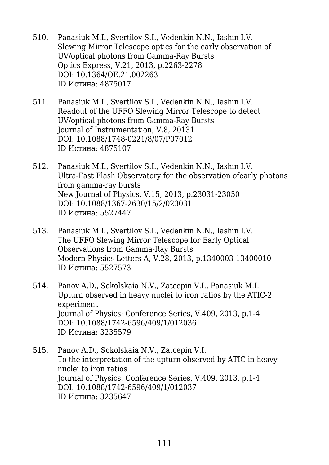- 510. Panasiuk M.I., Svertilov S.I., Vedenkin N.N., Iashin I.V. Slewing Mirror Telescope optics for the early observation of UV/optical photons from Gamma-Ray Bursts Optics Express, V.21, 2013, p.2263-2278 DOI: 10.1364/OE.21.002263 ID Истина: 4875017
- 511. Panasiuk M.I., Svertilov S.I., Vedenkin N.N., Iashin I.V. Readout of the UFFO Slewing Mirror Telescope to detect UV/optical photons from Gamma-Ray Bursts Journal of Instrumentation, V.8, 20131 DOI: 10.1088/1748-0221/8/07/P07012 ID Истина: 4875107
- 512. Panasiuk M.I., Svertilov S.I., Vedenkin N.N., Iashin I.V. Ultra-Fast Flash Observatory for the observation ofearly photons from gamma-ray bursts New Journal of Physics, V.15, 2013, p.23031-23050 DOI: 10.1088/1367-2630/15/2/023031 ID Истина: 5527447
- 513. Panasiuk M.I., Svertilov S.I., Vedenkin N.N., Iashin I.V. The UFFO Slewing Mirror Telescope for Early Optical Observations from Gamma-Ray Bursts Modern Physics Letters A, V.28, 2013, p.1340003-13400010 ID Истина: 5527573
- 514. Panov A.D., Sokolskaia N.V., Zatcepin V.I., Panasiuk M.I. Upturn observed in heavy nuclei to iron ratios by the ATIC-2 experiment Journal of Physics: Conference Series, V.409, 2013, p.1-4 DOI: 10.1088/1742-6596/409/1/012036 ID Истина: 3235579
- 515. Panov A.D., Sokolskaia N.V., Zatcepin V.I. To the interpretation of the upturn observed by ATIC in heavy nuclei to iron ratios Journal of Physics: Conference Series, V.409, 2013, p.1-4 DOI: 10.1088/1742-6596/409/1/012037 ID Истина: 3235647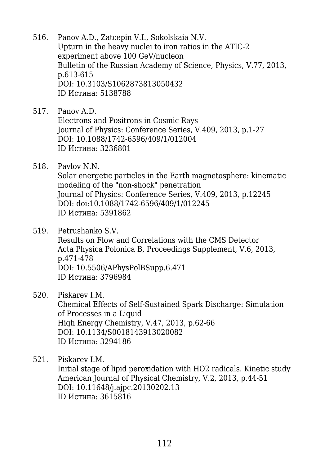- 516. Panov A.D., Zatcepin V.I., Sokolskaia N.V. Upturn in the heavy nuclei to iron ratios in the ATIC-2 experiment above 100 GeV/nucleon Bulletin of the Russian Academy of Science, Physics, V.77, 2013, p.613-615 DOI: 10.3103/S1062873813050432 ID Истина: 5138788
- 517. Panov A.D. Electrons and Positrons in Cosmic Rays Journal of Physics: Conference Series, V.409, 2013, p.1-27 DOI: 10.1088/1742-6596/409/1/012004 ID Истина: 3236801
- 518. Pavlov N.N. Solar energetic particles in the Earth magnetosphere: kinematic modeling of the "non-shock" penetration Journal of Physics: Conference Series, V.409, 2013, p.12245 DOI: doi:10.1088/1742-6596/409/1/012245 ID Истина: 5391862
- 519. Petrushanko S.V. Results on Flow and Correlations with the CMS Detector Acta Physica Polonica B, Proceedings Supplement, V.6, 2013, p.471-478 DOI: 10.5506/APhysPolBSupp.6.471 ID Истина: 3796984
- 520. Piskarev I.M.

Chemical Effects of Self-Sustained Spark Discharge: Simulation of Processes in a Liquid High Energy Chemistry, V.47, 2013, p.62-66 DOI: 10.1134/S0018143913020082 ID Истина: 3294186

521. Piskarev I.M.

Initial stage of lipid peroxidation with HO2 radicals. Kinetic study American Journal of Physical Chemistry, V.2, 2013, p.44-51 DOI: 10.11648/j.ajpc.20130202.13 ID Истина: 3615816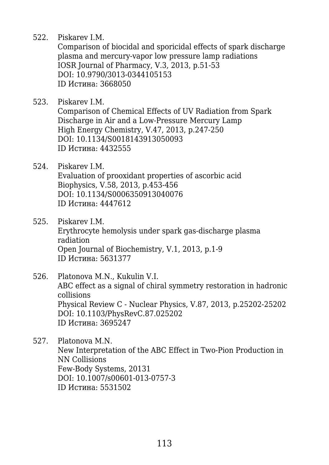522. Piskarev I.M.

Comparison of biocidal and sporicidal effects of spark discharge plasma and mercury-vapor low pressure lamp radiations IOSR Journal of Pharmacy, V.3, 2013, p.51-53 DOI: 10.9790/3013-0344105153 ID Истина: 3668050

- 523. Piskarev I.M. Comparison of Chemical Effects of UV Radiation from Spark Discharge in Air and a Low-Pressure Mercury Lamp High Energy Chemistry, V.47, 2013, p.247-250 DOI: 10.1134/S0018143913050093 ID Истина: 4432555
- 524. Piskarev I.M. Evaluation of prooxidant properties of ascorbic acid Biophysics, V.58, 2013, p.453-456 DOI: 10.1134/S0006350913040076 ID Истина: 4447612
- 525. Piskarev I.M. Erythrocyte hemolysis under spark gas-discharge plasma radiation Open Journal of Biochemistry, V.1, 2013, p.1-9 ID Истина: 5631377
- 526. Platonova M.N., Kukulin V.I. ABC effect as a signal of chiral symmetry restoration in hadronic collisions Physical Review C - Nuclear Physics, V.87, 2013, p.25202-25202 DOI: 10.1103/PhysRevC.87.025202 ID Истина: 3695247
- 527. Platonova M.N. New Interpretation of the ABC Effect in Two-Pion Production in NN Collisions Few-Body Systems, 20131 DOI: 10.1007/s00601-013-0757-3 ID Истина: 5531502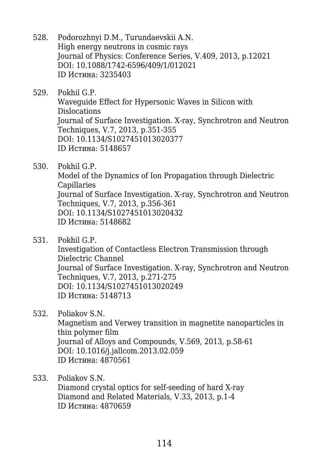- 528. Podorozhnyi D.M., Turundaevskii A.N. High energy neutrons in cosmic rays Journal of Physics: Conference Series, V.409, 2013, p.12021 DOI: 10.1088/1742-6596/409/1/012021 ID Истина: 3235403
- 529. Pokhil G.P. Waveguide Effect for Hypersonic Waves in Silicon with Dislocations Journal of Surface Investigation. X-ray, Synchrotron and Neutron Techniques, V.7, 2013, p.351-355 DOI: 10.1134/S1027451013020377 ID Истина: 5148657
- 530. Pokhil G.P.

Model of the Dynamics of Ion Propagation through Dielectric Capillaries Journal of Surface Investigation. X-ray, Synchrotron and Neutron Techniques, V.7, 2013, p.356-361 DOI: 10.1134/S1027451013020432 ID Истина: 5148682

531. Pokhil G.P.

Investigation of Contactless Electron Transmission through Dielectric Channel Journal of Surface Investigation. X-ray, Synchrotron and Neutron Techniques, V.7, 2013, p.271-275 DOI: 10.1134/S1027451013020249 ID Истина: 5148713

532. Poliakov S.N.

Magnetism and Verwey transition in magnetite nanoparticles in thin polymer film Journal of Alloys and Compounds, V.569, 2013, p.58-61 DOI: 10.1016/j.jallcom.2013.02.059 ID Истина: 4870561

533. Poliakov S.N.

Diamond crystal optics for self-seeding of hard X-ray Diamond and Related Materials, V.33, 2013, p.1-4 ID Истина: 4870659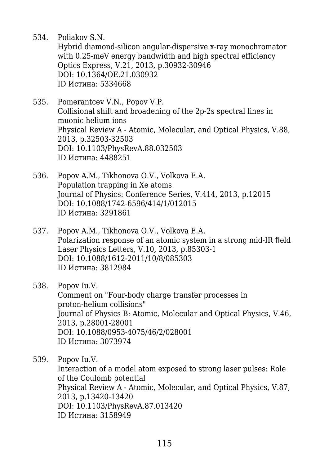534. Poliakov S.N.

Hybrid diamond-silicon angular-dispersive x-ray monochromator with 0.25-meV energy bandwidth and high spectral efficiency Optics Express, V.21, 2013, p.30932-30946 DOI: 10.1364/OE.21.030932 ID Истина: 5334668

- 535. Pomerantcev V.N., Popov V.P. Collisional shift and broadening of the 2p-2s spectral lines in muonic helium ions Physical Review A - Atomic, Molecular, and Optical Physics, V.88, 2013, p.32503-32503 DOI: 10.1103/PhysRevA.88.032503 ID Истина: 4488251
- 536. Popov A.M., Tikhonova O.V., Volkova E.A. Population trapping in Xe atoms Journal of Physics: Conference Series, V.414, 2013, p.12015 DOI: 10.1088/1742-6596/414/1/012015 ID Истина: 3291861
- 537. Popov A.M., Tikhonova O.V., Volkova E.A. Polarization response of an atomic system in a strong mid-IR field Laser Physics Letters, V.10, 2013, p.85303-1 DOI: 10.1088/1612-2011/10/8/085303 ID Истина: 3812984

## 538. Popov Iu.V.

Comment on "Four-body charge transfer processes in proton-helium collisions" Journal of Physics B: Atomic, Molecular and Optical Physics, V.46, 2013, p.28001-28001 DOI: 10.1088/0953-4075/46/2/028001 ID Истина: 3073974

539. Popov Iu.V.

Interaction of a model atom exposed to strong laser pulses: Role of the Coulomb potential Physical Review A - Atomic, Molecular, and Optical Physics, V.87, 2013, p.13420-13420 DOI: 10.1103/PhysRevA.87.013420 ID Истина: 3158949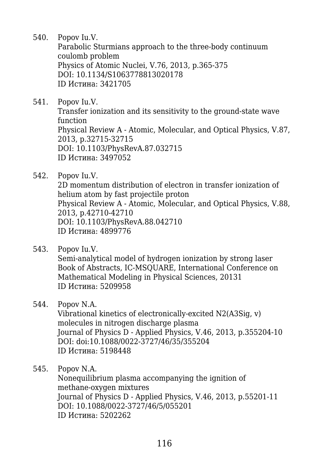540. Popov Iu.V.

Parabolic Sturmians approach to the three-body continuum coulomb problem Physics of Atomic Nuclei, V.76, 2013, p.365-375 DOI: 10.1134/S1063778813020178 ID Истина: 3421705

541. Popov Iu.V.

Transfer ionization and its sensitivity to the ground-state wave function Physical Review A - Atomic, Molecular, and Optical Physics, V.87, 2013, p.32715-32715 DOI: 10.1103/PhysRevA.87.032715 ID Истина: 3497052

542. Popov Iu.V.

2D momentum distribution of electron in transfer ionization of helium atom by fast projectile proton Physical Review A - Atomic, Molecular, and Optical Physics, V.88, 2013, p.42710-42710 DOI: 10.1103/PhysRevA.88.042710 ID Истина: 4899776

- 543. Popov Iu.V. Semi-analytical model of hydrogen ionization by strong laser Book of Abstracts, IC-MSQUARE, International Conference on Mathematical Modeling in Physical Sciences, 20131 ID Истина: 5209958
- 544. Popov N.A.

Vibrational kinetics of electronically-excited N2(A3Sig, v) molecules in nitrogen discharge plasma Journal of Physics D - Applied Physics, V.46, 2013, p.355204-10 DOI: doi:10.1088/0022-3727/46/35/355204 ID Истина: 5198448

545. Popov N.A.

Nonequilibrium plasma accompanying the ignition of methane-oxygen mixtures Journal of Physics D - Applied Physics, V.46, 2013, p.55201-11 DOI: 10.1088/0022-3727/46/5/055201 ID Истина: 5202262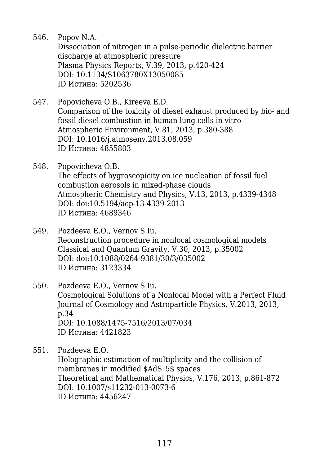546. Popov N.A.

Dissociation of nitrogen in a pulse-periodic dielectric barrier discharge at atmospheric pressure Plasma Physics Reports, V.39, 2013, p.420-424 DOI: 10.1134/S1063780X13050085 ID Истина: 5202536

- 547. Popovicheva O.B., Kireeva E.D. Comparison of the toxicity of diesel exhaust produced by bio- and fossil diesel combustion in human lung cells in vitro Atmospheric Environment, V.81, 2013, p.380-388 DOI: 10.1016/j.atmosenv.2013.08.059 ID Истина: 4855803
- 548. Popovicheva O.B. The effects of hygroscopicity on ice nucleation of fossil fuel combustion aerosols in mixed-phase clouds Atmospheric Chemistry and Physics, V.13, 2013, p.4339-4348 DOI: doi:10.5194/acp-13-4339-2013 ID Истина: 4689346
- 549. Pozdeeva E.O., Vernov S.Iu. Reconstruction procedure in nonlocal cosmological models Classical and Quantum Gravity, V.30, 2013, p.35002 DOI: doi:10.1088/0264-9381/30/3/035002 ID Истина: 3123334
- 550. Pozdeeva E.O., Vernov S.Iu. Cosmological Solutions of a Nonlocal Model with a Perfect Fluid Journal of Cosmology and Astroparticle Physics, V.2013, 2013, p.34 DOI: 10.1088/1475-7516/2013/07/034 ID Истина: 4421823
- 551. Pozdeeva E.O. Holographic estimation of multiplicity and the collision of membranes in modified \$AdS\_5\$ spaces Theoretical and Mathematical Physics, V.176, 2013, p.861-872 DOI: 10.1007/s11232-013-0073-6 ID Истина: 4456247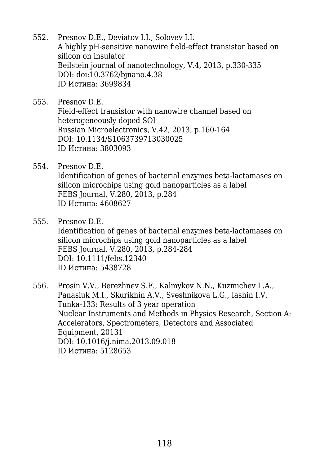- 552. Presnov D.E., Deviatov I.I., Solovev I.I. A highly pH-sensitive nanowire field-effect transistor based on silicon on insulator Beilstein journal of nanotechnology, V.4, 2013, p.330-335 DOI: doi:10.3762/bjnano.4.38 ID Истина: 3699834
- 553. Presnov D.E. Field-effect transistor with nanowire channel based on heterogeneously doped SOI Russian Microelectronics, V.42, 2013, p.160-164 DOI: 10.1134/S1063739713030025 ID Истина: 3803093
- 554. Presnov D.E. Identification of genes of bacterial enzymes beta-lactamases on silicon microchips using gold nanoparticles as a label FEBS Journal, V.280, 2013, p.284 ID Истина: 4608627
- 555. Presnov D.E. Identification of genes of bacterial enzymes beta-lactamases on silicon microchips using gold nanoparticles as a label FEBS Journal, V.280, 2013, p.284-284 DOI: 10.1111/febs.12340 ID Истина: 5438728
- 556. Prosin V.V., Berezhnev S.F., Kalmykov N.N., Kuzmichev L.A., Panasiuk M.I., Skurikhin A.V., Sveshnikova L.G., Iashin I.V. Tunka-133: Results of 3 year operation Nuclear Instruments and Methods in Physics Research, Section A: Accelerators, Spectrometers, Detectors and Associated Equipment, 20131 DOI: 10.1016/j.nima.2013.09.018 ID Истина: 5128653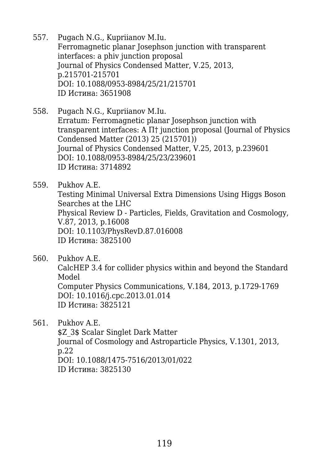- 557. Pugach N.G., Kupriianov M.Iu. Ferromagnetic planar Josephson junction with transparent interfaces: a phiv junction proposal Journal of Physics Condensed Matter, V.25, 2013, p.215701-215701 DOI: 10.1088/0953-8984/25/21/215701 ID Истина: 3651908
- 558. Pugach N.G., Kupriianov M.Iu. Erratum: Ferromagnetic planar Josephson junction with transparent interfaces: A П† junction proposal (Journal of Physics Condensed Matter (2013) 25 (215701)) Journal of Physics Condensed Matter, V.25, 2013, p.239601 DOI: 10.1088/0953-8984/25/23/239601 ID Истина: 3714892
- 559. Pukhov A.E. Testing Minimal Universal Extra Dimensions Using Higgs Boson Searches at the LHC Physical Review D - Particles, Fields, Gravitation and Cosmology, V.87, 2013, p.16008 DOI: 10.1103/PhysRevD.87.016008 ID Истина: 3825100
- 560. Pukhov A.E.

CalcHEP 3.4 for collider physics within and beyond the Standard Model Computer Physics Communications, V.184, 2013, p.1729-1769 DOI: 10.1016/j.cpc.2013.01.014

ID Истина: 3825121

561. Pukhov A.E.

\$Z 3\$ Scalar Singlet Dark Matter Journal of Cosmology and Astroparticle Physics, V.1301, 2013, p.22 DOI: 10.1088/1475-7516/2013/01/022 ID Истина: 3825130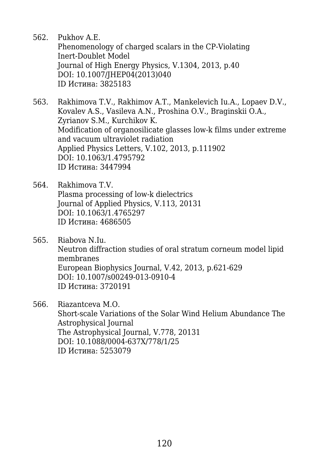562. Pukhov A.E.

Phenomenology of charged scalars in the CP-Violating Inert-Doublet Model Journal of High Energy Physics, V.1304, 2013, p.40 DOI: 10.1007/JHEP04(2013)040 ID Истина: 3825183

- 563. Rakhimova T.V., Rakhimov A.T., Mankelevich Iu.A., Lopaev D.V., Kovalev A.S., Vasileva A.N., Proshina O.V., Braginskii O.A., Zyrianov S.M., Kurchikov K. Modification of organosilicate glasses low-k films under extreme and vacuum ultraviolet radiation Applied Physics Letters, V.102, 2013, p.111902 DOI: 10.1063/1.4795792 ID Истина: 3447994
- 564. Rakhimova T.V. Plasma processing of low-k dielectrics Journal of Applied Physics, V.113, 20131 DOI: 10.1063/1.4765297 ID Истина: 4686505
- 565. Riabova N.Iu. Neutron diffraction studies of oral stratum corneum model lipid membranes European Biophysics Journal, V.42, 2013, p.621-629 DOI: 10.1007/s00249-013-0910-4 ID Истина: 3720191
- 566. Riazantceva M.O. Short-scale Variations of the Solar Wind Helium Abundance The Astrophysical Journal The Astrophysical Journal, V.778, 20131 DOI: 10.1088/0004-637X/778/1/25 ID Истина: 5253079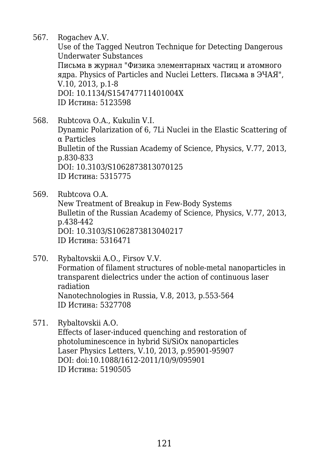567. Rogachev A.V.

Use of the Tagged Neutron Technique for Detecting Dangerous Underwater Substances Письма в журнал "Физика элементарных частиц и атомного ядра. Physics of Particles and Nuclei Letters. Письма в ЭЧАЯ", V.10, 2013, p.1-8 DOI: 10.1134/S154747711401004X ID Истина: 5123598

568. Rubtcova O.A., Kukulin V.I. Dynamic Polarization of 6, 7Li Nuclei in the Elastic Scattering of α Particles Bulletin of the Russian Academy of Science, Physics, V.77, 2013, p.830-833 DOI: 10.3103/S1062873813070125 ID Истина: 5315775

569. Rubtcova O.A. New Treatment of Breakup in Few-Body Systems Bulletin of the Russian Academy of Science, Physics, V.77, 2013, p.438-442 DOI: 10.3103/S1062873813040217 ID Истина: 5316471

570. Rybaltovskii A.O., Firsov V.V. Formation of filament structures of noble-metal nanoparticles in transparent dielectrics under the action of continuous laser radiation Nanotechnologies in Russia, V.8, 2013, p.553-564 ID Истина: 5327708

571. Rybaltovskii A.O. Effects of laser-induced quenching and restoration of photoluminescence in hybrid Si/SiOx nanoparticles Laser Physics Letters, V.10, 2013, p.95901-95907 DOI: doi:10.1088/1612-2011/10/9/095901 ID Истина: 5190505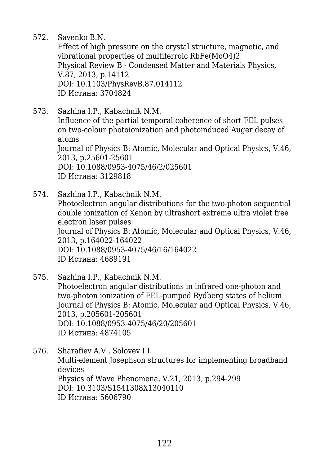572. Savenko B.N.

Effect of high pressure on the crystal structure, magnetic, and vibrational properties of multiferroic RbFe(MoO4)2 Physical Review B - Condensed Matter and Materials Physics, V.87, 2013, p.14112 DOI: 10.1103/PhysRevB.87.014112 ID Истина: 3704824

- 573. Sazhina I.P., Kabachnik N.M. Influence of the partial temporal coherence of short FEL pulses on two-colour photoionization and photoinduced Auger decay of atoms Journal of Physics B: Atomic, Molecular and Optical Physics, V.46, 2013, p.25601-25601 DOI: 10.1088/0953-4075/46/2/025601 ID Истина: 3129818
- 574. Sazhina I.P., Kabachnik N.M. Photoelectron angular distributions for the two-photon sequential double ionization of Xenon by ultrashort extreme ultra violet free electron laser pulses Journal of Physics B: Atomic, Molecular and Optical Physics, V.46, 2013, p.164022-164022 DOI: 10.1088/0953-4075/46/16/164022 ID Истина: 4689191
- 575. Sazhina I.P., Kabachnik N.M. Photoelectron angular distributions in infrared one-photon and two-photon ionization of FEL-pumped Rydberg states of helium Journal of Physics B: Atomic, Molecular and Optical Physics, V.46, 2013, p.205601-205601 DOI: 10.1088/0953-4075/46/20/205601 ID Истина: 4874105
- 576. Sharafiev A.V., Solovev I.I. Multi-element Josephson structures for implementing broadband devices Physics of Wave Phenomena, V.21, 2013, p.294-299 DOI: 10.3103/S1541308X13040110 ID Истина: 5606790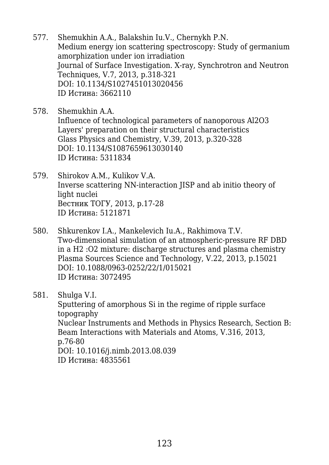- 577. Shemukhin A.A., Balakshin Iu.V., Chernykh P.N. Medium energy ion scattering spectroscopy: Study of germanium amorphization under ion irradiation Journal of Surface Investigation. X-ray, Synchrotron and Neutron Techniques, V.7, 2013, p.318-321 DOI: 10.1134/S1027451013020456 ID Истина: 3662110
- 578. Shemukhin A.A. Influence of technological parameters of nanoporous Al2O3 Layers' preparation on their structural characteristics Glass Physics and Chemistry, V.39, 2013, p.320-328 DOI: 10.1134/S1087659613030140 ID Истина: 5311834
- 579. Shirokov A.M., Kulikov V.A. Inverse scattering NN-interaction JISP and ab initio theory of light nuclei Вестник ТОГУ, 2013, p.17-28 ID Истина: 5121871
- 580. Shkurenkov I.A., Mankelevich Iu.A., Rakhimova T.V. Two-dimensional simulation of an atmospheric-pressure RF DBD in a H2 :O2 mixture: discharge structures and plasma chemistry Plasma Sources Science and Technology, V.22, 2013, p.15021 DOI: 10.1088/0963-0252/22/1/015021 ID Истина: 3072495
- 581. Shulga V.I.

Sputtering of amorphous Si in the regime of ripple surface topography Nuclear Instruments and Methods in Physics Research, Section B: Beam Interactions with Materials and Atoms, V.316, 2013, p.76-80 DOI: 10.1016/j.nimb.2013.08.039 ID Истина: 4835561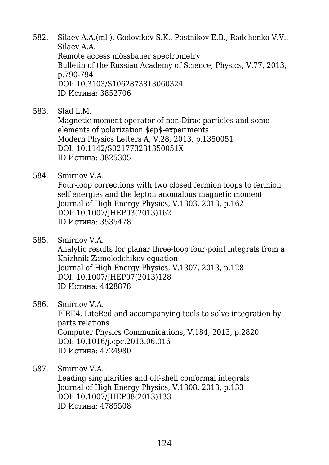- 582. Silaev A.A.(ml ), Godovikov S.K., Postnikov E.B., Radchenko V.V., Silaev A.A. Remote access mössbauer spectrometry Bulletin of the Russian Academy of Science, Physics, V.77, 2013, p.790-794 DOI: 10.3103/S1062873813060324 ID Истина: 3852706
- 583. Slad L.M.

Magnetic moment operator of non-Dirac particles and some elements of polarization \$ep\$-experiments Modern Physics Letters A, V.28, 2013, p.1350051 DOI: 10.1142/S021773231350051X ID Истина: 3825305

584. Smirnov V.A.

Four-loop corrections with two closed fermion loops to fermion self energies and the lepton anomalous magnetic moment Journal of High Energy Physics, V.1303, 2013, p.162 DOI: 10.1007/JHEP03(2013)162 ID Истина: 3535478

585. Smirnov V.A.

Analytic results for planar three-loop four-point integrals from a Knizhnik-Zamolodchikov equation Journal of High Energy Physics, V.1307, 2013, p.128 DOI: 10.1007/JHEP07(2013)128 ID Истина: 4428878

586. Smirnov V.A.

FIRE4, LiteRed and accompanying tools to solve integration by parts relations Computer Physics Communications, V.184, 2013, p.2820 DOI: 10.1016/j.cpc.2013.06.016 ID Истина: 4724980

587. Smirnov V.A.

Leading singularities and off-shell conformal integrals Journal of High Energy Physics, V.1308, 2013, p.133 DOI: 10.1007/JHEP08(2013)133 ID Истина: 4785508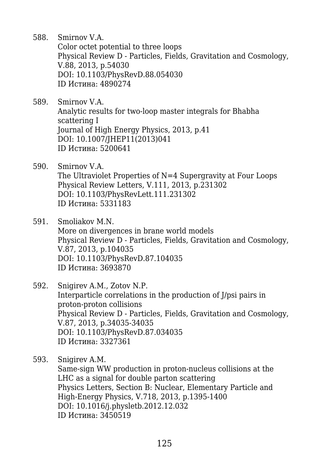588. Smirnov V.A. Color octet potential to three loops Physical Review D - Particles, Fields, Gravitation and Cosmology, V.88, 2013, p.54030 DOI: 10.1103/PhysRevD.88.054030 ID Истина: 4890274

- 589. Smirnov V.A. Analytic results for two-loop master integrals for Bhabha scattering I Journal of High Energy Physics, 2013, p.41 DOI: 10.1007/JHEP11(2013)041 ID Истина: 5200641
- 590. Smirnov V.A. The Ultraviolet Properties of N=4 Supergravity at Four Loops Physical Review Letters, V.111, 2013, p.231302 DOI: 10.1103/PhysRevLett.111.231302 ID Истина: 5331183
- 591. Smoliakov M.N. More on divergences in brane world models Physical Review D - Particles, Fields, Gravitation and Cosmology, V.87, 2013, p.104035 DOI: 10.1103/PhysRevD.87.104035 ID Истина: 3693870
- 592. Snigirev A.M., Zotov N.P. Interparticle correlations in the production of J/psi pairs in proton-proton collisions Physical Review D - Particles, Fields, Gravitation and Cosmology, V.87, 2013, p.34035-34035 DOI: 10.1103/PhysRevD.87.034035 ID Истина: 3327361

593. Snigirev A.M.

Same-sign WW production in proton-nucleus collisions at the LHC as a signal for double parton scattering Physics Letters, Section B: Nuclear, Elementary Particle and High-Energy Physics, V.718, 2013, p.1395-1400 DOI: 10.1016/j.physletb.2012.12.032 ID Истина: 3450519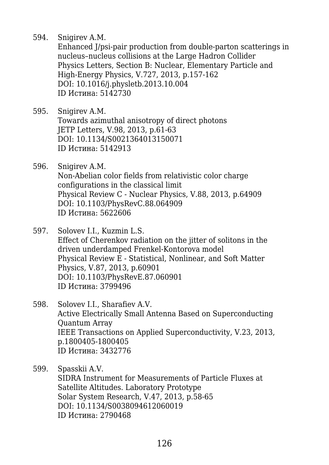594. Snigirev A.M.

Enhanced J/psi-pair production from double-parton scatterings in nucleus–nucleus collisions at the Large Hadron Collider Physics Letters, Section B: Nuclear, Elementary Particle and High-Energy Physics, V.727, 2013, p.157-162 DOI: 10.1016/j.physletb.2013.10.004 ID Истина: 5142730

- 595. Snigirev A.M. Towards azimuthal anisotropy of direct photons JETP Letters, V.98, 2013, p.61-63 DOI: 10.1134/S0021364013150071 ID Истина: 5142913
- 596. Snigirev A.M. Non-Abelian color fields from relativistic color charge configurations in the classical limit Physical Review C - Nuclear Physics, V.88, 2013, p.64909 DOI: 10.1103/PhysRevC.88.064909 ID Истина: 5622606
- 597. Solovev I.I., Kuzmin L.S. Effect of Cherenkov radiation on the jitter of solitons in the driven underdamped Frenkel-Kontorova model Physical Review E - Statistical, Nonlinear, and Soft Matter Physics, V.87, 2013, p.60901 DOI: 10.1103/PhysRevE.87.060901 ID Истина: 3799496
- 598. Solovev I.I., Sharafiev A.V. Active Electrically Small Antenna Based on Superconducting Quantum Array IEEE Transactions on Applied Superconductivity, V.23, 2013, p.1800405-1800405 ID Истина: 3432776

599. Spasskii A.V. SIDRA Instrument for Measurements of Particle Fluxes at Satellite Altitudes. Laboratory Prototype Solar System Research, V.47, 2013, p.58-65 DOI: 10.1134/S0038094612060019 ID Истина: 2790468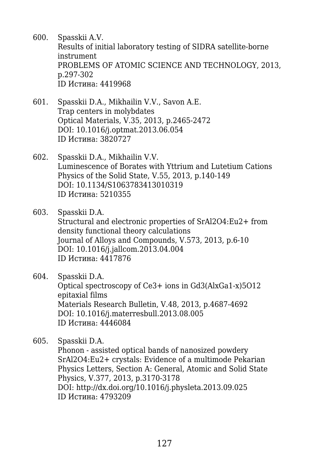- 600. Spasskii A.V. Results of initial laboratory testing of SIDRA satellite-borne instrument PROBLEMS OF ATOMIC SCIENCE AND TECHNOLOGY, 2013, p.297-302 ID Истина: 4419968
- 601. Spasskii D.A., Mikhailin V.V., Savon A.E. Trap centers in molybdates Optical Materials, V.35, 2013, p.2465-2472 DOI: 10.1016/j.optmat.2013.06.054 ID Истина: 3820727
- 602. Spasskii D.A., Mikhailin V.V. Luminescence of Borates with Yttrium and Lutetium Cations Physics of the Solid State, V.55, 2013, p.140-149 DOI: 10.1134/S1063783413010319 ID Истина: 5210355
- 603. Spasskii D.A. Structural and electronic properties of SrAl2O4:Eu2+ from density functional theory calculations Journal of Alloys and Compounds, V.573, 2013, p.6-10 DOI: 10.1016/j.jallcom.2013.04.004 ID Истина: 4417876
- 604. Spasskii D.A. Optical spectroscopy of Ce3+ ions in Gd3(AlxGa1-x)5O12 epitaxial films Materials Research Bulletin, V.48, 2013, p.4687-4692 DOI: 10.1016/j.materresbull.2013.08.005 ID Истина: 4446084

605. Spasskii D.A. Phonon - assisted optical bands of nanosized powdery SrAl2O4:Eu2+ crystals: Evidence of a multimode Pekarian Physics Letters, Section A: General, Atomic and Solid State Physics, V.377, 2013, p.3170-3178 DOI: http://dx.doi.org/10.1016/j.physleta.2013.09.025 ID Истина: 4793209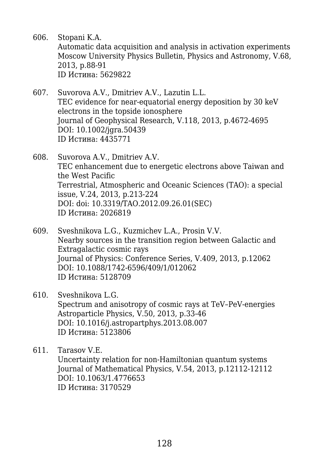- 606. Stopani K.A. Automatic data acquisition and analysis in activation experiments Moscow University Physics Bulletin, Physics and Astronomy, V.68, 2013, p.88-91 ID Истина: 5629822
- 607. Suvorova A.V., Dmitriev A.V., Lazutin L.L. TEC evidence for near-equatorial energy deposition by 30 keV electrons in the topside ionosphere Journal of Geophysical Research, V.118, 2013, p.4672-4695 DOI: 10.1002/jgra.50439 ID Истина: 4435771
- 608. Suvorova A.V., Dmitriev A.V. TEC enhancement due to energetic electrons above Taiwan and the West Pacific Terrestrial, Atmospheric and Oceanic Sciences (TAO): a special issue, V.24, 2013, p.213-224 DOI: doi: 10.3319/TAO.2012.09.26.01(SEC) ID Истина: 2026819
- 609. Sveshnikova L.G., Kuzmichev L.A., Prosin V.V. Nearby sources in the transition region between Galactic and Extragalactic cosmic rays Journal of Physics: Conference Series, V.409, 2013, p.12062 DOI: 10.1088/1742-6596/409/1/012062 ID Истина: 5128709
- 610. Sveshnikova L.G. Spectrum and anisotropy of cosmic rays at TeV–PeV-energies Astroparticle Physics, V.50, 2013, p.33-46 DOI: 10.1016/j.astropartphys.2013.08.007 ID Истина: 5123806
- 611. Tarasov V.E. Uncertainty relation for non-Hamiltonian quantum systems Journal of Mathematical Physics, V.54, 2013, p.12112-12112 DOI: 10.1063/1.4776653 ID Истина: 3170529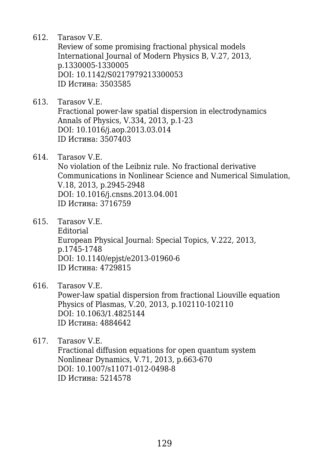612. Tarasov V.E.

Review of some promising fractional physical models International Journal of Modern Physics B, V.27, 2013, p.1330005-1330005 DOI: 10.1142/S0217979213300053 ID Истина: 3503585

- 613. Tarasov V.E. Fractional power-law spatial dispersion in electrodynamics Annals of Physics, V.334, 2013, p.1-23 DOI: 10.1016/j.aop.2013.03.014 ID Истина: 3507403
- 614. Tarasov V.E. No violation of the Leibniz rule. No fractional derivative Communications in Nonlinear Science and Numerical Simulation, V.18, 2013, p.2945-2948 DOI: 10.1016/j.cnsns.2013.04.001 ID Истина: 3716759
- 615. Tarasov V.E. Editorial European Physical Journal: Special Topics, V.222, 2013, p.1745-1748 DOI: 10.1140/epjst/e2013-01960-6 ID Истина: 4729815
- 616. Tarasov V.E.

Power-law spatial dispersion from fractional Liouville equation Physics of Plasmas, V.20, 2013, p.102110-102110 DOI: 10.1063/1.4825144 ID Истина: 4884642

617. Tarasov V.E. Fractional diffusion equations for open quantum system Nonlinear Dynamics, V.71, 2013, p.663-670 DOI: 10.1007/s11071-012-0498-8 ID Истина: 5214578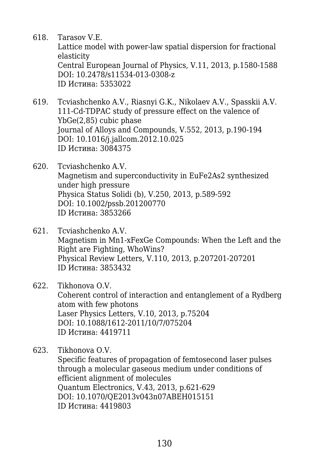618. Tarasov V.E.

Lattice model with power-law spatial dispersion for fractional elasticity Central European Journal of Physics, V.11, 2013, p.1580-1588 DOI: 10.2478/s11534-013-0308-z ID Истина: 5353022

- 619. Tcviashchenko A.V., Riasnyi G.K., Nikolaev A.V., Spasskii A.V. 111-Cd-TDPAC study of pressure effect on the valence of YbGe(2,85) cubic phase Journal of Alloys and Compounds, V.552, 2013, p.190-194 DOI: 10.1016/j.jallcom.2012.10.025 ID Истина: 3084375
- 620. Tcviashchenko A.V. Magnetism and superconductivity in EuFe2As2 synthesized under high pressure Physica Status Solidi (b), V.250, 2013, p.589-592 DOI: 10.1002/pssb.201200770 ID Истина: 3853266
- 621. Tcviashchenko A.V. Magnetism in Mn1-xFexGe Compounds: When the Left and the Right are Fighting, WhoWins? Physical Review Letters, V.110, 2013, p.207201-207201 ID Истина: 3853432

622. Tikhonova O.V. Coherent control of interaction and entanglement of a Rydberg atom with few photons Laser Physics Letters, V.10, 2013, p.75204 DOI: 10.1088/1612-2011/10/7/075204 ID Истина: 4419711

623. Tikhonova O.V.

Specific features of propagation of femtosecond laser pulses through a molecular gaseous medium under conditions of efficient alignment of molecules Quantum Electronics, V.43, 2013, p.621-629 DOI: 10.1070/QE2013v043n07ABEH015151 ID Истина: 4419803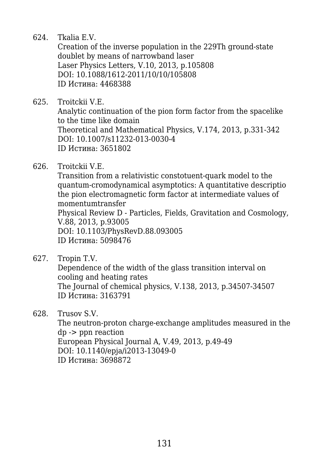624. Tkalia E.V.

Creation of the inverse population in the 229Th ground-state doublet by means of narrowband laser Laser Physics Letters, V.10, 2013, p.105808 DOI: 10.1088/1612-2011/10/10/105808 ID Истина: 4468388

- 625. Troitckii V.E. Analytic continuation of the pion form factor from the spacelike to the time like domain Theoretical and Mathematical Physics, V.174, 2013, p.331-342 DOI: 10.1007/s11232-013-0030-4 ID Истина: 3651802
- 626. Troitckii V.E.

Transition from a relativistic constotuent-quark model to the quantum-cromodynamical asymptotics: A quantitative descriptio the pion electromagnetic form factor at intermediate values of momentumtransfer Physical Review D - Particles, Fields, Gravitation and Cosmology, V.88, 2013, p.93005 DOI: 10.1103/PhysRevD.88.093005 ID Истина: 5098476

627. Tropin T.V.

Dependence of the width of the glass transition interval on cooling and heating rates The Journal of chemical physics, V.138, 2013, p.34507-34507 ID Истина: 3163791

628. Trusov S.V.

The neutron-proton charge-exchange amplitudes measured in the dp -> ppn reaction European Physical Journal A, V.49, 2013, p.49-49 DOI: 10.1140/epja/i2013-13049-0 ID Истина: 3698872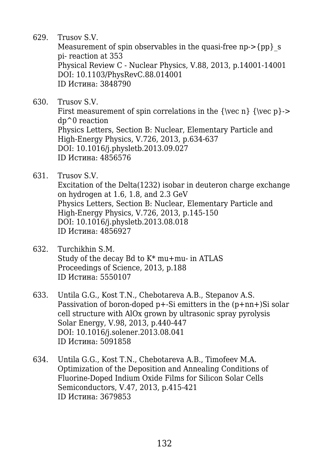629. Trusov S.V.

Measurement of spin observables in the quasi-free np->{pp} s pi- reaction at 353 Physical Review C - Nuclear Physics, V.88, 2013, p.14001-14001 DOI: 10.1103/PhysRevC.88.014001 ID Истина: 3848790

630. Trusov S.V.

First measurement of spin correlations in the  ${\vec n} {\vec p}$ dp^0 reaction Physics Letters, Section B: Nuclear, Elementary Particle and High-Energy Physics, V.726, 2013, p.634-637 DOI: 10.1016/j.physletb.2013.09.027 ID Истина: 4856576

631. Trusov S.V.

Excitation of the Delta(1232) isobar in deuteron charge exchange on hydrogen at 1.6, 1.8, and 2.3 GeV Physics Letters, Section B: Nuclear, Elementary Particle and High-Energy Physics, V.726, 2013, p.145-150 DOI: 10.1016/j.physletb.2013.08.018 ID Истина: 4856927

- 632. Turchikhin S.M. Study of the decay Bd to K\* mu+mu- in ATLAS Proceedings of Science, 2013, p.188 ID Истина: 5550107
- 633. Untila G.G., Kost T.N., Chebotareva A.B., Stepanov A.S. Passivation of boron-doped p+-Si emitters in the (p+nn+)Si solar cell structure with AlOx grown by ultrasonic spray pyrolysis Solar Energy, V.98, 2013, p.440-447 DOI: 10.1016/j.solener.2013.08.041 ID Истина: 5091858
- 634. Untila G.G., Kost T.N., Chebotareva A.B., Timofeev M.A. Optimization of the Deposition and Annealing Conditions of Fluorine-Doped Indium Oxide Films for Silicon Solar Cells Semiconductors, V.47, 2013, p.415-421 ID Истина: 3679853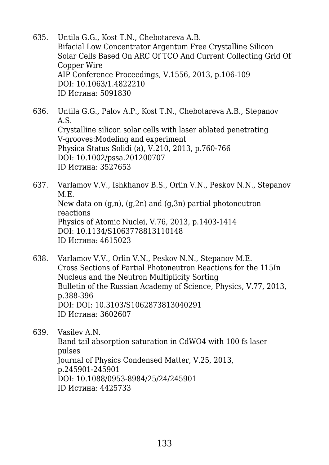- 635. Untila G.G., Kost T.N., Chebotareva A.B. Bifacial Low Concentrator Argentum Free Crystalline Silicon Solar Cells Based On ARC Of TCO And Current Collecting Grid Of Copper Wire AIP Conference Proceedings, V.1556, 2013, p.106-109 DOI: 10.1063/1.4822210 ID Истина: 5091830
- 636. Untila G.G., Palov A.P., Kost T.N., Chebotareva A.B., Stepanov A.S. Crystalline silicon solar cells with laser ablated penetrating V-grooves:Modeling and experiment Physica Status Solidi (a), V.210, 2013, p.760-766 DOI: 10.1002/pssa.201200707 ID Истина: 3527653
- 637. Varlamov V.V., Ishkhanov B.S., Orlin V.N., Peskov N.N., Stepanov M.E. New data on  $(q,n)$ ,  $(q,2n)$  and  $(q,3n)$  partial photoneutron reactions Physics of Atomic Nuclei, V.76, 2013, p.1403-1414 DOI: 10.1134/S1063778813110148 ID Истина: 4615023
- 638. Varlamov V.V., Orlin V.N., Peskov N.N., Stepanov M.E. Cross Sections of Partial Photoneutron Reactions for the 115In Nucleus and the Neutron Multiplicity Sorting Bulletin of the Russian Academy of Science, Physics, V.77, 2013, p.388-396 DOI: DOI: 10.3103/S1062873813040291 ID Истина: 3602607
- 639. Vasilev A.N. Band tail absorption saturation in CdWO4 with 100 fs laser pulses Journal of Physics Condensed Matter, V.25, 2013, p.245901-245901 DOI: 10.1088/0953-8984/25/24/245901 ID Истина: 4425733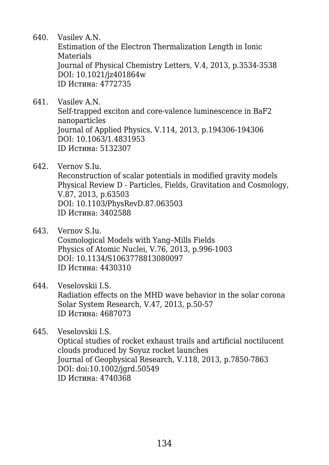640. Vasilev A.N.

Estimation of the Electron Thermalization Length in Ionic Materials Journal of Physical Chemistry Letters, V.4, 2013, p.3534-3538 DOI: 10.1021/jz401864w ID Истина: 4772735

- 641. Vasilev A.N. Self-trapped exciton and core-valence luminescence in BaF2 nanoparticles Journal of Applied Physics, V.114, 2013, p.194306-194306 DOI: 10.1063/1.4831953 ID Истина: 5132307
- 642. Vernov S.Iu. Reconstruction of scalar potentials in modified gravity models Physical Review D - Particles, Fields, Gravitation and Cosmology, V.87, 2013, p.63503 DOI: 10.1103/PhysRevD.87.063503 ID Истина: 3402588
- 643. Vernov S.Iu. Cosmological Models with Yang–Mills Fields Physics of Atomic Nuclei, V.76, 2013, p.996-1003 DOI: 10.1134/S1063778813080097 ID Истина: 4430310
- 644. Veselovskii I.S. Radiation effects on the MHD wave behavior in the solar corona Solar System Research, V.47, 2013, p.50-57 ID Истина: 4687073

645. Veselovskii I.S. Optical studies of rocket exhaust trails and artificial noctilucent clouds produced by Soyuz rocket launches Journal of Geophysical Research, V.118, 2013, p.7850-7863 DOI: doi:10.1002/jgrd.50549 ID Истина: 4740368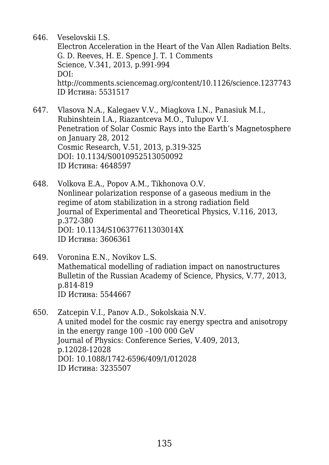646. Veselovskii I.S.

Electron Acceleration in the Heart of the Van Allen Radiation Belts. G. D. Reeves, H. E. Spence J. T. 1 Comments Science, V.341, 2013, p.991-994 DOI: http://comments.sciencemag.org/content/10.1126/science.1237743 ID Истина: 5531517

- 647. Vlasova N.A., Kalegaev V.V., Miagkova I.N., Panasiuk M.I., Rubinshtein I.A., Riazantceva M.O., Tulupov V.I. Penetration of Solar Cosmic Rays into the Earth's Magnetosphere on January 28, 2012 Cosmic Research, V.51, 2013, p.319-325 DOI: 10.1134/S0010952513050092 ID Истина: 4648597
- 648. Volkova E.A., Popov A.M., Tikhonova O.V. Nonlinear polarization response of a gaseous medium in the regime of atom stabilization in a strong radiation field Journal of Experimental and Theoretical Physics, V.116, 2013, p.372-380 DOI: 10.1134/S106377611303014X ID Истина: 3606361
- 649. Voronina E.N., Novikov L.S. Mathematical modelling of radiation impact on nanostructures Bulletin of the Russian Academy of Science, Physics, V.77, 2013, p.814-819 ID Истина: 5544667
- 650. Zatcepin V.I., Panov A.D., Sokolskaia N.V. A united model for the cosmic ray energy spectra and anisotropy in the energy range 100 –100 000 GeV Journal of Physics: Conference Series, V.409, 2013, p.12028-12028 DOI: 10.1088/1742-6596/409/1/012028 ID Истина: 3235507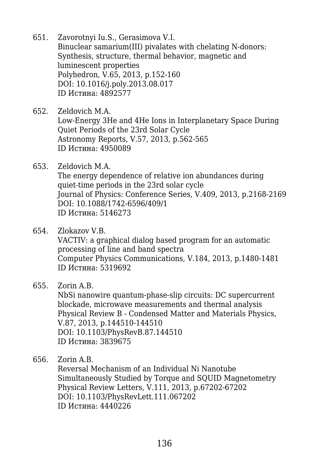- 651. Zavorotnyi Iu.S., Gerasimova V.I. Binuclear samarium(III) pivalates with chelating N-donors: Synthesis, structure, thermal behavior, magnetic and luminescent properties Polyhedron, V.65, 2013, p.152-160 DOI: 10.1016/j.poly.2013.08.017 ID Истина: 4892577
- 652. Zeldovich M.A. Low-Energy 3He and 4He Ions in Interplanetary Space During Quiet Periods of the 23rd Solar Cycle Astronomy Reports, V.57, 2013, p.562-565 ID Истина: 4950089
- 653. Zeldovich M.A. The energy dependence of relative ion abundances during quiet-time periods in the 23rd solar cycle Journal of Physics: Conference Series, V.409, 2013, p.2168-2169 DOI: 10.1088/1742-6596/409/1 ID Истина: 5146273
- 654. Zlokazov V.B. VACTIV: a graphical dialog based program for an automatic processing of line and band spectra Computer Physics Communications, V.184, 2013, p.1480-1481 ID Истина: 5319692
- 655. Zorin A.B.

NbSi nanowire quantum-phase-slip circuits: DC supercurrent blockade, microwave measurements and thermal analysis Physical Review B - Condensed Matter and Materials Physics, V.87, 2013, p.144510-144510 DOI: 10.1103/PhysRevB.87.144510 ID Истина: 3839675

656. Zorin A.B.

Reversal Mechanism of an Individual Ni Nanotube Simultaneously Studied by Torque and SQUID Magnetometry Physical Review Letters, V.111, 2013, p.67202-67202 DOI: 10.1103/PhysRevLett.111.067202 ID Истина: 4440226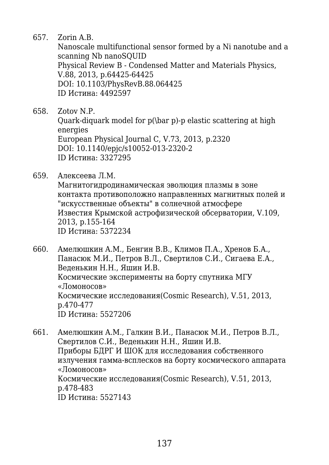657. Zorin A.B.

Nanoscale multifunctional sensor formed by a Ni nanotube and a scanning Nb nanoSQUID Physical Review B - Condensed Matter and Materials Physics, V.88, 2013, p.64425-64425 DOI: 10.1103/PhysRevB.88.064425 ID Истина: 4492597

658. Zotov N.P.

Quark-diquark model for p(\bar p)-p elastic scattering at high energies European Physical Journal C, V.73, 2013, p.2320 DOI: 10.1140/epjc/s10052-013-2320-2 ID Истина: 3327295

659. Алексеева Л.М.

Магнитогидродинамическая эволюция плазмы в зоне контакта противоположно направленных магнитных полей и "искусственные объекты" в солнечной атмосфере Известия Крымской астрофизической обсерватории, V.109, 2013, p.155-164 ID Истина: 5372234

660. Амелюшкин A.М., Бенгин В.В., Климов П.А., Хренов Б.А., Панасюк М.И., Петров В.Л., Свертилов С.И., Сигаева Е.А., Веденькин Н.Н., Яшин И.В. Космические эксперименты на борту спутника МГУ «Ломоносов» Космические исследования(Cosmic Research), V.51, 2013, p.470-477 ID Истина: 5527206

661. Амелюшкин A.М., Галкин В.И., Панасюк М.И., Петров В.Л., Свертилов С.И., Веденькин Н.Н., Яшин И.В. Приборы БДРГ И ШОК для исследования собственного излучения гамма-всплесков на борту космического аппарата «Ломоносов» Космические исследования(Cosmic Research), V.51, 2013, p.478-483 ID Истина: 5527143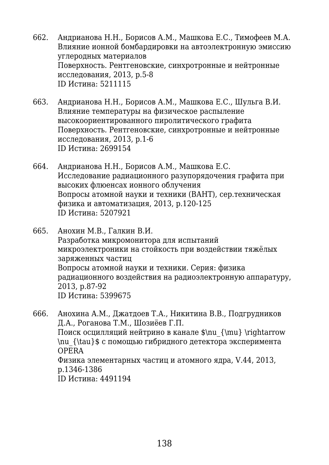- 662. Андрианова Н.Н., Борисов А.М., Машкова Е.С., Тимофеев М.А. Влияние ионной бомбардировки на автоэлектронную эмиссию углеродных материалов Поверхность. Рентгеновские, синхротронные и нейтронные исследования, 2013, p.5-8 ID Истина: 5211115
- 663. Андрианова Н.Н., Борисов А.М., Машкова Е.С., Шульга В.И. Влияние температуры на физическое распыление высокоориентированного пиролитического графита Поверхность. Рентгеновские, синхротронные и нейтронные исследования, 2013, p.1-6 ID Истина: 2699154
- 664. Андрианова Н.Н., Борисов А.М., Машкова Е.С. Исследование радиационного разупорядочения графита при высоких флюенсах ионного облучения Вопросы атомной науки и техники (ВАНТ), сер.техническая физика и автоматизация, 2013, p.120-125 ID Истина: 5207921
- 665. Анохин М.В., Галкин В.И. Разработка микромонитора для испытаний микроэлектроники на стойкость при воздействии тяжёлых заряженных частиц Вопросы атомной науки и техники. Серия: физика радиационного воздействия на радиоэлектронную аппаратуру, 2013, p.87-92 ID Истина: 5399675
- 666. Анохина А.М., Джатдоев Т.А., Никитина В.В., Подгрудников Д.А., Роганова Т.М., Шозиёев Г.П. Поиск осцилляций нейтрино в канале \$\nu\_{\mu} \rightarrow \nu\_{\tau}\$ с помощью гибридного детектора эксперимента OPERA Физика элементарных частиц и атомного ядра, V.44, 2013, p.1346-1386 ID Истина: 4491194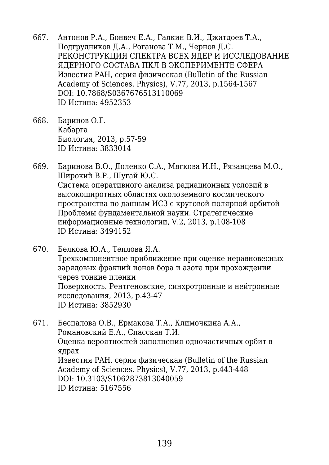- 667. Антонов Р.А., Бонвеч Е.А., Галкин В.И., Джатдоев Т.А., Подгрудников Д.А., Роганова Т.М., Чернов Д.С. РЕКОНСТРУКЦИЯ СПЕКТРА ВСЕХ ЯДЕР И ИССЛЕДОВАНИЕ ЯДЕРНОГО СОСТАВА ПКЛ В ЭКСПЕРИМЕНТЕ СФЕРА Известия РAH, серия физическая (Bulletin of the Russian Academy of Sciences. Physics), V.77, 2013, p.1564-1567 DOI: 10.7868/S0367676513110069 ID Истина: 4952353
- 668. Баринов О.Г. Кабарга Биология, 2013, p.57-59 ID Истина: 3833014
- 669. Баринова В.О., Доленко С.А., Мягкова И.Н., Рязанцева М.О., Широкий В.Р., Шугай Ю.С. Система оперативного анализа радиационных условий в высокоширотных областях околоземного космического пространства по данным ИСЗ с круговой полярной орбитой Проблемы фундаментальной науки. Стратегические информационные технологии, V.2, 2013, p.108-108 ID Истина: 3494152
- 670. Белкова Ю.А., Теплова Я.А. Трехкомпонентное приближение при оценке неравновесных зарядовых фракций ионов бора и азота при прохождении через тонкие пленки Поверхность. Рентгеновские, синхротронные и нейтронные исследования, 2013, p.43-47 ID Истина: 3852930
- 671. Беспалова О.В., Ермакова Т.А., Климочкина А.А., Романовский Е.А., Спасская Т.И. Оценка вероятностей заполнения одночастичных орбит в ядрах Известия РAH, серия физическая (Bulletin of the Russian Academy of Sciences. Physics), V.77, 2013, p.443-448 DOI: 10.3103/S1062873813040059 ID Истина: 5167556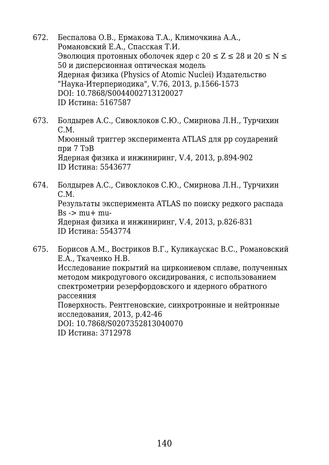- 672. Беспалова О.В., Ермакова Т.А., Климочкина А.А., Романовский Е.А., Спасская Т.И. Эволюция протонных оболочек ядер с  $20 \le Z \le 28$  и  $20 \le N \le 1$ 50 и дисперсионная оптическая модель Ядерная физика (Physics of Atomic Nuclei) Издательство "Наука-Итерпериодика", V.76, 2013, p.1566-1573 DOI: 10.7868/S0044002713120027 ID Истина: 5167587
- 673. Болдырев А.С., Сивоклоков С.Ю., Смирнова Л.Н., Турчихин С.М. Мюонный триггер эксперимента ATLAS для рр соударений при 7 ТэВ Ядерная физика и инжиниринг, V.4, 2013, p.894-902 ID Истина: 5543677
- 674. Болдырев А.С., Сивоклоков С.Ю., Смирнова Л.Н., Турчихин С.М. Результаты эксперимента ATLAS по поиску редкого распада  $Bs \rightarrow mu+mu$ Ядерная физика и инжиниринг, V.4, 2013, p.826-831 ID Истина: 5543774
- 675. Борисов А.М., Востриков В.Г., Куликаускас В.С., Романовский Е.А., Ткаченко Н.В. Исследование покрытий на циркониевом сплаве, полученных методом микродугового оксидирования, с использованием спектрометрии резерфордовского и ядерного обратного рассеяния Поверхность. Рентгеновские, синхротронные и нейтронные исследования, 2013, p.42-46 DOI: 10.7868/S0207352813040070 ID Истина: 3712978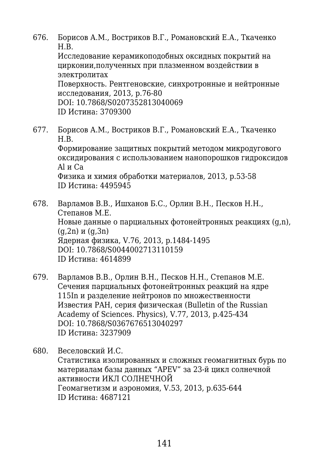676. Борисов А.М., Востриков В.Г., Романовский Е.А., Ткаченко Н.В.

Исследование керамикоподобных оксидных покрытий на цирконии,полученных при плазменном воздействии в электролитах

Поверхность. Рентгеновские, синхротронные и нейтронные исследования, 2013, p.76-80

DOI: 10.7868/S0207352813040069 ID Истина: 3709300

677. Борисов А.М., Востриков В.Г., Романовский Е.А., Ткаченко Н.В. Формирование защитных покрытий методом микродугового оксидирования с использованием нанопорошков гидроксидов Al и Ca Физика и химия обработки материалов, 2013, p.53-58 ID Истина: 4495945

678. Варламов В.В., Ишханов Б.С., Орлин В.Н., Песков Н.Н., Степанов М.Е. Новые данные о парциальных фотонейтронных реакциях (g,n),  $(q, 2n)$  и  $(q, 3n)$ Ядерная физика, V.76, 2013, p.1484-1495 DOI: 10.7868/S0044002713110159 ID Истина: 4614899

- 679. Варламов В.В., Орлин В.Н., Песков Н.Н., Степанов М.Е. Сечения парциальных фотонейтронных реакций на ядре 115In и разделение нейтронов по множественности Известия РAH, серия физическая (Bulletin of the Russian Academy of Sciences. Physics), V.77, 2013, p.425-434 DOI: 10.7868/S0367676513040297 ID Истина: 3237909
- 680. Веселовский И.С. Статистика изолированных и сложных геомагнитных бурь по материалам базы данных "APEV" за 23-й цикл солнечной активности ИКЛ СОЛНЕЧНОЙ Геомагнетизм и аэрономия, V.53, 2013, p.635-644 ID Истина: 4687121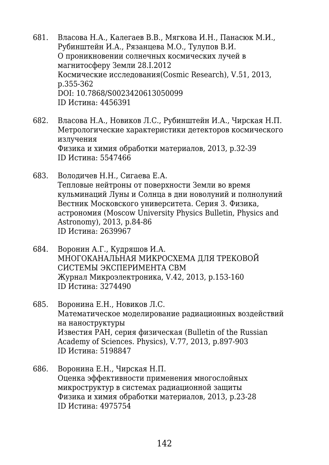- 681. Власова Н.А., Калегаев В.В., Мягкова И.Н., Панасюк М.И., Рубинштейн И.А., Рязанцева М.О., Тулупов В.И. О проникновении солнечных космических лучей в магнитосферу Земли 28.I.2012 Космические исследования(Cosmic Research), V.51, 2013, p.355-362 DOI: 10.7868/S0023420613050099 ID Истина: 4456391
- 682. Власова Н.А., Новиков Л.С., Рубинштейн И.А., Чирская Н.П. Метрологические характеристики детекторов космического излучения Физика и химия обработки материалов, 2013, p.32-39 ID Истина: 5547466
- 683. Володичев Н.Н., Сигаева Е.А. Тепловые нейтроны от поверхности Земли во время кульминаций Луны и Солнца в дни новолуний и полнолуний Вестник Московского университета. Серия 3. Физика, астрономия (Moscow University Physics Bulletin, Physics and Astronomy), 2013, p.84-86 ID Истина: 2639967
- 684. Воронин А.Г., Кудряшов И.А. МНОГОКАНАЛЬНАЯ МИКРОСХЕМА ДЛЯ ТРЕКОВОЙ СИСТЕМЫ ЭКСПЕРИМЕНТА CBM Журнал Микроэлектроника, V.42, 2013, p.153-160 ID Истина: 3274490
- 685. Воронина Е.Н., Новиков Л.С. Математическое моделирование радиационных воздействий на наноструктуры Известия РAH, серия физическая (Bulletin of the Russian Academy of Sciences. Physics), V.77, 2013, p.897-903 ID Истина: 5198847
- 686. Воронина Е.Н., Чирская Н.П. Оценка эффективности применения многослойных микроструктур в системах радиационной защиты Физика и химия обработки материалов, 2013, p.23-28 ID Истина: 4975754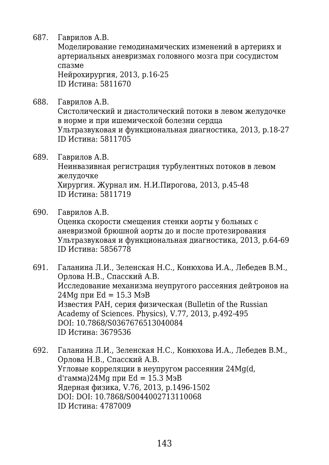687. Гаврилов А.В.

Моделирование гемодинамических изменений в артериях и артериальных аневризмах головного мозга при сосудистом спазме Нейрохирургия, 2013, p.16-25

ID Истина: 5811670

688. Гаврилов А.В.

Систолический и диастолический потоки в левом желудочке в норме и при ишемической болезни сердца Ультразвуковая и функциональная диагностика, 2013, p.18-27 ID Истина: 5811705

## 689. Гаврилов А.В.

Неинвазивная регистрация турбулентных потоков в левом желудочке Хирургия. Журнал им. Н.И.Пирогова, 2013, p.45-48 ID Истина: 5811719

690. Гаврилов А.В.

Оценка скорости смещения стенки аорты у больных с аневризмой брюшной аорты до и после протезирования Ультразвуковая и функциональная диагностика, 2013, p.64-69 ID Истина: 5856778

691. Галанина Л.И., Зеленская Н.С., Конюхова И.А., Лебедев В.М., Орлова Н.В., Спасский А.В. Исследование механизма неупругого рассеяния дейтронов на 24 Ма при Ed = 15.3 Мэ $B$ Известия РAH, серия физическая (Bulletin of the Russian Academy of Sciences. Physics), V.77, 2013, p.492-495 DOI: 10.7868/S0367676513040084 ID Истина: 3679536

692. Галанина Л.И., Зеленская Н.С., Конюхова И.А., Лебедев В.М., Орлова Н.В., Спасский А.В. Угловые корреляции в неупругом рассеянии 24Mg(d,  $d$ 'гамма)24Mg при Ed = 15.3 МэВ Ядерная физика, V.76, 2013, p.1496-1502 DOI: DOI: 10.7868/S0044002713110068 ID Истина: 4787009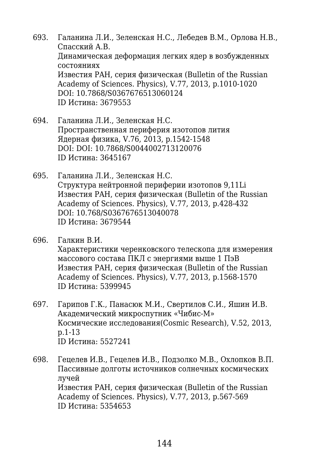- 693. Галанина Л.И., Зеленская Н.С., Лебедев В.М., Орлова Н.В., Спасский А.В. Динамическая деформация легких ядер в возбужденных состояниях Известия РAH, серия физическая (Bulletin of the Russian Academy of Sciences. Physics), V.77, 2013, p.1010-1020 DOI: 10.7868/S0367676513060124 ID Истина: 3679553
- 694. Галанина Л.И., Зеленская Н.С. Пространственная периферия изотопов лития Ядерная физика, V.76, 2013, p.1542-1548 DOI: DOI: 10.7868/S0044002713120076 ID Истина: 3645167
- 695. Галанина Л.И., Зеленская Н.С. Структура нейтронной периферии изотопов 9,11Li Известия РAH, серия физическая (Bulletin of the Russian Academy of Sciences. Physics), V.77, 2013, p.428-432 DOI: 10.768/S0367676513040078 ID Истина: 3679544
- 696. Галкин В.И. Характеристики черенковского телескопа для измерения массового состава ПКЛ с энергиями выше 1 ПэВ Известия РAH, серия физическая (Bulletin of the Russian Academy of Sciences. Physics), V.77, 2013, p.1568-1570 ID Истина: 5399945
- 697. Гарипов Г.К., Панасюк М.И., Свертилов С.И., Яшин И.В. Академический микроспутник «Чибис-М» Космические исследования(Cosmic Research), V.52, 2013, p.1-13 ID Истина: 5527241
- 698. Гецелев И.В., Гецелев И.В., Подзолко М.В., Охлопков В.П. Пассивные долготы источников солнечных космических лучей Известия РAH, серия физическая (Bulletin of the Russian Academy of Sciences. Physics), V.77, 2013, p.567-569 ID Истина: 5354653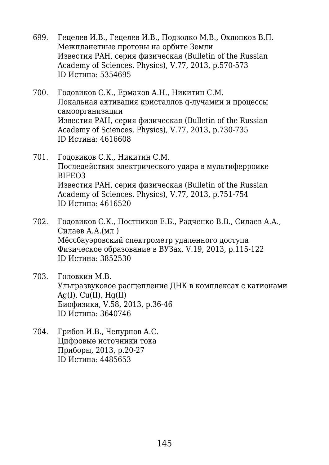- 699. Гецелев И.В., Гецелев И.В., Подзолко М.В., Охлопков В.П. Межпланетные протоны на орбите Земли Известия РAH, серия физическая (Bulletin of the Russian Academy of Sciences. Physics), V.77, 2013, p.570-573 ID Истина: 5354695
- 700. Годовиков С.К., Ермаков А.Н., Никитин С.М. Локальная активация кристаллов g-лучамии и процессы самоорганизации Известия РAH, серия физическая (Bulletin of the Russian Academy of Sciences. Physics), V.77, 2013, p.730-735 ID Истина: 4616608
- 701. Годовиков С.К., Никитин С.М. Последействия электрического удара в мультиферроике BIFEO3 Известия РAH, серия физическая (Bulletin of the Russian Academy of Sciences. Physics), V.77, 2013, p.751-754 ID Истина: 4616520
- 702. Годовиков С.К., Постников Е.Б., Радченко В.В., Силаев А.А., Силаев А.А.(мл ) Мёссбауэровский спектрометр удаленного доступа Физическое образование в ВУЗах, V.19, 2013, p.115-122 ID Истина: 3852530
- 703. Головкин М.В. Ультразвуковое расщепление ДНК в комплексах с катионами Ag(I),  $Cu(II)$ ,  $Hg(II)$ Биофизика, V.58, 2013, p.36-46 ID Истина: 3640746
- 704. Грибов И.В., Чепурнов А.С. Цифровые источники тока Приборы, 2013, p.20-27 ID Истина: 4485653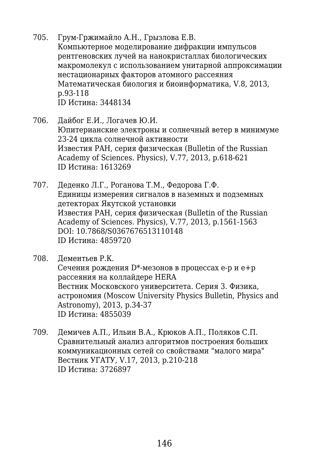- 705. Грум-Гржимайло А.Н., Грызлова Е.В. Компьютерное моделирование дифракции импульсов рентгеновских лучей на нанокристаллах биологических макромолекул с использованием унитарной аппроксимации нестационарных факторов атомного рассеяния Математическая биология и биоинформатика, V.8, 2013, p.93-118 ID Истина: 3448134
- 706. Дайбог Е.И., Логачев Ю.И. Юпитерианские электроны и солнечный ветер в минимуме 23-24 цикла солнечной активности Известия РAH, серия физическая (Bulletin of the Russian Academy of Sciences. Physics), V.77, 2013, p.618-621 ID Истина: 1613269
- 707. Деденко Л.Г., Роганова Т.М., Федорова Г.Ф. Единицы измерения сигналов в наземных и подземных детекторах Якутской установки Известия РAH, серия физическая (Bulletin of the Russian Academy of Sciences. Physics), V.77, 2013, p.1561-1563 DOI: 10.7868/S0367676513110148 ID Истина: 4859720
- 708. Дементьев Р.К. Сечения рождения D\*-мезонов в процессах e-p и e+p рассеяния на коллайдере HERA Вестник Московского университета. Серия 3. Физика, астрономия (Moscow University Physics Bulletin, Physics and Astronomy), 2013, p.34-37 ID Истина: 4855039
- 709. Демичев А.П., Ильин В.А., Крюков А.П., Поляков С.П. Сравнительный анализ алгоритмов построения больших коммуникационных сетей со свойствами "малого мира" Вестник УГАТУ, V.17, 2013, p.210-218 ID Истина: 3726897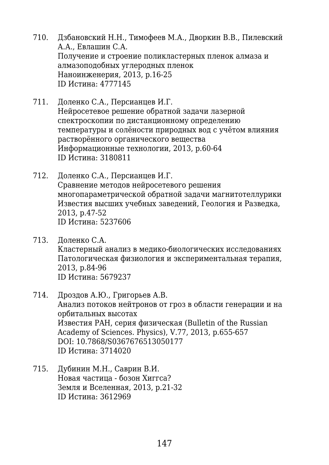- 710. Дзбановский Н.Н., Тимофеев М.А., Дворкин В.В., Пилевский А.А., Евлашин С.А. Получение и строение поликластерных пленок алмаза и алмазоподобных углеродных пленок Наноинженерия, 2013, p.16-25 ID Истина: 4777145
- 711. Доленко С.А., Персианцев И.Г. Нейросетевое решение обратной задачи лазерной спектроскопии по дистанционному определению температуры и солёности природных вод с учётом влияния растворённого органического вещества Информационные технологии, 2013, p.60-64 ID Истина: 3180811
- 712. Доленко С.А., Персианцев И.Г. Сравнение методов нейросетевого решения многопараметрической обратной задачи магнитотеллурики Известия высших учебных заведений, Геология и Разведка, 2013, p.47-52 ID Истина: 5237606
- 713. Доленко С.А. Кластерный анализ в медико-биологических исследованиях Патологическая физиология и экспериментальная терапия, 2013, p.84-96 ID Истина: 5679237
- 714. Дроздов А.Ю., Григорьев А.В. Анализ потоков нейтронов от гроз в области генерации и на орбитальных высотах Известия РAH, серия физическая (Bulletin of the Russian Academy of Sciences. Physics), V.77, 2013, p.655-657 DOI: 10.7868/S0367676513050177 ID Истина: 3714020
- 715. Дубинин М.Н., Саврин В.И. Новая частица - бозон Хиггса? Земля и Вселенная, 2013, p.21-32 ID Истина: 3612969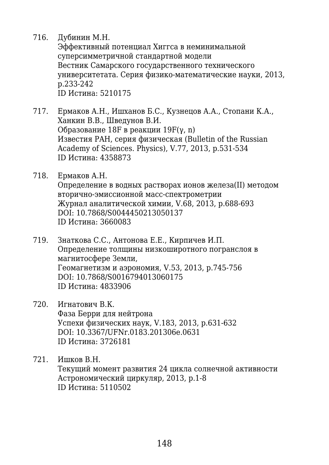716. Дубинин М.Н.

Эффективный потенциал Хиггса в неминимальной суперсимметричной стандартной модели Вестник Самарского государственного технического университетата. Серия физико-математические науки, 2013, p.233-242 ID Истина: 5210175

- 717. Ермаков А.Н., Ишханов Б.С., Кузнецов А.А., Стопани К.А., Ханкин В.В., Шведунов В.И. Образование 18F в реакции 19F(γ, n) Известия РAH, серия физическая (Bulletin of the Russian Academy of Sciences. Physics), V.77, 2013, p.531-534 ID Истина: 4358873
- 718. Ермаков А.Н.

Определение в водных растворах ионов железа(II) методом вторично-эмиссионной масс-спектрометрии Журнал аналитической химии, V.68, 2013, p.688-693 DOI: 10.7868/S0044450213050137 ID Истина: 3660083

- 719. Знаткова С.С., Антонова Е.Е., Кирпичев И.П. Определение толщины низкоширотного погранслоя в магнитосфере Земли, Геомагнетизм и аэрономия, V.53, 2013, p.745-756 DOI: 10.7868/S0016794013060175 ID Истина: 4833906
- 720. Игнатович В.К. Фаза Берри для нейтрона Успехи физических наук, V.183, 2013, p.631-632 DOI: 10.3367/UFNr.0183.201306e.0631 ID Истина: 3726181

721. Ишков В.Н. Текущий момент развития 24 цикла солнечной активности Астрономический циркуляр, 2013, p.1-8 ID Истина: 5110502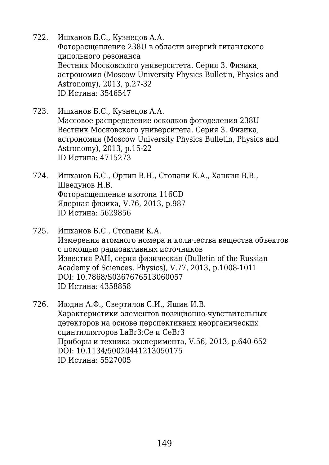- 722. Ишханов Б.С., Кузнецов А.А. Фоторасщепление 238U в области энергий гигантского дипольного резонанса Вестник Московского университета. Серия 3. Физика, астрономия (Moscow University Physics Bulletin, Physics and Astronomy), 2013, p.27-32 ID Истина: 3546547
- 723. Ишханов Б.С., Кузнецов А.А. Массовое распределение осколков фотоделения 238U Вестник Московского университета. Серия 3. Физика, астрономия (Moscow University Physics Bulletin, Physics and Astronomy), 2013, p.15-22 ID Истина: 4715273
- 724. Ишханов Б.С., Орлин В.Н., Стопани К.А., Ханкин В.В., Шведунов Н.В. Фоторасщепление изотопа 116CD Ядерная физика, V.76, 2013, p.987 ID Истина: 5629856
- 725. Ишханов Б.С., Стопани К.А. Измерения атомного номера и количества вещества объектов с помощью радиоактивных источников Известия РAH, серия физическая (Bulletin of the Russian Academy of Sciences. Physics), V.77, 2013, p.1008-1011 DOI: 10.7868/S0367676513060057 ID Истина: 4358858
- 726. Июдин А.Ф., Свертилов С.И., Яшин И.В. Характеристики элементов позиционно-чувствительных детекторов на основе перспективных неорганических сцинтилляторов LaBr3:Ce и CeBr3 Приборы и техника эксперимента, V.56, 2013, p.640-652 DOI: 10.1134/50020441213050175 ID Истина: 5527005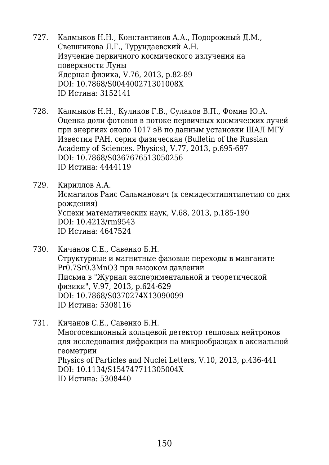- 727. Калмыков Н.Н., Константинов А.А., Подорожный Д.М., Свешникова Л.Г., Турундаевский А.Н. Изучение первичного космического излучения на поверхности Луны Ядерная физика, V.76, 2013, p.82-89 DOI: 10.7868/S004400271301008X ID Истина: 3152141
- 728. Калмыков Н.Н., Куликов Г.В., Сулаков В.П., Фомин Ю.А. Оценка доли фотонов в потоке первичных космических лучей при энергиях около 1017 эВ по данным установки ШАЛ МГУ Известия РAH, серия физическая (Bulletin of the Russian Academy of Sciences. Physics), V.77, 2013, p.695-697 DOI: 10.7868/S0367676513050256 ID Истина: 4444119
- 729. Кириллов А.А. Исмагилов Раис Сальманович (к семидесятипятилетию со дня рождения) Успехи математических наук, V.68, 2013, p.185-190 DOI: 10.4213/rm9543 ID Истина: 4647524
- 730. Кичанов С.Е., Савенко Б.Н. Структурные и магнитные фазовые переходы в манганитe Pr0.7Sr0.3MnO3 при высоком давлении Письма в "Журнал экспериментальной и теоретической физики", V.97, 2013, p.624-629 DOI: 10.7868/S0370274X13090099 ID Истина: 5308116
- 731. Кичанов С.Е., Савенко Б.Н. Многосекционный кольцевой детектор тепловых нейтронов для исследования дифракции на микрообразцах в аксиальной геометрии Physics of Particles and Nuclei Letters, V.10, 2013, p.436-441 DOI: 10.1134/S154747711305004X ID Истина: 5308440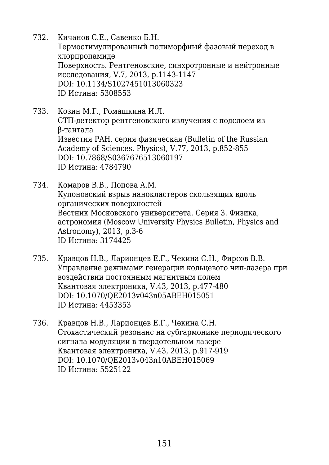- 732. Кичанов С.Е., Савенко Б.Н. Термостимулированный полиморфный фазовый переход в хлорпропамиде Поверхность. Рентгеновские, синхротронные и нейтронные исследования, V.7, 2013, p.1143-1147 DOI: 10.1134/S1027451013060323 ID Истина: 5308553
- 733. Козин М.Г., Ромашкина И.Л. СТП-детектор рентгеновского излучения с подслоем из β-тантала Известия РAH, серия физическая (Bulletin of the Russian Academy of Sciences. Physics), V.77, 2013, p.852-855 DOI: 10.7868/S0367676513060197 ID Истина: 4784790
- 734. Комаров В.В., Попова А.М. Кулоновский взрыв нанокластеров скользящих вдоль органических поверхностей Вестник Московского университета. Серия 3. Физика, астрономия (Moscow University Physics Bulletin, Physics and Astronomy), 2013, p.3-6 ID Истина: 3174425
- 735. Кравцов Н.В., Ларионцев Е.Г., Чекина С.Н., Фирсов В.В. Управление режимами генерации кольцевого чип-лазера при воздействии постоянным магнитным полем Квантовая электроника, V.43, 2013, p.477-480 DOI: 10.1070/QE2013v043n05ABEH015051 ID Истина: 4453353
- 736. Кравцов Н.В., Ларионцев Е.Г., Чекина С.Н. Стохастический резонанс на субгармонике периодического сигнала модуляции в твердотельном лазере Квантовая электроника, V.43, 2013, p.917-919 DOI: 10.1070/QE2013v043n10ABEH015069 ID Истина: 5525122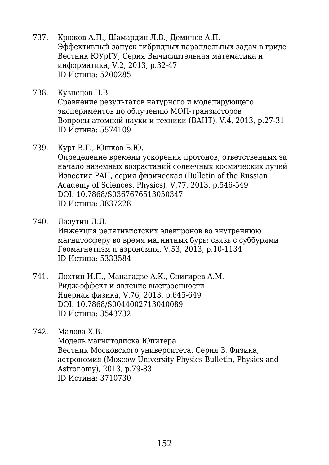- 737. Крюков А.П., Шамардин Л.В., Демичев А.П. Эффективный запуск гибридных параллельных задач в гриде Вестник ЮУрГУ, Серия Вычислительная математика и информатика, V.2, 2013, p.32-47 ID Истина: 5200285
- 738. Кузнецов Н.В. Сравнение результатов натурного и моделирующего экспериментов по облучению МОП-транзисторов Вопросы атомной науки и техники (ВАНТ), V.4, 2013, p.27-31 ID Истина: 5574109
- 739. Курт В.Г., Юшков Б.Ю.

Определение времени ускорения протонов, ответственных за начало наземных возрастаний солнечных космических лучей Известия РAH, серия физическая (Bulletin of the Russian Academy of Sciences. Physics), V.77, 2013, p.546-549 DOI: 10.7868/S0367676513050347 ID Истина: 3837228

- 740. Лазутин Л.Л. Инжекция релятивистских электронов во внутреннюю магнитосферу во время магнитных бурь: связь с суббурями Геомагнетизм и аэрономия, V.53, 2013, p.10-1134 ID Истина: 5333584
- 741. Лохтин И.П., Манагадзе А.К., Снигирев А.М. Ридж-эффект и явление выстроенности Ядерная физика, V.76, 2013, p.645-649 DOI: 10.7868/S0044002713040089 ID Истина: 3543732

742. Малова Х.В. Модель магнитодиска Юпитера Вестник Московского университета. Серия 3. Физика, астрономия (Moscow University Physics Bulletin, Physics and Astronomy), 2013, p.79-83 ID Истина: 3710730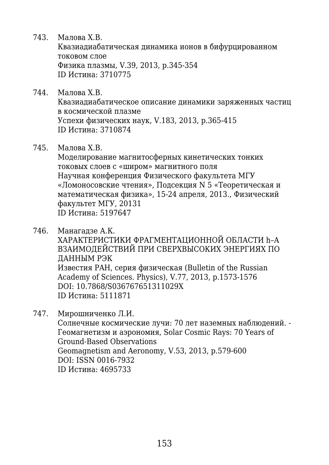743. Малова Х.В.

Квазиадиабатическая динамика ионов в бифурцированном токовом слое Физика плазмы, V.39, 2013, p.345-354 ID Истина: 3710775

- 744. Малова Х.В. Квазиадиабатическое описание динамики заряженных частиц в космической плазме Успехи физических наук, V.183, 2013, p.365-415 ID Истина: 3710874
- 745. Малова Х.В.

Моделирование магнитосферных кинетических тонких токовых слоев с «широм» магнитного поля Научная конференция Физического факультета МГУ «Ломоносовские чтения», Подсекция N 5 «Теоретическая и математическая физика», 15-24 апреля, 2013., Физический факультет МГУ, 20131 ID Истина: 5197647

- 746. Манагадзе А.К. ХАРАКТЕРИСТИКИ ФРАГМЕНТАЦИОННОЙ ОБЛАСТИ h–A ВЗАИМОДЕЙСТВИЙ ПРИ СВЕРХВЫСОКИХ ЭНЕРГИЯХ ПО ДАННЫМ РЭК Известия РAH, серия физическая (Bulletin of the Russian Academy of Sciences. Physics), V.77, 2013, p.1573-1576 DOI: 10.7868/S036767651311029X ID Истина: 5111871
- 747. Мирошниченко Л.И.

Солнечные космические лучи: 70 лет наземных наблюдений. - Геомагнетизм и аэрономия, Solar Cosmic Rays: 70 Years of Ground-Based Observations Geomagnetism and Aeronomy, V.53, 2013, p.579-600 DOI: ISSN 0016-7932 ID Истина: 4695733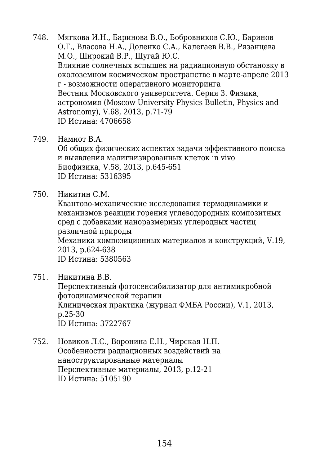748. Мягкова И.Н., Баринова В.О., Бобровников С.Ю., Баринов О.Г., Власова Н.А., Доленко С.А., Калегаев В.В., Рязанцева М.О., Широкий В.Р., Шугай Ю.С. Влияние солнечных вспышек на радиационную обстановку в околоземном космическом пространстве в марте-апреле 2013 г - возможности оперативного мониторинга Вестник Московского университета. Серия 3. Физика, астрономия (Moscow University Physics Bulletin, Physics and Astronomy), V.68, 2013, p.71-79 ID Истина: 4706658

749. Намиот В.А.

Об общих физических аспектах задачи эффективного поиска и выявления малигнизированных клеток in vivo Биофизика, V.58, 2013, p.645-651 ID Истина: 5316395

750. Никитин С.М.

Квантово-механические исследования термодинамики и механизмов реакции горения углеводородных композитных сред с добавками наноразмерных углеродных частиц различной природы Механика композиционных материалов и конструкций, V.19, 2013, p.624-638 ID Истина: 5380563

- 751. Никитина В.В. Перспективный фотосенсибилизатор для антимикробной фотодинамической терапии Клиническая практика (журнал ФМБА России), V.1, 2013, p.25-30 ID Истина: 3722767
- 752. Новиков Л.С., Воронина Е.Н., Чирская Н.П. Особенности радиационных воздействий на наноструктированные материалы Перспективные материалы, 2013, p.12-21 ID Истина: 5105190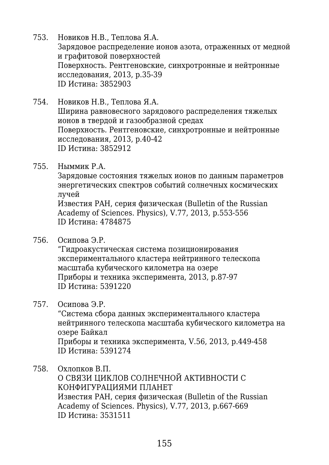- 753. Новиков Н.В., Теплова Я.А. Зарядовое распределение ионов азота, отраженных от медной и графитовой поверхностей Поверхность. Рентгеновские, синхротронные и нейтронные исследования, 2013, p.35-39 ID Истина: 3852903
- 754. Новиков Н.В., Теплова Я.А. Ширина равновесного зарядового распределения тяжелых ионов в твердой и газообразной средах Поверхность. Рентгеновские, синхротронные и нейтронные исследования, 2013, p.40-42 ID Истина: 3852912
- 755. Ныммик Р.А.

Зарядовые состояния тяжелых ионов по данным параметров энергетических спектров событий солнечных космических лучей

Известия РAH, серия физическая (Bulletin of the Russian Academy of Sciences. Physics), V.77, 2013, p.553-556 ID Истина: 4784875

756. Осипова Э.Р.

"Гидроакустическая система позиционирования экспериментального кластера нейтринного телескопа масштаба кубического километра на озере Приборы и техника эксперимента, 2013, p.87-97 ID Истина: 5391220

757. Осипова Э.Р.

"Система сбора данных экспериментального кластера нейтринного телескопа масштаба кубического километра на озере Байкал Приборы и техника эксперимента, V.56, 2013, p.449-458 ID Истина: 5391274

758. Охлопков В.П.

О СВЯЗИ ЦИКЛОВ СОЛНЕЧНОЙ АКТИВНОСТИ С КОНФИГУРАЦИЯМИ ПЛАНЕТ Известия РAH, серия физическая (Bulletin of the Russian Academy of Sciences. Physics), V.77, 2013, p.667-669 ID Истина: 3531511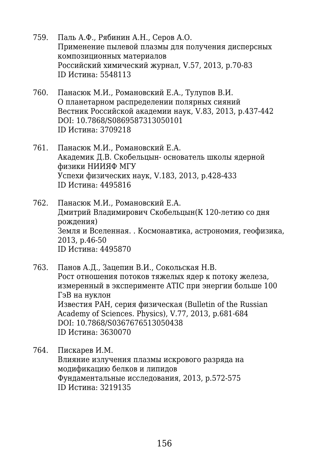- 759. Паль А.Ф., Рябинин А.Н., Серов А.О. Применение пылевой плазмы для получения дисперсных композиционных материалов Российский химический журнал, V.57, 2013, p.70-83 ID Истина: 5548113
- 760. Панасюк М.И., Романовский Е.А., Тулупов В.И. О планетарном распределении полярных сияний Вестник Российской академии наук, V.83, 2013, p.437-442 DOI: 10.7868/S0869587313050101 ID Истина: 3709218
- 761. Панасюк М.И., Романовский Е.А. Академик Д.В. Скобельцын- основатель школы ядерной физики НИИЯФ МГУ Успехи физических наук, V.183, 2013, p.428-433 ID Истина: 4495816
- 762. Панасюк М.И., Романовский Е.А. Дмитрий Владимирович Скобельцын(К 120-летию со дня рождения) Земля и Вселенная. . Космонавтика, астрономия, геофизика, 2013, p.46-50 ID Истина: 4495870
- 763. Панов А.Д., Зацепин В.И., Сокольская Н.В. Рост отношения потоков тяжелых ядер к потоку железа, измеренный в эксперименте ATIC при энергии больше 100 ГэВ на нуклон Известия РAH, серия физическая (Bulletin of the Russian Academy of Sciences. Physics), V.77, 2013, p.681-684 DOI: 10.7868/S0367676513050438 ID Истина: 3630070
- 764. Пискарев И.М. Влияние излучения плазмы искрового разряда на модификацию белков и липидов Фундаментальные исследования, 2013, p.572-575 ID Истина: 3219135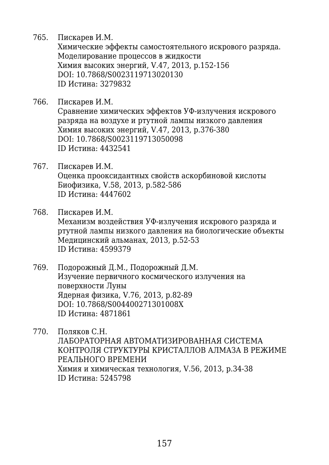765. Пискарев И.М.

Химические эффекты самостоятельного искрового разряда. Моделирование процессов в жидкости Химия высоких энергий, V.47, 2013, p.152-156 DOI: 10.7868/S0023119713020130 ID Истина: 3279832

766. Пискарев И.М.

Сравнение химических эффектов УФ-излучения искрового разряда на воздухе и ртутной лампы низкого давления Химия высоких энергий, V.47, 2013, p.376-380 DOI: 10.7868/S0023119713050098 ID Истина: 4432541

- 767. Пискарев И.М. Оценка прооксидантных свойств аскорбиновой кислоты Биофизика, V.58, 2013, p.582-586 ID Истина: 4447602
- 768. Пискарев И.М. Механизм воздействия УФ-излучения искрового разряда и ртутной лампы низкого давления на биологические объекты Медицинский альманах, 2013, p.52-53 ID Истина: 4599379
- 769. Подорожный Д.М., Подорожный Д.М. Изучение первичного космического излучения на поверхности Луны Ядерная физика, V.76, 2013, p.82-89 DOI: 10.7868/S004400271301008X ID Истина: 4871861
- 770. Поляков С.Н. ЛАБОРАТОРНАЯ АВТОМАТИЗИРОВАННАЯ СИСТЕМА КОНТРОЛЯ СТРУКТУРЫ КРИСТАЛЛОВ АЛМАЗА В РЕЖИМЕ РЕАЛЬНОГО ВРЕМЕНИ Химия и химическая технология, V.56, 2013, p.34-38 ID Истина: 5245798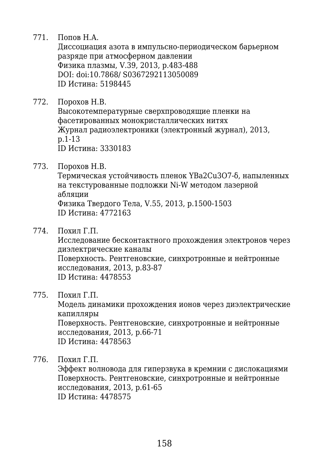771. Попов Н.А.

Диссоциация азота в импульсно-периодическом барьерном разряде при атмосферном давлении Физика плазмы, V.39, 2013, p.483-488 DOI: doi:10.7868/ S0367292113050089 ID Истина: 5198445

772. Порохов Н.В.

Высокотемпературные сверхпроводящие пленки на фасетированных монокристаллических нитях Журнал радиоэлектроники (электронный журнал), 2013, p.1-13 ID Истина: 3330183

773. Порохов Н.В.

Термическая устойчивость пленок YBa2Cu3O7-δ, напыленных на текстурованные подложки Ni-W методом лазерной абляции Физика Твердого Тела, V.55, 2013, p.1500-1503 ID Истина: 4772163

774. Похил Г.П.

Исследование бесконтактного прохождения электронов через диэлектрические каналы Поверхность. Рентгеновские, синхротронные и нейтронные исследования, 2013, p.83-87

ID Истина: 4478553

775. Похил Г.П.

Модель динамики прохождения ионов через диэлектрические капилляры Поверхность. Рентгеновские, синхротронные и нейтронные исследования, 2013, p.66-71 ID Истина: 4478563

776. Похил Г.П.

Эффект волновода для гиперзвука в кремнии с дислокациями Поверхность. Рентгеновские, синхротронные и нейтронные исследования, 2013, p.61-65 ID Истина: 4478575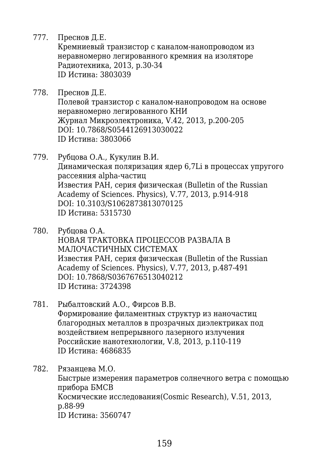777. Преснов Д.Е.

Кремниевый транзистор с каналом-нанопроводом из неравномерно легированного кремния на изоляторе Радиотехника, 2013, p.30-34 ID Истина: 3803039

- 778. Преснов Д.Е. Полевой транзистор с каналом-нанопроводом на основе неравномерно легированного КНИ Журнал Микроэлектроника, V.42, 2013, p.200-205 DOI: 10.7868/S0544126913030022 ID Истина: 3803066
- 779. Рубцова О.А., Кукулин В.И. Динамическая поляризация ядер 6,7Li в процессах упругого рассеяния alpha-частиц Известия РAH, серия физическая (Bulletin of the Russian Academy of Sciences. Physics), V.77, 2013, p.914-918 DOI: 10.3103/S1062873813070125 ID Истина: 5315730
- 780. Рубцова О.А. НОВАЯ ТРАКТОВКА ПРОЦЕССОВ РАЗВАЛА В МАЛОЧАСТИЧНЫХ СИСТЕМАХ Известия РAH, серия физическая (Bulletin of the Russian Academy of Sciences. Physics), V.77, 2013, p.487-491 DOI: 10.7868/S0367676513040212 ID Истина: 3724398
- 781. Рыбалтовский А.О., Фирсов В.В. Формирование филаментных структур из наночастиц благородных металлов в прозрачных диэлектриках под воздействием непрерывного лазерного излучения Российские нанотехнологии, V.8, 2013, p.110-119 ID Истина: 4686835

782. Рязанцева М.О. Быстрые измерения параметров солнечного ветра с помощью прибора БМСВ Космические исследования(Cosmic Research), V.51, 2013, p.88-99 ID Истина: 3560747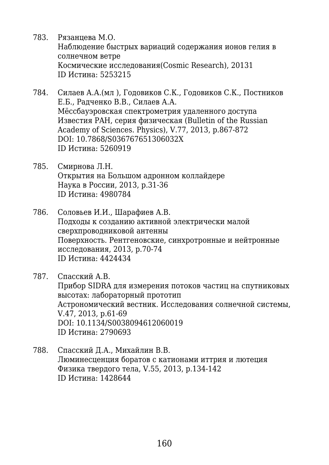- 783. Рязанцева М.О. Наблюдение быстрых вариаций содержания ионов гелия в солнечном ветре Космические исследования(Cosmic Research), 20131 ID Истина: 5253215
- 784. Силаев А.А.(мл ), Годовиков С.К., Годовиков С.К., Постников Е.Б., Радченко В.В., Силаев А.А. Мёссбауэровская спектрометрия удаленного доступа Известия РAH, серия физическая (Bulletin of the Russian Academy of Sciences. Physics), V.77, 2013, p.867-872 DOI: 10.7868/S036767651306032X ID Истина: 5260919
- 785. Смирнова Л.Н. Открытия на Большом адронном коллайдере Наука в России, 2013, p.31-36 ID Истина: 4980784
- 786. Соловьев И.И., Шарафиев А.В. Подходы к созданию активной электрически малой сверхпроводниковой антенны Поверхность. Рентгеновские, синхротронные и нейтронные исследования, 2013, p.70-74 ID Истина: 4424434
- 787. Спасский А.В. Прибор SIDRA для измерения потоков частиц на спутниковых высотах: лабораторный прототип Астрономический вестник. Исследования солнечной системы, V.47, 2013, p.61-69 DOI: 10.1134/S0038094612060019 ID Истина: 2790693
- 788. Спасский Д.А., Михайлин В.В. Люминесценция боратов с катионами иттрия и лютеция Физика твердого тела, V.55, 2013, p.134-142 ID Истина: 1428644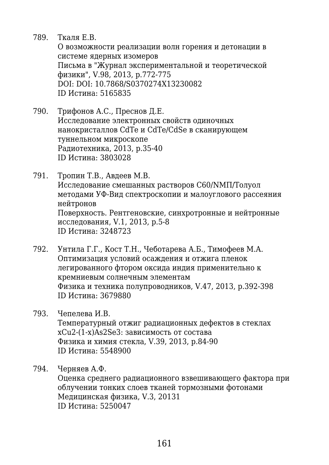789. Ткаля Е.В.

О возможности реализации волн горения и детонации в системе ядерных изомеров Письма в "Журнал экспериментальной и теоретической физики", V.98, 2013, p.772-775 DOI: DOI: 10.7868/S0370274X13230082 ID Истина: 5165835

- 790. Трифонов А.С., Преснов Д.Е. Исследование электронных свойств одиночных нанокристаллов СdTe и CdTe/CdSe в сканирующем туннельном микроскопе Радиотехника, 2013, p.35-40 ID Истина: 3803028
- 791. Тропин Т.В., Авдеев М.В. Исследование смешанных растворов С60/NМП/Толуол методами УФ-Вид спектроскопии и малоуглового рассеяния нейтронов Поверхность. Рентгеновские, синхротронные и нейтронные исследования, V.1, 2013, p.5-8 ID Истина: 3248723
- 792. Унтила Г.Г., Кост Т.Н., Чеботарева А.Б., Тимофеев М.А. Оптимизация условий осаждения и отжига пленок легированного фтором оксида индия применительно к кремниевым солнечным элементам Физика и техника полупроводников, V.47, 2013, p.392-398 ID Истина: 3679880
- 793. Чепелева И.В. Температурный отжиг радиационных дефектов в стеклах xCu2-(1-x)As2Se3: зависимость от состава Физика и химия стекла, V.39, 2013, p.84-90 ID Истина: 5548900

794. Черняев А.Ф.

Оценка среднего радиационного взвешивающего фактора при облучении тонких слоев тканей тормозными фотонами Медицинская физика, V.3, 20131 ID Истина: 5250047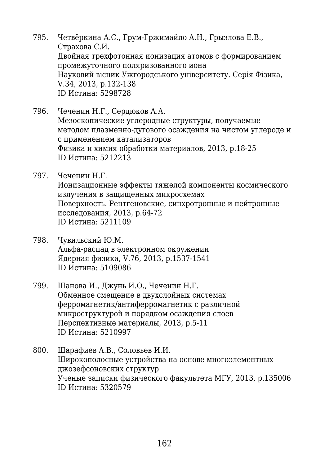- 795. Четвёркина А.C., Грум-Гржимайло А.Н., Грызлова Е.В., Страхова С.И. Двойная трехфотонная ионизация атомов с формированием промежуточного поляризованного иона Науковий вісник Ужгородського університету. Серія Фізика, V.34, 2013, p.132-138 ID Истина: 5298728
- 796. Чеченин Н.Г., Сердюков А.А. Мезоскопические углеродные структуры, получаемые методом плазменно-дугового осаждения на чистом углероде и с применением катализаторов Физика и химия обработки материалов, 2013, p.18-25 ID Истина: 5212213
- 797. Чеченин Н.Г. Ионизационные эффекты тяжелой компоненты космического излучения в защищенных микросхемах Поверхность. Рентгеновские, синхротронные и нейтронные исследования, 2013, p.64-72 ID Истина: 5211109
- 798. Чувильский Ю.М. Альфа-распад в электронном окружении Ядерная физика, V.76, 2013, p.1537-1541 ID Истина: 5109086
- 799. Шанова И., Джунь И.О., Чеченин Н.Г. Обменное смещение в двухслойных системах ферромагнетик/антиферромагнетик с различной микроструктурой и порядком осаждения слоев Перспективные материалы, 2013, p.5-11 ID Истина: 5210997
- 800. Шарафиев А.В., Соловьев И.И. Широкополосные устройства на основе многоэлементных джозефсоновских структур Ученые записки физического факультета МГУ, 2013, p.135006 ID Истина: 5320579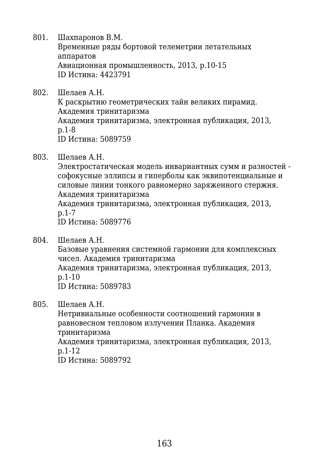801. Шахпаронов В.М.

Временные ряды бортовой телеметрии летательных аппаратов Авиационная промышленность, 2013, p.10-15 ID Истина: 4423791

802. Шелаев А.Н.

К раскрытию геометрических тайн великих пирамид. Академия тринитаризма Академия тринитаризма, электронная публикация, 2013, p.1-8 ID Истина: 5089759

803. Шелаев А.Н.

Электростатическая модель инвариантных сумм и разностей софокусные эллипсы и гиперболы как эквипотенциальные и силовые линии тонкого равномерно заряженного стержня. Академия тринитаризма Академия тринитаризма, электронная публикация, 2013, p.1-7 ID Истина: 5089776

804. Шелаев А.Н.

Базовые уравнения системной гармонии для комплексных чисел. Академия тринитаризма Академия тринитаризма, электронная публикация, 2013, p.1-10 ID Истина: 5089783

805. Шелаев А.Н.

Нетривиальные особенности соотношений гармонии в равновесном тепловом излучении Планка. Академия тринитаризма Академия тринитаризма, электронная публикация, 2013, p.1-12 ID Истина: 5089792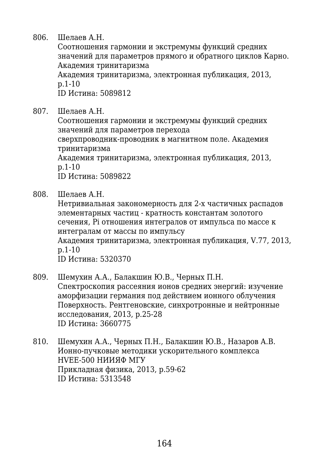806. Шелаев А.Н.

Соотношения гармонии и экстремумы функций средних значений для параметров прямого и обратного циклов Карно. Академия тринитаризма

Академия тринитаризма, электронная публикация, 2013, p.1-10

ID Истина: 5089812

807. Шелаев А.Н.

Соотношения гармонии и экстремумы функций средних значений для параметров перехода сверхпроводник-проводник в магнитном поле. Академия тринитаризма Академия тринитаризма, электронная публикация, 2013, p.1-10

ID Истина: 5089822

808. Шелаев А.Н.

Нетривиальная закономерность для 2-х частичных распадов элементарных частиц - кратность константам золотого сечения, Pi отношения интегралов от импульса по массе к интегралам от массы по импульсу Академия тринитаризма, электронная публикация, V.77, 2013, p.1-10

ID Истина: 5320370

- 809. Шемухин А.А., Балакшин Ю.В., Черных П.Н. Спектроскопия рассеяния ионов средних энергий: изучение аморфизации германия под действием ионного облучения Поверхность. Рентгеновские, синхротронные и нейтронные исследования, 2013, p.25-28 ID Истина: 3660775
- 810. Шемухин А.А., Черных П.Н., Балакшин Ю.В., Назаров А.В. Ионно-пучковые методики ускорительного комплекса HVEE-500 НИИЯФ МГУ Прикладная физика, 2013, p.59-62 ID Истина: 5313548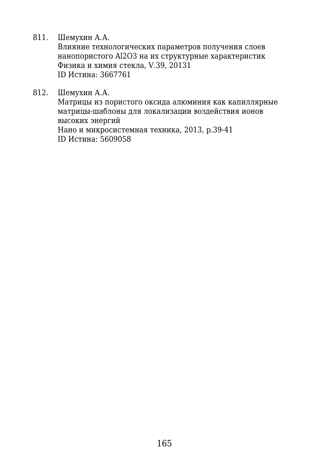811. Шемухин А.А.

Влияние технологических параметров получения слоев нанопористого Al2O3 на их структурные характеристик Физика и химия стекла, V.39, 20131 ID Истина: 3667761

812. Шемухин А.А.

Матрицы из пористого оксида алюминия как капиллярные матрицы-шаблоны для локализации воздействия ионов высоких энергий Нано и микросистемная техника, 2013, p.39-41 ID Истина: 5609058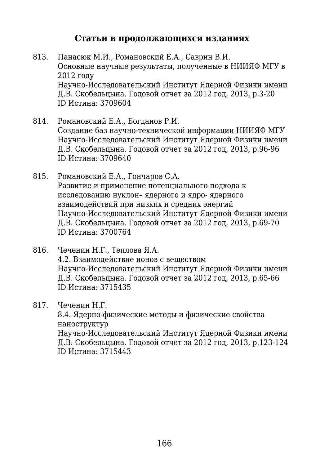## **Статьи в продолжающихся изданиях**

- 813. Панасюк М.И., Романовский Е.А., Саврин В.И. Основные научные результаты, полученные в НИИЯФ МГУ в 2012 году Научно-Исследовательский Институт Ядерной Физики имени Д.В. Скобельцына. Годовой отчет за 2012 год, 2013, p.3-20 ID Истина: 3709604
- 814. Романовский Е.А., Богданов Р.И. Создание баз научно-технической информации НИИЯФ МГУ Научно-Исследовательский Институт Ядерной Физики имени Д.В. Скобельцына. Годовой отчет за 2012 год, 2013, p.96-96 ID Истина: 3709640
- 815. Романовский Е.А., Гончаров С.А. Развитие и применение потенциального подхода к исследованию нуклон– ядерного и ядро- ядерного взаимодействий при низких и средних энергий Научно-Исследовательский Институт Ядерной Физики имени Д.В. Скобельцына. Годовой отчет за 2012 год, 2013, p.69-70 ID Истина: 3700764
- 816. Чеченин Н.Г., Теплова Я.А. 4.2. Взаимодействие ионов с веществом Научно-Исследовательский Институт Ядерной Физики имени Д.В. Скобельцына. Годовой отчет за 2012 год, 2013, p.65-66 ID Истина: 3715435
- 817. Чеченин Н.Г.

8.4. Ядерно-физические методы и физические свойства наноструктур Научно-Исследовательский Институт Ядерной Физики имени Д.В. Скобельцына. Годовой отчет за 2012 год, 2013, p.123-124 ID Истина: 3715443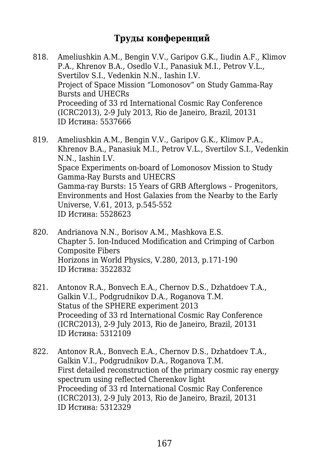## **Труды конференций**

- 818. Ameliushkin A.M., Bengin V.V., Garipov G.K., Iiudin A.F., Klimov P.A., Khrenov B.A., Osedlo V.I., Panasiuk M.I., Petrov V.L., Svertilov S.I., Vedenkin N.N., Iashin I.V. Project of Space Mission "Lomonosov" on Study Gamma-Ray Bursts and UHECRs Proceeding of 33 rd International Cosmic Ray Conference (ICRC2013), 2-9 July 2013, Rio de Janeiro, Brazil, 20131 ID Истина: 5537666
- 819. Ameliushkin A.M., Bengin V.V., Garipov G.K., Klimov P.A., Khrenov B.A., Panasiuk M.I., Petrov V.L., Svertilov S.I., Vedenkin N.N., Iashin I.V. Space Experiments on-board of Lomonosov Mission to Study Gamma-Ray Bursts and UHECRS Gamma-ray Bursts: 15 Years of GRB Afterglows – Progenitors, Environments and Host Galaxies from the Nearby to the Early Universe, V.61, 2013, p.545-552 ID Истина: 5528623
- 820. Andrianova N.N., Borisov A.M., Mashkova E.S. Chapter 5. Ion-Induced Modification and Crimping of Carbon Composite Fibers Horizons in World Physics, V.280, 2013, p.171-190 ID Истина: 3522832
- 821. Antonov R.A., Bonvech E.A., Chernov D.S., Dzhatdoev T.A., Galkin V.I., Podgrudnikov D.A., Roganova T.M. Status of the SPHERE experiment 2013 Proceeding of 33 rd International Cosmic Ray Conference (ICRC2013), 2-9 July 2013, Rio de Janeiro, Brazil, 20131 ID Истина: 5312109
- 822. Antonov R.A., Bonvech E.A., Chernov D.S., Dzhatdoev T.A., Galkin V.I., Podgrudnikov D.A., Roganova T.M. First detailed reconstruction of the primary cosmic ray energy spectrum using reflected Cherenkov light Proceeding of 33 rd International Cosmic Ray Conference (ICRC2013), 2-9 July 2013, Rio de Janeiro, Brazil, 20131 ID Истина: 5312329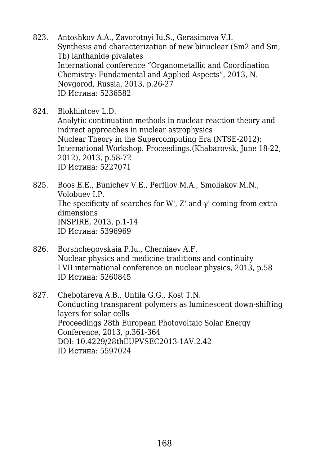- 823. Antoshkov A.A., Zavorotnyi Iu.S., Gerasimova V.I. Synthesis and characterization of new binuclear (Sm2 and Sm, Tb) lanthanide pivalates International conference "Organometallic and Coordination Chemistry: Fundamental and Applied Aspects", 2013, N. Novgorod, Russia, 2013, p.26-27 ID Истина: 5236582
- 824. Blokhintcev L.D. Analytic continuation methods in nuclear reaction theory and indirect approaches in nuclear astrophysics Nuclear Theory in the Supercomputing Era (NTSE-2012): International Workshop. Proceedings.(Khabarovsk, June 18-22, 2012), 2013, p.58-72 ID Истина: 5227071
- 825. Boos E.E., Bunichev V.E., Perfilov M.A., Smoliakov M.N., Volobuev I.P. The specificity of searches for W', Z' and  $\gamma$ ' coming from extra dimensions INSPIRE, 2013, p.1-14 ID Истина: 5396969
- 826. Borshchegovskaia P.Iu., Cherniaev A.F. Nuclear physics and medicine traditions and continuity LVII international conference on nuclear physics, 2013, p.58 ID Истина: 5260845
- 827. Chebotareva A.B., Untila G.G., Kost T.N. Conducting transparent polymers as luminescent down-shifting layers for solar cells Proceedings 28th European Photovoltaic Solar Energy Conference, 2013, p.361-364 DOI: 10.4229/28thEUPVSEC2013-1AV.2.42 ID Истина: 5597024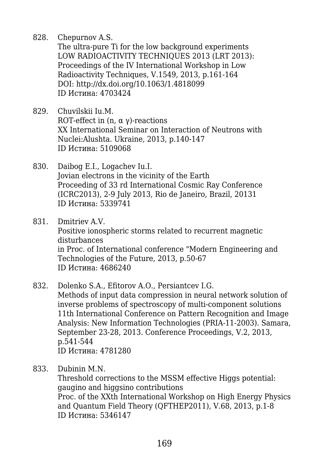828. Chepurnov A.S.

The ultra-pure Ti for the low background experiments LOW RADIOACTIVITY TECHNIQUES 2013 (LRT 2013): Proceedings of the IV International Workshop in Low Radioactivity Techniques, V.1549, 2013, p.161-164 DOI: http://dx.doi.org/10.1063/1.4818099 ID Истина: 4703424

- 829. Chuvilskii Iu.M. ROT-effect in  $(n, \alpha \gamma)$ -reactions XX International Seminar on Interaction of Neutrons with Nuclei:Alushta. Ukraine, 2013, p.140-147 ID Истина: 5109068
- 830. Daibog E.I., Logachev Iu.I. Jovian electrons in the vicinity of the Earth Proceeding of 33 rd International Cosmic Ray Conference (ICRC2013), 2-9 July 2013, Rio de Janeiro, Brazil, 20131 ID Истина: 5339741
- 831. Dmitriev A.V. Positive ionospheric storms related to recurrent magnetic disturbances in Proc. of International conference "Modern Engineering and Technologies of the Future, 2013, p.50-67 ID Истина: 4686240
- 832. Dolenko S.A., Efitorov A.O., Persiantcev I.G. Methods of input data compression in neural network solution of inverse problems of spectroscopy of multi-component solutions 11th International Conference on Pattern Recognition and Image Analysis: New Information Technologies (PRIA-11-2003). Samara, September 23-28, 2013. Conference Proceedings, V.2, 2013, p.541-544 ID Истина: 4781280
- 833. Dubinin M.N.

Threshold corrections to the MSSM effective Higgs potential: gaugino and higgsino contributions Proc. of the XXth International Workshop on High Energy Physics and Quantum Field Theory (QFTHEP2011), V.68, 2013, p.1-8 ID Истина: 5346147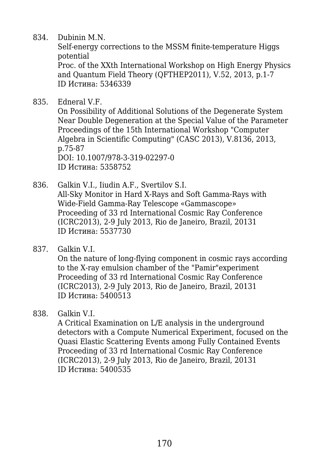834. Dubinin M.N.

Self-energy corrections to the MSSM finite-temperature Higgs potential

Proc. of the XXth International Workshop on High Energy Physics and Quantum Field Theory (QFTHEP2011), V.52, 2013, p.1-7 ID Истина: 5346339

835. Edneral V.F.

On Possibility of Additional Solutions of the Degenerate System Near Double Degeneration at the Special Value of the Parameter Proceedings of the 15th International Workshop "Computer Algebra in Scientific Computing" (CASC 2013), V.8136, 2013, p.75-87 DOI: 10.1007/978-3-319-02297-0 ID Истина: 5358752

- 836. Galkin V.I., Iiudin A.F., Svertilov S.I. All-Sky Monitor in Hard X-Rays and Soft Gamma-Rays with Wide-Field Gamma-Ray Telescope «Gammascope» Proceeding of 33 rd International Cosmic Ray Conference (ICRC2013), 2-9 July 2013, Rio de Janeiro, Brazil, 20131 ID Истина: 5537730
- 837. Galkin V.I.

On the nature of long-flying component in cosmic rays according to the X-ray emulsion chamber of the "Pamir"experiment Proceeding of 33 rd International Cosmic Ray Conference (ICRC2013), 2-9 July 2013, Rio de Janeiro, Brazil, 20131 ID Истина: 5400513

838. Galkin V.I.

A Critical Examination on L/E analysis in the underground detectors with a Compute Numerical Experiment, focused on the Quasi Elastic Scattering Events among Fully Contained Events Proceeding of 33 rd International Cosmic Ray Conference (ICRC2013), 2-9 July 2013, Rio de Janeiro, Brazil, 20131 ID Истина: 5400535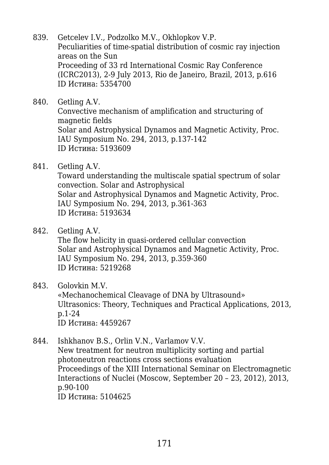- 839. Getcelev I.V., Podzolko M.V., Okhlopkov V.P. Peculiarities of time-spatial distribution of cosmic ray injection areas on the Sun Proceeding of 33 rd International Cosmic Ray Conference (ICRC2013), 2-9 July 2013, Rio de Janeiro, Brazil, 2013, p.616 ID Истина: 5354700
- 840. Getling A.V. Convective mechanism of amplification and structuring of magnetic fields Solar and Astrophysical Dynamos and Magnetic Activity, Proc. IAU Symposium No. 294, 2013, p.137-142 ID Истина: 5193609
- 841. Getling A.V. Toward understanding the multiscale spatial spectrum of solar convection. Solar and Astrophysical Solar and Astrophysical Dynamos and Magnetic Activity, Proc. IAU Symposium No. 294, 2013, p.361-363 ID Истина: 5193634
- 842. Getling A.V.

The flow helicity in quasi-ordered cellular convection Solar and Astrophysical Dynamos and Magnetic Activity, Proc. IAU Symposium No. 294, 2013, p.359-360 ID Истина: 5219268

843. Golovkin M.V.

«Mechanochemical Cleavage of DNA by Ultrasound» Ultrasonics: Theory, Techniques and Practical Applications, 2013, p.1-24 ID Истина: 4459267

844. Ishkhanov B.S., Orlin V.N., Varlamov V.V. New treatment for neutron multiplicity sorting and partial photoneutron reactions cross sections evaluation Proceedings of the XIII International Seminar on Electromagnetic Interactions of Nuclei (Moscow, September 20 – 23, 2012), 2013, p.90-100 ID Истина: 5104625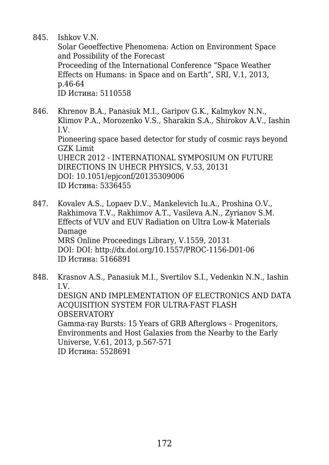845. Ishkov V.N.

Solar Geoeffective Phenomena: Action on Environment Space and Possibility of the Forecast Proceeding of the International Conference "Space Weather Effects on Humans: in Space and on Earth", SRI, V.1, 2013, p.46-64 ID Истина: 5110558

- 846. Khrenov B.A., Panasiuk M.I., Garipov G.K., Kalmykov N.N., Klimov P.A., Morozenko V.S., Sharakin S.A., Shirokov A.V., Iashin I.V. Pioneering space based detector for study of cosmic rays beyond GZK Limit UHECR 2012 - INTERNATIONAL SYMPOSIUM ON FUTURE DIRECTIONS IN UHECR PHYSICS, V.53, 20131 DOI: 10.1051/epjconf/20135309006 ID Истина: 5336455
- 847. Kovalev A.S., Lopaev D.V., Mankelevich Iu.A., Proshina O.V., Rakhimova T.V., Rakhimov A.T., Vasileva A.N., Zyrianov S.M. Effects of VUV and EUV Radiation on Ultra Low-k Materials Damage MRS Online Proceedings Library, V.1559, 20131 DOI: DOI: http://dx.doi.org/10.1557/PROC-1156-D01-06 ID Истина: 5166891

848. Krasnov A.S., Panasiuk M.I., Svertilov S.I., Vedenkin N.N., Iashin I.V. DESIGN AND IMPLEMENTATION OF ELECTRONICS AND DATA ACQUISITION SYSTEM FOR ULTRA-FAST FLASH OBSERVATORY Gamma-ray Bursts: 15 Years of GRB Afterglows – Progenitors, Environments and Host Galaxies from the Nearby to the Early Universe, V.61, 2013, p.567-571 ID Истина: 5528691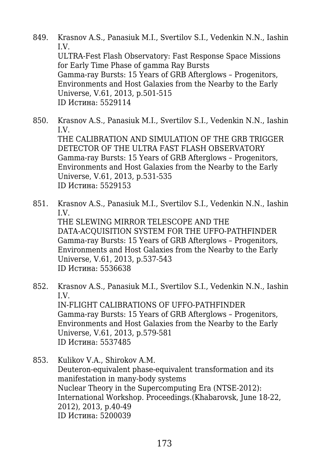- 849. Krasnov A.S., Panasiuk M.I., Svertilov S.I., Vedenkin N.N., Iashin I.V. ULTRA-Fest Flash Observatory: Fast Response Space Missions for Early Time Phase of gamma Ray Bursts Gamma-ray Bursts: 15 Years of GRB Afterglows – Progenitors, Environments and Host Galaxies from the Nearby to the Early Universe, V.61, 2013, p.501-515 ID Истина: 5529114
- 850. Krasnov A.S., Panasiuk M.I., Svertilov S.I., Vedenkin N.N., Iashin I.V. THE CALIBRATION AND SIMULATION OF THE GRB TRIGGER DETECTOR OF THE ULTRA FAST FLASH OBSERVATORY Gamma-ray Bursts: 15 Years of GRB Afterglows – Progenitors, Environments and Host Galaxies from the Nearby to the Early Universe, V.61, 2013, p.531-535 ID Истина: 5529153
- 851. Krasnov A.S., Panasiuk M.I., Svertilov S.I., Vedenkin N.N., Iashin I.V. THE SLEWING MIRROR TELESCOPE AND THE DATA-ACQUISITION SYSTEM FOR THE UFFO-PATHFINDER Gamma-ray Bursts: 15 Years of GRB Afterglows – Progenitors, Environments and Host Galaxies from the Nearby to the Early Universe, V.61, 2013, p.537-543 ID Истина: 5536638
- 852. Krasnov A.S., Panasiuk M.I., Svertilov S.I., Vedenkin N.N., Iashin I.V. IN-FLIGHT CALIBRATIONS OF UFFO-PATHFINDER Gamma-ray Bursts: 15 Years of GRB Afterglows – Progenitors, Environments and Host Galaxies from the Nearby to the Early Universe, V.61, 2013, p.579-581 ID Истина: 5537485
- 853. Kulikov V.A., Shirokov A.M. Deuteron-equivalent phase-equivalent transformation and its manifestation in many-body systems Nuclear Theory in the Supercomputing Era (NTSE-2012): International Workshop. Proceedings.(Khabarovsk, June 18-22, 2012), 2013, p.40-49 ID Истина: 5200039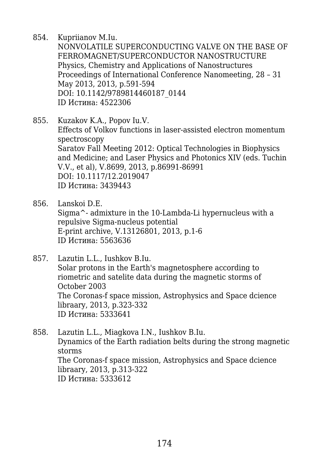854. Kupriianov M.Iu.

NONVOLATILE SUPERCONDUCTING VALVE ON THE BASE OF FERROMAGNET/SUPERCONDUCTOR NANOSTRUCTURE Physics, Chemistry and Applications of Nanostructures Proceedings of International Conference Nanomeeting, 28 – 31 May 2013, 2013, p.591-594 DOI: 10.1142/9789814460187\_0144 ID Истина: 4522306

- 855. Kuzakov K.A., Popov Iu.V. Effects of Volkov functions in laser-assisted electron momentum spectroscopy Saratov Fall Meeting 2012: Optical Technologies in Biophysics and Medicine; and Laser Physics and Photonics XIV (eds. Tuchin V.V., et al), V.8699, 2013, p.86991-86991 DOI: 10.1117/12.2019047 ID Истина: 3439443
- 856. Lanskoi D.E. Sigma^- admixture in the 10-Lambda-Li hypernucleus with a repulsive Sigma-nucleus potential E-print archive, V.13126801, 2013, p.1-6 ID Истина: 5563636
- 857. Lazutin L.L., Iushkov B.Iu. Solar protons in the Earth's magnetosphere according to riometric and satelite data during the magnetic storms of October 2003 The Coronas-f space mission, Astrophysics and Space dcience libraary, 2013, p.323-332 ID Истина: 5333641
- 858. Lazutin L.L., Miagkova I.N., Iushkov B.Iu. Dynamics of the Earth radiation belts during the strong magnetic storms The Coronas-f space mission, Astrophysics and Space dcience libraary, 2013, p.313-322 ID Истина: 5333612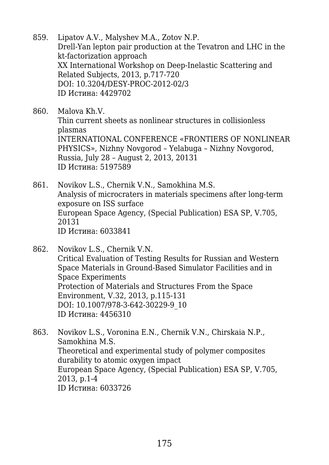- 859. Lipatov A.V., Malyshev M.A., Zotov N.P. Drell-Yan lepton pair production at the Tevatron and LHC in the kt-factorization approach XX International Workshop on Deep-Inelastic Scattering and Related Subjects, 2013, p.717-720 DOI: 10.3204/DESY-PROC-2012-02/3 ID Истина: 4429702
- 860. Malova Kh.V. Thin current sheets as nonlinear structures in collisionless plasmas INTERNATIONAL CONFERENCE «FRONTIERS OF NONLINEAR PHYSICS», Nizhny Novgorod – Yelabuga – Nizhny Novgorod, Russia, July 28 – August 2, 2013, 20131 ID Истина: 5197589
- 861. Novikov L.S., Chernik V.N., Samokhina M.S. Analysis of microcraters in materials specimens after long-term exposure on ISS surface European Space Agency, (Special Publication) ESA SP, V.705, 20131 ID Истина: 6033841
- 862. Novikov L.S., Chernik V.N. Critical Evaluation of Testing Results for Russian and Western Space Materials in Ground-Based Simulator Facilities and in Space Experiments Protection of Materials and Structures From the Space Environment, V.32, 2013, p.115-131 DOI: 10.1007/978-3-642-30229-9\_10 ID Истина: 4456310
- 863. Novikov L.S., Voronina E.N., Chernik V.N., Chirskaia N.P., Samokhina M.S. Theoretical and experimental study of polymer composites durability to atomic oxygen impact European Space Agency, (Special Publication) ESA SP, V.705, 2013, p.1-4 ID Истина: 6033726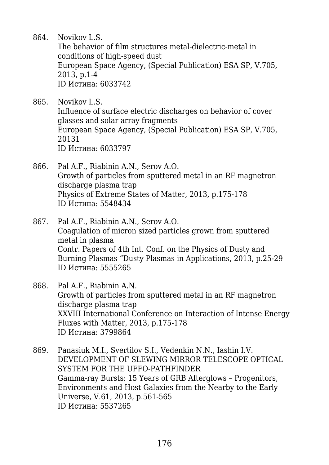864. Novikov L.S.

The behavior of film structures metal-dielectric-metal in conditions of high-speed dust European Space Agency, (Special Publication) ESA SP, V.705, 2013, p.1-4 ID Истина: 6033742

865. Novikov L.S. Influence of surface electric discharges on behavior of cover glasses and solar array fragments European Space Agency, (Special Publication) ESA SP, V.705, 20131 ID Истина: 6033797

866. Pal A.F., Riabinin A.N., Serov A.O. Growth of particles from sputtered metal in an RF magnetron discharge plasma trap Physics of Extreme States of Matter, 2013, p.175-178 ID Истина: 5548434

867. Pal A.F., Riabinin A.N., Serov A.O. Coagulation of micron sized particles grown from sputtered metal in plasma Contr. Papers of 4th Int. Conf. on the Physics of Dusty and Burning Plasmas "Dusty Plasmas in Applications, 2013, p.25-29 ID Истина: 5555265

868. Pal A.F., Riabinin A.N. Growth of particles from sputtered metal in an RF magnetron discharge plasma trap XXVIII International Conference on Interaction of Intense Energy Fluxes with Matter, 2013, p.175-178 ID Истина: 3799864

869. Panasiuk M.I., Svertilov S.I., Vedenkin N.N., Iashin I.V. DEVELOPMENT OF SLEWING MIRROR TELESCOPE OPTICAL SYSTEM FOR THE UFFO-PATHFINDER Gamma-ray Bursts: 15 Years of GRB Afterglows – Progenitors, Environments and Host Galaxies from the Nearby to the Early Universe, V.61, 2013, p.561-565 ID Истина: 5537265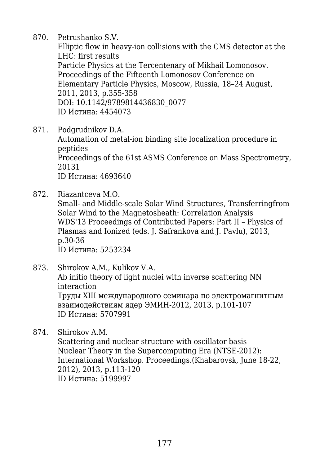870. Petrushanko S.V.

Elliptic flow in heavy-ion collisions with the CMS detector at the LHC: first results Particle Physics at the Tercentenary of Mikhail Lomonosov. Proceedings of the Fifteenth Lomonosov Conference on Elementary Particle Physics, Moscow, Russia, 18–24 August, 2011, 2013, p.355-358 DOI: 10.1142/9789814436830\_0077 ID Истина: 4454073

871. Podgrudnikov D.A.

Automation of metal-ion binding site localization procedure in peptides Proceedings of the 61st ASMS Conference on Mass Spectrometry, 20131 ID Истина: 4693640

872. Riazantceva M.O.

Small- and Middle-scale Solar Wind Structures, Transferringfrom Solar Wind to the Magnetosheath: Correlation Analysis WDS'13 Proceedings of Contributed Papers: Part II – Physics of Plasmas and Ionized (eds. J. Safrankova and J. Pavlu), 2013, p.30-36 ID Истина: 5253234

873. Shirokov A.M., Kulikov V.A. Ab initio theory of light nuclei with inverse scattering NN interaction Tруды XIII международного семинара по электромагнитным взаимодействиям ядер ЭМИН-2012, 2013, p.101-107 ID Истина: 5707991

874. Shirokov A.M. Scattering and nuclear structure with oscillator basis Nuclear Theory in the Supercomputing Era (NTSE-2012): International Workshop. Proceedings.(Khabarovsk, June 18-22, 2012), 2013, p.113-120 ID Истина: 5199997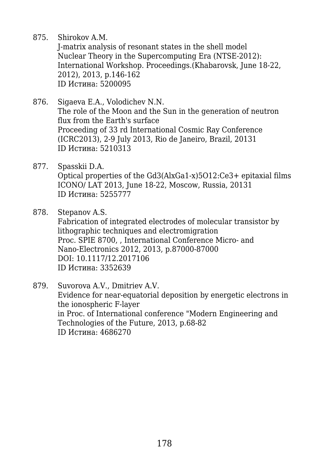875. Shirokov A.M.

J-matrix analysis of resonant states in the shell model Nuclear Theory in the Supercomputing Era (NTSE-2012): International Workshop. Proceedings.(Khabarovsk, June 18-22, 2012), 2013, p.146-162 ID Истина: 5200095

- 876. Sigaeva E.A., Volodichev N.N. The role of the Moon and the Sun in the generation of neutron flux from the Earth's surface Proceeding of 33 rd International Cosmic Ray Conference (ICRC2013), 2-9 July 2013, Rio de Janeiro, Brazil, 20131 ID Истина: 5210313
- 877. Spasskii D.A. Optical properties of the Gd3(AlxGa1-x)5O12:Ce3+ epitaxial films ICONO/ LAT 2013, June 18-22, Moscow, Russia, 20131 ID Истина: 5255777
- 878. Stepanov A.S. Fabrication of integrated electrodes of molecular transistor by lithographic techniques and electromigration Proc. SPIE 8700, , International Conference Micro- and Nano-Electronics 2012, 2013, p.87000-87000 DOI: 10.1117/12.2017106 ID Истина: 3352639
- 879. Suvorova A.V., Dmitriev A.V. Evidence for near-equatorial deposition by energetic electrons in the ionospheric F-layer in Proc. of International conference "Modern Engineering and Technologies of the Future, 2013, p.68-82 ID Истина: 4686270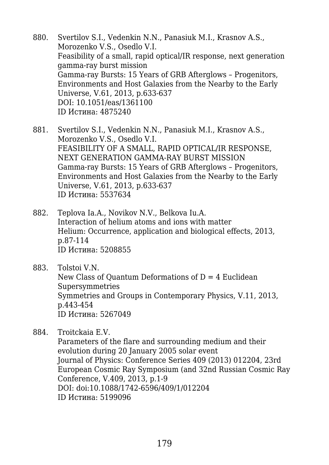- 880. Svertilov S.I., Vedenkin N.N., Panasiuk M.I., Krasnov A.S., Morozenko V.S., Osedlo V.I. Feasibility of a small, rapid optical/IR response, next generation gamma-ray burst mission Gamma-ray Bursts: 15 Years of GRB Afterglows – Progenitors, Environments and Host Galaxies from the Nearby to the Early Universe, V.61, 2013, p.633-637 DOI: 10.1051/eas/1361100 ID Истина: 4875240
- 881. Svertilov S.I., Vedenkin N.N., Panasiuk M.I., Krasnov A.S., Morozenko V.S., Osedlo V.I. FEASIBILITY OF A SMALL, RAPID OPTICAL/IR RESPONSE, NEXT GENERATION GAMMA-RAY BURST MISSION Gamma-ray Bursts: 15 Years of GRB Afterglows – Progenitors, Environments and Host Galaxies from the Nearby to the Early Universe, V.61, 2013, p.633-637 ID Истина: 5537634
- 882. Teplova Ia.A., Novikov N.V., Belkova Iu.A. Interaction of helium atoms and ions with matter Helium: Occurrence, application and biological effects, 2013, p.87-114 ID Истина: 5208855
- 883. Tolstoi V.N. New Class of Ouantum Deformations of  $D = 4$  Euclidean Supersymmetries Symmetries and Groups in Contemporary Physics, V.11, 2013, p.443-454 ID Истина: 5267049

884. Troitckaia E.V.

Parameters of the flare and surrounding medium and their evolution during 20 January 2005 solar event Journal of Physics: Conference Series 409 (2013) 012204, 23rd European Cosmic Ray Symposium (and 32nd Russian Cosmic Ray Conference, V.409, 2013, p.1-9 DOI: doi:10.1088/1742-6596/409/1/012204 ID Истина: 5199096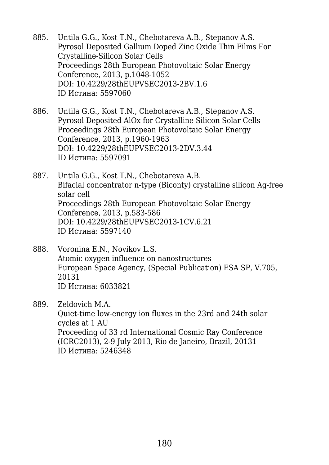- 885. Untila G.G., Kost T.N., Chebotareva A.B., Stepanov A.S. Pyrosol Deposited Gallium Doped Zinc Oxide Thin Films For Crystalline-Silicon Solar Cells Proceedings 28th European Photovoltaic Solar Energy Conference, 2013, p.1048-1052 DOI: 10.4229/28thEUPVSEC2013-2BV.1.6 ID Истина: 5597060
- 886. Untila G.G., Kost T.N., Chebotareva A.B., Stepanov A.S. Pyrosol Deposited AlOx for Crystalline Silicon Solar Cells Proceedings 28th European Photovoltaic Solar Energy Conference, 2013, p.1960-1963 DOI: 10.4229/28thEUPVSEC2013-2DV.3.44 ID Истина: 5597091
- 887. Untila G.G., Kost T.N., Chebotareva A.B. Bifacial concentrator n-type (Biconty) crystalline silicon Ag-free solar cell Proceedings 28th European Photovoltaic Solar Energy Conference, 2013, p.583-586 DOI: 10.4229/28thEUPVSEC2013-1CV.6.21 ID Истина: 5597140
- 888. Voronina E.N., Novikov L.S. Atomic oxygen influence on nanostructures European Space Agency, (Special Publication) ESA SP, V.705, 20131 ID Истина: 6033821
- 889. Zeldovich M.A.

Quiet-time low-energy ion fluxes in the 23rd and 24th solar cycles at 1 AU Proceeding of 33 rd International Cosmic Ray Conference (ICRC2013), 2-9 July 2013, Rio de Janeiro, Brazil, 20131 ID Истина: 5246348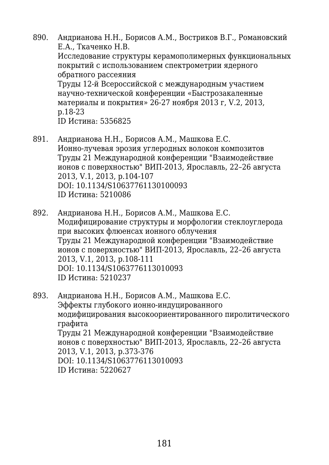- 890. Андрианова Н.Н., Борисов А.М., Востриков В.Г., Романовский Е.А., Ткаченко Н.В. Исследование структуры керамополимерных функциональных покрытий с использованием спектрометрии ядерного обратного рассеяния Труды 12-й Всероссийской с международным участием научно-технической конференции «Быстрозакаленные материалы и покрытия» 26-27 ноября 2013 г, V.2, 2013, p.18-23 ID Истина: 5356825
- 891. Андрианова Н.Н., Борисов А.М., Машкова Е.С. Ионно-лучевая эрозия углеродных волокон композитов Труды 21 Международной конференции "Взаимодействие ионов с поверхностью" ВИП-2013, Ярославль, 22–26 августа 2013, V.1, 2013, p.104-107 DOI: 10.1134/S10637761130100093 ID Истина: 5210086
- 892. Андрианова Н.Н., Борисов А.М., Машкова Е.С. Модифицирование структуры и морфологии стеклоуглерода при высоких флюенсах ионного облучения Труды 21 Международной конференции "Взаимодействие ионов с поверхностью" ВИП-2013, Ярославль, 22–26 августа 2013, V.1, 2013, p.108-111 DOI: 10.1134/S1063776113010093 ID Истина: 5210237
- 893. Андрианова Н.Н., Борисов А.М., Машкова Е.С. Эффекты глубокого ионно-индуцированного модифицирования высокоориентированного пиролитического графита Труды 21 Международной конференции "Взаимодействие ионов с поверхностью" ВИП-2013, Ярославль, 22–26 августа 2013, V.1, 2013, p.373-376 DOI: 10.1134/S1063776113010093 ID Истина: 5220627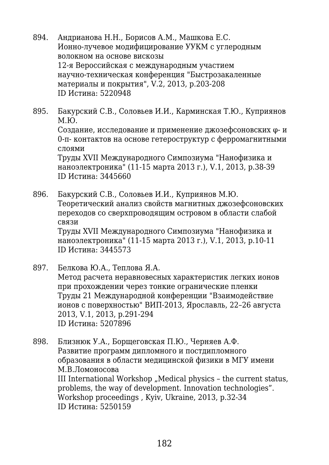- 894. Андрианова Н.Н., Борисов А.М., Машкова Е.С. Ионно-лучевое модифицирование УУКМ с углеродным волокном на основе вискозы 12-я Вероссийская с международным участием научно-техническая конференция "Быстрозакаленные материалы и покрытия", V.2, 2013, p.203-208 ID Истина: 5220948
- 895. Бакурский С.В., Соловьев И.И., Карминская Т.Ю., Куприянов М.Ю. Создание, исследование и применение джозефсоновских φ- и 0-π- контактов на основе гетероструктур с ферромагнитными

слоями Труды XVII Международного Симпозиума "Нанофизика и наноэлектроника" (11-15 марта 2013 г.), V.1, 2013, p.38-39 ID Истина: 3445660

896. Бакурский С.В., Соловьев И.И., Куприянов М.Ю. Теоретический анализ свойств магнитных джозефсоновских переходов со сверхпроводящим островом в области слабой связи Труды XVII Международного Симпозиума "Нанофизика и наноэлектроника" (11-15 марта 2013 г.), V.1, 2013, p.10-11 ID Истина: 3445573

- 897. Белкова Ю.А., Теплова Я.А. Метод расчета неравновесных характеристик легких ионов при прохождении через тонкие огранические пленки Труды 21 Международной конференции "Взаимодействие ионов с поверхностью" ВИП-2013, Ярославль, 22–26 августа 2013, V.1, 2013, p.291-294 ID Истина: 5207896
- 898. Близнюк У.А., Борщеговская П.Ю., Черняев А.Ф. Развитие программ дипломного и постдипломного образования в области медицинской физики в МГУ имени М.В.Ломоносова III International Workshop "Medical physics – the current status, problems, the way of development. Innovation technologies". Workshop proceedings , Kyiv, Ukraine, 2013, p.32-34 ID Истина: 5250159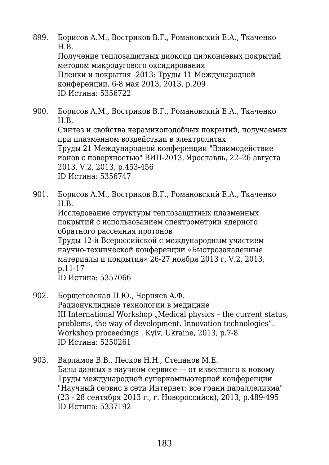- 899. Борисов А.М., Востриков В.Г., Романовский Е.А., Ткаченко Н.В. Получение теплозащитных диоксид циркониевых покрытий методом микродугового оксидирования Пленки и покрытия -2013: Труды 11 Международной конференции. 6-8 мая 2013, 2013, p.209 ID Истина: 5356722
- 900. Борисов А.М., Востриков В.Г., Романовский Е.А., Ткаченко Н.В. Синтез и свойства керамикоподобных покрытий, получаемых при плазменном воздействии в электролитах Труды 21 Международной конференции "Взаимодействие ионов с поверхностью" ВИП-2013, Ярославль, 22–26 августа 2013, V.2, 2013, p.453-456 ID Истина: 5356747
- 901. Борисов А.М., Востриков В.Г., Романовский Е.А., Ткаченко Н.В.

Исследование структуры теплозащитных плазменных покрытий с использованием спектрометрии ядерного обратного рассеяния протонов

Труды 12-й Всероссийской с международным участием научно-технической конференции «Быстрозакаленные материалы и покрытия» 26-27 ноября 2013 г, V.2, 2013, p.11-17

ID Истина: 5357066

- 902. Борщеговская П.Ю., Черняев А.Ф. Радионуклидные технологии в медицине III International Workshop "Medical physics - the current status, problems, the way of development. Innovation technologies". Workshop proceedings , Kyiv, Ukraine, 2013, p.7-8 ID Истина: 5250261
- 903. Варламов В.В., Песков Н.Н., Степанов М.Е. Базы данных в научном сервисе –– от известного к новому Труды международной суперкомпьютерной конференции "Научный сервис в сети Интернет: все грани параллелизма" (23 - 28 сентября 2013 г., г. Новороссийск), 2013, p.489-495 ID Истина: 5337192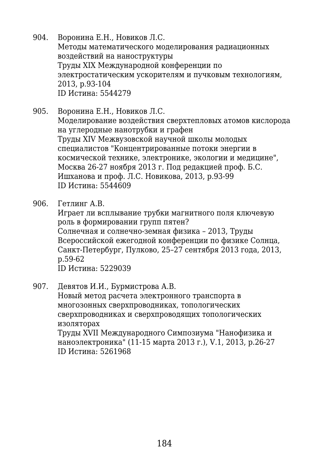- 904. Воронина Е.Н., Новиков Л.С. Методы математического моделирования радиационных воздействий на наноструктуры Труды XIX Международной конференции по электростатическим ускорителям и пучковым технологиям, 2013, p.93-104 ID Истина: 5544279
- 905. Воронина Е.Н., Новиков Л.С. Моделирование воздействия сверхтепловых атомов кислорода на углеродные нанотрубки и графен Труды XIV Межвузовской научной школы молодых специалистов "Концентрированные потоки энергии в космической технике, электронике, экологии и медицине", Москва 26-27 ноября 2013 г. Под редакцией проф. Б.С. Ишханова и проф. Л.С. Новикова, 2013, p.93-99 ID Истина: 5544609
- 906. Гетлинг А.В.

Играет ли всплывание трубки магнитного поля ключевую роль в формировании групп пятен? Солнечная и солнечно-земная физика – 2013, Труды Всероссийской ежегодной конференции по физике Солнца, Санкт-Петербург, Пулково, 25–27 сентября 2013 года, 2013, p.59-62 ID Истина: 5229039

907. Девятов И.И., Бурмистрова А.В. Новый метод расчета электронного транспорта в многозонных сверхпроводниках, топологических сверхпроводниках и сверхпроводящих топологических

изоляторах Труды XVII Международного Симпозиума "Нанофизика и

наноэлектроника" (11-15 марта 2013 г.), V.1, 2013, p.26-27 ID Истина: 5261968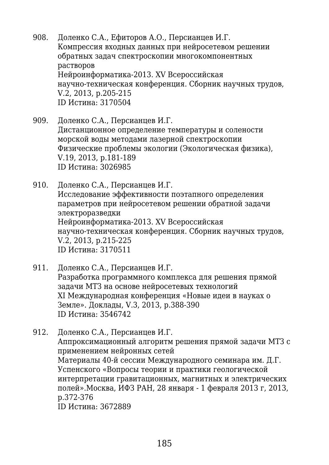- 908. Доленко С.А., Ефиторов А.О., Персианцев И.Г. Компрессия входных данных при нейросетевом решении обратных задач спектроскопии многокомпонентных растворов Нейроинформатика-2013. XV Всероссийская научно-техническая конференция. Сборник научных трудов, V.2, 2013, p.205-215 ID Истина: 3170504
- 909. Доленко С.А., Персианцев И.Г. Дистанционное определение температуры и солености морской воды методами лазерной спектроскопии Физические проблемы экологии (Экологическая физика), V.19, 2013, p.181-189 ID Истина: 3026985
- 910. Доленко С.А., Персианцев И.Г. Исследование эффективности поэтапного определения параметров при нейросетевом решении обратной задачи электроразведки Нейроинформатика-2013. XV Всероссийская научно-техническая конференция. Сборник научных трудов, V.2, 2013, p.215-225 ID Истина: 3170511
- 911. Доленко С.А., Персианцев И.Г. Разработка программного комплекса для решения прямой задачи МТЗ на основе нейросетевых технологий XI Международная конференция «Новые идеи в науках о Земле». Доклады, V.3, 2013, p.388-390 ID Истина: 3546742
- 912. Доленко С.А., Персианцев И.Г. Аппроксимационный алгоритм решения прямой задачи МТЗ с применением нейронных сетей Материалы 40-й сессии Международного семинара им. Д.Г. Успенского «Вопросы теории и практики геологической интерпретации гравитационных, магнитных и электрических полей».Москва, ИФЗ РАН, 28 января - 1 февраля 2013 г, 2013, p.372-376 ID Истина: 3672889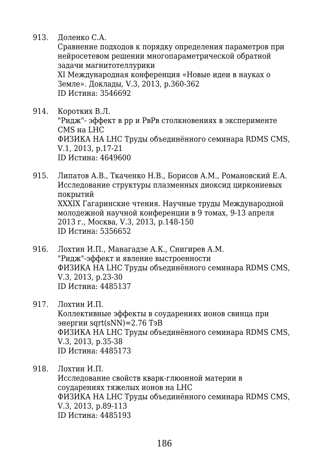913. Доленко С.А.

Сравнение подходов к порядку определения параметров при нейросетевом решении многопараметрической обратной задачи магнитотеллурики XI Международная конференция «Новые идеи в науках о Земле». Доклады, V.3, 2013, p.360-362

ID Истина: 3546692

- 914. Коротких В.Л. "Ридж"- эффект в рр и РвРв столкновениях в эксперименте CMS на LHC ФИЗИКА НА LHC Труды объединённого семинара RDMS CMS, V.1, 2013, p.17-21 ID Истина: 4649600
- 915. Липатов А.В., Ткаченко Н.В., Борисов А.М., Романовский Е.А. Исследование структуры плазменных диоксид циркониевых покрытий XXXIX Гагаринские чтения. Научные труды Международной молодежной научной конференции в 9 томах, 9-13 апреля 2013 г., Москва, V.3, 2013, p.148-150 ID Истина: 5356652
- 916. Лохтин И.П., Манагадзе А.К., Снигирев А.М. "Ридж"-эффект и явление выстроенности ФИЗИКА НА LHC Труды объединённого семинара RDMS CMS, V.3, 2013, p.23-30 ID Истина: 4485137
- 917. Лохтин И.П.

Коллективные эффекты в соударениях ионов свинца при энергии sqrt $(sNN)$ =2.76 Тэ $B$ ФИЗИКА НА LHC Труды объединённого семинара RDMS CMS, V.3, 2013, p.35-38 ID Истина: 4485173

918. Лохтин И.П.

Исследование свойств кварк-глюонной материи в соударениях тяжелых ионов на LHC ФИЗИКА НА LHC Труды объединённого семинара RDMS CMS, V.3, 2013, p.89-113 ID Истина: 4485193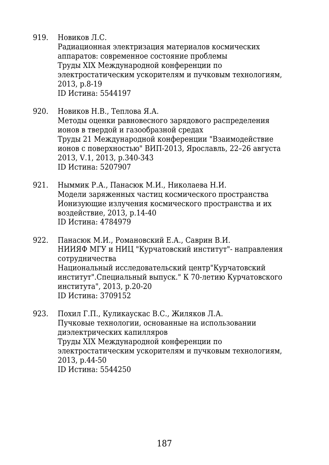919. Новиков Л.С.

Радиационная электризация материалов космических аппаратов: современное состояние проблемы Труды XIX Международной конференции по электростатическим ускорителям и пучковым технологиям, 2013, p.8-19 ID Истина: 5544197

- 920. Новиков Н.В., Теплова Я.А. Методы оценки равновесного зарядового распределения ионов в твердой и газообразной средах Труды 21 Международной конференции "Взаимодействие ионов с поверхностью" ВИП-2013, Ярославль, 22–26 августа 2013, V.1, 2013, p.340-343 ID Истина: 5207907
- 921. Ныммик Р.А., Панасюк М.И., Николаева Н.И. Модели заряженных частиц космического пространства Ионизующие излучения космического пространства и их воздействие, 2013, p.14-40 ID Истина: 4784979
- 922. Панасюк М.И., Романовский Е.А., Саврин В.И. НИИЯФ МГУ и НИЦ "Курчатовский институт"- направления сотрудничества Национальный исследовательский центр"Курчатовский институт".Специальный выпуск." К 70-летию Курчатовского института", 2013, p.20-20 ID Истина: 3709152
- 923. Похил Г.П., Куликаускас В.С., Жиляков Л.А. Пучковые технологии, основанные на использовании диэлектрических капилляров Труды XIX Международной конференции по электростатическим ускорителям и пучковым технологиям, 2013, p.44-50 ID Истина: 5544250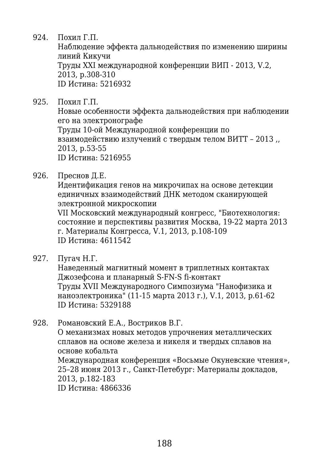924. Похил Г.П.

Наблюдение эффекта дальнодействия по изменению ширины линий Кикучи Труды XXI международной конференции ВИП - 2013, V.2, 2013, p.308-310 ID Истина: 5216932

925. Похил Г.П.

Новые особенности эффекта дальнодействия при наблюдении его на электронографе Труды 10-ой Международной конференции по взаимодействию излучений с твердым телом ВИТТ – 2013 ,, 2013, p.53-55 ID Истина: 5216955

926. Преснов Д.Е.

Идентификация генов на микрочипах на основе детекции единичных взаимодействий ДНК методом сканирующей электронной микроскопии VII Московский международный конгресс, "Биотехнология: состояние и перспективы развития Москва, 19-22 марта 2013 г. Материалы Конгресса, V.1, 2013, p.108-109 ID Истина: 4611542

- 
- 927. Пугач Н.Г.

Наведенный магнитный момент в триплетных контактах Джозефсона и планарный S-FN-S fi-контакт Труды XVII Международного Симпозиума "Нанофизика и наноэлектроника" (11-15 марта 2013 г.), V.1, 2013, p.61-62 ID Истина: 5329188

928. Романовский Е.А., Востриков В.Г. О механизмах новых методов упрочнения металлических сплавов на основе железа и никеля и твердых сплавов на основе кобальта Международная конференция «Восьмые Окуневские чтения», 25–28 июня 2013 г., Санкт-Петебург: Материалы докладов, 2013, p.182-183 ID Истина: 4866336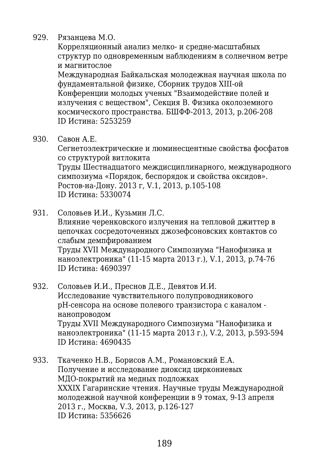929. Рязанцева М.О.

Корреляционный анализ мелко- и средне-масштабных структур по одновременным наблюдениям в солнечном ветре и магнитослое

Международная Байкальская молодежная научная школа по фундаментальной физике, Сборник трудов XIII-ой Конференции молодых ученых "Взаимодействие полей и излучения с веществом", Секция В. Физика околоземного космического пространства. БШФФ-2013, 2013, p.206-208 ID Истина: 5253259

930. Савон А.Е.

Сегнетоэлектрические и люминесцентные свойства фосфатов со структурой витлокита Труды Шестнадцатого междисциплинарного, международного симпозиума «Порядок, беспорядок и свойства оксидов». Ростов-на-Дону. 2013 г, V.1, 2013, p.105-108 ID Истина: 5330074

931. Соловьев И.И., Кузьмин Л.С.

Влияние черенковского излучения на тепловой джиттер в цепочках сосредоточенных джозефсоновских контактов со слабым демпфированием Труды XVII Международного Симпозиума "Нанофизика и

наноэлектроника" (11-15 марта 2013 г.), V.1, 2013, p.74-76 ID Истина: 4690397

- 932. Соловьев И.И., Преснов Д.Е., Девятов И.И. Исследование чувствительного полупроводникового pH-сенсора на основе полевого транзистора с каналом нанопроводом Труды XVII Международного Симпозиума "Нанофизика и наноэлектроника" (11-15 марта 2013 г.), V.2, 2013, p.593-594 ID Истина: 4690435
- 933. Ткаченко Н.В., Борисов А.М., Романовский Е.А. Получение и исследование диоксид циркониевых МДО-покрытий на медных подложках XXXIX Гагаринские чтения. Научные труды Международной молодежной научной конференции в 9 томах, 9-13 апреля 2013 г., Москва, V.3, 2013, p.126-127 ID Истина: 5356626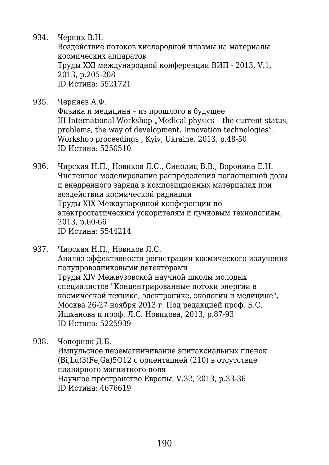934. Черник В.Н.

Воздействие потоков кислородной плазмы на материалы космических аппаратов Труды XXI международной конференции ВИП - 2013, V.1, 2013, p.205-208 ID Истина: 5521721

935. Черняев А.Ф.

Физика и медицина – из прошлого в будущее III International Workshop "Medical physics - the current status, problems, the way of development. Innovation technologies". Workshop proceedings , Kyiv, Ukraine, 2013, p.48-50 ID Истина: 5250510

- 936. Чирская Н.П., Новиков Л.С., Синолиц В.В., Воронина Е.Н. Численное моделирование распределения поглощенной дозы и внедренного заряда в композиционных материалах при воздействии космической радиации Труды XIX Международной конференции по электростатическим ускорителям и пучковым технологиям, 2013, p.60-66 ID Истина: 5544214
- 937. Чирская Н.П., Новиков Л.С. Анализ эффективности регистрации космического излучения полупроводниковыми детекторами Труды XIV Межвузовской научной школы молодых специалистов "Концентрированные потоки энергии в космической технике, электронике, экологии и медицине", Москва 26-27 ноября 2013 г. Под редакцией проф. Б.С. Ишханова и проф. Л.С. Новикова, 2013, p.87-93 ID Истина: 5225939
- 938. Чопорняк Д.Б. Импульсное перемагничивание эпитаксиальных пленок (Bi,Lu)3(Fe,Ga)5O12 с ориентацией (210) в отсутствие планарного магнитного поля Научное пространство Европы, V.32, 2013, p.33-36 ID Истина: 4676619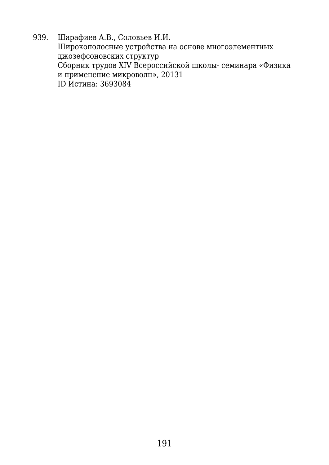939. Шарафиев А.В., Соловьев И.И. Широкополосные устройства на основе многоэлементных джозефсоновских структур Сборник трудов XIV Всероссийской школы- семинара «Физика и применение микроволн», 20131 ID Истина: 3693084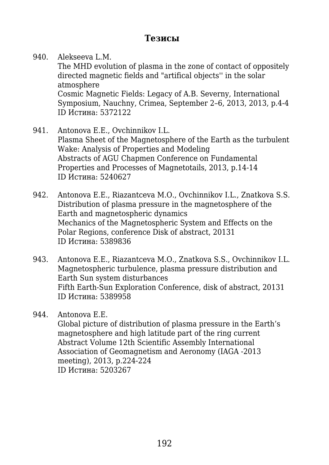## **Тезисы**

940. Alekseeva L.M. The MHD evolution of plasma in the zone of contact of oppositely directed magnetic fields and "artifical objects'' in the solar atmosphere Cosmic Magnetic Fields: Legacy of A.B. Severny, International Symposium, Nauchny, Crimea, September 2–6, 2013, 2013, p.4-4 ID Истина: 5372122

- 941. Antonova E.E., Ovchinnikov I.L. Plasma Sheet of the Magnetosphere of the Earth as the turbulent Wake: Analysis of Properties and Modeling Abstracts of AGU Chapmen Conference on Fundamental Properties and Processes of Magnetotails, 2013, p.14-14 ID Истина: 5240627
- 942. Antonova E.E., Riazantceva M.O., Ovchinnikov I.L., Znatkova S.S. Distribution of plasma pressure in the magnetosphere of the Earth and magnetospheric dynamics Mechanics of the Magnetospheric System and Effects on the Polar Regions, conference Disk of abstract, 20131 ID Истина: 5389836
- 943. Antonova E.E., Riazantceva M.O., Znatkova S.S., Ovchinnikov I.L. Magnetospheric turbulence, plasma pressure distribution and Earth Sun system disturbances Fifth Earth-Sun Exploration Conference, disk of abstract, 20131 ID Истина: 5389958

944. Antonova E.E. Global picture of distribution of plasma pressure in the Earth's magnetosphere and high latitude part of the ring current Abstract Volume 12th Scientific Assembly International Association of Geomagnetism and Aeronomy (IAGA -2013 meeting), 2013, p.224-224 ID Истина: 5203267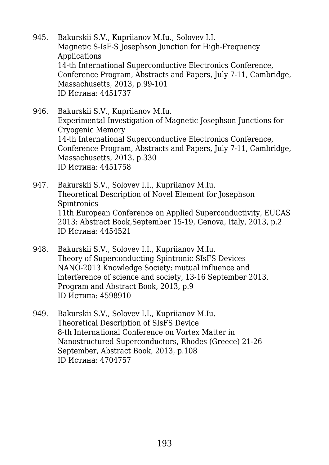- 945. Bakurskii S.V., Kupriianov M.Iu., Solovev I.I. Magnetic S-IsF-S Josephson Junction for High-Frequency Applications 14-th International Superconductive Electronics Conference, Conference Program, Abstracts and Papers, July 7-11, Cambridge, Massachusetts, 2013, p.99-101 ID Истина: 4451737
- 946. Bakurskii S.V., Kupriianov M.Iu. Experimental Investigation of Magnetic Josephson Junctions for Cryogenic Memory 14-th International Superconductive Electronics Conference, Conference Program, Abstracts and Papers, July 7-11, Cambridge, Massachusetts, 2013, p.330 ID Истина: 4451758
- 947. Bakurskii S.V., Solovev I.I., Kupriianov M.Iu. Theoretical Description of Novel Element for Josephson **Spintronics** 11th European Conference on Applied Superconductivity, EUCAS 2013: Abstract Book,September 15-19, Genova, Italy, 2013, p.2 ID Истина: 4454521
- 948. Bakurskii S.V., Solovev I.I., Kupriianov M.Iu. Theory of Superconducting Spintronic SIsFS Devices NANO-2013 Knowledge Society: mutual influence and interference of science and society, 13-16 September 2013, Program and Abstract Book, 2013, p.9 ID Истина: 4598910
- 949. Bakurskii S.V., Solovev I.I., Kupriianov M.Iu. Theoretical Description of SIsFS Device 8-th International Conference on Vortex Matter in Nanostructured Superconductors, Rhodes (Greece) 21-26 September, Abstract Book, 2013, p.108 ID Истина: 4704757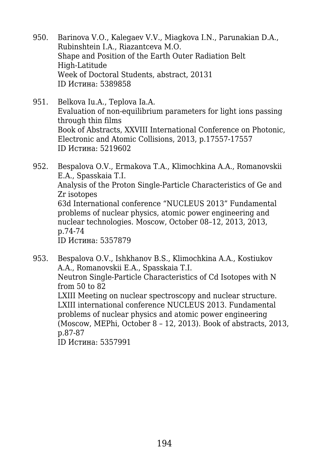- 950. Barinova V.O., Kalegaev V.V., Miagkova I.N., Parunakian D.A., Rubinshtein I.A., Riazantceva M.O. Shape and Position of the Earth Outer Radiation Belt High-Latitude Week of Doctoral Students, abstract, 20131 ID Истина: 5389858
- 951. Belkova Iu.A., Teplova Ia.A. Evaluation of non-equilibrium parameters for light ions passing through thin films Book of Abstracts, XXVIII International Conference on Photonic, Electronic and Atomic Collisions, 2013, p.17557-17557 ID Истина: 5219602

952. Bespalova O.V., Ermakova T.A., Klimochkina A.A., Romanovskii E.A., Spasskaia T.I. Analysis of the Proton Single-Particle Characteristics of Ge and Zr isotopes 63d International conference "NUCLEUS 2013" Fundamental problems of nuclear physics, atomic power engineering and nuclear technologies. Moscow, October 08–12, 2013, 2013, p.74-74 ID Истина: 5357879

953. Bespalova O.V., Ishkhanov B.S., Klimochkina A.A., Kostiukov A.A., Romanovskii E.A., Spasskaia T.I. Neutron Single-Particle Characteristics of Cd Isotopes with N from 50 to 82 LXIII Meeting on nuclear spectroscopy and nuclear structure. LXIII international conference NUCLEUS 2013. Fundamental problems of nuclear physics and atomic power engineering (Moscow, MEPhi, October 8 – 12, 2013). Book of abstracts, 2013, p.87-87 ID Истина: 5357991

194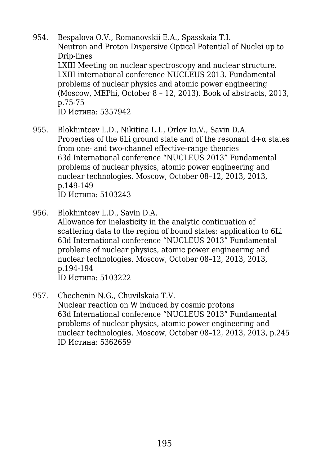- 954. Bespalova O.V., Romanovskii E.A., Spasskaia T.I. Neutron and Proton Dispersive Optical Potential of Nuclei up to Drip-lines LXIII Meeting on nuclear spectroscopy and nuclear structure. LXIII international conference NUCLEUS 2013. Fundamental problems of nuclear physics and atomic power engineering (Moscow, MEPhi, October 8 – 12, 2013). Book of abstracts, 2013, p.75-75 ID Истина: 5357942
- 955. Blokhintcev L.D., Nikitina L.I., Orlov Iu.V., Savin D.A. Properties of the 6Li ground state and of the resonant  $d+\alpha$  states from one- and two-channel effective-range theories 63d International conference "NUCLEUS 2013" Fundamental problems of nuclear physics, atomic power engineering and nuclear technologies. Moscow, October 08–12, 2013, 2013, p.149-149 ID Истина: 5103243
- 956. Blokhintcev L.D., Savin D.A. Allowance for inelasticity in the analytic continuation of scattering data to the region of bound states: application to 6Li 63d International conference "NUCLEUS 2013" Fundamental problems of nuclear physics, atomic power engineering and nuclear technologies. Moscow, October 08–12, 2013, 2013, p.194-194
	- ID Истина: 5103222
- 957. Chechenin N.G., Chuvilskaia T.V. Nuclear reaction on W induced by cosmic protons 63d International conference "NUCLEUS 2013" Fundamental problems of nuclear physics, atomic power engineering and nuclear technologies. Moscow, October 08–12, 2013, 2013, p.245 ID Истина: 5362659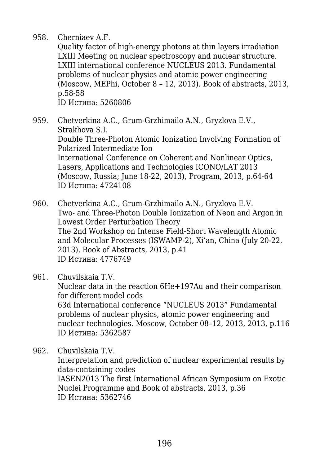958. Cherniaev A.F.

Quality factor of high-energy photons at thin layers irradiation LXIII Meeting on nuclear spectroscopy and nuclear structure. LXIII international conference NUCLEUS 2013. Fundamental problems of nuclear physics and atomic power engineering (Moscow, MEPhi, October 8 – 12, 2013). Book of abstracts, 2013, p.58-58 ID Истина: 5260806

959. Chetverkina A.C., Grum-Grzhimailo A.N., Gryzlova E.V., Strakhova S.I. Double Three-Photon Atomic Ionization Involving Formation of Polarized Intermediate Ion International Conference on Coherent and Nonlinear Optics, Lasers, Applications and Technologies ICONO/LAT 2013 (Moscow, Russia; June 18-22, 2013), Program, 2013, p.64-64 ID Истина: 4724108

960. Chetverkina A.C., Grum-Grzhimailo A.N., Gryzlova E.V. Two- and Three-Photon Double Ionization of Neon and Argon in Lowest Order Perturbation Theory The 2nd Workshop on Intense Field-Short Wavelength Atomic and Molecular Processes (ISWAMP-2), Xi'an, China (July 20-22, 2013), Book of Abstracts, 2013, p.41 ID Истина: 4776749

961. Chuvilskaia T.V. Nuclear data in the reaction 6He+197Au and their comparison for different model cods 63d International conference "NUCLEUS 2013" Fundamental problems of nuclear physics, atomic power engineering and nuclear technologies. Moscow, October 08–12, 2013, 2013, p.116 ID Истина: 5362587

962. Chuvilskaia T.V. Interpretation and prediction of nuclear experimental results by data-containing codes IASEN2013 The first International African Symposium on Exotic Nuclei Programme and Book of abstracts, 2013, p.36 ID Истина: 5362746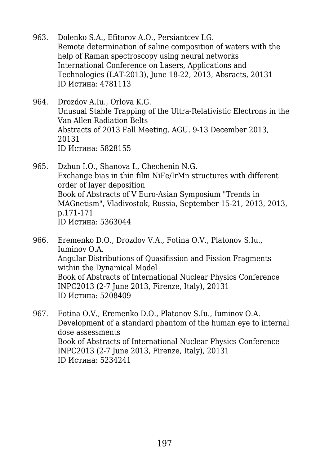- 963. Dolenko S.A., Efitorov A.O., Persiantcev I.G. Remote determination of saline composition of waters with the help of Raman spectroscopy using neural networks International Conference on Lasers, Applications and Technologies (LAT-2013), June 18-22, 2013, Absracts, 20131 ID Истина: 4781113
- 964. Drozdov A.Iu., Orlova K.G. Unusual Stable Trapping of the Ultra-Relativistic Electrons in the Van Allen Radiation Belts Abstracts of 2013 Fall Meeting. AGU. 9-13 December 2013, 20131 ID Истина: 5828155
- 965. Dzhun I.O., Shanova I., Chechenin N.G. Exchange bias in thin film NiFe/IrMn structures with different order of layer deposition Book of Abstracts of V Euro-Asian Symposium "Trends in MAGnetism", Vladivostok, Russia, September 15-21, 2013, 2013, p.171-171 ID Истина: 5363044
- 966. Eremenko D.O., Drozdov V.A., Fotina O.V., Platonov S.Iu., Iuminov O.A. Angular Distributions of Quasifission and Fission Fragments within the Dynamical Model Book of Abstracts of International Nuclear Physics Conference INPC2013 (2-7 June 2013, Firenze, Italy), 20131 ID Истина: 5208409
- 967. Fotina O.V., Eremenko D.O., Platonov S.Iu., Iuminov O.A. Development of a standard phantom of the human eye to internal dose assessments Book of Abstracts of International Nuclear Physics Conference INPC2013 (2-7 June 2013, Firenze, Italy), 20131 ID Истина: 5234241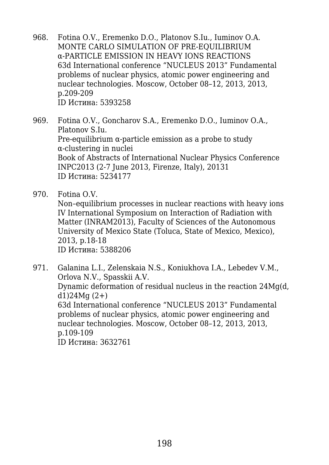968. Fotina O.V., Eremenko D.O., Platonov S.Iu., Iuminov O.A. MONTE CARLO SIMULATION OF PRE-EQUILIBRIUM α-PARTICLE EMISSION IN HEAVY IONS REACTIONS 63d International conference "NUCLEUS 2013" Fundamental problems of nuclear physics, atomic power engineering and nuclear technologies. Moscow, October 08–12, 2013, 2013, p.209-209 ID Истина: 5393258

969. Fotina O.V., Goncharov S.A., Eremenko D.O., Iuminov O.A., Platonov S.Iu. Pre-equilibrium  $\alpha$ -particle emission as a probe to study α-clustering in nuclei Book of Abstracts of International Nuclear Physics Conference INPC2013 (2-7 June 2013, Firenze, Italy), 20131 ID Истина: 5234177

970. Fotina O.V.

Non–equilibrium processes in nuclear reactions with heavy ions IV International Symposium on Interaction of Radiation with Matter (INRAM2013), Faculty of Sciences of the Autonomous University of Mexico State (Toluca, State of Mexico, Mexico), 2013, p.18-18 ID Истина: 5388206

971. Galanina L.I., Zelenskaia N.S., Koniukhova I.A., Lebedev V.M., Orlova N.V., Spasskii A.V. Dynamic deformation of residual nucleus in the reaction 24Mg(d,  $d1)24Mq(2+)$ 63d International conference "NUCLEUS 2013" Fundamental problems of nuclear physics, atomic power engineering and nuclear technologies. Moscow, October 08–12, 2013, 2013, p.109-109 ID Истина: 3632761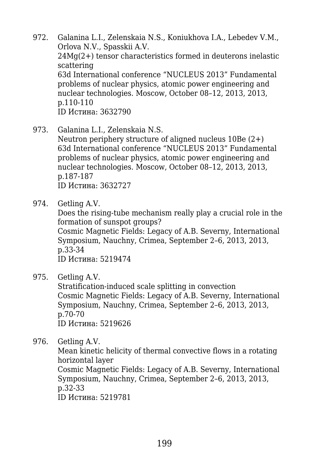972. Galanina L.I., Zelenskaia N.S., Koniukhova I.A., Lebedev V.M., Orlova N.V., Spasskii A.V. 24Mg(2+) tensor characteristics formed in deuterons inelastic scattering 63d International conference "NUCLEUS 2013" Fundamental problems of nuclear physics, atomic power engineering and nuclear technologies. Moscow, October 08–12, 2013, 2013, p.110-110 ID Истина: 3632790

973. Galanina L.I., Zelenskaia N.S.

Neutron periphery structure of aligned nucleus 10Be (2+) 63d International conference "NUCLEUS 2013" Fundamental problems of nuclear physics, atomic power engineering and nuclear technologies. Moscow, October 08–12, 2013, 2013, p.187-187 ID Истина: 3632727

974. Getling A.V.

Does the rising-tube mechanism really play a crucial role in the formation of sunspot groups?

Cosmic Magnetic Fields: Legacy of A.B. Severny, International Symposium, Nauchny, Crimea, September 2–6, 2013, 2013, p.33-34

ID Истина: 5219474

975. Getling A.V.

Stratification-induced scale splitting in convection Cosmic Magnetic Fields: Legacy of A.B. Severny, International Symposium, Nauchny, Crimea, September 2–6, 2013, 2013, p.70-70 ID Истина: 5219626

976. Getling A.V.

Mean kinetic helicity of thermal convective flows in a rotating horizontal layer Cosmic Magnetic Fields: Legacy of A.B. Severny, International Symposium, Nauchny, Crimea, September 2–6, 2013, 2013, p.32-33

ID Истина: 5219781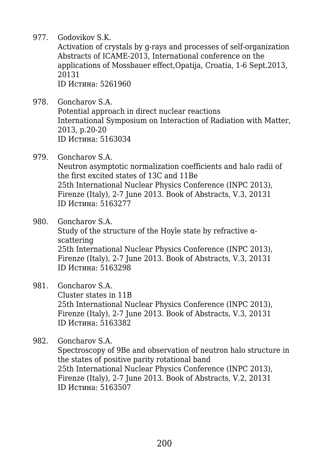977. Godovikov S.K.

Activation of crystals by g-rays and processes of self-organization Abstracts of ICAME-2013, International conference on the applications of Mossbauer effect,Opatija, Croatia, 1-6 Sept.2013, 20131 ID Истина: 5261960

- 978. Goncharov S.A. Potential approach in direct nuclear reactions International Symposium on Interaction of Radiation with Matter, 2013, p.20-20 ID Истина: 5163034
- 979. Goncharov S.A.

Neutron asymptotic normalization coefficients and halo radii of the first excited states of 13C and 11Be 25th International Nuclear Physics Conference (INPC 2013), Firenze (Italy), 2-7 June 2013. Book of Abstracts, V.3, 20131 ID Истина: 5163277

980. Goncharov S.A.

Study of the structure of the Hoyle state by refractive  $\alpha$ scattering 25th International Nuclear Physics Conference (INPC 2013), Firenze (Italy), 2-7 June 2013. Book of Abstracts, V.3, 20131 ID Истина: 5163298

- 981. Goncharov S.A. Cluster states in 11B 25th International Nuclear Physics Conference (INPC 2013), Firenze (Italy), 2-7 June 2013. Book of Abstracts, V.3, 20131 ID Истина: 5163382
- 982. Goncharov S.A. Spectroscopy of 9Be and observation of neutron halo structure in the states of positive parity rotational band

25th International Nuclear Physics Conference (INPC 2013), Firenze (Italy), 2-7 June 2013. Book of Abstracts, V.2, 20131 ID Истина: 5163507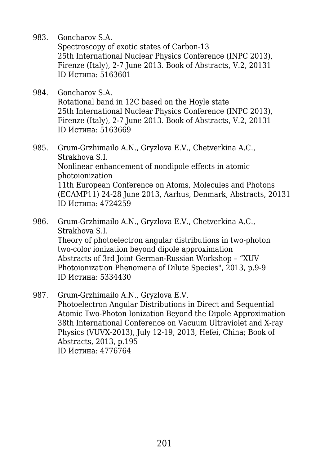983. Goncharov S.A.

Spectroscopy of exotic states of Carbon-13 25th International Nuclear Physics Conference (INPC 2013), Firenze (Italy), 2-7 June 2013. Book of Abstracts, V.2, 20131 ID Истина: 5163601

- 984. Goncharov S.A. Rotational band in 12C based on the Hoyle state 25th International Nuclear Physics Conference (INPC 2013), Firenze (Italy), 2-7 June 2013. Book of Abstracts, V.2, 20131 ID Истина: 5163669
- 985. Grum-Grzhimailo A.N., Gryzlova E.V., Chetverkina A.C., Strakhova S.I. Nonlinear enhancement of nondipole effects in atomic photoionization 11th European Conference on Atoms, Molecules and Photons (ECAMP11) 24-28 June 2013, Aarhus, Denmark, Abstracts, 20131 ID Истина: 4724259
- 986. Grum-Grzhimailo A.N., Gryzlova E.V., Chetverkina A.C., Strakhova S.I. Theory of photoelectron angular distributions in two-photon two-color ionization beyond dipole approximation Abstracts of 3rd Joint German-Russian Workshop – "XUV Photoionization Phenomena of Dilute Species", 2013, p.9-9 ID Истина: 5334430
- 987. Grum-Grzhimailo A.N., Gryzlova E.V. Photoelectron Angular Distributions in Direct and Sequential Atomic Two-Photon Ionization Beyond the Dipole Approximation 38th International Conference on Vacuum Ultraviolet and X-ray Physics (VUVX-2013), July 12-19, 2013, Hefei, China; Book of Abstracts, 2013, p.195 ID Истина: 4776764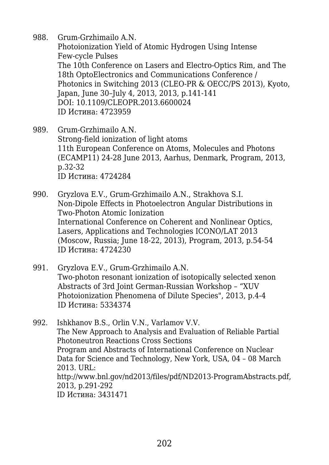988. Grum-Grzhimailo A.N. Photoionization Yield of Atomic Hydrogen Using Intense Few-cycle Pulses The 10th Conference on Lasers and Electro-Optics Rim, and The 18th OptoElectronics and Communications Conference / Photonics in Switching 2013 (CLEO-PR & OECC/PS 2013), Kyoto, Japan, June 30–July 4, 2013, 2013, p.141-141 DOI: 10.1109/CLEOPR.2013.6600024 ID Истина: 4723959

989. Grum-Grzhimailo A.N. Strong-field ionization of light atoms 11th European Conference on Atoms, Molecules and Photons (ECAMP11) 24-28 June 2013, Aarhus, Denmark, Program, 2013, p.32-32 ID Истина: 4724284

990. Gryzlova E.V., Grum-Grzhimailo A.N., Strakhova S.I. Non-Dipole Effects in Photoelectron Angular Distributions in Two-Photon Atomic Ionization International Conference on Coherent and Nonlinear Optics, Lasers, Applications and Technologies ICONO/LAT 2013 (Moscow, Russia; June 18-22, 2013), Program, 2013, p.54-54 ID Истина: 4724230

991. Gryzlova E.V., Grum-Grzhimailo A.N. Two-photon resonant ionization of isotopically selected xenon Abstracts of 3rd Joint German-Russian Workshop – "XUV Photoionization Phenomena of Dilute Species", 2013, p.4-4 ID Истина: 5334374

992. Ishkhanov B.S., Orlin V.N., Varlamov V.V. The New Approach to Analysis and Evaluation of Reliable Partial Photoneutron Reactions Cross Sections Program and Abstracts of International Conference on Nuclear Data for Science and Technology, New York, USA, 04 – 08 March 2013. URL: http://www.bnl.gov/nd2013/files/pdf/ND2013-ProgramAbstracts.pdf, 2013, p.291-292 ID Истина: 3431471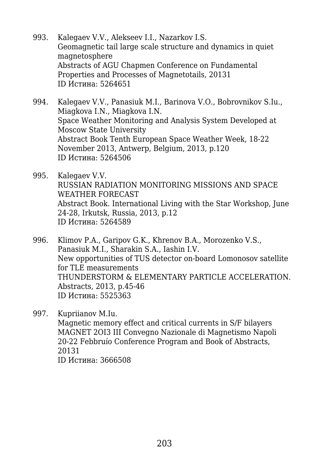- 993. Kalegaev V.V., Alekseev I.I., Nazarkov I.S. Geomagnetic tail large scale structure and dynamics in quiet magnetosphere Abstracts of AGU Chapmen Conference on Fundamental Properties and Processes of Magnetotails, 20131 ID Истина: 5264651
- 994. Kalegaev V.V., Panasiuk M.I., Barinova V.O., Bobrovnikov S.Iu., Miagkova I.N., Miagkova I.N. Space Weather Monitoring and Analysis System Developed at Moscow State University Abstract Book Tenth European Space Weather Week, 18-22 November 2013, Antwerp, Belgium, 2013, p.120 ID Истина: 5264506
- 995. Kalegaev V.V. RUSSIAN RADIATION MONITORING MISSIONS AND SPACE WEATHER FORECAST Abstract Book. International Living with the Star Workshop, June 24-28, Irkutsk, Russia, 2013, p.12 ID Истина: 5264589
- 996. Klimov P.A., Garipov G.K., Khrenov B.A., Morozenko V.S., Panasiuk M.I., Sharakin S.A., Iashin I.V. New opportunities of TUS detector on-board Lomonosov satellite for TLE measurements THUNDERSTORM & ELEMENTARY PARTICLE ACCELERATION. Abstracts, 2013, p.45-46 ID Истина: 5525363
- 997. Kupriianov M.Iu. Magnetic memory effect and critical currents in S/F bilayers MAGNET 2OI3 III Convegno Nazionale di Magnetismo Napoli 20-22 Febbruío Conference Program and Book of Abstracts, 20131 ID Истина: 3666508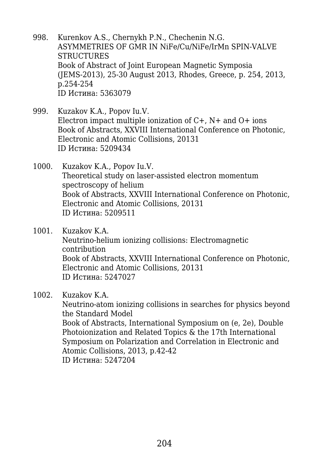- 998. Kurenkov A.S., Chernykh P.N., Chechenin N.G. ASYMMETRIES OF GMR IN NiFe/Cu/NiFe/IrMn SPIN-VALVE **STRUCTURES** Book of Abstract of Joint European Magnetic Symposia (JEMS-2013), 25-30 August 2013, Rhodes, Greece, p. 254, 2013, p.254-254 ID Истина: 5363079
- 999. Kuzakov K.A., Popov Iu.V. Electron impact multiple ionization of  $C+$ ,  $N+$  and  $O+$  ions Book of Abstracts, XXVIII International Conference on Photonic, Electronic and Atomic Collisions, 20131 ID Истина: 5209434
- 1000. Kuzakov K.A., Popov Iu.V. Theoretical study on laser-assisted electron momentum spectroscopy of helium Book of Abstracts, XXVIII International Conference on Photonic, Electronic and Atomic Collisions, 20131 ID Истина: 5209511
- 1001. Kuzakov K.A. Neutrino-helium ionizing collisions: Electromagnetic contribution Book of Abstracts, XXVIII International Conference on Photonic, Electronic and Atomic Collisions, 20131 ID Истина: 5247027
- 1002. Kuzakov K.A.

Neutrino-atom ionizing collisions in searches for physics beyond the Standard Model Book of Abstracts, International Symposium on (e, 2e), Double Photoionization and Related Topics & the 17th International Symposium on Polarization and Correlation in Electronic and Atomic Collisions, 2013, p.42-42 ID Истина: 5247204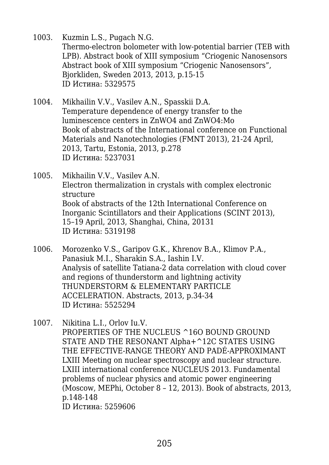1003. Kuzmin L.S., Pugach N.G. Thermo-electron bolometer with low-potential barrier (TEB with LPB). Abstract book of XIII symposium "Criogenic Nanosensors Abstract book of XIII symposium "Criogenic Nanosensors", Bjorkliden, Sweden 2013, 2013, p.15-15 ID Истина: 5329575

- 1004. Mikhailin V.V., Vasilev A.N., Spasskii D.A. Temperature dependence of energy transfer to the luminescence centers in ZnWO4 and ZnWO4:Mo Book of abstracts of the International conference on Functional Materials and Nanotechnologies (FMNT 2013), 21-24 April, 2013, Tartu, Estonia, 2013, p.278 ID Истина: 5237031
- 1005. Mikhailin V.V., Vasilev A.N. Electron thermalization in crystals with complex electronic structure Book of abstracts of the 12th International Conference on Inorganic Scintillators and their Applications (SCINT 2013), 15–19 April, 2013, Shanghai, China, 20131 ID Истина: 5319198
- 1006. Morozenko V.S., Garipov G.K., Khrenov B.A., Klimov P.A., Panasiuk M.I., Sharakin S.A., Iashin I.V. Analysis of satellite Tatiana-2 data correlation with cloud cover and regions of thunderstorm and lightning activity THUNDERSTORM & ELEMENTARY PARTICLE ACCELERATION. Abstracts, 2013, p.34-34 ID Истина: 5525294
- 1007. Nikitina L.I., Orlov Iu.V. PROPERTIES OF THE NUCLEUS ^16O BOUND GROUND STATE AND THE RESONANT Alpha+^12С STATES USING THE EFFECTIVE-RANGE THEORY AND PADÉ-APPROXIMANT LXIII Meeting on nuclear spectroscopy and nuclear structure. LXIII international conference NUCLEUS 2013. Fundamental problems of nuclear physics and atomic power engineering (Moscow, MEPhi, October 8 – 12, 2013). Book of abstracts, 2013, p.148-148 ID Истина: 5259606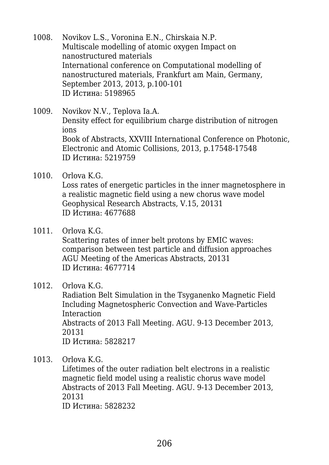- 1008. Novikov L.S., Voronina E.N., Chirskaia N.P. Multiscale modelling of atomic oxygen Impact on nanostructured materials International conference on Computational modelling of nanostructured materials, Frankfurt am Main, Germany, September 2013, 2013, p.100-101 ID Истина: 5198965
- 1009. Novikov N.V., Teplova Ia.A. Density effect for equilibrium charge distribution of nitrogen ions Book of Abstracts, XXVIII International Conference on Photonic, Electronic and Atomic Collisions, 2013, p.17548-17548 ID Истина: 5219759
- 1010. Orlova K.G.

Loss rates of energetic particles in the inner magnetosphere in a realistic magnetic field using a new chorus wave model Geophysical Research Abstracts, V.15, 20131 ID Истина: 4677688

1011. Orlova K.G.

Scattering rates of inner belt protons by EMIC waves: comparison between test particle and diffusion approaches AGU Meeting of the Americas Abstracts, 20131 ID Истина: 4677714

1012. Orlova K.G.

Radiation Belt Simulation in the Tsyganenko Magnetic Field Including Magnetospheric Convection and Wave-Particles Interaction Abstracts of 2013 Fall Meeting. AGU. 9-13 December 2013, 20131

ID Истина: 5828217

1013. Orlova K.G.

Lifetimes of the outer radiation belt electrons in a realistic magnetic field model using a realistic chorus wave model Abstracts of 2013 Fall Meeting. AGU. 9-13 December 2013, 20131

ID Истина: 5828232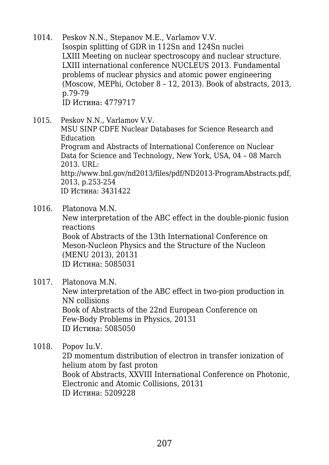- 1014. Peskov N.N., Stepanov M.E., Varlamov V.V. Isospin splitting of GDR in 112Sn and 124Sn nuclei LXIII Meeting on nuclear spectroscopy and nuclear structure. LXIII international conference NUCLEUS 2013. Fundamental problems of nuclear physics and atomic power engineering (Moscow, MEPhi, October 8 – 12, 2013). Book of abstracts, 2013, p.79-79 ID Истина: 4779717
- 1015. Peskov N.N., Varlamov V.V. MSU SINP CDFE Nuclear Databases for Science Research and Education Program and Abstracts of International Conference on Nuclear Data for Science and Technology, New York, USA, 04 – 08 March 2013. URL: http://www.bnl.gov/nd2013/files/pdf/ND2013-ProgramAbstracts.pdf, 2013, p.253-254 ID Истина: 3431422
- 1016. Platonova M.N.

New interpretation of the ABC effect in the double-pionic fusion reactions Book of Abstracts of the 13th International Conference on

Meson-Nucleon Physics and the Structure of the Nucleon (MENU 2013), 20131 ID Истина: 5085031

1017. Platonova M.N.

New interpretation of the ABC effect in two-pion production in NN collisions Book of Abstracts of the 22nd European Conference on Few-Body Problems in Physics, 20131 ID Истина: 5085050

1018. Popov Iu.V.

2D momentum distribution of electron in transfer ionization of helium atom by fast proton Book of Abstracts, XXVIII International Conference on Photonic, Electronic and Atomic Collisions, 20131 ID Истина: 5209228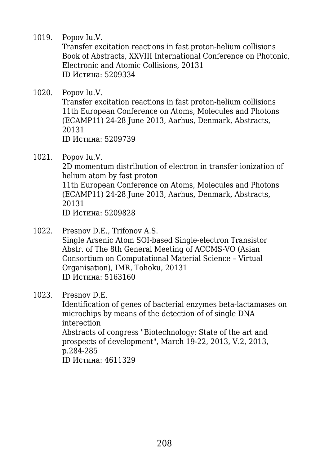1019. Popov Iu.V.

Transfer excitation reactions in fast proton-helium collisions Book of Abstracts, XXVIII International Conference on Photonic, Electronic and Atomic Collisions, 20131 ID Истина: 5209334

1020. Popov Iu.V.

Transfer excitation reactions in fast proton-helium collisions 11th European Conference on Atoms, Molecules and Photons (ECAMP11) 24-28 June 2013, Aarhus, Denmark, Abstracts, 20131 ID Истина: 5209739

1021. Popov Iu.V.

2D momentum distribution of electron in transfer ionization of helium atom by fast proton 11th European Conference on Atoms, Molecules and Photons (ECAMP11) 24-28 June 2013, Aarhus, Denmark, Abstracts, 20131

ID Истина: 5209828

- 1022. Presnov D.E., Trifonov A.S. Single Arsenic Atom SOI-based Single-electron Transistor Abstr. of The 8th General Meeting of ACCMS-VO (Asian Consortium on Computational Material Science – Virtual Organisation), IMR, Tohoku, 20131 ID Истина: 5163160
- 1023. Presnov D.E.

Identification of genes of bacterial enzymes beta-lactamases on microchips by means of the detection of of single DNA interection Abstracts of congress "Biotechnology: State of the art and prospects of development", March 19-22, 2013, V.2, 2013, p.284-285 ID Истина: 4611329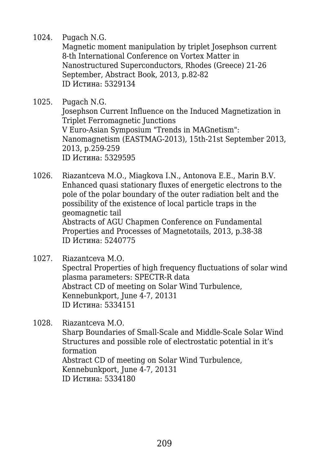1024. Pugach N.G.

Magnetic moment manipulation by triplet Josephson current 8-th International Conference on Vortex Matter in Nanostructured Superconductors, Rhodes (Greece) 21-26 September, Abstract Book, 2013, p.82-82 ID Истина: 5329134

1025. Pugach N.G. Josephson Current Influence on the Induced Magnetization in Triplet Ferromagnetic Junctions V Euro-Asian Symposium "Trends in MAGnetism": Nanomagnetism (EASTMAG-2013), 15th-21st September 2013, 2013, p.259-259 ID Истина: 5329595

1026. Riazantceva M.O., Miagkova I.N., Antonova E.E., Marin B.V. Enhanced quasi stationary fluxes of energetic electrons to the pole of the polar boundary of the outer radiation belt and the possibility of the existence of local particle traps in the geomagnetic tail Abstracts of AGU Chapmen Conference on Fundamental Properties and Processes of Magnetotails, 2013, p.38-38 ID Истина: 5240775

1027. Riazantceva M.O. Spectral Properties of high frequency fluctuations of solar wind plasma parameters: SPECTR-R data Abstract CD of meeting on Solar Wind Turbulence, Kennebunkport, June 4-7, 20131 ID Истина: 5334151

1028. Riazantceva M.O. Sharp Boundaries of Small-Scale and Middle-Scale Solar Wind Structures and possible role of electrostatic potential in it's formation Abstract CD of meeting on Solar Wind Turbulence, Kennebunkport, June 4-7, 20131 ID Истина: 5334180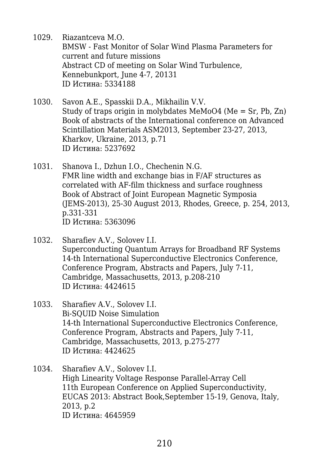- 1029. Riazantceva M.O. BMSW - Fast Monitor of Solar Wind Plasma Parameters for current and future missions Abstract CD of meeting on Solar Wind Turbulence, Kennebunkport, June 4-7, 20131 ID Истина: 5334188
- 1030. Savon A.E., Spasskii D.A., Mikhailin V.V. Study of traps origin in molybdates MeMoO4 (Me = Sr, Pb, Zn) Book of abstracts of the International conference on Advanced Scintillation Materials ASM2013, September 23-27, 2013, Kharkov, Ukraine, 2013, p.71 ID Истина: 5237692
- 1031. Shanova I., Dzhun I.O., Chechenin N.G. FMR line width and exchange bias in F/AF structures as correlated with AF-film thickness and surface roughness Book of Abstract of Joint European Magnetic Symposia (JEMS-2013), 25-30 August 2013, Rhodes, Greece, p. 254, 2013, p.331-331 ID Истина: 5363096
- 1032. Sharafiev A.V., Solovev I.I. Superconducting Quantum Arrays for Broadband RF Systems 14-th International Superconductive Electronics Conference, Conference Program, Abstracts and Papers, July 7-11, Cambridge, Massachusetts, 2013, p.208-210 ID Истина: 4424615
- 1033. Sharafiev A.V., Solovev I.I. Bi-SQUID Noise Simulation 14-th International Superconductive Electronics Conference, Conference Program, Abstracts and Papers, July 7-11, Cambridge, Massachusetts, 2013, p.275-277 ID Истина: 4424625
- 1034. Sharafiev A.V., Solovev I.I. High Linearity Voltage Response Parallel-Array Cell 11th European Conference on Applied Superconductivity, EUCAS 2013: Abstract Book,September 15-19, Genova, Italy, 2013, p.2 ID Истина: 4645959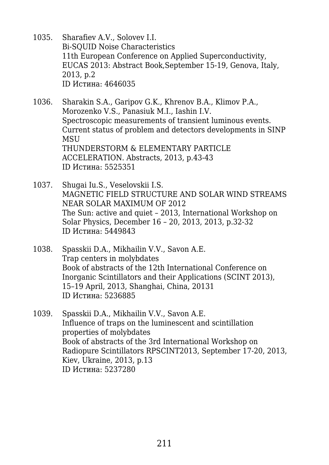- 1035. Sharafiev A.V., Solovev I.I. Bi-SQUID Noise Characteristics 11th European Conference on Applied Superconductivity, EUCAS 2013: Abstract Book,September 15-19, Genova, Italy, 2013, p.2 ID Истина: 4646035
- 1036. Sharakin S.A., Garipov G.K., Khrenov B.A., Klimov P.A., Morozenko V.S., Panasiuk M.I., Iashin I.V. Spectroscopic measurements of transient luminous events. Current status of problem and detectors developments in SINP **MSU** THUNDERSTORM & ELEMENTARY PARTICLE ACCELERATION. Abstracts, 2013, p.43-43 ID Истина: 5525351
- 1037. Shugai Iu.S., Veselovskii I.S. MAGNETIC FIELD STRUCTURE AND SOLAR WIND STREAMS NEAR SOLAR MAXIMUM OF 2012 The Sun: active and quiet – 2013, International Workshop on Solar Physics, December 16 – 20, 2013, 2013, p.32-32 ID Истина: 5449843
- 1038. Spasskii D.A., Mikhailin V.V., Savon A.E. Trap centers in molybdates Book of abstracts of the 12th International Conference on Inorganic Scintillators and their Applications (SCINT 2013), 15–19 April, 2013, Shanghai, China, 20131 ID Истина: 5236885
- 1039. Spasskii D.A., Mikhailin V.V., Savon A.E. Influence of traps on the luminescent and scintillation properties of molybdates Book of abstracts of the 3rd International Workshop on Radiopure Scintillators RPSCINT2013, September 17-20, 2013, Kiev, Ukraine, 2013, p.13 ID Истина: 5237280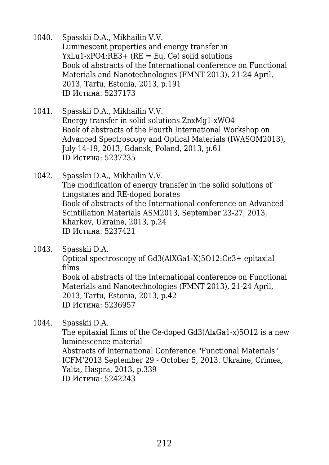- 1040. Spasskii D.A., Mikhailin V.V. Luminescent properties and energy transfer in YxLu1-xPO4:RE3+ (RE = Eu, Ce) solid solutions Book of abstracts of the International conference on Functional Materials and Nanotechnologies (FMNT 2013), 21-24 April, 2013, Tartu, Estonia, 2013, p.191 ID Истина: 5237173
- 1041. Spasskii D.A., Mikhailin V.V. Energy transfer in solid solutions ZnxMg1-xWO4 Book of abstracts of the Fourth International Workshop on Advanced Spectroscopy and Optical Materials (IWASOM2013), July 14-19, 2013, Gdansk, Poland, 2013, p.61 ID Истина: 5237235
- 1042. Spasskii D.A., Mikhailin V.V. The modification of energy transfer in the solid solutions of tungstates and RE-doped borates Book of abstracts of the International conference on Advanced Scintillation Materials ASM2013, September 23-27, 2013, Kharkov, Ukraine, 2013, p.24 ID Истина: 5237421
- 1043. Spasskii D.A. Optical spectroscopy of Gd3(AlXGa1-X)5O12:Ce3+ epitaxial films Book of abstracts of the International conference on Functional Materials and Nanotechnologies (FMNT 2013), 21-24 April, 2013, Tartu, Estonia, 2013, p.42 ID Истина: 5236957
- 1044. Spasskii D.A.

The epitaxial films of the Ce-doped Gd3(AlxGa1-x)5O12 is a new luminescence material Abstracts of International Conference "Functional Materials" ICFM'2013 September 29 - October 5, 2013. Ukraine, Crimea, Yalta, Haspra, 2013, p.339 ID Истина: 5242243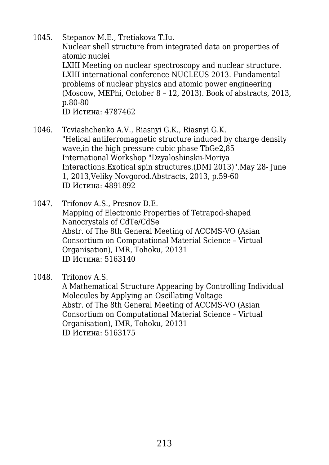- 1045. Stepanov M.E., Tretiakova T.Iu. Nuclear shell structure from integrated data on properties of atomic nuclei LXIII Meeting on nuclear spectroscopy and nuclear structure. LXIII international conference NUCLEUS 2013. Fundamental problems of nuclear physics and atomic power engineering (Moscow, MEPhi, October 8 – 12, 2013). Book of abstracts, 2013, p.80-80 ID Истина: 4787462
- 1046. Tcviashchenko A.V., Riasnyi G.K., Riasnyi G.K. "Helical antiferromagnetic structure induced by charge density wave,in the high pressure cubic phase TbGe2,85 International Workshop "Dzyaloshinskii-Moriya Interactions.Exotical spin structures.(DMI 2013)".May 28- June 1, 2013,Veliky Novgorod.Abstracts, 2013, p.59-60 ID Истина: 4891892
- 1047. Trifonov A.S., Presnov D.E. Mapping of Electronic Properties of Tetrapod-shaped Nanocrystals of CdTe/CdSe Abstr. of The 8th General Meeting of ACCMS-VO (Asian Consortium on Computational Material Science – Virtual Organisation), IMR, Tohoku, 20131 ID Истина: 5163140
- 1048. Trifonov A.S. A Mathematical Structure Appearing by Controlling Individual Molecules by Applying an Oscillating Voltage Abstr. of The 8th General Meeting of ACCMS-VO (Asian Consortium on Computational Material Science – Virtual

Organisation), IMR, Tohoku, 20131 ID Истина: 5163175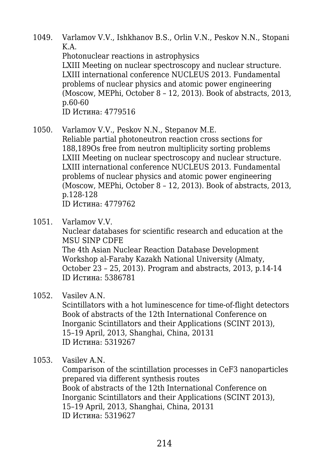- 1049. Varlamov V.V., Ishkhanov B.S., Orlin V.N., Peskov N.N., Stopani K.A. Photonuclear reactions in astrophysics LXIII Meeting on nuclear spectroscopy and nuclear structure. LXIII international conference NUCLEUS 2013. Fundamental problems of nuclear physics and atomic power engineering (Moscow, MEPhi, October 8 – 12, 2013). Book of abstracts, 2013, p.60-60 ID Истина: 4779516
- 1050. Varlamov V.V., Peskov N.N., Stepanov M.E. Reliable partial photoneutron reaction cross sections for 188,189Os free from neutron multiplicity sorting problems LXIII Meeting on nuclear spectroscopy and nuclear structure. LXIII international conference NUCLEUS 2013. Fundamental problems of nuclear physics and atomic power engineering (Moscow, MEPhi, October 8 – 12, 2013). Book of abstracts, 2013, p.128-128 ID Истина: 4779762
- 1051. Varlamov V.V.

Nuclear databases for scientific research and education at the MSU SINP CDFE The 4th Asian Nuclear Reaction Database Development Workshop al-Faraby Kazakh National University (Almaty, October 23 – 25, 2013). Program and abstracts, 2013, p.14-14 ID Истина: 5386781

1052. Vasilev A.N.

Scintillators with a hot luminescence for time-of-flight detectors Book of abstracts of the 12th International Conference on Inorganic Scintillators and their Applications (SCINT 2013), 15–19 April, 2013, Shanghai, China, 20131 ID Истина: 5319267

1053. Vasilev A.N.

Comparison of the scintillation processes in CeF3 nanoparticles prepared via different synthesis routes Book of abstracts of the 12th International Conference on Inorganic Scintillators and their Applications (SCINT 2013), 15–19 April, 2013, Shanghai, China, 20131 ID Истина: 5319627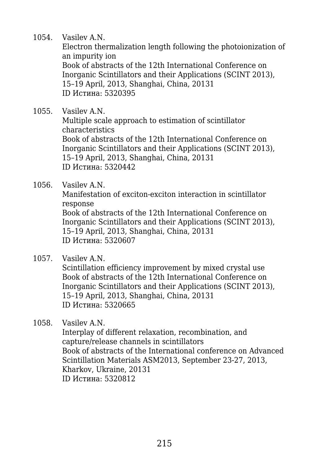1054. Vasilev A.N.

Electron thermalization length following the photoionization of an impurity ion Book of abstracts of the 12th International Conference on Inorganic Scintillators and their Applications (SCINT 2013), 15–19 April, 2013, Shanghai, China, 20131 ID Истина: 5320395

1055. Vasilev A.N. Multiple scale approach to estimation of scintillator characteristics Book of abstracts of the 12th International Conference on Inorganic Scintillators and their Applications (SCINT 2013), 15–19 April, 2013, Shanghai, China, 20131 ID Истина: 5320442

1056. Vasilev A.N.

Manifestation of exciton-exciton interaction in scintillator response Book of abstracts of the 12th International Conference on Inorganic Scintillators and their Applications (SCINT 2013),

15–19 April, 2013, Shanghai, China, 20131 ID Истина: 5320607

1057. Vasilev A.N.

Scintillation efficiency improvement by mixed crystal use Book of abstracts of the 12th International Conference on Inorganic Scintillators and their Applications (SCINT 2013), 15–19 April, 2013, Shanghai, China, 20131 ID Истина: 5320665

1058. Vasilev A.N. Interplay of different relaxation, recombination, and capture/release channels in scintillators Book of abstracts of the International conference on Advanced Scintillation Materials ASM2013, September 23-27, 2013, Kharkov, Ukraine, 20131 ID Истина: 5320812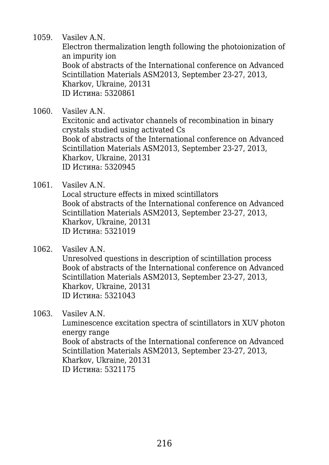1059. Vasilev A.N.

Electron thermalization length following the photoionization of an impurity ion Book of abstracts of the International conference on Advanced Scintillation Materials ASM2013, September 23-27, 2013, Kharkov, Ukraine, 20131 ID Истина: 5320861

1060. Vasilev A.N. Excitonic and activator channels of recombination in binary crystals studied using activated Cs Book of abstracts of the International conference on Advanced Scintillation Materials ASM2013, September 23-27, 2013, Kharkov, Ukraine, 20131 ID Истина: 5320945

1061. Vasilev A.N.

Local structure effects in mixed scintillators Book of abstracts of the International conference on Advanced Scintillation Materials ASM2013, September 23-27, 2013, Kharkov, Ukraine, 20131 ID Истина: 5321019

1062. Vasilev A.N. Unresolved questions in description of scintillation process Book of abstracts of the International conference on Advanced Scintillation Materials ASM2013, September 23-27, 2013, Kharkov, Ukraine, 20131 ID Истина: 5321043

1063. Vasilev A.N.

Luminescence excitation spectra of scintillators in XUV photon energy range Book of abstracts of the International conference on Advanced Scintillation Materials ASM2013, September 23-27, 2013, Kharkov, Ukraine, 20131 ID Истина: 5321175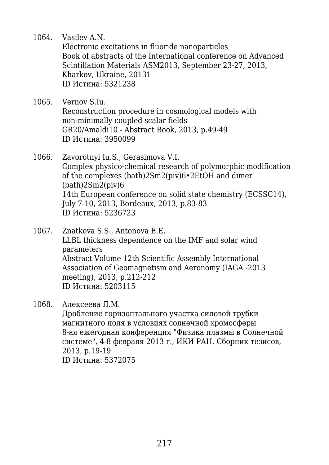1064. Vasilev A.N.

Electronic excitations in fluoride nanoparticles Book of abstracts of the International conference on Advanced Scintillation Materials ASM2013, September 23-27, 2013, Kharkov, Ukraine, 20131 ID Истина: 5321238

- 1065. Vernov S.Iu. Reconstruction procedure in cosmological models with non-minimally coupled scalar fields GR20/Amaldi10 - Abstract Book, 2013, p.49-49 ID Истина: 3950099
- 1066. Zavorotnyi Iu.S., Gerasimova V.I. Complex physico-chemical research of polymorphic modification of the complexes (bath)2Sm2(piv)6•2EtOH and dimer  $(bath)2Sm2(piv)6$ 14th European conference on solid state chemistry (ECSSC14), July 7-10, 2013, Bordeaux, 2013, p.83-83 ID Истина: 5236723
- 1067. Znatkova S.S., Antonova E.E. LLBL thickness dependence on the IMF and solar wind parameters Abstract Volume 12th Scientific Assembly International Association of Geomagnetism and Aeronomy (IAGA -2013 meeting), 2013, p.212-212 ID Истина: 5203115

#### 1068. Алексеева Л.М.

Дробление горизонтального участка силовой трубки магнитного поля в условиях солнечной хромосферы 8-ая ежегодная конференция "Физика плазмы в Солнечной системе", 4-8 февраля 2013 г., ИКИ РАН. Сборник тезисов, 2013, p.19-19 ID Истина: 5372075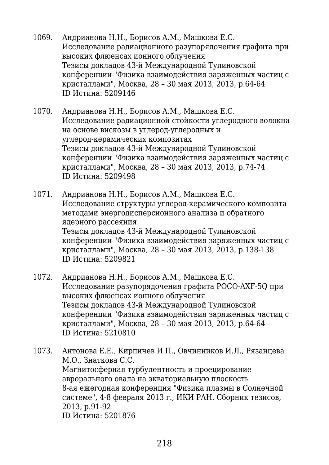- 1069. Андрианова Н.Н., Борисов А.М., Машкова Е.С. Исследование радиационного разупорядочения графита при высоких флюенсах ионного облучения Тезисы докладов 43-й Международной Тулиновской конференции "Физика взаимодействия заряженных частиц с кристаллами", Москва, 28 – 30 мая 2013, 2013, p.64-64 ID Истина: 5209146
- 1070. Андрианова Н.Н., Борисов А.М., Машкова Е.С. Исследование радиационной стойкости углеродного волокна на основе вискозы в углерод-углеродных и углерод-керамических композитах Тезисы докладов 43-й Международной Тулиновской конференции "Физика взаимодействия заряженных частиц с кристаллами", Москва, 28 – 30 мая 2013, 2013, p.74-74 ID Истина: 5209498
- 1071. Андрианова Н.Н., Борисов А.М., Машкова Е.С. Исследование структуры углерод-керамического композита методами энергодисперсионного анализа и обратного ядерного рассеяния Тезисы докладов 43-й Международной Тулиновской конференции "Физика взаимодействия заряженных частиц с кристаллами", Москва, 28 – 30 мая 2013, 2013, p.138-138 ID Истина: 5209821
- 1072. Андрианова Н.Н., Борисов А.М., Машкова Е.С. Исследование разупорядочения графита POCO-AXF-5Q при высоких флюенсах ионного облучения Тезисы докладов 43-й Международной Тулиновской конференции "Физика взаимодействия заряженных частиц с кристаллами", Москва, 28 – 30 мая 2013, 2013, p.64-64 ID Истина: 5210810
- 1073. Антонова Е.Е., Кирпичев И.П., Овчинников И.Л., Рязанцева М.О., Знаткова С.С. Магнитосферная турбулентность и проецирование аврорального овала на экваториальную плоскость 8-ая ежегодная конференция "Физика плазмы в Солнечной системе", 4-8 февраля 2013 г., ИКИ РАН. Сборник тезисов, 2013, p.91-92 ID Истина: 5201876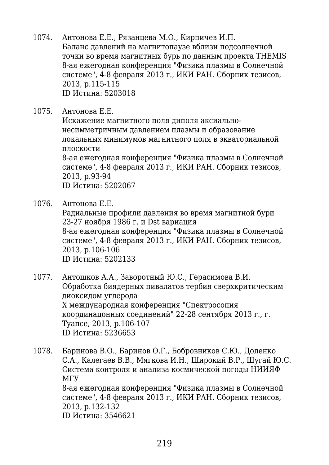- 1074. Антонова Е.Е., Рязанцева М.О., Кирпичев И.П. Баланс давлений на магнитопаузе вблизи подсолнечной точки во время магнитных бурь по данным проекта THEMIS 8-ая ежегодная конференция "Физика плазмы в Солнечной системе", 4-8 февраля 2013 г., ИКИ РАН. Сборник тезисов, 2013, p.115-115 ID Истина: 5203018
- 1075. Антонова Е.Е.

Искажение магнитного поля диполя аксиальнонесимметричным давлением плазмы и образование локальных минимумов магнитного поля в экваториальной плоскости 8-ая ежегодная конференция "Физика плазмы в Солнечной

системе", 4-8 февраля 2013 г., ИКИ РАН. Сборник тезисов, 2013, p.93-94 ID Истина: 5202067

1076. Антонова Е.Е.

Радиальные профили давления во время магнитной бури 23-27 ноября 1986 г. и Dst вариация 8-ая ежегодная конференция "Физика плазмы в Солнечной системе", 4-8 февраля 2013 г., ИКИ РАН. Сборник тезисов, 2013, p.106-106 ID Истина: 5202133

- 1077. Антошков А.А., Заворотный Ю.С., Герасимова В.И. Обработка биядерных пивалатов тербия сверхкритическим диоксидом углерода Х международная конференция "Спектросопия координацонных соединений" 22-28 сентября 2013 г., г. Туапсе, 2013, p.106-107 ID Истина: 5236653
- 1078. Баринова В.О., Баринов О.Г., Бобровников С.Ю., Доленко С.А., Калегаев В.В., Мягкова И.Н., Широкий В.Р., Шугай Ю.С. Система контроля и анализа космической погоды НИИЯФ МГУ 8-ая ежегодная конференция "Физика плазмы в Солнечной системе", 4-8 февраля 2013 г., ИКИ РАН. Сборник тезисов, 2013, p.132-132 ID Истина: 3546621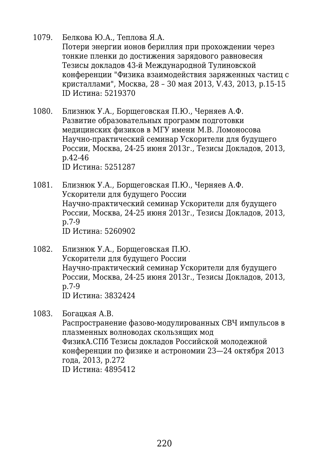#### 1079. Белкова Ю.А., Теплова Я.А.

Потери энергии ионов бериллия при прохождении через тонкие пленки до достижения зарядового равновесия Тезисы докладов 43-й Международной Тулиновской конференции "Физика взаимодействия заряженных частиц с кристаллами", Москва, 28 – 30 мая 2013, V.43, 2013, p.15-15 ID Истина: 5219370

- 1080. Близнюк У.А., Борщеговская П.Ю., Черняев А.Ф. Развитие образовательных программ подготовки медицинских физиков в МГУ имени М.В. Ломоносова Научно-практический семинар Ускорители для будущего России, Москва, 24-25 июня 2013г., Тезисы Докладов, 2013, p.42-46 ID Истина: 5251287
- 1081. Близнюк У.А., Борщеговская П.Ю., Черняев А.Ф. Ускорители для будущего России Научно-практический семинар Ускорители для будущего России, Москва, 24-25 июня 2013г., Тезисы Докладов, 2013, p.7-9 ID Истина: 5260902
- 1082. Близнюк У.А., Борщеговская П.Ю. Ускорители для будущего России Научно-практический семинар Ускорители для будущего России, Москва, 24-25 июня 2013г., Тезисы Докладов, 2013, p.7-9 ID Истина: 3832424

1083. Богацкая А.В.

Распространение фазово-модулированных СВЧ импульсов в плазменных волноводах скользящих мод ФизикА.СПб Тезисы докладов Российской молодежной конференции по физике и астрономии 23—24 октября 2013 года, 2013, p.272 ID Истина: 4895412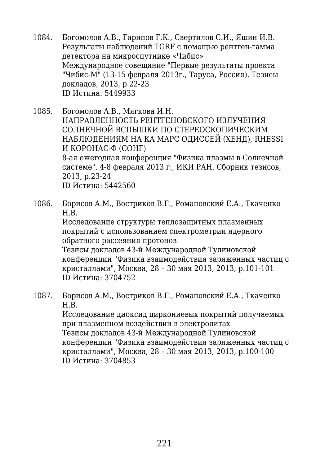- 1084. Богомолов А.В., Гарипов Г.К., Свертилов С.И., Яшин И.В. Результаты наблюдений TGRF с помощью рентген-гамма детектора на микроспутнике «Чибис» Международное совещание "Первые результаты проекта "Чибис-М" (13-15 февраля 2013г., Таруса, Россия). Тезисы докладов, 2013, p.22-23 ID Истина: 5449933
- 1085. Богомолов А.В., Мягкова И.Н. НАПРАВЛЕННОСТЬ РЕНТГЕНОВСКОГО ИЗЛУЧЕНИЯ СОЛНЕЧНОЙ ВСПЫШКИ ПО СТЕРЕОСКОПИЧЕСКИМ НАБЛЮДЕНИЯМ НА КА МАРС ОДИССЕЙ (ХЕНД), RHESSI И КОРОНАС-Ф (СОНГ) 8-ая ежегодная конференция "Физика плазмы в Солнечной системе", 4-8 февраля 2013 г., ИКИ РАН. Сборник тезисов, 2013, p.23-24 ID Истина: 5442560
- 1086. Борисов А.М., Востриков В.Г., Романовский Е.А., Ткаченко Н.В. Исследование структуры теплозащитных плазменных покрытий с использованием спектрометрии ядерного обратного рассеяния протонов Тезисы докладов 43-й Международной Тулиновской конференции "Физика взаимодействия заряженных частиц с кристаллами", Москва, 28 – 30 мая 2013, 2013, p.101-101 ID Истина: 3704752
- 1087. Борисов А.М., Востриков В.Г., Романовский Е.А., Ткаченко Н.В. Исследование диоксид циркониевых покрытий получаемых при плазменном воздействии в электролитах Тезисы докладов 43-й Международной Тулиновской конференции "Физика взаимодействия заряженных частиц с кристаллами", Москва, 28 – 30 мая 2013, 2013, p.100-100 ID Истина: 3704853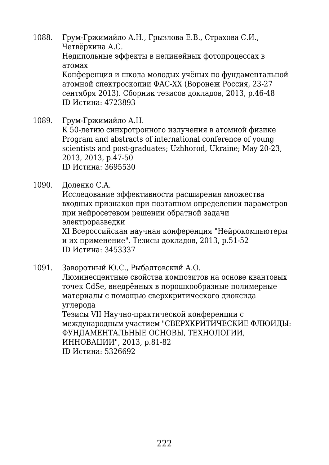1088. Грум-Гржимайло А.Н., Грызлова Е.В., Страхова С.И., Четвёркина А.C. Недипольные эффекты в нелинейных фотопроцессах в атомах Конференция и школа молодых учёных по фундаментальной атомной спектроскопии ФАС-ХХ (Воронеж Россия, 23-27 сентября 2013). Сборник тезисов докладов, 2013, p.46-48 ID Истина: 4723893

1089. Грум-Гржимайло А.Н. К 50-летию синхротронного излучения в атомной физике Program and abstracts of international conference of young scientists and post-graduates; Uzhhorod, Ukraine; May 20-23, 2013, 2013, p.47-50 ID Истина: 3695530

1090. Доленко С.А.

Исследование эффективности расширения множества входных признаков при поэтапном определении параметров при нейросетевом решении обратной задачи электроразведки XI Всероссийская научная конференция "Нейрокомпьютеры и их применение". Тезисы докладов, 2013, p.51-52 ID Истина: 3453337

1091. Заворотный Ю.С., Рыбалтовский А.О. Люминесцентные свойства композитов на основе квантовых точек CdSe, внедрённых в порошкообразные полимерные материалы с помощью сверхкритического диоксида углерода Тезисы VII Научно-практической конференции с международным участием "СВЕРХКРИТИЧЕСКИЕ ФЛЮИДЫ: ФУНДАМЕНТАЛЬНЫЕ ОСНОВЫ, ТЕХНОЛОГИИ, ИННОВАЦИИ", 2013, p.81-82

ID Истина: 5326692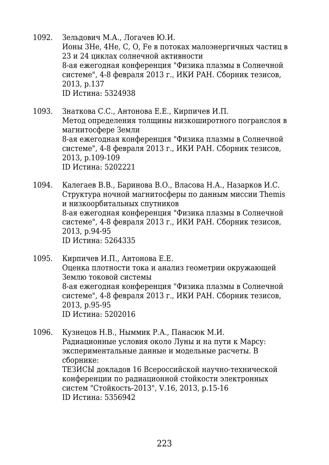- 1092. Зельдович М.А., Логачев Ю.И. Ионы 3He, 4He, C, O, Fe в потоках малоэнергичных частиц в 23 и 24 циклах солнечной активности 8-ая ежегодная конференция "Физика плазмы в Солнечной системе", 4-8 февраля 2013 г., ИКИ РАН. Сборник тезисов, 2013, p.137 ID Истина: 5324938
- 1093. Знаткова С.С., Антонова Е.Е., Кирпичев И.П. Метод определения толщины низкоширотного погранслоя в магнитосфере Земли 8-ая ежегодная конференция "Физика плазмы в Солнечной системе", 4-8 февраля 2013 г., ИКИ РАН. Сборник тезисов, 2013, p.109-109 ID Истина: 5202221
- 1094. Калегаев В.В., Баринова В.О., Власова Н.А., Назарков И.С. Структура ночной магнитосферы по данным миссии Themis и низкоорбитальных спутников 8-ая ежегодная конференция "Физика плазмы в Солнечной системе", 4-8 февраля 2013 г., ИКИ РАН. Сборник тезисов, 2013, p.94-95 ID Истина: 5264335

1095. Кирпичев И.П., Антонова Е.Е. Оценка плотности тока и анализ геометрии окружающей Землю токовой системы 8-ая ежегодная конференция "Физика плазмы в Солнечной системе", 4-8 февраля 2013 г., ИКИ РАН. Сборник тезисов, 2013, p.95-95 ID Истина: 5202016

1096. Кузнецов Н.В., Ныммик Р.А., Панасюк М.И. Радиационные условия около Луны и на пути к Марсу: экспериментальные данные и модельные расчеты. В сборнике: ТЕЗИСЫ докладов 16 Всероссийской научно-технической конференции по радиационной стойкости электронных систем "Стойкость-2013", V.16, 2013, p.15-16 ID Истина: 5356942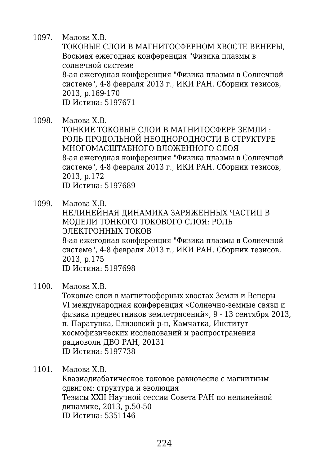1097. Малова Х.В.

ТОКОВЫЕ СЛОИ В МАГНИТОСФЕРНОМ ХВОСТЕ ВЕНЕРЫ, Восьмая ежегодная конференция "Физика плазмы в солнечной системе 8-ая ежегодная конференция "Физика плазмы в Солнечной системе", 4-8 февраля 2013 г., ИКИ РАН. Сборник тезисов,

2013, p.169-170

ID Истина: 5197671

- 1098. Малова Х.В. ТОНКИЕ ТОКОВЫЕ СЛОИ В МАГНИТОСФЕРЕ ЗЕМЛИ : РОЛЬ ПРОДОЛЬНОЙ НЕОДНОРОДНОСТИ В СТРУКТУРЕ МНОГОМАСШТАБНОГО ВЛОЖЕННОГО СЛОЯ 8-ая ежегодная конференция "Физика плазмы в Солнечной системе", 4-8 февраля 2013 г., ИКИ РАН. Сборник тезисов, 2013, p.172 ID Истина: 5197689
- 1099. Малова Х.В. НЕЛИНЕЙНАЯ ДИНАМИКА ЗАРЯЖЕННЫХ ЧАСТИЦ В МОДЕЛИ ТОНКОГО ТОКОВОГО СЛОЯ: РОЛЬ ЭЛЕКТРОННЫХ ТОКОВ 8-ая ежегодная конференция "Физика плазмы в Солнечной системе", 4-8 февраля 2013 г., ИКИ РАН. Сборник тезисов, 2013, p.175 ID Истина: 5197698
- 1100. Малова Х.В.

Токовые слои в магнитосферных хвостах Земли и Венеры VI международная конференция «Солнечно-земные связи и физика предвестников землетрясений», 9 - 13 сентября 2013, п. Паратунка, Елизовсий р-н, Камчатка, Институт космофизических исследований и распространения радиоволн ДВО РАН, 20131 ID Истина: 5197738

1101. Малова Х.В.

Квазиадиабатическое токовое равновесие с магнитным сдвигом: структура и эволюция Тезисы XXII Научной сессии Совета РАН по нелинейной динамике, 2013, p.50-50 ID Истина: 5351146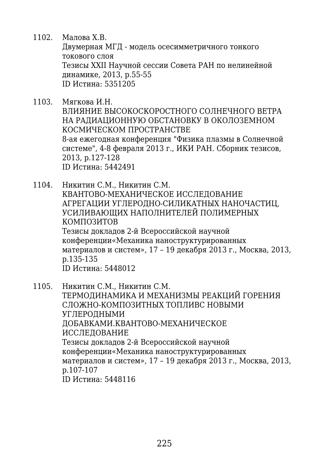- 1102. Малова Х.В. Двумерная МГД - модель осесимметричного тонкого токового слоя Тезисы XXII Научной сессии Совета РАН по нелинейной динамике, 2013, p.55-55 ID Истина: 5351205
- 1103. Мягкова И.Н. ВЛИЯНИЕ ВЫСОКОСКОРОСТНОГО СОЛНЕЧНОГО ВЕТРА НА РАДИАЦИОННУЮ ОБСТАНОВКУ В ОКОЛОЗЕМНОМ КОСМИЧЕСКОМ ПРОСТРАНСТВЕ 8-ая ежегодная конференция "Физика плазмы в Солнечной системе", 4-8 февраля 2013 г., ИКИ РАН. Сборник тезисов, 2013, p.127-128 ID Истина: 5442491
- 1104. Никитин С.М., Никитин С.М. КВАНТОВО-МЕХАНИЧЕСКОЕ ИССЛЕДОВАНИЕ АГРЕГАЦИИ УГЛЕРОДНО-СИЛИКАТНЫХ НАНОЧАСТИЦ, УСИЛИВАЮЩИХ НАПОЛНИТЕЛЕЙ ПОЛИМЕРНЫХ КОМПОЗИТОВ Тезисы докладов 2-й Всероссийской научной конференции«Механика наноструктурированных материалов и систем», 17 – 19 декабря 2013 г., Москва, 2013, p.135-135 ID Истина: 5448012
- 1105. Никитин С.М., Никитин С.М. ТЕРМОДИНАМИКА И МЕХАНИЗМЫ РЕАКЦИЙ ГОРЕНИЯ СЛОЖНО-КОМПОЗИТНЫХ ТОПЛИВС НОВЫМИ УГЛЕРОДНЫМИ ДОБАВКАМИ.КВАНТОВО-МЕХАНИЧЕСКОЕ ИССЛЕДОВАНИЕ Тезисы докладов 2-й Всероссийской научной конференции«Механика наноструктурированных материалов и систем», 17 – 19 декабря 2013 г., Москва, 2013, p.107-107 ID Истина: 5448116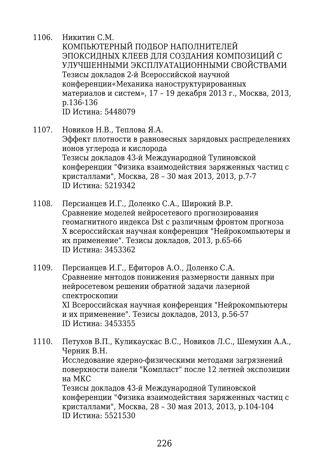- 1106. Никитин С.М. КОМПЬЮТЕРНЫЙ ПОДБОР НАПОЛНИТЕЛЕЙ ЭПОКСИДНЫХ КЛЕЕВ ДЛЯ СОЗДАНИЯ КОМПОЗИЦИЙ С УЛУЧШЕННЫМИ ЭКСПЛУАТАЦИОННЫМИ СВОЙСТВАМИ Тезисы докладов 2-й Всероссийской научной конференции«Механика наноструктурированных материалов и систем», 17 – 19 декабря 2013 г., Москва, 2013, p.136-136 ID Истина: 5448079
- 1107. Новиков Н.В., Теплова Я.А. Эффект плотности в равновесных зарядовых распределениях ионов углерода и кислорода Тезисы докладов 43-й Международной Тулиновской конференции "Физика взаимодействия заряженных частиц с кристаллами", Москва, 28 – 30 мая 2013, 2013, p.7-7 ID Истина: 5219342
- 1108. Персианцев И.Г., Доленко С.А., Широкий В.Р. Сравнение моделей нейросетевого прогнозирования геомагнитного индекса Dst с различным фронтом прогноза Х всероссийская научная конференция "Нейрокомпьютеры и их применение". Тезисы докладов, 2013, p.65-66 ID Истина: 3453362
- 1109. Персианцев И.Г., Ефиторов А.О., Доленко С.А. Сравнение мнтодов понижения размерности данных при нейросетевом решении обратной задачи лазерной спектроскопии XI Всероссийская научная конференция "Нейрокомпьютеры и их применение". Тезисы докладов, 2013, p.56-57 ID Истина: 3453355
- 1110. Петухов В.П., Куликаускас В.С., Новиков Л.С., Шемухин А.А., Черник В.Н. Исследование ядерно-физическими методами загрязнений поверхности панели "Компласт" после 12 летней экспозиции на МКС Тезисы докладов 43-й Международной Тулиновской конференции "Физика взаимодействия заряженных частиц с кристаллами", Москва, 28 – 30 мая 2013, 2013, p.104-104 ID Истина: 5521530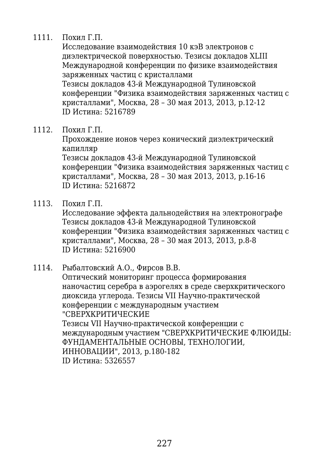### 1111. Похил Г.П.

Исследование взаимодействия 10 кэВ электронов с диэлектрической поверхностью. Тезисы докладов XLIII Международной конференции по физике взаимодействия заряженных частиц с кристаллами Тезисы докладов 43-й Международной Тулиновской конференции "Физика взаимодействия заряженных частиц с кристаллами", Москва, 28 – 30 мая 2013, 2013, p.12-12 ID Истина: 5216789

1112. Похил Г.П.

Прохождение ионов через конический диэлектрический капилляр

Тезисы докладов 43-й Международной Тулиновской конференции "Физика взаимодействия заряженных частиц с кристаллами", Москва, 28 – 30 мая 2013, 2013, p.16-16 ID Истина: 5216872

1113. Похил Г.П.

Исследование эффекта дальнодействия на электронографе Тезисы докладов 43-й Международной Тулиновской конференции "Физика взаимодействия заряженных частиц с кристаллами", Москва, 28 – 30 мая 2013, 2013, p.8-8 ID Истина: 5216900

#### 1114. Рыбалтовский А.О., Фирсов В.В. Оптический мониторинг процесса формирования наночастиц серебра в аэрогелях в среде сверхкритического диоксида углерода. Тезисы VII Научно-практической конференции с международным участием "СВЕРХКРИТИЧЕСКИЕ Тезисы VII Научно-практической конференции с международным участием "СВЕРХКРИТИЧЕСКИЕ ФЛЮИДЫ: ФУНДАМЕНТАЛЬНЫЕ ОСНОВЫ, ТЕХНОЛОГИИ, ИННОВАЦИИ", 2013, p.180-182 ID Истина: 5326557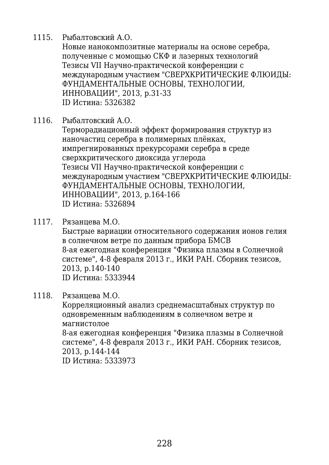1115. Рыбалтовский А.О.

Новые нанокомпозитные материалы на основе серебра, полученные с момощью СКФ и лазерных технологий Тезисы VII Научно-практической конференции с международным участием "СВЕРХКРИТИЧЕСКИЕ ФЛЮИДЫ: ФУНДАМЕНТАЛЬНЫЕ ОСНОВЫ, ТЕХНОЛОГИИ, ИННОВАЦИИ", 2013, p.31-33 ID Истина: 5326382

1116. Рыбалтовский А.О.

Терморадиационный эффект формирования структур из наночастиц серебра в полимерных плёнках, импрегнированных прекурсорами серебра в среде сверхкритического диоксида углерода Тезисы VII Научно-практической конференции с международным участием "СВЕРХКРИТИЧЕСКИЕ ФЛЮИДЫ: ФУНДАМЕНТАЛЬНЫЕ ОСНОВЫ, ТЕХНОЛОГИИ, ИННОВАЦИИ", 2013, p.164-166 ID Истина: 5326894

1117. Рязанцева М.О.

Быстрые вариации относительного содержания ионов гелия в солнечном ветре по данным прибора БМСВ 8-ая ежегодная конференция "Физика плазмы в Солнечной системе", 4-8 февраля 2013 г., ИКИ РАН. Сборник тезисов, 2013, p.140-140 ID Истина: 5333944

1118. Рязанцева М.О.

Корреляционный анализ среднемасштабных структур по одновременным наблюдениям в солнечном ветре и магнистолое 8-ая ежегодная конференция "Физика плазмы в Солнечной системе", 4-8 февраля 2013 г., ИКИ РАН. Сборник тезисов, 2013, p.144-144 ID Истина: 5333973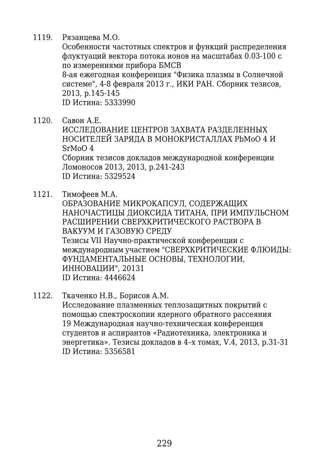1119. Рязанцева М.О.

Особенности частотных спектров и функций распределения флуктуаций вектора потока ионов на масштабах 0.03-100 с по измерениями прибора БМСВ 8-ая ежегодная конференция "Физика плазмы в Солнечной системе", 4-8 февраля 2013 г., ИКИ РАН. Сборник тезисов, 2013, p.145-145 ID Истина: 5333990

- 1120. Савон А.Е. ИССЛЕДОВАНИЕ ЦЕНТРОВ ЗАХВАТА РАЗДЕЛЕННЫХ НОСИТЕЛЕЙ ЗАРЯДА В МОНОКРИСТАЛЛАХ PbMoO 4 И SrMoO 4 Сборник тезисов докладов международной конференции Ломоносов 2013, 2013, p.241-243 ID Истина: 5329524
- 1121. Тимофеев М.А.

ОБРАЗОВАНИЕ МИКРОКАПСУЛ, СОДЕРЖАЩИХ НАНОЧАСТИЦЫ ДИОКСИДА ТИТАНА, ПРИ ИМПУЛЬСНОМ РАСШИРЕНИИ СВЕРХКРИТИЧЕСКОГО РАСТВОРА В ВАКУУМ И ГАЗОВУЮ СРЕДУ Тезисы VII Научно-практической конференции с международным участием "СВЕРХКРИТИЧЕСКИЕ ФЛЮИДЫ: ФУНДАМЕНТАЛЬНЫЕ ОСНОВЫ, ТЕХНОЛОГИИ, ИННОВАЦИИ", 20131 ID Истина: 4446624

1122. Ткаченко Н.В., Борисов А.М. Исследование плазменных теплозащитных покрытий с помощью спектроскопии ядерного обратного рассеяния 19 Международная научно-техническая конференция студентов и аспирантов «Радиотехника, электроника и энергетика». Тезисы докладов в 4–х томах, V.4, 2013, p.31-31

ID Истина: 5356581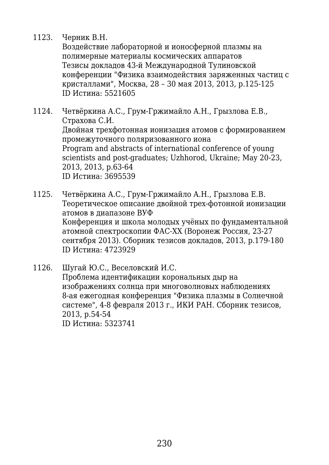#### 1123. Черник В.Н.

Воздействие лабораторной и ионосферной плазмы на полимерные материалы космических аппаратов Тезисы докладов 43-й Международной Тулиновской конференции "Физика взаимодействия заряженных частиц с кристаллами", Москва, 28 – 30 мая 2013, 2013, p.125-125 ID Истина: 5521605

1124. Четвёркина А.C., Грум-Гржимайло А.Н., Грызлова Е.В., Страхова С.И. Двойная трехфотонная ионизация атомов с формированием промежуточного поляризованного иона Program and abstracts of international conference of young scientists and post-graduates; Uzhhorod, Ukraine; May 20-23, 2013, 2013, p.63-64 ID Истина: 3695539

1125. Четвёркина А.C., Грум-Гржимайло А.Н., Грызлова Е.В. Теоретическое описание двойной трех-фотонной ионизации атомов в диапазоне ВУФ Конференция и школа молодых учёных по фундаментальной атомной спектроскопии ФАС-ХХ (Воронеж Россия, 23-27 сентября 2013). Сборник тезисов докладов, 2013, p.179-180 ID Истина: 4723929

1126. Шугай Ю.С., Веселовский И.С. Проблема идентификации корональных дыр на изображениях солнца при многоволновых наблюдениях 8-ая ежегодная конференция "Физика плазмы в Солнечной системе", 4-8 февраля 2013 г., ИКИ РАН. Сборник тезисов, 2013, p.54-54 ID Истина: 5323741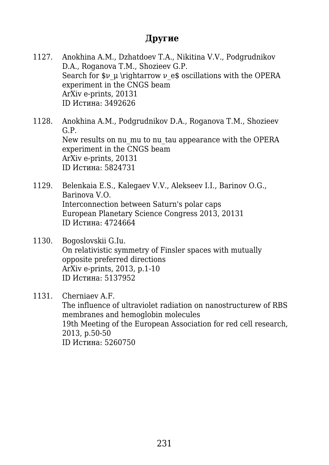# **Другие**

1127. Anokhina A.M., Dzhatdoev T.A., Nikitina V.V., Podgrudnikov D.A., Roganova T.M., Shozieev G.P. Search for  $\mathfrak{v}_\nu \in \mathfrak{so}$  socillations with the OPERA experiment in the CNGS beam ArXiv e-prints, 20131 ID Истина: 3492626

1128. Anokhina A.M., Podgrudnikov D.A., Roganova T.M., Shozieev G.P. New results on nu mu to nu tau appearance with the OPERA experiment in the CNGS beam ArXiv e-prints, 20131 ID Истина: 5824731

- 1129. Belenkaia E.S., Kalegaev V.V., Alekseev I.I., Barinov O.G., Barinova V.O. Interconnection between Saturn's polar caps European Planetary Science Congress 2013, 20131 ID Истина: 4724664
- 1130. Bogoslovskii G.Iu. On relativistic symmetry of Finsler spaces with mutually opposite preferred directions ArXiv e-prints, 2013, p.1-10 ID Истина: 5137952

1131. Cherniaev A.F. The influence of ultraviolet radiation on nanostructurew of RBS membranes and hemoglobin molecules 19th Meeting of the European Association for red cell research, 2013, p.50-50 ID Истина: 5260750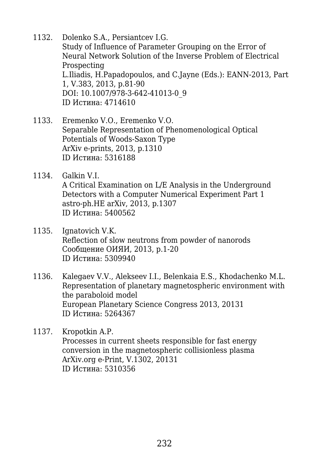- 1132. Dolenko S.A., Persiantcev I.G. Study of Influence of Parameter Grouping on the Error of Neural Network Solution of the Inverse Problem of Electrical Prospecting L.Iliadis, H.Papadopoulos, and C.Jayne (Eds.): EANN-2013, Part 1, V.383, 2013, p.81-90 DOI: 10.1007/978-3-642-41013-0\_9 ID Истина: 4714610
- 1133. Eremenko V.O., Eremenko V.O. Separable Representation of Phenomenological Optical Potentials of Woods-Saxon Type ArXiv e-prints, 2013, p.1310 ID Истина: 5316188
- 1134. Galkin V.I. A Critical Examination on L/E Analysis in the Underground Detectors with a Computer Numerical Experiment Part 1 astro-ph.HE arXiv, 2013, p.1307 ID Истина: 5400562
- 1135. Ignatovich V.K. Reflection of slow neutrons from powder of nanorods Сообщение ОИЯИ, 2013, p.1-20 ID Истина: 5309940
- 1136. Kalegaev V.V., Alekseev I.I., Belenkaia E.S., Khodachenko M.L. Representation of planetary magnetospheric environment with the paraboloid model European Planetary Science Congress 2013, 20131 ID Истина: 5264367
- 1137. Kropotkin A.P. Processes in current sheets responsible for fast energy conversion in the magnetospheric collisionless plasma ArXiv.org e-Print, V.1302, 20131 ID Истина: 5310356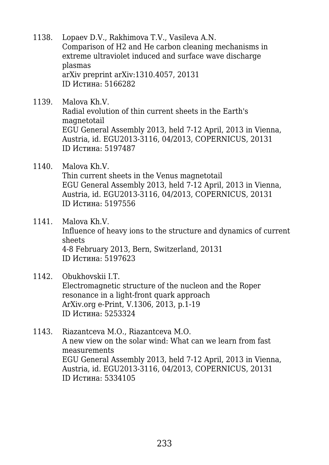- 1138. Lopaev D.V., Rakhimova T.V., Vasileva A.N. Comparison of H2 and He carbon cleaning mechanisms in extreme ultraviolet induced and surface wave discharge plasmas arXiv preprint arXiv:1310.4057, 20131 ID Истина: 5166282
- 1139. Malova Kh.V. Radial evolution of thin current sheets in the Earth's magnetotail EGU General Assembly 2013, held 7-12 April, 2013 in Vienna, Austria, id. EGU2013-3116, 04/2013, COPERNICUS, 20131 ID Истина: 5197487
- 1140. Malova Kh.V. Thin current sheets in the Venus magnetotail EGU General Assembly 2013, held 7-12 April, 2013 in Vienna, Austria, id. EGU2013-3116, 04/2013, COPERNICUS, 20131 ID Истина: 5197556
- 1141. Malova Kh.V. Influence of heavy ions to the structure and dynamics of current sheets 4-8 February 2013, Bern, Switzerland, 20131 ID Истина: 5197623
- 1142. Obukhovskii I.T. Electromagnetic structure of the nucleon and the Roper resonance in a light-front quark approach ArXiv.org e-Print, V.1306, 2013, p.1-19 ID Истина: 5253324
- 1143. Riazantceva M.O., Riazantceva M.O. A new view on the solar wind: What can we learn from fast measurements EGU General Assembly 2013, held 7-12 April, 2013 in Vienna, Austria, id. EGU2013-3116, 04/2013, COPERNICUS, 20131 ID Истина: 5334105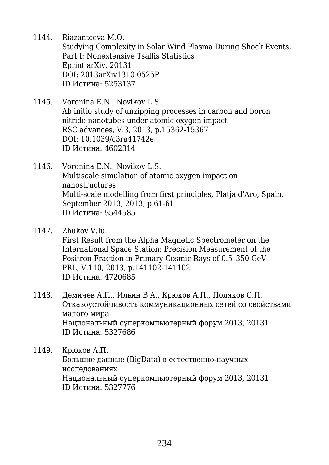1144. Riazantceva M.O.

Studying Complexity in Solar Wind Plasma During Shock Events. Part I: Nonextensive Tsallis Statistics Eprint arXiv, 20131 DOI: 2013arXiv1310.0525P ID Истина: 5253137

- 1145. Voronina E.N., Novikov L.S. Ab initio study of unzipping processes in carbon and boron nitride nanotubes under atomic oxygen impact RSC advances, V.3, 2013, p.15362-15367 DOI: 10.1039/c3ra41742e ID Истина: 4602314
- 1146. Voronina E.N., Novikov L.S. Multiscale simulation of atomic oxygen impact on nanostructures Multi-scale modelling from first principles, Platja d'Aro, Spain, September 2013, 2013, p.61-61 ID Истина: 5544585
- 1147. Zhukov V.Iu. First Result from the Alpha Magnetic Spectrometer on the International Space Station: Precision Measurement of the Positron Fraction in Primary Cosmic Rays of 0.5–350 GeV PRL, V.110, 2013, p.141102-141102 ID Истина: 4720685
- 1148. Демичев А.П., Ильин В.А., Крюков А.П., Поляков С.П. Отказоустойчивость коммуникационных сетей со свойствами малого мира Национальный суперкомпьютерный форум 2013, 20131 ID Истина: 5327686
- 1149. Крюков А.П. Большие данные (BigData) в естественно-научных исследованиях Национальный суперкомпьютерный форум 2013, 20131 ID Истина: 5327776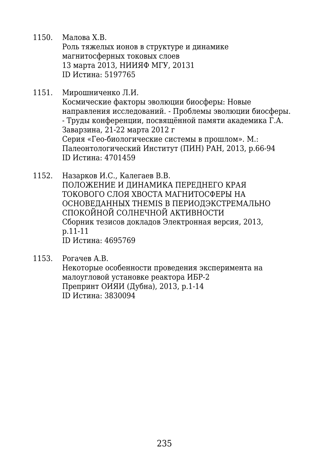1150. Малова Х.В. Роль тяжелых ионов в структуре и динамике магнитосферных токовых слоев 13 марта 2013, НИИЯФ МГУ, 20131 ID Истина: 5197765

- 1151. Мирошниченко Л.И. Космические факторы эволюции биосферы: Новые направления исследований. - Проблемы эволюции биосферы. - Труды конференции, посвящённой памяти академика Г.А. Заварзина, 21-22 марта 2012 г Серия «Гео-биологические системы в прошлом». М.: Палеонтологический Институт (ПИН) РАН, 2013, p.66-94 ID Истина: 4701459
- 1152. Назарков И.С., Калегаев В.В. ПОЛОЖЕНИЕ И ДИНАМИКА ПЕРЕДНЕГО КРАЯ ТОКОВОГО СЛОЯ ХВОСТА МАГНИТОСФЕРЫ НА ОСНОВЕДАННЫХ THEMIS В ПЕРИОДЭКСТРЕМАЛЬНО СПОКОЙНОЙ СОЛНЕЧНОЙ АКТИВНОСТИ Сборник тезисов докладов Электронная версия, 2013, p.11-11 ID Истина: 4695769
- 1153. Рогачев А.В. Некоторые особенности проведения эксперимента на малоугловой установке реактора ИБР-2 Препринт ОИЯИ (Дубна), 2013, p.1-14 ID Истина: 3830094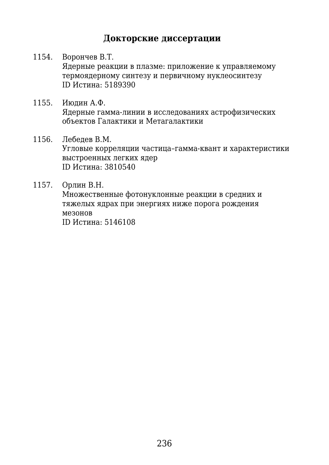# **Докторские диссертации**

- 1154. Ворончев В.Т. Ядерные реакции в плазме: приложение к управляемому термоядерному синтезу и первичному нуклеосинтезу ID Истина: 5189390
- 1155. Июдин А.Ф. Ядерные гамма-линии в исследованиях астрофизических объектов Галактики и Метагалактики
- 1156. Лебедев В.М. Угловые корреляции частица–гамма-квант и характеристики выстроенных легких ядер ID Истина: 3810540
- 1157. Орлин В.Н. Множественные фотонуклонные реакции в средних и тяжелых ядрах при энергиях ниже порога рождения мезонов ID Истина: 5146108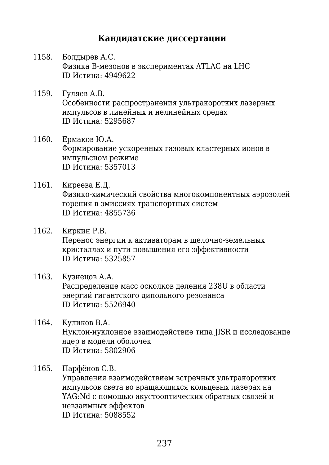### **Кандидатские диссертации**

- 1158. Болдырев А.С. Физика В-мезонов в экспериментах ATLAC на LHC ID Истина: 4949622
- 1159. Гуляев А.В. Особенности распространения ультракоротких лазерных импульсов в линейных и нелинейных средах ID Истина: 5295687
- 1160. Ермаков Ю.А. Формирование ускоренных газовых кластерных ионов в импульсном режиме ID Истина: 5357013
- 1161. Киреева Е.Д. Физико-химический свойства многокомпонентных аэрозолей горения в эмиссиях транспортных систем ID Истина: 4855736
- 1162. Киркин Р.В. Перенос энергии к активаторам в щелочно-земельных кристаллах и пути повышения его эффективности ID Истина: 5325857
- 1163. Кузнецов А.А. Распределение масс осколков деления 238U в области энергий гигантского дипольного резонанса ID Истина: 5526940
- 1164. Куликов В.А. Нуклон-нуклонное взаимодействие типа JISR и исследование ядер в модели оболочек ID Истина: 5802906
- 1165. Парфёнов С.В.

Управления взаимодействием встречных ультракоротких импульсов света во вращающихся кольцевых лазерах на YAG:Nd с помощью акустооптических обратных связей и невзаимных эффектов ID Истина: 5088552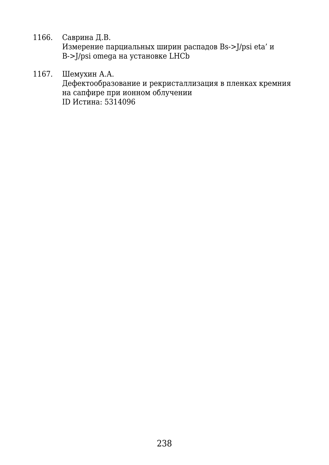1166. Саврина Д.В. Измерение парциальных ширин распадов Bs->J/psi eta' и B->J/psi omega на установке LHCb

1167. Шемухин А.А. Дефектообразование и рекристаллизация в пленках кремния на сапфире при ионном облучении ID Истина: 5314096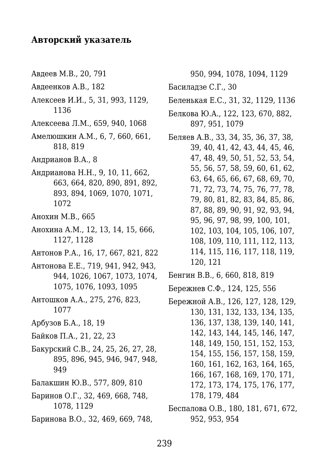## **Авторский указатель**

Авдеев М.В., 20, 791 Авдеенков А.В., 182 Алексеев И.И., 5, 31, 993, 1129, 1136 Алексеева Л.М., 659, 940, 1068 Амелюшкин A.М., 6, 7, 660, 661, 818, 819 Андрианов В.А., 8 Андрианова Н.Н., 9, 10, 11, 662, 663, 664, 820, 890, 891, 892, 893, 894, 1069, 1070, 1071, 1072 Анохин М.В., 665 Анохина А.М., 12, 13, 14, 15, 666, 1127, 1128 Антонов Р.А., 16, 17, 667, 821, 822 Антонова Е.Е., 719, 941, 942, 943, 944, 1026, 1067, 1073, 1074, 1075, 1076, 1093, 1095 Антошков А.А., 275, 276, 823, 1077 Арбузов Б.А., 18, 19 Байков П.А., 21, 22, 23 Бакурский С.В., 24, 25, 26, 27, 28, 895, 896, 945, 946, 947, 948, 949 Балакшин Ю.В., 577, 809, 810 Баринов О.Г., 32, 469, 668, 748, 1078, 1129 Баринова В.О., 32, 469, 669, 748,

950, 994, 1078, 1094, 1129

Басиладзе С.Г., 30

- Беленькая Е.С., 31, 32, 1129, 1136
- Белкова Ю.А., 122, 123, 670, 882, 897, 951, 1079
- Беляев А.В., 33, 34, 35, 36, 37, 38, 39, 40, 41, 42, 43, 44, 45, 46, 47, 48, 49, 50, 51, 52, 53, 54, 55, 56, 57, 58, 59, 60, 61, 62, 63, 64, 65, 66, 67, 68, 69, 70, 71, 72, 73, 74, 75, 76, 77, 78, 79, 80, 81, 82, 83, 84, 85, 86, 87, 88, 89, 90, 91, 92, 93, 94, 95, 96, 97, 98, 99, 100, 101, 102, 103, 104, 105, 106, 107, 108, 109, 110, 111, 112, 113, 114, 115, 116, 117, 118, 119, 120, 121
- Бенгин В.В., 6, 660, 818, 819
- Бережнев С.Ф., 124, 125, 556
- Бережной А.В., 126, 127, 128, 129, 130, 131, 132, 133, 134, 135, 136, 137, 138, 139, 140, 141, 142, 143, 144, 145, 146, 147, 148, 149, 150, 151, 152, 153, 154, 155, 156, 157, 158, 159, 160, 161, 162, 163, 164, 165, 166, 167, 168, 169, 170, 171, 172, 173, 174, 175, 176, 177, 178, 179, 484
- Беспалова О.В., 180, 181, 671, 672, 952, 953, 954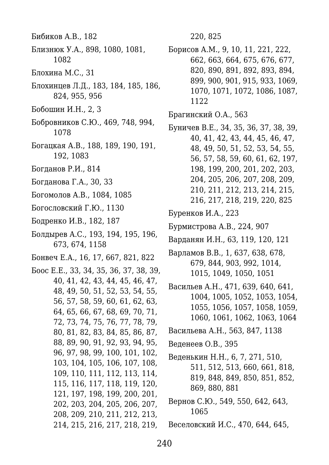- Бибиков А.В., 182
- Близнюк У.А., 898, 1080, 1081, 1082
- Блохина М.С., 31
- Блохинцев Л.Д., 183, 184, 185, 186, 824, 955, 956
- Бобошин И.Н., 2, 3
- Бобровников С.Ю., 469, 748, 994, 1078
- Богацкая А.В., 188, 189, 190, 191, 192, 1083
- Богданов Р.И., 814
- Богданова Г.А., 30, 33
- Богомолов А.В., 1084, 1085
- Богословский Г.Ю., 1130
- Бодренко И.В., 182, 187
- Болдырев А.С., 193, 194, 195, 196, 673, 674, 1158
- Бонвеч Е.А., 16, 17, 667, 821, 822
- Боос Е.Е., 33, 34, 35, 36, 37, 38, 39, 40, 41, 42, 43, 44, 45, 46, 47, 48, 49, 50, 51, 52, 53, 54, 55, 56, 57, 58, 59, 60, 61, 62, 63, 64, 65, 66, 67, 68, 69, 70, 71, 72, 73, 74, 75, 76, 77, 78, 79, 80, 81, 82, 83, 84, 85, 86, 87, 88, 89, 90, 91, 92, 93, 94, 95, 96, 97, 98, 99, 100, 101, 102, 103, 104, 105, 106, 107, 108, 109, 110, 111, 112, 113, 114, 115, 116, 117, 118, 119, 120, 121, 197, 198, 199, 200, 201, 202, 203, 204, 205, 206, 207, 208, 209, 210, 211, 212, 213, 214, 215, 216, 217, 218, 219,

220, 825

- Борисов А.М., 9, 10, 11, 221, 222, 662, 663, 664, 675, 676, 677, 820, 890, 891, 892, 893, 894, 899, 900, 901, 915, 933, 1069, 1070, 1071, 1072, 1086, 1087, 1122
- Брагинский О.А., 563
- Буничев В.Е., 34, 35, 36, 37, 38, 39, 40, 41, 42, 43, 44, 45, 46, 47, 48, 49, 50, 51, 52, 53, 54, 55, 56, 57, 58, 59, 60, 61, 62, 197, 198, 199, 200, 201, 202, 203, 204, 205, 206, 207, 208, 209, 210, 211, 212, 213, 214, 215, 216, 217, 218, 219, 220, 825
- Буренков И.А., 223
- Бурмистрова А.В., 224, 907
- Варданян И.Н., 63, 119, 120, 121
- Варламов В.В., 1, 637, 638, 678, 679, 844, 903, 992, 1014, 1015, 1049, 1050, 1051
- Васильев А.Н., 471, 639, 640, 641, 1004, 1005, 1052, 1053, 1054, 1055, 1056, 1057, 1058, 1059, 1060, 1061, 1062, 1063, 1064
- Васильева А.Н., 563, 847, 1138
- Веденеев О.В., 395
- Веденькин Н.Н., 6, 7, 271, 510, 511, 512, 513, 660, 661, 818, 819, 848, 849, 850, 851, 852, 869, 880, 881
- Вернов С.Ю., 549, 550, 642, 643, 1065
- Веселовский И.С., 470, 644, 645,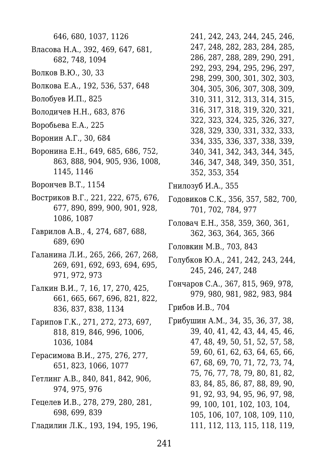646, 680, 1037, 1126 Власова Н.А., 392, 469, 647, 681, 682, 748, 1094

- Волков В.Ю., 30, 33
- Волкова Е.А., 192, 536, 537, 648
- Волобуев И.П., 825
- Володичев Н.Н., 683, 876
- Воробьева Е.А., 225
- Воронин А.Г., 30, 684
- Воронина Е.Н., 649, 685, 686, 752, 863, 888, 904, 905, 936, 1008, 1145, 1146
- Ворончев В.Т., 1154
- Востриков В.Г., 221, 222, 675, 676, 677, 890, 899, 900, 901, 928, 1086, 1087
- Гаврилов А.В., 4, 274, 687, 688, 689, 690
- Галанина Л.И., 265, 266, 267, 268, 269, 691, 692, 693, 694, 695, 971, 972, 973
- Галкин В.И., 7, 16, 17, 270, 425, 661, 665, 667, 696, 821, 822, 836, 837, 838, 1134
- Гарипов Г.К., 271, 272, 273, 697, 818, 819, 846, 996, 1006, 1036, 1084
- Герасимова В.И., 275, 276, 277, 651, 823, 1066, 1077
- Гетлинг А.В., 840, 841, 842, 906, 974, 975, 976
- Гецелев И.В., 278, 279, 280, 281, 698, 699, 839
- Гладилин Л.К., 193, 194, 195, 196,

241, 242, 243, 244, 245, 246, 247, 248, 282, 283, 284, 285, 286, 287, 288, 289, 290, 291, 292, 293, 294, 295, 296, 297, 298, 299, 300, 301, 302, 303, 304, 305, 306, 307, 308, 309, 310, 311, 312, 313, 314, 315, 316, 317, 318, 319, 320, 321, 322, 323, 324, 325, 326, 327, 328, 329, 330, 331, 332, 333, 334, 335, 336, 337, 338, 339, 340, 341, 342, 343, 344, 345, 346, 347, 348, 349, 350, 351, 352, 353, 354

Гнилозуб И.А., 355

- Годовиков С.К., 356, 357, 582, 700, 701, 702, 784, 977
- Головач Е.Н., 358, 359, 360, 361, 362, 363, 364, 365, 366
- Головкин М.В., 703, 843
- Голубков Ю.А., 241, 242, 243, 244, 245, 246, 247, 248
- Гончаров С.А., 367, 815, 969, 978, 979, 980, 981, 982, 983, 984
- Грибов И.В., 704
- Грибушин А.М., 34, 35, 36, 37, 38, 39, 40, 41, 42, 43, 44, 45, 46, 47, 48, 49, 50, 51, 52, 57, 58, 59, 60, 61, 62, 63, 64, 65, 66, 67, 68, 69, 70, 71, 72, 73, 74, 75, 76, 77, 78, 79, 80, 81, 82, 83, 84, 85, 86, 87, 88, 89, 90, 91, 92, 93, 94, 95, 96, 97, 98, 99, 100, 101, 102, 103, 104, 105, 106, 107, 108, 109, 110, 111, 112, 113, 115, 118, 119,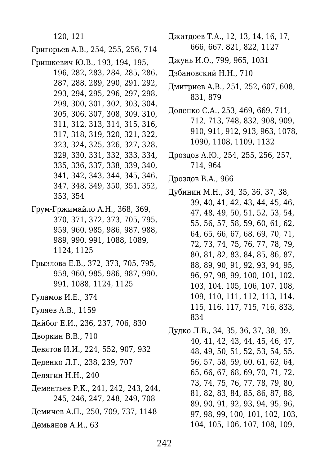120, 121

Григорьев А.В., 254, 255, 256, 714

Гришкевич Ю.В., 193, 194, 195,

196, 282, 283, 284, 285, 286, 287, 288, 289, 290, 291, 292, 293, 294, 295, 296, 297, 298, 299, 300, 301, 302, 303, 304, 305, 306, 307, 308, 309, 310, 311, 312, 313, 314, 315, 316, 317, 318, 319, 320, 321, 322, 323, 324, 325, 326, 327, 328, 329, 330, 331, 332, 333, 334, 335, 336, 337, 338, 339, 340, 341, 342, 343, 344, 345, 346, 347, 348, 349, 350, 351, 352, 353, 354

Грум-Гржимайло А.Н., 368, 369, 370, 371, 372, 373, 705, 795, 959, 960, 985, 986, 987, 988, 989, 990, 991, 1088, 1089, 1124, 1125

- Грызлова Е.В., 372, 373, 705, 795, 959, 960, 985, 986, 987, 990, 991, 1088, 1124, 1125
- Гуламов И.Е., 374
- Гуляев А.В., 1159
- Дайбог Е.И., 236, 237, 706, 830
- Дворкин В.В., 710
- Девятов И.И., 224, 552, 907, 932
- Деденко Л.Г., 238, 239, 707
- Делягин Н.Н., 240
- Дементьев Р.К., 241, 242, 243, 244, 245, 246, 247, 248, 249, 708
- Демичев А.П., 250, 709, 737, 1148

Демьянов А.И., 63

- Джатдоев Т.А., 12, 13, 14, 16, 17, 666, 667, 821, 822, 1127
- Джунь И.О., 799, 965, 1031
- Дзбановский Н.Н., 710
- Дмитриев А.В., 251, 252, 607, 608, 831, 879
- Доленко С.А., 253, 469, 669, 711, 712, 713, 748, 832, 908, 909, 910, 911, 912, 913, 963, 1078, 1090, 1108, 1109, 1132
- Дроздов А.Ю., 254, 255, 256, 257, 714, 964
- Дроздов В.А., 966
- Дубинин М.Н., 34, 35, 36, 37, 38, 39, 40, 41, 42, 43, 44, 45, 46, 47, 48, 49, 50, 51, 52, 53, 54, 55, 56, 57, 58, 59, 60, 61, 62, 64, 65, 66, 67, 68, 69, 70, 71, 72, 73, 74, 75, 76, 77, 78, 79, 80, 81, 82, 83, 84, 85, 86, 87, 88, 89, 90, 91, 92, 93, 94, 95, 96, 97, 98, 99, 100, 101, 102, 103, 104, 105, 106, 107, 108, 109, 110, 111, 112, 113, 114, 115, 116, 117, 715, 716, 833, 834

Дудко Л.В., 34, 35, 36, 37, 38, 39, 40, 41, 42, 43, 44, 45, 46, 47, 48, 49, 50, 51, 52, 53, 54, 55, 56, 57, 58, 59, 60, 61, 62, 64, 65, 66, 67, 68, 69, 70, 71, 72, 73, 74, 75, 76, 77, 78, 79, 80, 81, 82, 83, 84, 85, 86, 87, 88, 89, 90, 91, 92, 93, 94, 95, 96, 97, 98, 99, 100, 101, 102, 103, 104, 105, 106, 107, 108, 109,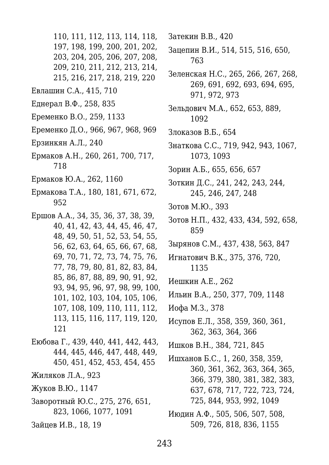110, 111, 112, 113, 114, 118, 197, 198, 199, 200, 201, 202, 203, 204, 205, 206, 207, 208, 209, 210, 211, 212, 213, 214, 215, 216, 217, 218, 219, 220 Евлашин С.А., 415, 710 Еднерал В.Ф., 258, 835 Еременко В.О., 259, 1133 Еременко Д.О., 966, 967, 968, 969 Ерзинкян А.Л., 240 Ермаков А.Н., 260, 261, 700, 717, 718 Ермаков Ю.А., 262, 1160 Ермакова Т.А., 180, 181, 671, 672, 952 Ершов А.А., 34, 35, 36, 37, 38, 39, 40, 41, 42, 43, 44, 45, 46, 47,

48, 49, 50, 51, 52, 53, 54, 55, 56, 62, 63, 64, 65, 66, 67, 68, 69, 70, 71, 72, 73, 74, 75, 76, 77, 78, 79, 80, 81, 82, 83, 84, 85, 86, 87, 88, 89, 90, 91, 92, 93, 94, 95, 96, 97, 98, 99, 100, 101, 102, 103, 104, 105, 106, 107, 108, 109, 110, 111, 112, 113, 115, 116, 117, 119, 120, 121

- Еюбова Г., 439, 440, 441, 442, 443, 444, 445, 446, 447, 448, 449, 450, 451, 452, 453, 454, 455
- Жиляков Л.А., 923
- Жуков В.Ю., 1147
- Заворотный Ю.С., 275, 276, 651, 823, 1066, 1077, 1091
- Зайцев И.В., 18, 19

Затекин В.В., 420

Зацепин В.И., 514, 515, 516, 650, 763

Зеленская Н.С., 265, 266, 267, 268, 269, 691, 692, 693, 694, 695, 971, 972, 973

Зельдович М.А., 652, 653, 889, 1092

- Злоказов В.Б., 654
- Знаткова С.С., 719, 942, 943, 1067, 1073, 1093
- Зорин А.Б., 655, 656, 657
- Зоткин Д.С., 241, 242, 243, 244, 245, 246, 247, 248
- Зотов М.Ю., 393
- Зотов Н.П., 432, 433, 434, 592, 658, 859
- Зырянов С.М., 437, 438, 563, 847
- Игнатович В.К., 375, 376, 720, 1135
- Иешкин А.Е., 262
- Ильин В.А., 250, 377, 709, 1148
- Иофа М.З., 378
- Исупов Е.Л., 358, 359, 360, 361, 362, 363, 364, 366

Ишков В.Н., 384, 721, 845

Ишханов Б.С., 1, 260, 358, 359, 360, 361, 362, 363, 364, 365, 366, 379, 380, 381, 382, 383, 637, 678, 717, 722, 723, 724, 725, 844, 953, 992, 1049

Июдин А.Ф., 505, 506, 507, 508, 509, 726, 818, 836, 1155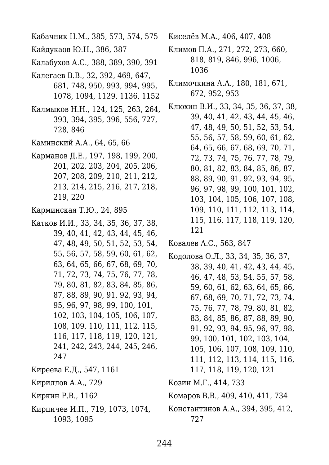Кабачник Н.М., 385, 573, 574, 575

Кайдукаов Ю.Н., 386, 387

Калабухов А.С., 388, 389, 390, 391

- Калегаев В.В., 32, 392, 469, 647, 681, 748, 950, 993, 994, 995, 1078, 1094, 1129, 1136, 1152
- Калмыков Н.Н., 124, 125, 263, 264, 393, 394, 395, 396, 556, 727, 728, 846

Каминский А.А., 64, 65, 66

Карманов Д.Е., 197, 198, 199, 200, 201, 202, 203, 204, 205, 206, 207, 208, 209, 210, 211, 212, 213, 214, 215, 216, 217, 218, 219, 220

Карминская Т.Ю., 24, 895

- Катков И.И., 33, 34, 35, 36, 37, 38, 39, 40, 41, 42, 43, 44, 45, 46, 47, 48, 49, 50, 51, 52, 53, 54, 55, 56, 57, 58, 59, 60, 61, 62, 63, 64, 65, 66, 67, 68, 69, 70, 71, 72, 73, 74, 75, 76, 77, 78, 79, 80, 81, 82, 83, 84, 85, 86, 87, 88, 89, 90, 91, 92, 93, 94, 95, 96, 97, 98, 99, 100, 101, 102, 103, 104, 105, 106, 107, 108, 109, 110, 111, 112, 115, 116, 117, 118, 119, 120, 121, 241, 242, 243, 244, 245, 246, 247
- Киреева Е.Д., 547, 1161
- Кириллов А.А., 729
- Киркин Р.В., 1162
- Кирпичев И.П., 719, 1073, 1074, 1093, 1095

Киселёв М.А., 406, 407, 408

- Климов П.А., 271, 272, 273, 660, 818, 819, 846, 996, 1006, 1036
- Климочкина А.А., 180, 181, 671, 672, 952, 953
- Клюхин В.И., 33, 34, 35, 36, 37, 38, 39, 40, 41, 42, 43, 44, 45, 46, 47, 48, 49, 50, 51, 52, 53, 54, 55, 56, 57, 58, 59, 60, 61, 62, 64, 65, 66, 67, 68, 69, 70, 71, 72, 73, 74, 75, 76, 77, 78, 79, 80, 81, 82, 83, 84, 85, 86, 87, 88, 89, 90, 91, 92, 93, 94, 95, 96, 97, 98, 99, 100, 101, 102, 103, 104, 105, 106, 107, 108, 109, 110, 111, 112, 113, 114, 115, 116, 117, 118, 119, 120, 121

Ковалев А.С., 563, 847

Кодолова О.Л., 33, 34, 35, 36, 37, 38, 39, 40, 41, 42, 43, 44, 45, 46, 47, 48, 53, 54, 55, 57, 58, 59, 60, 61, 62, 63, 64, 65, 66, 67, 68, 69, 70, 71, 72, 73, 74, 75, 76, 77, 78, 79, 80, 81, 82, 83, 84, 85, 86, 87, 88, 89, 90, 91, 92, 93, 94, 95, 96, 97, 98, 99, 100, 101, 102, 103, 104, 105, 106, 107, 108, 109, 110, 111, 112, 113, 114, 115, 116, 117, 118, 119, 120, 121

Козин М.Г., 414, 733

Комаров В.В., 409, 410, 411, 734

Константинов А.А., 394, 395, 412, 727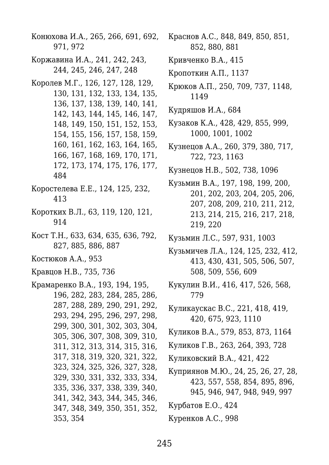Конюхова И.А., 265, 266, 691, 692, 971, 972 Коржавина И.А., 241, 242, 243, 244, 245, 246, 247, 248 Королев М.Г., 126, 127, 128, 129, 130, 131, 132, 133, 134, 135, 136, 137, 138, 139, 140, 141, 142, 143, 144, 145, 146, 147, 148, 149, 150, 151, 152, 153, 154, 155, 156, 157, 158, 159, 160, 161, 162, 163, 164, 165, 166, 167, 168, 169, 170, 171, 172, 173, 174, 175, 176, 177, 484 Коростелева Е.Е., 124, 125, 232, 413 Коротких В.Л., 63, 119, 120, 121, 914 Кост Т.Н., 633, 634, 635, 636, 792, 827, 885, 886, 887 Костюков А.А., 953 Кравцов Н.В., 735, 736 Крамаренко В.А., 193, 194, 195, 196, 282, 283, 284, 285, 286, 287, 288, 289, 290, 291, 292, 293, 294, 295, 296, 297, 298, 299, 300, 301, 302, 303, 304, 305, 306, 307, 308, 309, 310, 311, 312, 313, 314, 315, 316, 317, 318, 319, 320, 321, 322, 323, 324, 325, 326, 327, 328, 329, 330, 331, 332, 333, 334, 335, 336, 337, 338, 339, 340, 341, 342, 343, 344, 345, 346, 347, 348, 349, 350, 351, 352, 353, 354

Краснов А.С., 848, 849, 850, 851, 852, 880, 881

Кривченко В.А., 415

Кропоткин А.П., 1137

Крюков А.П., 250, 709, 737, 1148, 1149

Кудряшов И.А., 684

Кузаков К.А., 428, 429, 855, 999, 1000, 1001, 1002

Кузнецов А.А., 260, 379, 380, 717, 722, 723, 1163

Кузнецов Н.В., 502, 738, 1096

Кузьмин В.А., 197, 198, 199, 200, 201, 202, 203, 204, 205, 206, 207, 208, 209, 210, 211, 212, 213, 214, 215, 216, 217, 218, 219, 220

Кузьмин Л.С., 597, 931, 1003

- Кузьмичев Л.А., 124, 125, 232, 412, 413, 430, 431, 505, 506, 507, 508, 509, 556, 609
- Кукулин В.И., 416, 417, 526, 568, 779
- Куликаускас В.С., 221, 418, 419, 420, 675, 923, 1110
- Куликов В.А., 579, 853, 873, 1164
- Куликов Г.В., 263, 264, 393, 728
- Куликовский В.А., 421, 422
- Куприянов М.Ю., 24, 25, 26, 27, 28, 423, 557, 558, 854, 895, 896, 945, 946, 947, 948, 949, 997

Курбатов Е.О., 424

Куренков А.С., 998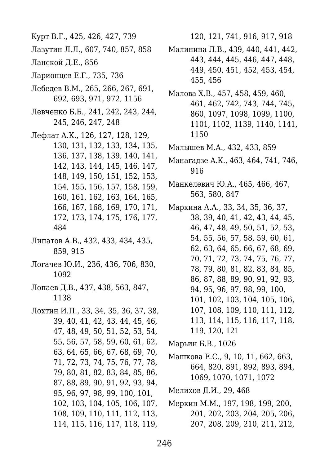Курт В.Г., 425, 426, 427, 739

- Лазутин Л.Л., 607, 740, 857, 858
- Ланской Д.Е., 856
- Ларионцев Е.Г., 735, 736
- Лебедев В.М., 265, 266, 267, 691, 692, 693, 971, 972, 1156
- Левченко Б.Б., 241, 242, 243, 244, 245, 246, 247, 248
- Лефлат А.К., 126, 127, 128, 129,
	- 130, 131, 132, 133, 134, 135, 136, 137, 138, 139, 140, 141, 142, 143, 144, 145, 146, 147, 148, 149, 150, 151, 152, 153, 154, 155, 156, 157, 158, 159, 160, 161, 162, 163, 164, 165, 166, 167, 168, 169, 170, 171, 172, 173, 174, 175, 176, 177, 484
- Липатов А.В., 432, 433, 434, 435, 859, 915
- Логачев Ю.И., 236, 436, 706, 830, 1092
- Лопаев Д.В., 437, 438, 563, 847, 1138
- Лохтин И.П., 33, 34, 35, 36, 37, 38, 39, 40, 41, 42, 43, 44, 45, 46, 47, 48, 49, 50, 51, 52, 53, 54, 55, 56, 57, 58, 59, 60, 61, 62, 63, 64, 65, 66, 67, 68, 69, 70, 71, 72, 73, 74, 75, 76, 77, 78, 79, 80, 81, 82, 83, 84, 85, 86, 87, 88, 89, 90, 91, 92, 93, 94, 95, 96, 97, 98, 99, 100, 101, 102, 103, 104, 105, 106, 107, 108, 109, 110, 111, 112, 113, 114, 115, 116, 117, 118, 119,

120, 121, 741, 916, 917, 918

- Малинина Л.В., 439, 440, 441, 442, 443, 444, 445, 446, 447, 448, 449, 450, 451, 452, 453, 454, 455, 456
- Малова Х.В., 457, 458, 459, 460, 461, 462, 742, 743, 744, 745, 860, 1097, 1098, 1099, 1100, 1101, 1102, 1139, 1140, 1141, 1150
- Малышев М.А., 432, 433, 859
- Манагадзе А.К., 463, 464, 741, 746, 916
- Манкелевич Ю.А., 465, 466, 467, 563, 580, 847
- Маркина А.А., 33, 34, 35, 36, 37, 38, 39, 40, 41, 42, 43, 44, 45, 46, 47, 48, 49, 50, 51, 52, 53, 54, 55, 56, 57, 58, 59, 60, 61, 62, 63, 64, 65, 66, 67, 68, 69, 70, 71, 72, 73, 74, 75, 76, 77, 78, 79, 80, 81, 82, 83, 84, 85, 86, 87, 88, 89, 90, 91, 92, 93, 94, 95, 96, 97, 98, 99, 100, 101, 102, 103, 104, 105, 106, 107, 108, 109, 110, 111, 112, 113, 114, 115, 116, 117, 118, 119, 120, 121
- Марьин Б.В., 1026
- Машкова Е.С., 9, 10, 11, 662, 663, 664, 820, 891, 892, 893, 894, 1069, 1070, 1071, 1072
- Мелихов Д.И., 29, 468
- Меркин М.М., 197, 198, 199, 200, 201, 202, 203, 204, 205, 206, 207, 208, 209, 210, 211, 212,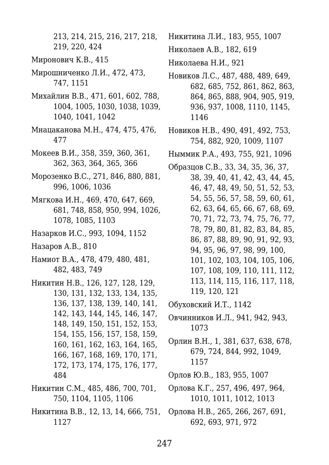213, 214, 215, 216, 217, 218, 219, 220, 424

- Миронович К.В., 415
- Мирошниченко Л.И., 472, 473, 747, 1151
- Михайлин В.В., 471, 601, 602, 788, 1004, 1005, 1030, 1038, 1039, 1040, 1041, 1042
- Мнацаканова М.Н., 474, 475, 476, 477
- Мокеев В.И., 358, 359, 360, 361, 362, 363, 364, 365, 366
- Морозенко В.С., 271, 846, 880, 881, 996, 1006, 1036
- Мягкова И.Н., 469, 470, 647, 669, 681, 748, 858, 950, 994, 1026, 1078, 1085, 1103
- Назарков И.С., 993, 1094, 1152
- Назаров А.В., 810
- Намиот В.А., 478, 479, 480, 481, 482, 483, 749
- Никитин Н.В., 126, 127, 128, 129, 130, 131, 132, 133, 134, 135, 136, 137, 138, 139, 140, 141, 142, 143, 144, 145, 146, 147, 148, 149, 150, 151, 152, 153, 154, 155, 156, 157, 158, 159, 160, 161, 162, 163, 164, 165, 166, 167, 168, 169, 170, 171, 172, 173, 174, 175, 176, 177, 484
- Никитин С.М., 485, 486, 700, 701, 750, 1104, 1105, 1106
- Никитина В.В., 12, 13, 14, 666, 751, 1127

Никитина Л.И., 183, 955, 1007

Николаев А.В., 182, 619

Николаева Н.И., 921

- Новиков Л.С., 487, 488, 489, 649, 682, 685, 752, 861, 862, 863, 864, 865, 888, 904, 905, 919, 936, 937, 1008, 1110, 1145, 1146
- Новиков Н.В., 490, 491, 492, 753, 754, 882, 920, 1009, 1107
- Ныммик Р.А., 493, 755, 921, 1096
- Образцов С.В., 33, 34, 35, 36, 37, 38, 39, 40, 41, 42, 43, 44, 45, 46, 47, 48, 49, 50, 51, 52, 53, 54, 55, 56, 57, 58, 59, 60, 61, 62, 63, 64, 65, 66, 67, 68, 69, 70, 71, 72, 73, 74, 75, 76, 77, 78, 79, 80, 81, 82, 83, 84, 85, 86, 87, 88, 89, 90, 91, 92, 93, 94, 95, 96, 97, 98, 99, 100, 101, 102, 103, 104, 105, 106, 107, 108, 109, 110, 111, 112, 113, 114, 115, 116, 117, 118, 119, 120, 121

Обуховский И.Т., 1142

- Овчинников И.Л., 941, 942, 943, 1073
- Орлин В.Н., 1, 381, 637, 638, 678, 679, 724, 844, 992, 1049, 1157

Орлов Ю.В., 183, 955, 1007

- Орлова К.Г., 257, 496, 497, 964, 1010, 1011, 1012, 1013
- Орлова Н.В., 265, 266, 267, 691, 692, 693, 971, 972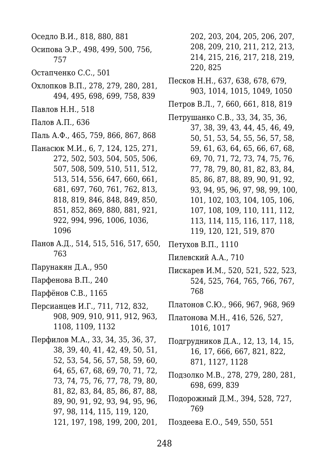Оседло В.И., 818, 880, 881 Осипова Э.Р., 498, 499, 500, 756, 757 Остапченко С.С., 501 Охлопков В.П., 278, 279, 280, 281, 494, 495, 698, 699, 758, 839 Павлов Н.Н., 518 Палов А.П., 636 Паль А.Ф., 465, 759, 866, 867, 868 Панасюк М.И., 6, 7, 124, 125, 271, 272, 502, 503, 504, 505, 506, 507, 508, 509, 510, 511, 512, 513, 514, 556, 647, 660, 661, 681, 697, 760, 761, 762, 813, 818, 819, 846, 848, 849, 850, 851, 852, 869, 880, 881, 921, 922, 994, 996, 1006, 1036, 1096 Панов А.Д., 514, 515, 516, 517, 650, 763 Парунакян Д.А., 950 Парфенова В.П., 240 Парфёнов С.В., 1165 Персианцев И.Г., 711, 712, 832, 908, 909, 910, 911, 912, 963, 1108, 1109, 1132 Перфилов М.А., 33, 34, 35, 36, 37, 38, 39, 40, 41, 42, 49, 50, 51, 52, 53, 54, 56, 57, 58, 59, 60, 64, 65, 67, 68, 69, 70, 71, 72, 73, 74, 75, 76, 77, 78, 79, 80, 81, 82, 83, 84, 85, 86, 87, 88,

89, 90, 91, 92, 93, 94, 95, 96,

97, 98, 114, 115, 119, 120,

121, 197, 198, 199, 200, 201,

202, 203, 204, 205, 206, 207, 208, 209, 210, 211, 212, 213, 214, 215, 216, 217, 218, 219, 220, 825

Песков Н.Н., 637, 638, 678, 679, 903, 1014, 1015, 1049, 1050

Петров В.Л., 7, 660, 661, 818, 819

Петрушанко С.В., 33, 34, 35, 36, 37, 38, 39, 43, 44, 45, 46, 49, 50, 51, 53, 54, 55, 56, 57, 58, 59, 61, 63, 64, 65, 66, 67, 68, 69, 70, 71, 72, 73, 74, 75, 76, 77, 78, 79, 80, 81, 82, 83, 84, 85, 86, 87, 88, 89, 90, 91, 92, 93, 94, 95, 96, 97, 98, 99, 100, 101, 102, 103, 104, 105, 106, 107, 108, 109, 110, 111, 112, 113, 114, 115, 116, 117, 118, 119, 120, 121, 519, 870

Петухов В.П., 1110

Пилевский А.А., 710

Пискарев И.М., 520, 521, 522, 523, 524, 525, 764, 765, 766, 767, 768

Платонов С.Ю., 966, 967, 968, 969

Платонова М.Н., 416, 526, 527, 1016, 1017

Подгрудников Д.А., 12, 13, 14, 15, 16, 17, 666, 667, 821, 822, 871, 1127, 1128

Подзолко М.В., 278, 279, 280, 281, 698, 699, 839

Подорожный Д.М., 394, 528, 727, 769

Поздеева Е.О., 549, 550, 551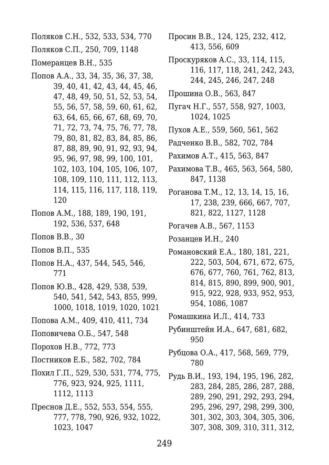Поляков С.Н., 532, 533, 534, 770 Поляков С.П., 250, 709, 1148 Померанцев В.Н., 535 Попов А.А., 33, 34, 35, 36, 37, 38, 39, 40, 41, 42, 43, 44, 45, 46, 47, 48, 49, 50, 51, 52, 53, 54, 55, 56, 57, 58, 59, 60, 61, 62, 63, 64, 65, 66, 67, 68, 69, 70, 71, 72, 73, 74, 75, 76, 77, 78,

- 79, 80, 81, 82, 83, 84, 85, 86, 87, 88, 89, 90, 91, 92, 93, 94, 95, 96, 97, 98, 99, 100, 101, 102, 103, 104, 105, 106, 107, 108, 109, 110, 111, 112, 113, 114, 115, 116, 117, 118, 119, 120
- Попов А.М., 188, 189, 190, 191, 192, 536, 537, 648
- Попов В.В., 30
- Попов В.П., 535
- Попов Н.А., 437, 544, 545, 546, 771
- Попов Ю.В., 428, 429, 538, 539, 540, 541, 542, 543, 855, 999, 1000, 1018, 1019, 1020, 1021
- Попова А.М., 409, 410, 411, 734
- Поповичева О.Б., 547, 548
- Порохов Н.В., 772, 773
- Постников Е.Б., 582, 702, 784
- Похил Г.П., 529, 530, 531, 774, 775, 776, 923, 924, 925, 1111, 1112, 1113
- Преснов Д.Е., 552, 553, 554, 555, 777, 778, 790, 926, 932, 1022, 1023, 1047
- Просин В.В., 124, 125, 232, 412, 413, 556, 609
- Проскуряков А.С., 33, 114, 115, 116, 117, 118, 241, 242, 243, 244, 245, 246, 247, 248
- Прошина О.В., 563, 847
- Пугач Н.Г., 557, 558, 927, 1003, 1024, 1025
- Пухов А.Е., 559, 560, 561, 562
- Радченко В.В., 582, 702, 784
- Рахимов А.Т., 415, 563, 847
- Рахимова Т.В., 465, 563, 564, 580, 847, 1138
- Роганова Т.М., 12, 13, 14, 15, 16, 17, 238, 239, 666, 667, 707, 821, 822, 1127, 1128
- Рогачев А.В., 567, 1153
- Розанцев И.Н., 240
- Романовский Е.А., 180, 181, 221, 222, 503, 504, 671, 672, 675, 676, 677, 760, 761, 762, 813, 814, 815, 890, 899, 900, 901, 915, 922, 928, 933, 952, 953, 954, 1086, 1087
- Ромашкина И.Л., 414, 733
- Рубинштейн И.А., 647, 681, 682, 950
- Рубцова О.А., 417, 568, 569, 779, 780
- Рудь В.И., 193, 194, 195, 196, 282, 283, 284, 285, 286, 287, 288, 289, 290, 291, 292, 293, 294, 295, 296, 297, 298, 299, 300, 301, 302, 303, 304, 305, 306, 307, 308, 309, 310, 311, 312,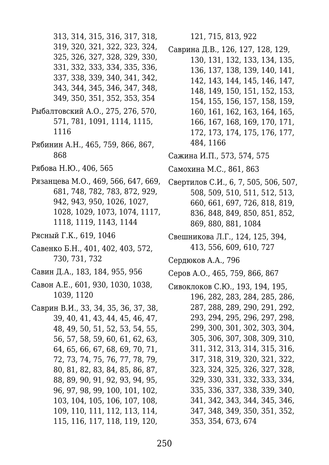313, 314, 315, 316, 317, 318, 319, 320, 321, 322, 323, 324, 325, 326, 327, 328, 329, 330, 331, 332, 333, 334, 335, 336, 337, 338, 339, 340, 341, 342, 343, 344, 345, 346, 347, 348, 349, 350, 351, 352, 353, 354 Рыбалтовский А.О., 275, 276, 570, 571, 781, 1091, 1114, 1115, 1116 Рябинин А.Н., 465, 759, 866, 867, 868

- Рябова Н.Ю., 406, 565
- Рязанцева М.О., 469, 566, 647, 669, 681, 748, 782, 783, 872, 929, 942, 943, 950, 1026, 1027, 1028, 1029, 1073, 1074, 1117, 1118, 1119, 1143, 1144
- Рясный Г.К., 619, 1046
- Савенко Б.Н., 401, 402, 403, 572, 730, 731, 732
- Савин Д.А., 183, 184, 955, 956
- Савон А.Е., 601, 930, 1030, 1038, 1039, 1120
- Саврин В.И., 33, 34, 35, 36, 37, 38, 39, 40, 41, 43, 44, 45, 46, 47, 48, 49, 50, 51, 52, 53, 54, 55, 56, 57, 58, 59, 60, 61, 62, 63, 64, 65, 66, 67, 68, 69, 70, 71, 72, 73, 74, 75, 76, 77, 78, 79, 80, 81, 82, 83, 84, 85, 86, 87, 88, 89, 90, 91, 92, 93, 94, 95, 96, 97, 98, 99, 100, 101, 102, 103, 104, 105, 106, 107, 108, 109, 110, 111, 112, 113, 114, 115, 116, 117, 118, 119, 120,

121, 715, 813, 922

Саврина Д.В., 126, 127, 128, 129,

- 130, 131, 132, 133, 134, 135, 136, 137, 138, 139, 140, 141, 142, 143, 144, 145, 146, 147, 148, 149, 150, 151, 152, 153, 154, 155, 156, 157, 158, 159, 160, 161, 162, 163, 164, 165, 166, 167, 168, 169, 170, 171, 172, 173, 174, 175, 176, 177, 484, 1166
- Сажина И.П., 573, 574, 575
- Самохина М.С., 861, 863
- Свертилов С.И., 6, 7, 505, 506, 507, 508, 509, 510, 511, 512, 513, 660, 661, 697, 726, 818, 819, 836, 848, 849, 850, 851, 852, 869, 880, 881, 1084
- Свешникова Л.Г., 124, 125, 394, 413, 556, 609, 610, 727
- Сердюков А.А., 796
- Серов А.О., 465, 759, 866, 867
- Сивоклоков С.Ю., 193, 194, 195, 196, 282, 283, 284, 285, 286, 287, 288, 289, 290, 291, 292, 293, 294, 295, 296, 297, 298, 299, 300, 301, 302, 303, 304, 305, 306, 307, 308, 309, 310, 311, 312, 313, 314, 315, 316, 317, 318, 319, 320, 321, 322, 323, 324, 325, 326, 327, 328, 329, 330, 331, 332, 333, 334, 335, 336, 337, 338, 339, 340, 341, 342, 343, 344, 345, 346, 347, 348, 349, 350, 351, 352, 353, 354, 673, 674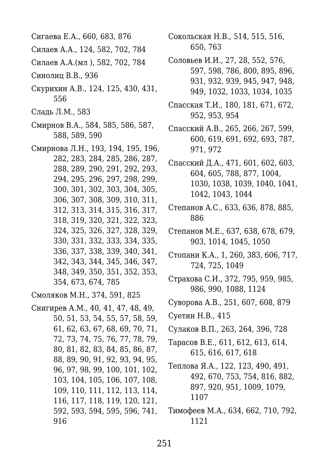- Сигаева Е.А., 660, 683, 876
- Силаев А.А., 124, 582, 702, 784
- Силаев А.А.(мл ), 582, 702, 784
- Синолиц В.В., 936
- Скурихин А.В., 124, 125, 430, 431, 556
- Сладь Л.М., 583
- Смирнов В.А., 584, 585, 586, 587, 588, 589, 590
- Смирнова Л.Н., 193, 194, 195, 196, 282, 283, 284, 285, 286, 287, 288, 289, 290, 291, 292, 293, 294, 295, 296, 297, 298, 299, 300, 301, 302, 303, 304, 305, 306, 307, 308, 309, 310, 311, 312, 313, 314, 315, 316, 317, 318, 319, 320, 321, 322, 323, 324, 325, 326, 327, 328, 329, 330, 331, 332, 333, 334, 335, 336, 337, 338, 339, 340, 341, 342, 343, 344, 345, 346, 347, 348, 349, 350, 351, 352, 353, 354, 673, 674, 785

Смоляков М.Н., 374, 591, 825

Снигирев А.М., 40, 41, 47, 48, 49, 50, 51, 53, 54, 55, 57, 58, 59, 61, 62, 63, 67, 68, 69, 70, 71, 72, 73, 74, 75, 76, 77, 78, 79, 80, 81, 82, 83, 84, 85, 86, 87, 88, 89, 90, 91, 92, 93, 94, 95, 96, 97, 98, 99, 100, 101, 102, 103, 104, 105, 106, 107, 108, 109, 110, 111, 112, 113, 114, 116, 117, 118, 119, 120, 121, 592, 593, 594, 595, 596, 741, 916

- Сокольская Н.В., 514, 515, 516, 650, 763
- Соловьев И.И., 27, 28, 552, 576, 597, 598, 786, 800, 895, 896, 931, 932, 939, 945, 947, 948, 949, 1032, 1033, 1034, 1035
- Спасская Т.И., 180, 181, 671, 672, 952, 953, 954
- Спасский А.В., 265, 266, 267, 599, 600, 619, 691, 692, 693, 787, 971, 972
- Спасский Д.А., 471, 601, 602, 603, 604, 605, 788, 877, 1004, 1030, 1038, 1039, 1040, 1041, 1042, 1043, 1044
- Степанов А.С., 633, 636, 878, 885, 886
- Степанов М.Е., 637, 638, 678, 679, 903, 1014, 1045, 1050
- Стопани К.А., 1, 260, 383, 606, 717, 724, 725, 1049
- Страхова С.И., 372, 795, 959, 985, 986, 990, 1088, 1124
- Суворова А.В., 251, 607, 608, 879
- Суетин Н.В., 415
- Сулаков В.П., 263, 264, 396, 728
- Тарасов В.Е., 611, 612, 613, 614, 615, 616, 617, 618
- Теплова Я.А., 122, 123, 490, 491, 492, 670, 753, 754, 816, 882, 897, 920, 951, 1009, 1079, 1107
- Тимофеев М.А., 634, 662, 710, 792, 1121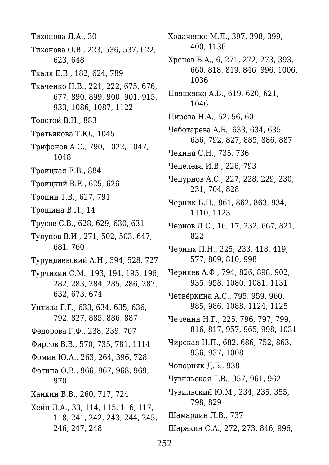- Тихонова Л.А., 30
- Тихонова О.В., 223, 536, 537, 622, 623, 648
- Ткаля Е.В., 182, 624, 789
- Ткаченко Н.В., 221, 222, 675, 676, 677, 890, 899, 900, 901, 915, 933, 1086, 1087, 1122
- Толстой В.Н., 883
- Третьякова Т.Ю., 1045
- Трифонов А.С., 790, 1022, 1047, 1048
- Троицкая Е.В., 884
- Троицкий В.Е., 625, 626
- Тропин Т.В., 627, 791
- Трошина В.Л., 14
- Трусов С.В., 628, 629, 630, 631
- Тулупов В.И., 271, 502, 503, 647, 681, 760
- Турундаевский А.Н., 394, 528, 727
- Турчихин С.М., 193, 194, 195, 196, 282, 283, 284, 285, 286, 287, 632, 673, 674
- Унтила Г.Г., 633, 634, 635, 636, 792, 827, 885, 886, 887
- Федорова Г.Ф., 238, 239, 707
- Фирсов В.В., 570, 735, 781, 1114
- Фомин Ю.А., 263, 264, 396, 728
- Фотина О.В., 966, 967, 968, 969, 970
- Ханкин В.В., 260, 717, 724
- Хейн Л.А., 33, 114, 115, 116, 117, 118, 241, 242, 243, 244, 245, 246, 247, 248
- Ходаченко М.Л., 397, 398, 399, 400, 1136
- Хренов Б.А., 6, 271, 272, 273, 393, 660, 818, 819, 846, 996, 1006, 1036
- Цвященко А.В., 619, 620, 621, 1046
- Цирова Н.А., 52, 56, 60
- Чеботарева А.Б., 633, 634, 635, 636, 792, 827, 885, 886, 887
- Чекина С.Н., 735, 736
- Чепелева И.В., 226, 793
- Чепурнов А.С., 227, 228, 229, 230, 231, 704, 828
- Черник В.Н., 861, 862, 863, 934, 1110, 1123
- Чернов Д.С., 16, 17, 232, 667, 821, 822
- Черных П.Н., 225, 233, 418, 419, 577, 809, 810, 998
- Черняев А.Ф., 794, 826, 898, 902, 935, 958, 1080, 1081, 1131
- Четвёркина А.C., 795, 959, 960, 985, 986, 1088, 1124, 1125
- Чеченин Н.Г., 225, 796, 797, 799, 816, 817, 957, 965, 998, 1031
- Чирская Н.П., 682, 686, 752, 863, 936, 937, 1008
- Чопорняк Д.Б., 938
- Чувильская Т.В., 957, 961, 962
- Чувильский Ю.М., 234, 235, 355, 798, 829
- Шамардин Л.В., 737
- Шаракин С.А., 272, 273, 846, 996,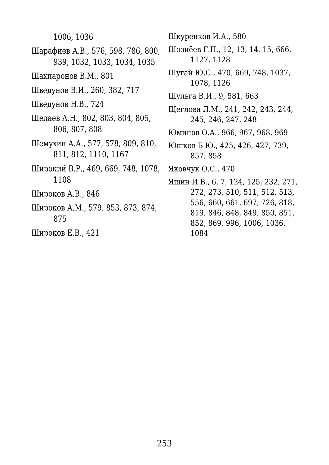1006, 1036

- Шарафиев А.В., 576, 598, 786, 800, 939, 1032, 1033, 1034, 1035
- Шахпаронов В.М., 801
- Шведунов В.И., 260, 382, 717
- Шведунов Н.В., 724
- Шелаев А.Н., 802, 803, 804, 805, 806, 807, 808
- Шемухин А.А., 577, 578, 809, 810, 811, 812, 1110, 1167
- Широкий В.Р., 469, 669, 748, 1078, 1108
- Широков А.В., 846
- Широков А.М., 579, 853, 873, 874, 875
- Широков Е.В., 421

Шкуренков И.А., 580

- Шозиёев Г.П., 12, 13, 14, 15, 666, 1127, 1128
- Шугай Ю.С., 470, 669, 748, 1037, 1078, 1126
- Шульга В.И., 9, 581, 663
- Щеглова Л.М., 241, 242, 243, 244, 245, 246, 247, 248
- Юминов О.А., 966, 967, 968, 969
- Юшков Б.Ю., 425, 426, 427, 739, 857, 858
- Яковчук О.С., 470
- Яшин И.В., 6, 7, 124, 125, 232, 271, 272, 273, 510, 511, 512, 513, 556, 660, 661, 697, 726, 818, 819, 846, 848, 849, 850, 851, 852, 869, 996, 1006, 1036, 1084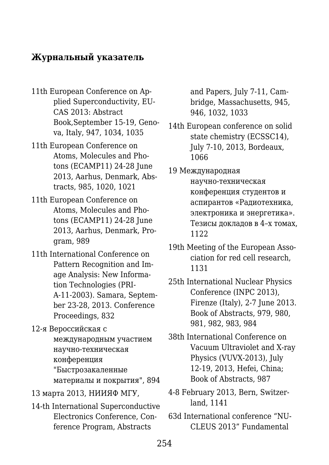## **Журнальный указатель**

- 11th European Conference on Applied Superconductivity, EU-CAS 2013: Abstract Book,September 15-19, Genova, Italy, 947, 1034, 1035
- 11th European Conference on Atoms, Molecules and Photons (ECAMP11) 24-28 June 2013, Aarhus, Denmark, Abstracts, 985, 1020, 1021
- 11th European Conference on Atoms, Molecules and Photons (ECAMP11) 24-28 June 2013, Aarhus, Denmark, Program, 989
- 11th International Conference on Pattern Recognition and Image Analysis: New Information Technologies (PRI-A-11-2003). Samara, September 23-28, 2013. Conference Proceedings, 832
- 12-я Вероссийская с международным участием научно-техническая конференция "Быстрозакаленные материалы и покрытия", 894
- 13 марта 2013, НИИЯФ МГУ,
- 14-th International Superconductive Electronics Conference, Conference Program, Abstracts

and Papers, July 7-11, Cambridge, Massachusetts, 945, 946, 1032, 1033

- 14th European conference on solid state chemistry (ECSSC14), July 7-10, 2013, Bordeaux, 1066
- 19 Международная научно-техническая конференция студентов и аспирантов «Радиотехника, электроника и энергетика». Тезисы докладов в 4–х томах, 1122
- 19th Meeting of the European Association for red cell research, 1131
- 25th International Nuclear Physics Conference (INPC 2013), Firenze (Italy), 2-7 June 2013. Book of Abstracts, 979, 980, 981, 982, 983, 984
- 38th International Conference on Vacuum Ultraviolet and X-ray Physics (VUVX-2013), July 12-19, 2013, Hefei, China; Book of Abstracts, 987
- 4-8 February 2013, Bern, Switzerland, 1141
- 63d International conference "NU-CLEUS 2013" Fundamental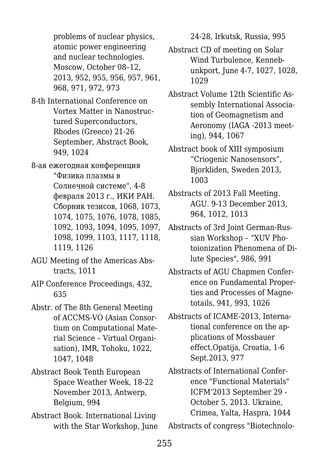problems of nuclear physics, atomic power engineering and nuclear technologies. Moscow, October 08–12, 2013, 952, 955, 956, 957, 961, 968, 971, 972, 973

- 8-th International Conference on Vortex Matter in Nanostructured Superconductors, Rhodes (Greece) 21-26 September, Abstract Book, 949, 1024
- 8-ая ежегодная конференция "Физика плазмы в Солнечной системе", 4-8 февраля 2013 г., ИКИ РАН. Сборник тезисов, 1068, 1073, 1074, 1075, 1076, 1078, 1085, 1092, 1093, 1094, 1095, 1097, 1098, 1099, 1103, 1117, 1118, 1119, 1126
- AGU Meeting of the Americas Abstracts, 1011
- AIP Conference Proceedings, 432, 635
- Abstr. of The 8th General Meeting of ACCMS-VO (Asian Consortium on Computational Material Science – Virtual Organisation), IMR, Tohoku, 1022, 1047, 1048
- Abstract Book Tenth European Space Weather Week, 18-22 November 2013, Antwerp, Belgium, 994
- Abstract Book. International Living with the Star Workshop, June

24-28, Irkutsk, Russia, 995

- Abstract CD of meeting on Solar Wind Turbulence, Kennebunkport, June 4-7, 1027, 1028, 1029
- Abstract Volume 12th Scientific Assembly International Association of Geomagnetism and Aeronomy (IAGA -2013 meeting), 944, 1067
- Abstract book of XIII symposium "Criogenic Nanosensors", Bjorkliden, Sweden 2013, 1003
- Abstracts of 2013 Fall Meeting. AGU. 9-13 December 2013, 964, 1012, 1013
- Abstracts of 3rd Joint German-Russian Workshop – "XUV Photoionization Phenomena of Dilute Species", 986, 991
- Abstracts of AGU Chapmen Conference on Fundamental Properties and Processes of Magnetotails, 941, 993, 1026
- Abstracts of ICAME-2013, International conference on the applications of Mossbauer effect,Opatija, Croatia, 1-6 Sept.2013, 977
- Abstracts of International Conference "Functional Materials" ICFM'2013 September 29 - October 5, 2013. Ukraine, Crimea, Yalta, Haspra, 1044

Abstracts of congress "Biotechnolo-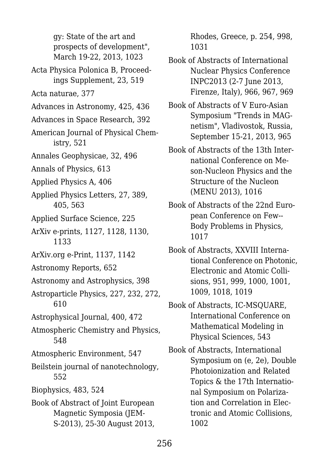gy: State of the art and prospects of development", March 19-22, 2013, 1023

- Acta Physica Polonica B, Proceedings Supplement, 23, 519
- Acta naturae, 377
- Advances in Astronomy, 425, 436
- Advances in Space Research, 392
- American Journal of Physical Chemistry, 521
- Annales Geophysicae, 32, 496
- Annals of Physics, 613
- Applied Physics A, 406
- Applied Physics Letters, 27, 389, 405, 563
- Applied Surface Science, 225
- ArXiv e-prints, 1127, 1128, 1130, 1133
- ArXiv.org e-Print, 1137, 1142
- Astronomy Reports, 652
- Astronomy and Astrophysics, 398
- Astroparticle Physics, 227, 232, 272, 610
- Astrophysical Journal, 400, 472
- Atmospheric Chemistry and Physics, 548
- Atmospheric Environment, 547
- Beilstein journal of nanotechnology, 552
- Biophysics, 483, 524
- Book of Abstract of Joint European Magnetic Symposia (JEM-S-2013), 25-30 August 2013,

Rhodes, Greece, p. 254, 998, 1031

- Book of Abstracts of International Nuclear Physics Conference INPC2013 (2-7 June 2013, Firenze, Italy), 966, 967, 969
- Book of Abstracts of V Euro-Asian Symposium "Trends in MAGnetism", Vladivostok, Russia, September 15-21, 2013, 965
- Book of Abstracts of the 13th International Conference on Meson-Nucleon Physics and the Structure of the Nucleon (MENU 2013), 1016
- Book of Abstracts of the 22nd European Conference on Few-- Body Problems in Physics, 1017
- Book of Abstracts, XXVIII International Conference on Photonic, Electronic and Atomic Collisions, 951, 999, 1000, 1001, 1009, 1018, 1019
- Book of Abstracts, IC-MSQUARE, International Conference on Mathematical Modeling in Physical Sciences, 543
- Book of Abstracts, International Symposium on (e, 2e), Double Photoionization and Related Topics & the 17th International Symposium on Polarization and Correlation in Electronic and Atomic Collisions, 1002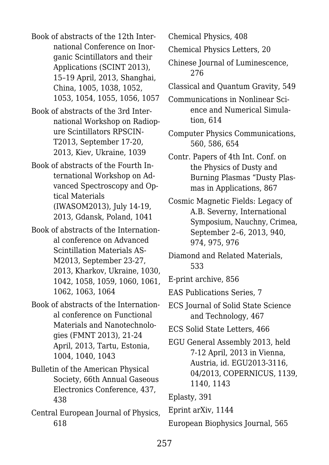Book of abstracts of the 12th International Conference on Inorganic Scintillators and their Applications (SCINT 2013), 15–19 April, 2013, Shanghai, China, 1005, 1038, 1052, 1053, 1054, 1055, 1056, 1057

Book of abstracts of the 3rd International Workshop on Radiopure Scintillators RPSCIN-T2013, September 17-20, 2013, Kiev, Ukraine, 1039

Book of abstracts of the Fourth International Workshop on Advanced Spectroscopy and Optical Materials (IWASOM2013), July 14-19, 2013, Gdansk, Poland, 1041

Book of abstracts of the International conference on Advanced Scintillation Materials AS-M2013, September 23-27, 2013, Kharkov, Ukraine, 1030, 1042, 1058, 1059, 1060, 1061, 1062, 1063, 1064

Book of abstracts of the International conference on Functional Materials and Nanotechnologies (FMNT 2013), 21-24 April, 2013, Tartu, Estonia, 1004, 1040, 1043

Bulletin of the American Physical Society, 66th Annual Gaseous Electronics Conference, 437, 438

Central European Journal of Physics, 618

Chemical Physics, 408

Chemical Physics Letters, 20

Chinese Journal of Luminescence, 276

Classical and Quantum Gravity, 549

Communications in Nonlinear Science and Numerical Simulation, 614

Computer Physics Communications, 560, 586, 654

Contr. Papers of 4th Int. Conf. on the Physics of Dusty and Burning Plasmas "Dusty Plasmas in Applications, 867

Cosmic Magnetic Fields: Legacy of A.B. Severny, International Symposium, Nauchny, Crimea, September 2–6, 2013, 940, 974, 975, 976

Diamond and Related Materials, 533

E-print archive, 856

EAS Publications Series, 7

ECS Journal of Solid State Science and Technology, 467

ECS Solid State Letters, 466

EGU General Assembly 2013, held 7-12 April, 2013 in Vienna, Austria, id. EGU2013-3116, 04/2013, COPERNICUS, 1139, 1140, 1143

Eplasty, 391

Eprint arXiv, 1144

European Biophysics Journal, 565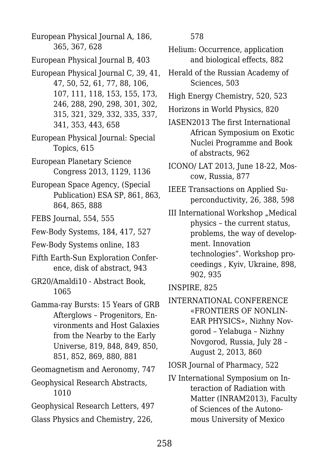European Physical Journal A, 186, 365, 367, 628

- European Physical Journal B, 403
- European Physical Journal C, 39, 41, 47, 50, 52, 61, 77, 88, 106, 107, 111, 118, 153, 155, 173, 246, 288, 290, 298, 301, 302, 315, 321, 329, 332, 335, 337, 341, 353, 443, 658
- European Physical Journal: Special Topics, 615
- European Planetary Science Congress 2013, 1129, 1136
- European Space Agency, (Special Publication) ESA SP, 861, 863, 864, 865, 888
- FEBS Journal, 554, 555
- Few-Body Systems, 184, 417, 527
- Few-Body Systems online, 183
- Fifth Earth-Sun Exploration Conference, disk of abstract, 943
- GR20/Amaldi10 Abstract Book, 1065
- Gamma-ray Bursts: 15 Years of GRB Afterglows – Progenitors, Environments and Host Galaxies from the Nearby to the Early Universe, 819, 848, 849, 850, 851, 852, 869, 880, 881
- Geomagnetism and Aeronomy, 747
- Geophysical Research Abstracts, 1010
- Geophysical Research Letters, 497
- Glass Physics and Chemistry, 226,

578

- Helium: Occurrence, application and biological effects, 882
- Herald of the Russian Academy of Sciences, 503
- High Energy Chemistry, 520, 523
- Horizons in World Physics, 820
- IASEN2013 The first International African Symposium on Exotic Nuclei Programme and Book of abstracts, 962
- ICONO/ LAT 2013, June 18-22, Moscow, Russia, 877
- IEEE Transactions on Applied Superconductivity, 26, 388, 598
- III International Workshop "Medical physics – the current status, problems, the way of development. Innovation technologies". Workshop proceedings , Kyiv, Ukraine, 898, 902, 935
- INSPIRE, 825
- INTERNATIONAL CONFERENCE «FRONTIERS OF NONLIN-EAR PHYSICS», Nizhny Novgorod – Yelabuga – Nizhny Novgorod, Russia, July 28 – August 2, 2013, 860
- IOSR Journal of Pharmacy, 522
- IV International Symposium on Interaction of Radiation with Matter (INRAM2013), Faculty of Sciences of the Autonomous University of Mexico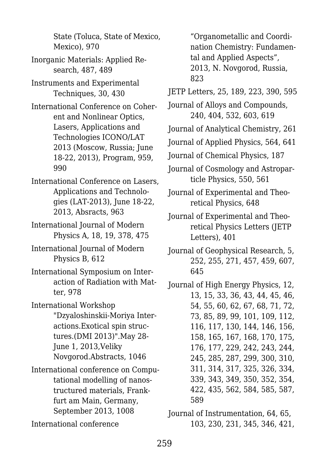State (Toluca, State of Mexico, Mexico), 970

- Inorganic Materials: Applied Research, 487, 489
- Instruments and Experimental Techniques, 30, 430
- International Conference on Coherent and Nonlinear Optics, Lasers, Applications and Technologies ICONO/LAT 2013 (Moscow, Russia; June 18-22, 2013), Program, 959, 990
- International Conference on Lasers, Applications and Technologies (LAT-2013), June 18-22, 2013, Absracts, 963
- International Journal of Modern Physics A, 18, 19, 378, 475
- International Journal of Modern Physics B, 612
- International Symposium on Interaction of Radiation with Matter, 978
- International Workshop "Dzyaloshinskii-Moriya Interactions.Exotical spin structures.(DMI 2013)".May 28- June 1, 2013,Veliky Novgorod.Abstracts, 1046
- International conference on Computational modelling of nanostructured materials, Frankfurt am Main, Germany, September 2013, 1008
- International conference

"Organometallic and Coordination Chemistry: Fundamental and Applied Aspects", 2013, N. Novgorod, Russia, 823

- JETP Letters, 25, 189, 223, 390, 595
- Journal of Alloys and Compounds, 240, 404, 532, 603, 619
- Journal of Analytical Chemistry, 261
- Journal of Applied Physics, 564, 641
- Journal of Chemical Physics, 187
- Journal of Cosmology and Astroparticle Physics, 550, 561
- Journal of Experimental and Theoretical Physics, 648
- Journal of Experimental and Theoretical Physics Letters (JETP Letters), 401
- Journal of Geophysical Research, 5, 252, 255, 271, 457, 459, 607, 645
- Journal of High Energy Physics, 12, 13, 15, 33, 36, 43, 44, 45, 46, 54, 55, 60, 62, 67, 68, 71, 72, 73, 85, 89, 99, 101, 109, 112, 116, 117, 130, 144, 146, 156, 158, 165, 167, 168, 170, 175, 176, 177, 229, 242, 243, 244, 245, 285, 287, 299, 300, 310, 311, 314, 317, 325, 326, 334, 339, 343, 349, 350, 352, 354, 422, 435, 562, 584, 585, 587, 589

Journal of Instrumentation, 64, 65, 103, 230, 231, 345, 346, 421,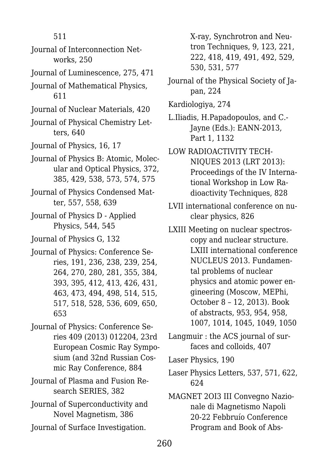511

- Journal of Interconnection Networks, 250
- Journal of Luminescence, 275, 471
- Journal of Mathematical Physics, 611
- Journal of Nuclear Materials, 420
- Journal of Physical Chemistry Letters, 640
- Journal of Physics, 16, 17
- Journal of Physics B: Atomic, Molecular and Optical Physics, 372, 385, 429, 538, 573, 574, 575
- Journal of Physics Condensed Matter, 557, 558, 639
- Journal of Physics D Applied Physics, 544, 545
- Journal of Physics G, 132
- Journal of Physics: Conference Series, 191, 236, 238, 239, 254, 264, 270, 280, 281, 355, 384, 393, 395, 412, 413, 426, 431, 463, 473, 494, 498, 514, 515, 517, 518, 528, 536, 609, 650, 653
- Journal of Physics: Conference Series 409 (2013) 012204, 23rd European Cosmic Ray Symposium (and 32nd Russian Cosmic Ray Conference, 884
- Journal of Plasma and Fusion Research SERIES, 382
- Journal of Superconductivity and Novel Magnetism, 386
- Journal of Surface Investigation.

X-ray, Synchrotron and Neutron Techniques, 9, 123, 221, 222, 418, 419, 491, 492, 529, 530, 531, 577

- Journal of the Physical Society of Japan, 224
- Kardiologiya, 274
- L.Iliadis, H.Papadopoulos, and C.- Jayne (Eds.): EANN-2013, Part 1, 1132
- LOW RADIOACTIVITY TECH-NIQUES 2013 (LRT 2013): Proceedings of the IV International Workshop in Low Radioactivity Techniques, 828
- LVII international conference on nuclear physics, 826
- LXIII Meeting on nuclear spectroscopy and nuclear structure. LXIII international conference NUCLEUS 2013. Fundamental problems of nuclear physics and atomic power engineering (Moscow, MEPhi, October 8 – 12, 2013). Book of abstracts, 953, 954, 958, 1007, 1014, 1045, 1049, 1050
- Langmuir : the ACS journal of surfaces and colloids, 407
- Laser Physics, 190
- Laser Physics Letters, 537, 571, 622, 624
- MAGNET 2OI3 III Convegno Nazionale di Magnetismo Napoli 20-22 Febbruío Conference Program and Book of Abs-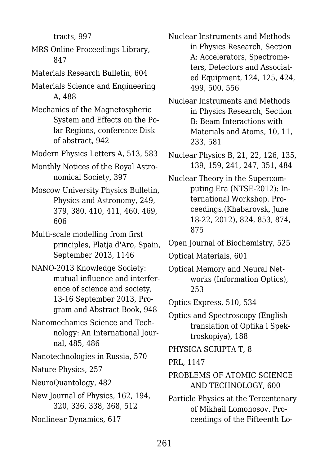tracts, 997

- MRS Online Proceedings Library, 847
- Materials Research Bulletin, 604
- Materials Science and Engineering A, 488
- Mechanics of the Magnetospheric System and Effects on the Polar Regions, conference Disk of abstract, 942
- Modern Physics Letters A, 513, 583
- Monthly Notices of the Royal Astronomical Society, 397
- Moscow University Physics Bulletin, Physics and Astronomy, 249, 379, 380, 410, 411, 460, 469, 606
- Multi-scale modelling from first principles, Platja d'Aro, Spain, September 2013, 1146
- NANO-2013 Knowledge Society: mutual influence and interference of science and society, 13-16 September 2013, Program and Abstract Book, 948
- Nanomechanics Science and Technology: An International Journal, 485, 486
- Nanotechnologies in Russia, 570
- Nature Physics, 257
- NeuroQuantology, 482
- New Journal of Physics, 162, 194, 320, 336, 338, 368, 512
- Nonlinear Dynamics, 617
- Nuclear Instruments and Methods in Physics Research, Section A: Accelerators, Spectrometers, Detectors and Associated Equipment, 124, 125, 424, 499, 500, 556
- Nuclear Instruments and Methods in Physics Research, Section B: Beam Interactions with Materials and Atoms, 10, 11, 233, 581
- Nuclear Physics B, 21, 22, 126, 135, 139, 159, 241, 247, 351, 484
- Nuclear Theory in the Supercomputing Era (NTSE-2012): International Workshop. Proceedings.(Khabarovsk, June 18-22, 2012), 824, 853, 874, 875
- Open Journal of Biochemistry, 525
- Optical Materials, 601
- Optical Memory and Neural Networks (Information Optics), 253
- Optics Express, 510, 534
- Optics and Spectroscopy (English translation of Optika i Spektroskopiya), 188
- PHYSICA SCRIPTA T, 8
- PRL, 1147
- PROBLEMS OF ATOMIC SCIENCE AND TECHNOLOGY, 600
- Particle Physics at the Tercentenary of Mikhail Lomonosov. Proceedings of the Fifteenth Lo-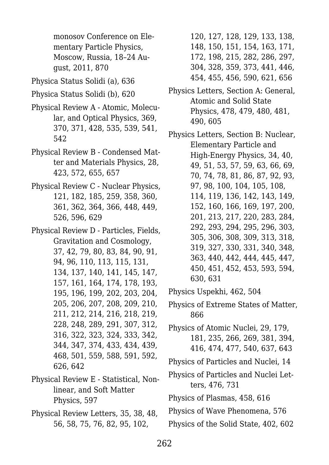monosov Conference on Elementary Particle Physics, Moscow, Russia, 18–24 August, 2011, 870

Physica Status Solidi (a), 636

Physica Status Solidi (b), 620

- Physical Review A Atomic, Molecular, and Optical Physics, 369, 370, 371, 428, 535, 539, 541, 542
- Physical Review B Condensed Matter and Materials Physics, 28, 423, 572, 655, 657
- Physical Review C Nuclear Physics, 121, 182, 185, 259, 358, 360, 361, 362, 364, 366, 448, 449, 526, 596, 629
- Physical Review D Particles, Fields, Gravitation and Cosmology, 37, 42, 79, 80, 83, 84, 90, 91, 94, 96, 110, 113, 115, 131, 134, 137, 140, 141, 145, 147, 157, 161, 164, 174, 178, 193, 195, 196, 199, 202, 203, 204, 205, 206, 207, 208, 209, 210, 211, 212, 214, 216, 218, 219, 228, 248, 289, 291, 307, 312, 316, 322, 323, 324, 333, 342, 344, 347, 374, 433, 434, 439, 468, 501, 559, 588, 591, 592, 626, 642
- Physical Review E Statistical, Nonlinear, and Soft Matter Physics, 597
- Physical Review Letters, 35, 38, 48, 56, 58, 75, 76, 82, 95, 102,
- 120, 127, 128, 129, 133, 138, 148, 150, 151, 154, 163, 171, 172, 198, 215, 282, 286, 297, 304, 328, 359, 373, 441, 446, 454, 455, 456, 590, 621, 656
- Physics Letters, Section A: General, Atomic and Solid State Physics, 478, 479, 480, 481, 490, 605

Physics Letters, Section B: Nuclear, Elementary Particle and High-Energy Physics, 34, 40, 49, 51, 53, 57, 59, 63, 66, 69, 70, 74, 78, 81, 86, 87, 92, 93, 97, 98, 100, 104, 105, 108, 114, 119, 136, 142, 143, 149, 152, 160, 166, 169, 197, 200, 201, 213, 217, 220, 283, 284, 292, 293, 294, 295, 296, 303, 305, 306, 308, 309, 313, 318, 319, 327, 330, 331, 340, 348, 363, 440, 442, 444, 445, 447, 450, 451, 452, 453, 593, 594, 630, 631

Physics Uspekhi, 462, 504

Physics of Extreme States of Matter, 866

Physics of Atomic Nuclei, 29, 179, 181, 235, 266, 269, 381, 394, 416, 474, 477, 540, 637, 643

- Physics of Particles and Nuclei, 14
- Physics of Particles and Nuclei Letters, 476, 731

Physics of Plasmas, 458, 616

Physics of Wave Phenomena, 576

Physics of the Solid State, 402, 602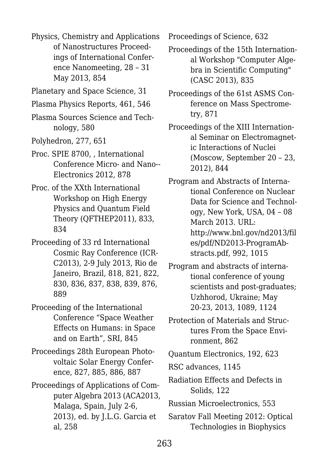Physics, Chemistry and Applications of Nanostructures Proceedings of International Conference Nanomeeting, 28 – 31 May 2013, 854

Planetary and Space Science, 31

Plasma Physics Reports, 461, 546

Plasma Sources Science and Technology, 580

- Polyhedron, 277, 651
- Proc. SPIE 8700, , International Conference Micro- and Nano-- Electronics 2012, 878
- Proc. of the XXth International Workshop on High Energy Physics and Quantum Field Theory (QFTHEP2011), 833, 834
- Proceeding of 33 rd International Cosmic Ray Conference (ICR-C2013), 2-9 July 2013, Rio de Janeiro, Brazil, 818, 821, 822, 830, 836, 837, 838, 839, 876, 889
- Proceeding of the International Conference "Space Weather Effects on Humans: in Space and on Earth", SRI, 845
- Proceedings 28th European Photovoltaic Solar Energy Conference, 827, 885, 886, 887
- Proceedings of Applications of Computer Algebra 2013 (ACA2013, Malaga, Spain, July 2-6, 2013), ed. by J.L.G. Garcia et al, 258

Proceedings of Science, 632

Proceedings of the 15th International Workshop "Computer Algebra in Scientific Computing" (CASC 2013), 835

Proceedings of the 61st ASMS Conference on Mass Spectrometry, 871

Proceedings of the XIII International Seminar on Electromagnetic Interactions of Nuclei (Moscow, September 20 – 23, 2012), 844

Program and Abstracts of International Conference on Nuclear Data for Science and Technology, New York, USA, 04 – 08 March 2013. URL: http://www.bnl.gov/nd2013/fil es/pdf/ND2013-ProgramAbstracts.pdf, 992, 1015

Program and abstracts of international conference of young scientists and post-graduates; Uzhhorod, Ukraine; May 20-23, 2013, 1089, 1124

Protection of Materials and Structures From the Space Environment, 862

Quantum Electronics, 192, 623

RSC advances, 1145

Radiation Effects and Defects in Solids, 122

Russian Microelectronics, 553

Saratov Fall Meeting 2012: Optical Technologies in Biophysics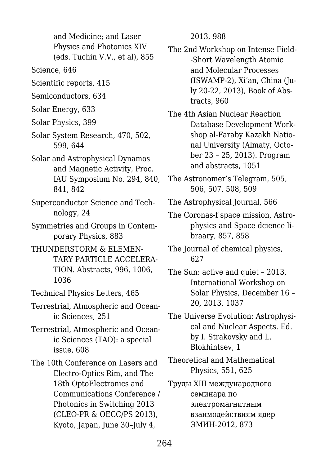and Medicine; and Laser Physics and Photonics XIV (eds. Tuchin V.V., et al), 855

Science, 646

Scientific reports, 415

Semiconductors, 634

Solar Energy, 633

Solar Physics, 399

Solar System Research, 470, 502, 599, 644

- Solar and Astrophysical Dynamos and Magnetic Activity, Proc. IAU Symposium No. 294, 840, 841, 842
- Superconductor Science and Technology, 24

Symmetries and Groups in Contemporary Physics, 883

THUNDERSTORM & ELEMEN-TARY PARTICLE ACCELERA-TION. Abstracts, 996, 1006, 1036

Technical Physics Letters, 465

Terrestrial, Atmospheric and Oceanic Sciences, 251

Terrestrial, Atmospheric and Oceanic Sciences (TAO): a special issue, 608

The 10th Conference on Lasers and Electro-Optics Rim, and The 18th OptoElectronics and Communications Conference / Photonics in Switching 2013 (CLEO-PR & OECC/PS 2013), Kyoto, Japan, June 30–July 4,

2013, 988

The 2nd Workshop on Intense Field- -Short Wavelength Atomic and Molecular Processes (ISWAMP-2), Xi'an, China (July 20-22, 2013), Book of Abstracts, 960

The 4th Asian Nuclear Reaction Database Development Workshop al-Faraby Kazakh National University (Almaty, October 23 – 25, 2013). Program and abstracts, 1051

- The Astronomer's Telegram, 505, 506, 507, 508, 509
- The Astrophysical Journal, 566
- The Coronas-f space mission, Astrophysics and Space dcience libraary, 857, 858
- The Journal of chemical physics, 627

The Sun: active and quiet – 2013, International Workshop on Solar Physics, December 16 – 20, 2013, 1037

The Universe Evolution: Astrophysical and Nuclear Aspects. Ed. by I. Strakovsky and L. Blokhintsev, 1

Theoretical and Mathematical Physics, 551, 625

Tруды XIII международного семинара по электромагнитным взаимодействиям ядер ЭМИН-2012, 873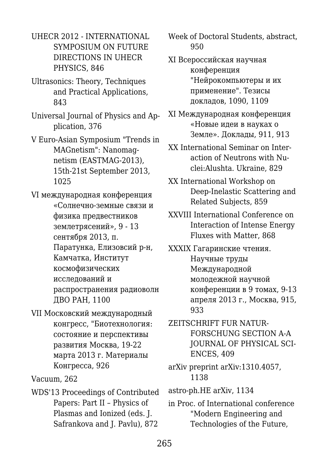UHECR 2012 - INTERNATIONAL SYMPOSIUM ON FUTURE DIRECTIONS IN UHECR PHYSICS, 846

- Ultrasonics: Theory, Techniques and Practical Applications, 843
- Universal Journal of Physics and Application, 376

V Euro-Asian Symposium "Trends in MAGnetism": Nanomagnetism (EASTMAG-2013), 15th-21st September 2013, 1025

- VI международная конференция «Солнечно-земные связи и физика предвестников землетрясений», 9 - 13 сентября 2013, п. Паратунка, Елизовсий р-н, Камчатка, Институт космофизических исследований и распространения радиоволн ДВО РАН, 1100
- VII Московский международный конгресс, "Биотехнология: состояние и перспективы развития Москва, 19-22 марта 2013 г. Материалы Конгресса, 926

Vacuum, 262

WDS'13 Proceedings of Contributed Papers: Part II – Physics of Plasmas and Ionized (eds. J. Safrankova and J. Pavlu), 872

Week of Doctoral Students, abstract, 950

- XI Всероссийская научная конференция "Нейрокомпьютеры и их применение". Тезисы докладов, 1090, 1109
- XI Международная конференция «Новые идеи в науках о Земле». Доклады, 911, 913
- XX International Seminar on Interaction of Neutrons with Nuclei:Alushta. Ukraine, 829
- XX International Workshop on Deep-Inelastic Scattering and Related Subjects, 859
- XXVIII International Conference on Interaction of Intense Energy Fluxes with Matter, 868
- XXXIX Гагаринские чтения. Научные труды Международной молодежной научной конференции в 9 томах, 9-13 апреля 2013 г., Москва, 915, 933
- ZEITSCHRIFT FUR NATUR-FORSCHUNG SECTION A-A JOURNAL OF PHYSICAL SCI-ENCES, 409
- arXiv preprint arXiv:1310.4057, 1138
- astro-ph.HE arXiv, 1134
- in Proc. of International conference "Modern Engineering and Technologies of the Future,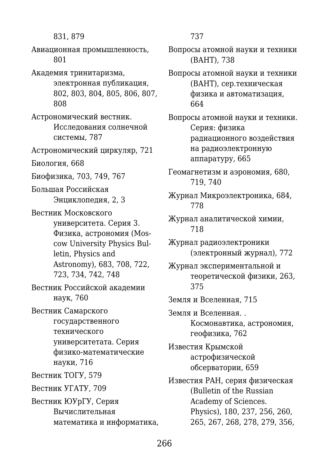831, 879 Авиационная промышленность, 801 Академия тринитаризма, электронная публикация, 802, 803, 804, 805, 806, 807, 808 Астрономический вестник. Исследования солнечной системы, 787 Астрономический циркуляр, 721 Биология, 668 Биофизика, 703, 749, 767 Большая Российская Энциклопедия, 2, 3 Вестник Московского университета. Серия 3. Физика, астрономия (Moscow University Physics Bulletin, Physics and Astronomy), 683, 708, 722, 723, 734, 742, 748 Вестник Российской академии наук, 760 Вестник Самарского государственного технического университетата. Серия физико-математические науки, 716 Вестник ТОГУ, 579 Вестник УГАТУ, 709 Вестник ЮУрГУ, Серия Вычислительная математика и информатика,

737

Вопросы атомной науки и техники (ВАНТ), 738

Вопросы атомной науки и техники (ВАНТ), сер.техническая физика и автоматизация, 664

Вопросы атомной науки и техники. Серия: физика радиационного воздействия на радиоэлектронную аппаратуру, 665

Геомагнетизм и аэрономия, 680, 719, 740

Журнал Микроэлектроника, 684, 778

Журнал аналитической химии, 718

Журнал радиоэлектроники (электронный журнал), 772

Журнал экспериментальной и теоретической физики, 263, 375

Земля и Вселенная, 715

Земля и Вселенная. . Космонавтика, астрономия, геофизика, 762

Известия Крымской астрофизической обсерватории, 659

Известия РAH, серия физическая (Bulletin of the Russian Academy of Sciences. Physics), 180, 237, 256, 260, 265, 267, 268, 278, 279, 356,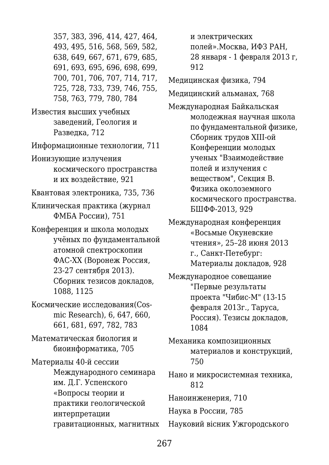357, 383, 396, 414, 427, 464, 493, 495, 516, 568, 569, 582, 638, 649, 667, 671, 679, 685, 691, 693, 695, 696, 698, 699, 700, 701, 706, 707, 714, 717, 725, 728, 733, 739, 746, 755, 758, 763, 779, 780, 784 Известия высших учебных заведений, Геология и Разведка, 712 Информационные технологии, 711 Ионизующие излучения космического пространства и их воздействие, 921 Квантовая электроника, 735, 736 Клиническая практика (журнал ФМБА России), 751

Конференция и школа молодых учёных по фундаментальной атомной спектроскопии ФАС-ХХ (Воронеж Россия, 23-27 сентября 2013). Сборник тезисов докладов, 1088, 1125

Космические исследования(Cosmic Research), 6, 647, 660, 661, 681, 697, 782, 783

Математическая биология и биоинформатика, 705

Материалы 40-й сессии Международного семинара им. Д.Г. Успенского «Вопросы теории и практики геологической интерпретации гравитационных, магнитных и электрических полей».Москва, ИФЗ РАН, 28 января - 1 февраля 2013 г, 912

Медицинская физика, 794

Медицинский альманах, 768

Международная Байкальская молодежная научная школа по фундаментальной физике, Сборник трудов XIII-ой Конференции молодых ученых "Взаимодействие полей и излучения с веществом", Секция В. Физика околоземного космического пространства. БШФФ-2013, 929

Международная конференция «Восьмые Окуневские чтения», 25–28 июня 2013 г., Санкт-Петебург: Материалы докладов, 928

Международное совещание "Первые результаты проекта "Чибис-М" (13-15 февраля 2013г., Таруса, Россия). Тезисы докладов, 1084

Механика композиционных материалов и конструкций, 750

Нано и микросистемная техника, 812

Наноинженерия, 710

Наука в России, 785

Науковий вісник Ужгородського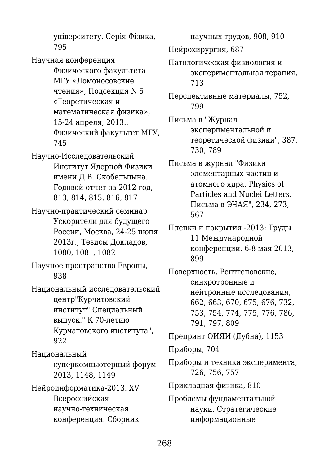університету. Серія Фізика, 795

Научная конференция Физического факультета МГУ «Ломоносовские чтения», Подсекция N 5 «Теоретическая и математическая физика», 15-24 апреля, 2013., Физический факультет МГУ, 745

Научно-Исследовательский Институт Ядерной Физики имени Д.В. Скобельцына. Годовой отчет за 2012 год, 813, 814, 815, 816, 817

Научно-практический семинар Ускорители для будущего России, Москва, 24-25 июня 2013г., Тезисы Докладов, 1080, 1081, 1082

Научное пространство Европы, 938

Национальный исследовательский центр"Курчатовский институт".Специальный выпуск." К 70-летию Курчатовского института", 922

Национальный

суперкомпьютерный форум 2013, 1148, 1149

Нейроинформатика-2013. XV Всероссийская научно-техническая конференция. Сборник

научных трудов, 908, 910 Нейрохирургия, 687

Патологическая физиология и экспериментальная терапия, 713

Перспективные материалы, 752, 799

Письма в "Журнал экспериментальной и теоретической физики", 387, 730, 789

Письма в журнал "Физика элементарных частиц и атомного ядра. Physics of Particles and Nuclei Letters. Письма в ЭЧАЯ", 234, 273, 567

Пленки и покрытия -2013: Труды 11 Международной конференции. 6-8 мая 2013, 899

Поверхность. Рентгеновские, синхротронные и нейтронные исследования, 662, 663, 670, 675, 676, 732, 753, 754, 774, 775, 776, 786, 791, 797, 809

Препринт ОИЯИ (Дубна), 1153

Приборы, 704

Приборы и техника эксперимента, 726, 756, 757

Прикладная физика, 810

Проблемы фундаментальной науки. Стратегические информационные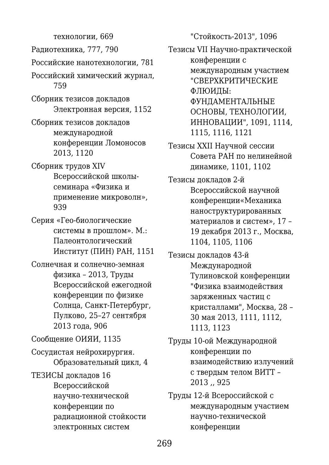технологии, 669 Радиотехника, 777, 790 Российские нанотехнологии, 781 Российский химический журнал, 759 Сборник тезисов докладов Электронная версия, 1152 Сборник тезисов докладов международной конференции Ломоносов 2013, 1120 Сборник трудов XIV Всероссийской школысеминара «Физика и применение микроволн», 939 Серия «Гео-биологические системы в прошлом». М.: Палеонтологический Институт (ПИН) РАН, 1151 Солнечная и солнечно-земная физика – 2013, Труды Всероссийской ежегодной конференции по физике Солнца, Санкт-Петербург, Пулково, 25–27 сентября 2013 года, 906 Сообщение ОИЯИ, 1135 Сосудистая нейрохирургия. Образовательный цикл, 4 ТЕЗИСЫ докладов 16 Всероссийской научно-технической конференции по радиационной стойкости электронных систем

"Стойкость-2013", 1096

Тезисы VII Научно-практической конференции с международным участием "СВЕРХКРИТИЧЕСКИЕ ФЛЮИДЫ: ФУНДАМЕНТАЛЬНЫЕ ОСНОВЫ, ТЕХНОЛОГИИ, ИННОВАЦИИ", 1091, 1114, 1115, 1116, 1121

Тезисы XXII Научной сессии Совета РАН по нелинейной динамике, 1101, 1102

Тезисы докладов 2-й Всероссийской научной конференции«Механика наноструктурированных материалов и систем», 17 – 19 декабря 2013 г., Москва, 1104, 1105, 1106

Тезисы докладов 43-й Международной Тулиновской конференции "Физика взаимодействия заряженных частиц с кристаллами", Москва, 28 – 30 мая 2013, 1111, 1112, 1113, 1123

Труды 10-ой Международной конференции по взаимодействию излучений с твердым телом ВИТТ – 2013 ,, 925

Труды 12-й Всероссийской с международным участием научно-технической конференции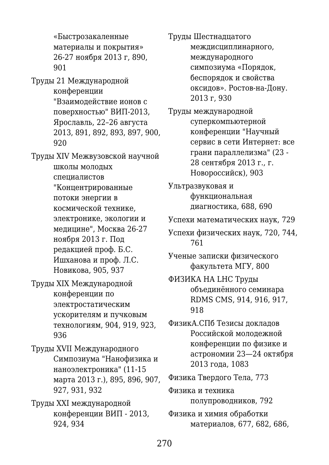«Быстрозакаленные материалы и покрытия» 26-27 ноября 2013 г, 890, 901 Труды 21 Международной конференции "Взаимодействие ионов с поверхностью" ВИП-2013, Ярославль, 22–26 августа 2013, 891, 892, 893, 897, 900, 920 Труды XIV Межвузовской научной школы молодых специалистов "Концентрированные потоки энергии в космической технике, электронике, экологии и медицине", Москва 26-27 ноября 2013 г. Под редакцией проф. Б.С. Ишханова и проф. Л.С. Новикова, 905, 937 Труды XIX Международной конференции по электростатическим ускорителям и пучковым технологиям, 904, 919, 923, 936 Труды XVII Международного Симпозиума "Нанофизика и наноэлектроника" (11-15 марта 2013 г.), 895, 896, 907, 927, 931, 932 Труды XXI международной конференции ВИП - 2013, 924, 934

Труды Шестнадцатого междисциплинарного, международного симпозиума «Порядок, беспорядок и свойства оксидов». Ростов-на-Дону. 2013 г, 930

Труды международной суперкомпьютерной конференции "Научный сервис в сети Интернет: все грани параллелизма" (23 - 28 сентября 2013 г., г. Новороссийск), 903

Ультразвуковая и функциональная диагностика, 688, 690

- Успехи математических наук, 729
- Успехи физических наук, 720, 744, 761

Ученые записки физического факультета МГУ, 800

ФИЗИКА НА LHC Труды объединённого семинара RDMS CMS, 914, 916, 917, 918

ФизикА.СПб Тезисы докладов Российской молодежной конференции по физике и астрономии 23—24 октября 2013 года, 1083

Физика Твердого Тела, 773

Физика и техника полупроводников, 792

Физика и химия обработки материалов, 677, 682, 686,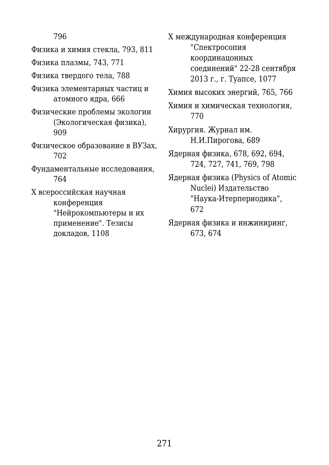796

Физика и химия стекла, 793, 811 Физика плазмы, 743, 771 Физика твердого тела, 788 Физика элементарных частиц и атомного ядра, 666 Физические проблемы экологии (Экологическая физика), 909 Физическое образование в ВУЗах, 702 Фундаментальные исследования, 764 Х всероссийская научная конференция "Нейрокомпьютеры и их применение". Тезисы докладов, 1108

Х международная конференция "Спектросопия координацонных соединений" 22-28 сентября 2013 г., г. Туапсе, 1077

Химия высоких энергий, 765, 766

Химия и химическая технология, 770

Хирургия. Журнал им. Н.И.Пирогова, 689

Ядерная физика, 678, 692, 694, 724, 727, 741, 769, 798

Ядерная физика (Physics of Atomic Nuclei) Издательство "Наука-Итерпериодика", 672

Ядерная физика и инжиниринг, 673, 674